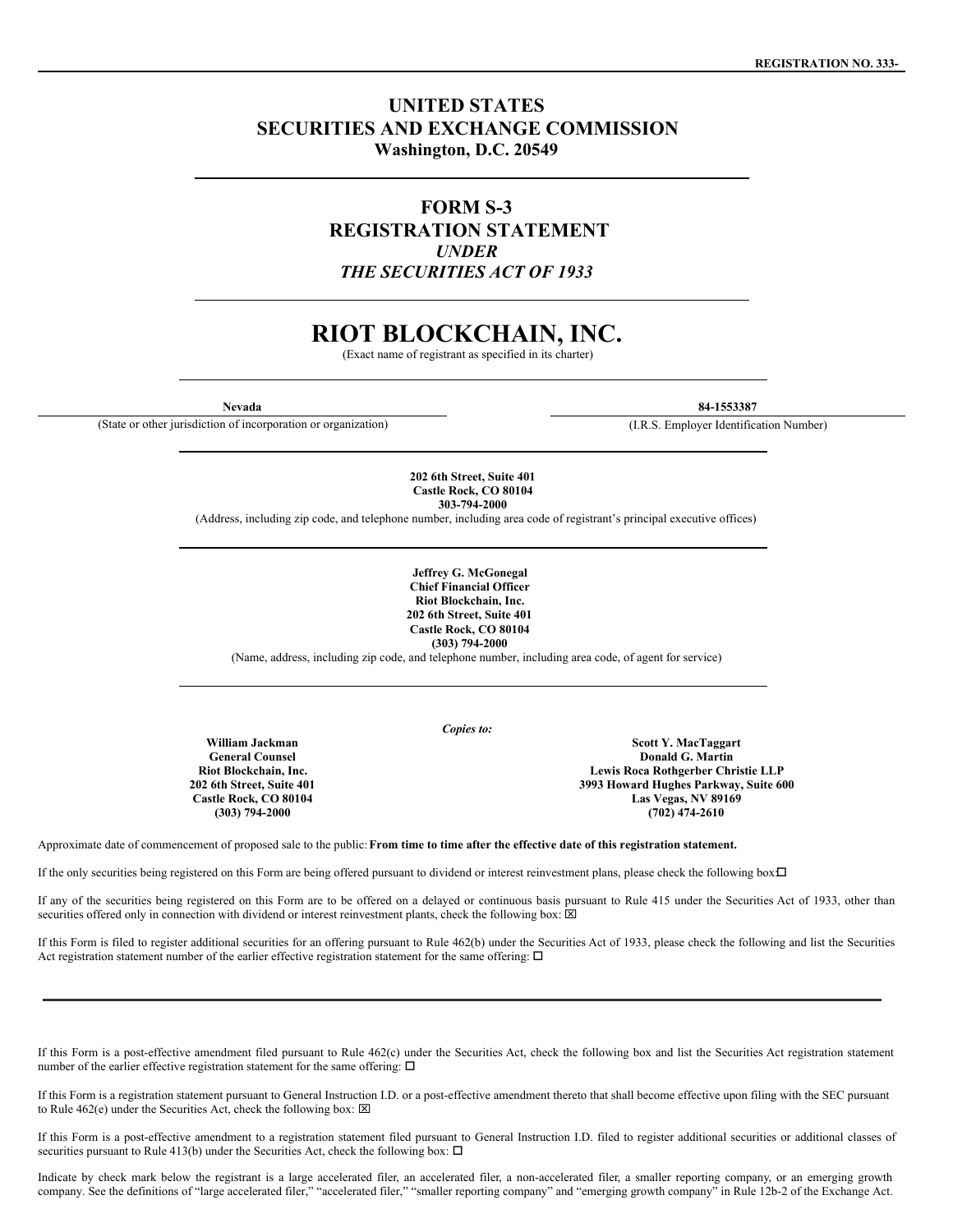## **UNITED STATES SECURITIES AND EXCHANGE COMMISSION Washington, D.C. 20549**

### **FORM S-3 REGISTRATION STATEMENT** *UNDER THE SECURITIES ACT OF 1933*

# **RIOT BLOCKCHAIN, INC.**

(Exact name of registrant as specified in its charter)

(State or other jurisdiction of incorporation or organization) (I.R.S. Employer Identification Number)

**Nevada 84-1553387**

**202 6th Street, Suite 401 Castle Rock, CO 80104 303-794-2000**

(Address, including zip code, and telephone number, including area code of registrant's principal executive offices)

**Jeffrey G. McGonegal Chief Financial Officer Riot Blockchain, Inc. 202 6th Street, Suite 401 Castle Rock, CO 80104 (303) 794-2000**

(Name, address, including zip code, and telephone number, including area code, of agent for service)

*Copies to:*

**William Jackman General Counsel Riot Blockchain, Inc. 202 6th Street, Suite 401 Castle Rock, CO 80104 (303) 794-2000**

**Scott Y. MacTaggart Donald G. Martin Lewis Roca Rothgerber Christie LLP 3993 Howard Hughes Parkway, Suite 600 Las Vegas, NV 89169 (702) 474-2610**

Approximate date of commencement of proposed sale to the public:**From time to time after the effective date of this registration statement.**

If the only securities being registered on this Form are being offered pursuant to dividend or interest reinvestment plans, please check the following box $\Box$ 

If any of the securities being registered on this Form are to be offered on a delayed or continuous basis pursuant to Rule 415 under the Securities Act of 1933, other than securities offered only in connection with dividend or interest reinvestment plants, check the following box:  $\boxtimes$ 

If this Form is filed to register additional securities for an offering pursuant to Rule 462(b) under the Securities Act of 1933, please check the following and list the Securities Act registration statement number of the earlier effective registration statement for the same offering:  $\Box$ 

If this Form is a post-effective amendment filed pursuant to Rule 462(c) under the Securities Act, check the following box and list the Securities Act registration statement number of the earlier effective registration statement for the same offering:  $\Box$ 

If this Form is a registration statement pursuant to General Instruction I.D. or a post-effective amendment thereto that shall become effective upon filing with the SEC pursuant to Rule 462(e) under the Securities Act, check the following box:  $\boxtimes$ 

If this Form is a post-effective amendment to a registration statement filed pursuant to General Instruction I.D. filed to register additional securities or additional classes of securities pursuant to Rule 413(b) under the Securities Act, check the following box:  $\Box$ 

Indicate by check mark below the registrant is a large accelerated filer, an accelerated filer, a non-accelerated filer, a smaller reporting company, or an emerging growth company. See the definitions of "large accelerated filer," "accelerated filer," "smaller reporting company" and "emerging growth company" in Rule 12b-2 of the Exchange Act.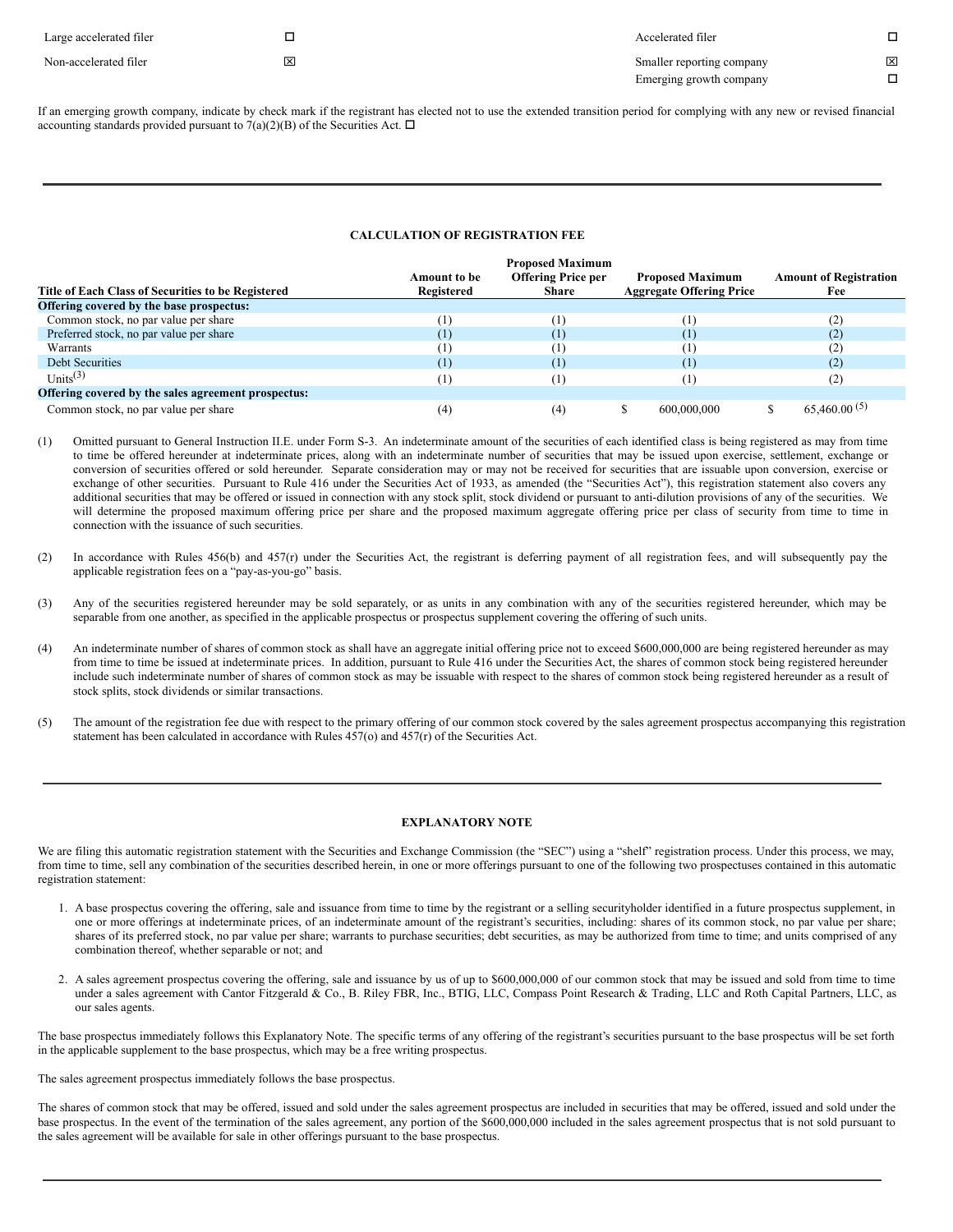| Large accelerated filer |   | Accelerated filer         |   |
|-------------------------|---|---------------------------|---|
| Non-accelerated filer   | X | Smaller reporting company | ⊠ |
|                         |   | Emerging growth company   |   |

If an emerging growth company, indicate by check mark if the registrant has elected not to use the extended transition period for complying with any new or revised financial accounting standards provided pursuant to  $7(a)(2)(B)$  of the Securities Act.  $\Box$ 

#### **CALCULATION OF REGISTRATION FEE**

|                                                     |              | <b>Proposed Maximum</b>   |                                 |                               |
|-----------------------------------------------------|--------------|---------------------------|---------------------------------|-------------------------------|
|                                                     | Amount to be | <b>Offering Price per</b> | <b>Proposed Maximum</b>         | <b>Amount of Registration</b> |
| Title of Each Class of Securities to be Registered  | Registered   | <b>Share</b>              | <b>Aggregate Offering Price</b> | Fee                           |
| Offering covered by the base prospectus:            |              |                           |                                 |                               |
| Common stock, no par value per share                | (1)          |                           | $\mathbf{I}$                    | (2                            |
| Preferred stock, no par value per share             | (1)          | w                         | U                               | (2)                           |
| Warrants                                            | (1)          |                           | $\left(1\right)$                | (2)                           |
| <b>Debt Securities</b>                              | (1)          | w                         | П                               | (2)                           |
| Units <sup>(3)</sup>                                | (1)          | Ŧ                         | H)                              | (2                            |
| Offering covered by the sales agreement prospectus: |              |                           |                                 |                               |
| Common stock, no par value per share                | (4)          | (4)                       | 600,000,000                     | $65,460,00^{(5)}$             |

(1) Omitted pursuant to General Instruction II.E. under Form S-3. An indeterminate amount of the securities of each identified class is being registered as may from time to time be offered hereunder at indeterminate prices, along with an indeterminate number of securities that may be issued upon exercise, settlement, exchange or conversion of securities offered or sold hereunder. Separate consideration may or may not be received for securities that are issuable upon conversion, exercise or exchange of other securities. Pursuant to Rule 416 under the Securities Act of 1933, as amended (the "Securities Act"), this registration statement also covers any additional securities that may be offered or issued in connection with any stock split, stock dividend or pursuant to anti-dilution provisions of any of the securities. We will determine the proposed maximum offering price per share and the proposed maximum aggregate offering price per class of security from time to time in connection with the issuance of such securities.

- (2) In accordance with Rules 456(b) and 457(r) under the Securities Act, the registrant is deferring payment of all registration fees, and will subsequently pay the applicable registration fees on a "pay-as-you-go" basis.
- (3) Any of the securities registered hereunder may be sold separately, or as units in any combination with any of the securities registered hereunder, which may be separable from one another, as specified in the applicable prospectus or prospectus supplement covering the offering of such units.
- (4) An indeterminate number of shares of common stock as shall have an aggregate initial offering price not to exceed \$600,000,000 are being registered hereunder as may from time to time be issued at indeterminate prices. In addition, pursuant to Rule 416 under the Securities Act, the shares of common stock being registered hereunder include such indeterminate number of shares of common stock as may be issuable with respect to the shares of common stock being registered hereunder as a result of stock splits, stock dividends or similar transactions.
- (5) The amount of the registration fee due with respect to the primary offering of our common stock covered by the sales agreement prospectus accompanying this registration statement has been calculated in accordance with Rules 457(o) and 457(r) of the Securities Act.

#### **EXPLANATORY NOTE**

We are filing this automatic registration statement with the Securities and Exchange Commission (the "SEC") using a "shelf" registration process. Under this process, we may, from time to time, sell any combination of the securities described herein, in one or more offerings pursuant to one of the following two prospectuses contained in this automatic registration statement:

- 1. A base prospectus covering the offering, sale and issuance from time to time by the registrant or a selling securityholder identified in a future prospectus supplement, in one or more offerings at indeterminate prices, of an indeterminate amount of the registrant's securities, including: shares of its common stock, no par value per share; shares of its preferred stock, no par value per share; warrants to purchase securities; debt securities, as may be authorized from time to time; and units comprised of any combination thereof, whether separable or not; and
- 2. A sales agreement prospectus covering the offering, sale and issuance by us of up to \$600,000,000 of our common stock that may be issued and sold from time to time under a sales agreement with Cantor Fitzgerald & Co., B. Riley FBR, Inc., BTIG, LLC, Compass Point Research & Trading, LLC and Roth Capital Partners, LLC, as our sales agents.

The base prospectus immediately follows this Explanatory Note. The specific terms of any offering of the registrant's securities pursuant to the base prospectus will be set forth in the applicable supplement to the base prospectus, which may be a free writing prospectus.

The sales agreement prospectus immediately follows the base prospectus.

The shares of common stock that may be offered, issued and sold under the sales agreement prospectus are included in securities that may be offered, issued and sold under the base prospectus. In the event of the termination of the sales agreement, any portion of the \$600,000,000 included in the sales agreement prospectus that is not sold pursuant to the sales agreement will be available for sale in other offerings pursuant to the base prospectus.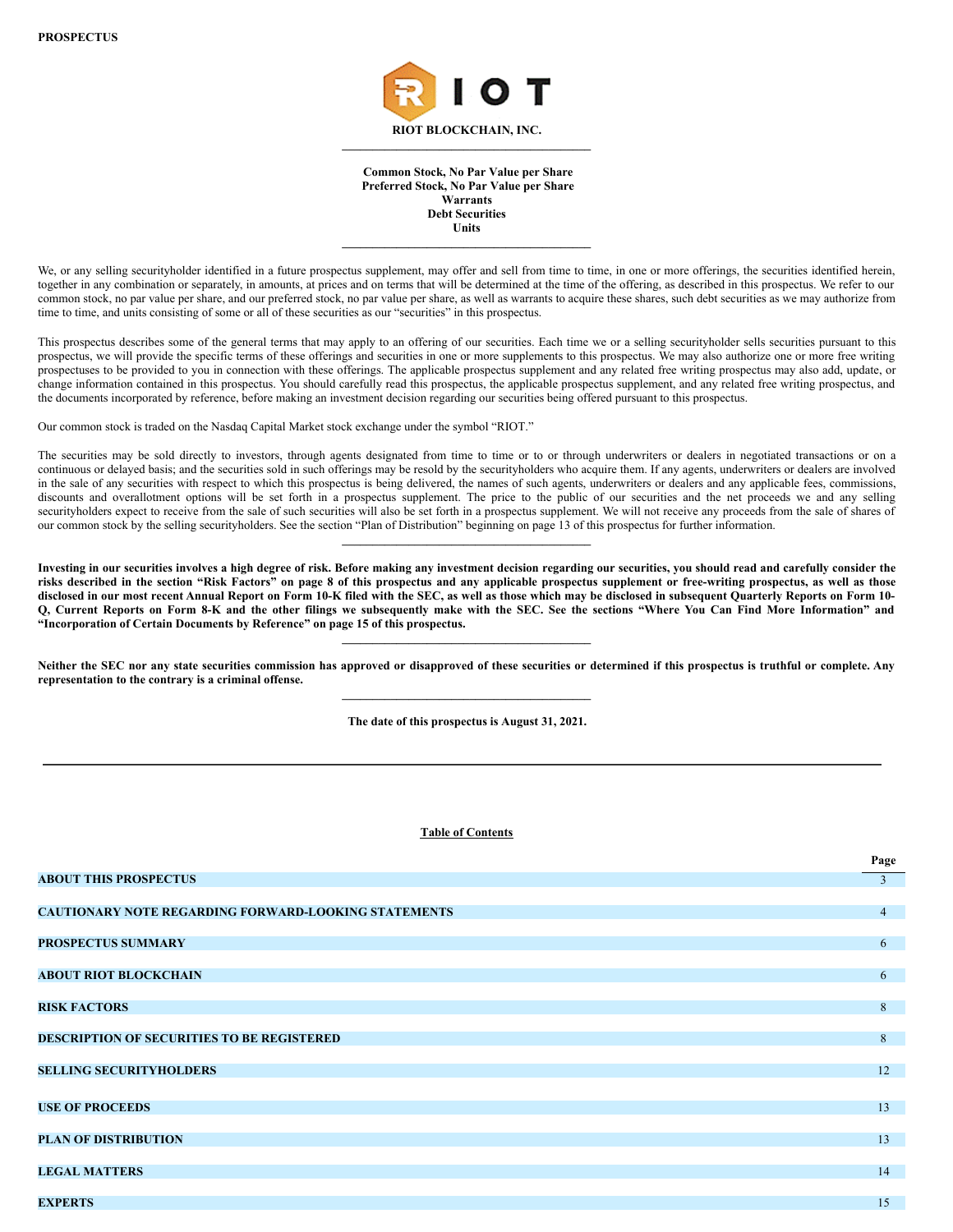

**Common Stock, No Par Value per Share Preferred Stock, No Par Value per Share Warrants Debt Securities Units**

 $\mathcal{L} = \{ \mathcal{L} \}$ 

We, or any selling securityholder identified in a future prospectus supplement, may offer and sell from time to time, in one or more offerings, the securities identified herein, together in any combination or separately, in amounts, at prices and on terms that will be determined at the time of the offering, as described in this prospectus. We refer to our common stock, no par value per share, and our preferred stock, no par value per share, as well as warrants to acquire these shares, such debt securities as we may authorize from time to time, and units consisting of some or all of these securities as our "securities" in this prospectus.

This prospectus describes some of the general terms that may apply to an offering of our securities. Each time we or a selling securityholder sells securities pursuant to this prospectus, we will provide the specific terms of these offerings and securities in one or more supplements to this prospectus. We may also authorize one or more free writing prospectuses to be provided to you in connection with these offerings. The applicable prospectus supplement and any related free writing prospectus may also add, update, or change information contained in this prospectus. You should carefully read this prospectus, the applicable prospectus supplement, and any related free writing prospectus, and the documents incorporated by reference, before making an investment decision regarding our securities being offered pursuant to this prospectus.

Our common stock is traded on the Nasdaq Capital Market stock exchange under the symbol "RIOT."

The securities may be sold directly to investors, through agents designated from time to time or to or through underwriters or dealers in negotiated transactions or on a continuous or delayed basis; and the securities sold in such offerings may be resold by the securityholders who acquire them. If any agents, underwriters or dealers are involved in the sale of any securities with respect to which this prospectus is being delivered, the names of such agents, underwriters or dealers and any applicable fees, commissions, discounts and overallotment options will be set forth in a prospectus supplement. The price to the public of our securities and the net proceeds we and any selling securityholders expect to receive from the sale of such securities will also be set forth in a prospectus supplement. We will not receive any proceeds from the sale of shares of our common stock by the selling securityholders. See the section "Plan of Distribution" beginning on page 13 of this prospectus for further information.

**\_\_\_\_\_\_\_\_\_\_\_\_\_\_\_\_\_\_\_\_\_\_\_\_\_\_\_\_\_\_\_\_\_\_\_\_\_\_\_\_\_**

Investing in our securities involves a high degree of risk. Before making any investment decision regarding our securities, you should read and carefully consider the risks described in the section "Risk Factors" on page 8 of this prospectus and any applicable prospectus supplement or free-writing prospectus, as well as those disclosed in our most recent Annual Report on Form 10-K filed with the SEC, as well as those which may be disclosed in subsequent Quarterly Reports on Form 10-Q, Current Reports on Form 8-K and the other filings we subsequently make with the SEC. See the sections "Where You Can Find More Information" and **"Incorporation of Certain Documents by Reference" on page 15 of this prospectus.**

Neither the SEC nor any state securities commission has approved or disapproved of these securities or determined if this prospectus is truthful or complete. Any **representation to the contrary is a criminal offense. \_\_\_\_\_\_\_\_\_\_\_\_\_\_\_\_\_\_\_\_\_\_\_\_\_\_\_\_\_\_\_\_\_\_\_\_\_\_\_\_\_**

**\_\_\_\_\_\_\_\_\_\_\_\_\_\_\_\_\_\_\_\_\_\_\_\_\_\_\_\_\_\_\_\_\_\_\_\_\_\_\_\_\_**

**The date of this prospectus is August 31, 2021.**

#### **Table of Contents**

|                                                             | Page           |
|-------------------------------------------------------------|----------------|
| <b>ABOUT THIS PROSPECTUS</b>                                | $\mathbf{3}$   |
|                                                             |                |
| <b>CAUTIONARY NOTE REGARDING FORWARD-LOOKING STATEMENTS</b> | $\overline{4}$ |
|                                                             |                |
| <b>PROSPECTUS SUMMARY</b>                                   | 6              |
|                                                             |                |
| <b>ABOUT RIOT BLOCKCHAIN</b>                                | 6              |
|                                                             |                |
| <b>RISK FACTORS</b>                                         | 8              |
|                                                             |                |
| <b>DESCRIPTION OF SECURITIES TO BE REGISTERED</b>           | 8              |
| <b>SELLING SECURITYHOLDERS</b>                              | 12             |
|                                                             |                |
| <b>USE OF PROCEEDS</b>                                      | 13             |
|                                                             |                |
| <b>PLAN OF DISTRIBUTION</b>                                 | 13             |
|                                                             |                |
| <b>LEGAL MATTERS</b>                                        | 14             |
|                                                             |                |
| <b>EXPERTS</b>                                              | 15             |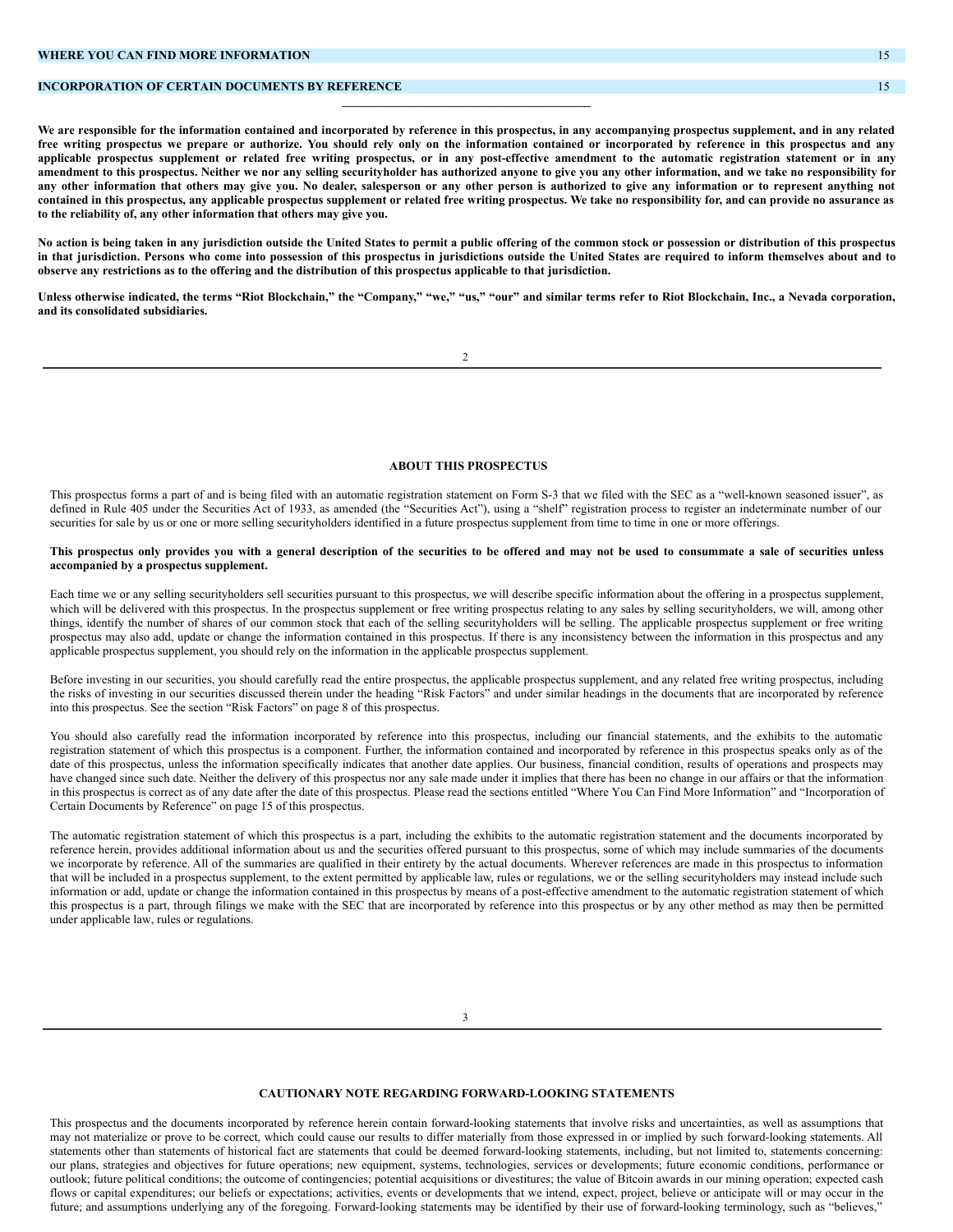#### **INCORPORATION OF CERTAIN DOCUMENTS BY REFERENCE** 15

We are responsible for the information contained and incorporated by reference in this prospectus, in any accompanying prospectus supplement, and in any related free writing prospectus we prepare or authorize. You should rely only on the information contained or incorporated by reference in this prospectus and any applicable prospectus supplement or related free writing prospectus, or in any post-effective amendment to the automatic registration statement or in any amendment to this prospectus. Neither we nor any selling securityholder has authorized anyone to give you any other information, and we take no responsibility for any other information that others may give you. No dealer, salesperson or any other person is authorized to give any information or to represent anything not contained in this prospectus, any applicable prospectus supplement or related free writing prospectus. We take no responsibility for, and can provide no assurance as **to the reliability of, any other information that others may give you.**

**\_\_\_\_\_\_\_\_\_\_\_\_\_\_\_\_\_\_\_\_\_\_\_\_\_\_\_\_\_\_\_\_\_\_\_\_\_\_\_\_\_**

No action is being taken in any jurisdiction outside the United States to permit a public offering of the common stock or possession or distribution of this prospectus in that jurisdiction. Persons who come into possession of this prospectus in jurisdictions outside the United States are required to inform themselves about and to observe any restrictions as to the offering and the distribution of this prospectus applicable to that jurisdiction.

Unless otherwise indicated, the terms "Riot Blockchain," the "Company," "we," "us," "our" and similar terms refer to Riot Blockchain, Inc., a Nevada corporation, **and its consolidated subsidiaries.**

| I |  |
|---|--|
|   |  |

#### **ABOUT THIS PROSPECTUS**

This prospectus forms a part of and is being filed with an automatic registration statement on Form S-3 that we filed with the SEC as a "well-known seasoned issuer", as defined in Rule 405 under the Securities Act of 1933, as amended (the "Securities Act"), using a "shelf" registration process to register an indeterminate number of our securities for sale by us or one or more selling securityholders identified in a future prospectus supplement from time to time in one or more offerings.

#### This prospectus only provides you with a general description of the securities to be offered and may not be used to consummate a sale of securities unless **accompanied by a prospectus supplement.**

Each time we or any selling securityholders sell securities pursuant to this prospectus, we will describe specific information about the offering in a prospectus supplement, which will be delivered with this prospectus. In the prospectus supplement or free writing prospectus relating to any sales by selling securityholders, we will, among other things, identify the number of shares of our common stock that each of the selling securityholders will be selling. The applicable prospectus supplement or free writing prospectus may also add, update or change the information contained in this prospectus. If there is any inconsistency between the information in this prospectus and any applicable prospectus supplement, you should rely on the information in the applicable prospectus supplement.

Before investing in our securities, you should carefully read the entire prospectus, the applicable prospectus supplement, and any related free writing prospectus, including the risks of investing in our securities discussed therein under the heading "Risk Factors" and under similar headings in the documents that are incorporated by reference into this prospectus. See the section "Risk Factors" on page 8 of this prospectus.

You should also carefully read the information incorporated by reference into this prospectus, including our financial statements, and the exhibits to the automatic registration statement of which this prospectus is a component. Further, the information contained and incorporated by reference in this prospectus speaks only as of the date of this prospectus, unless the information specifically indicates that another date applies. Our business, financial condition, results of operations and prospects may have changed since such date. Neither the delivery of this prospectus nor any sale made under it implies that there has been no change in our affairs or that the information in this prospectus is correct as of any date after the date of this prospectus. Please read the sections entitled "Where You Can Find More Information" and "Incorporation of Certain Documents by Reference" on page 15 of this prospectus.

The automatic registration statement of which this prospectus is a part, including the exhibits to the automatic registration statement and the documents incorporated by reference herein, provides additional information about us and the securities offered pursuant to this prospectus, some of which may include summaries of the documents we incorporate by reference. All of the summaries are qualified in their entirety by the actual documents. Wherever references are made in this prospectus to information that will be included in a prospectus supplement, to the extent permitted by applicable law, rules or regulations, we or the selling securityholders may instead include such information or add, update or change the information contained in this prospectus by means of a post-effective amendment to the automatic registration statement of which this prospectus is a part, through filings we make with the SEC that are incorporated by reference into this prospectus or by any other method as may then be permitted under applicable law, rules or regulations.

3

#### **CAUTIONARY NOTE REGARDING FORWARD-LOOKING STATEMENTS**

This prospectus and the documents incorporated by reference herein contain forward-looking statements that involve risks and uncertainties, as well as assumptions that may not materialize or prove to be correct, which could cause our results to differ materially from those expressed in or implied by such forward-looking statements. All statements other than statements of historical fact are statements that could be deemed forward-looking statements, including, but not limited to, statements concerning: our plans, strategies and objectives for future operations; new equipment, systems, technologies, services or developments; future economic conditions, performance or outlook; future political conditions; the outcome of contingencies; potential acquisitions or divestitures; the value of Bitcoin awards in our mining operation; expected cash flows or capital expenditures; our beliefs or expectations; activities, events or developments that we intend, expect, project, believe or anticipate will or may occur in the future; and assumptions underlying any of the foregoing. Forward-looking statements may be identified by their use of forward-looking terminology, such as "believes,"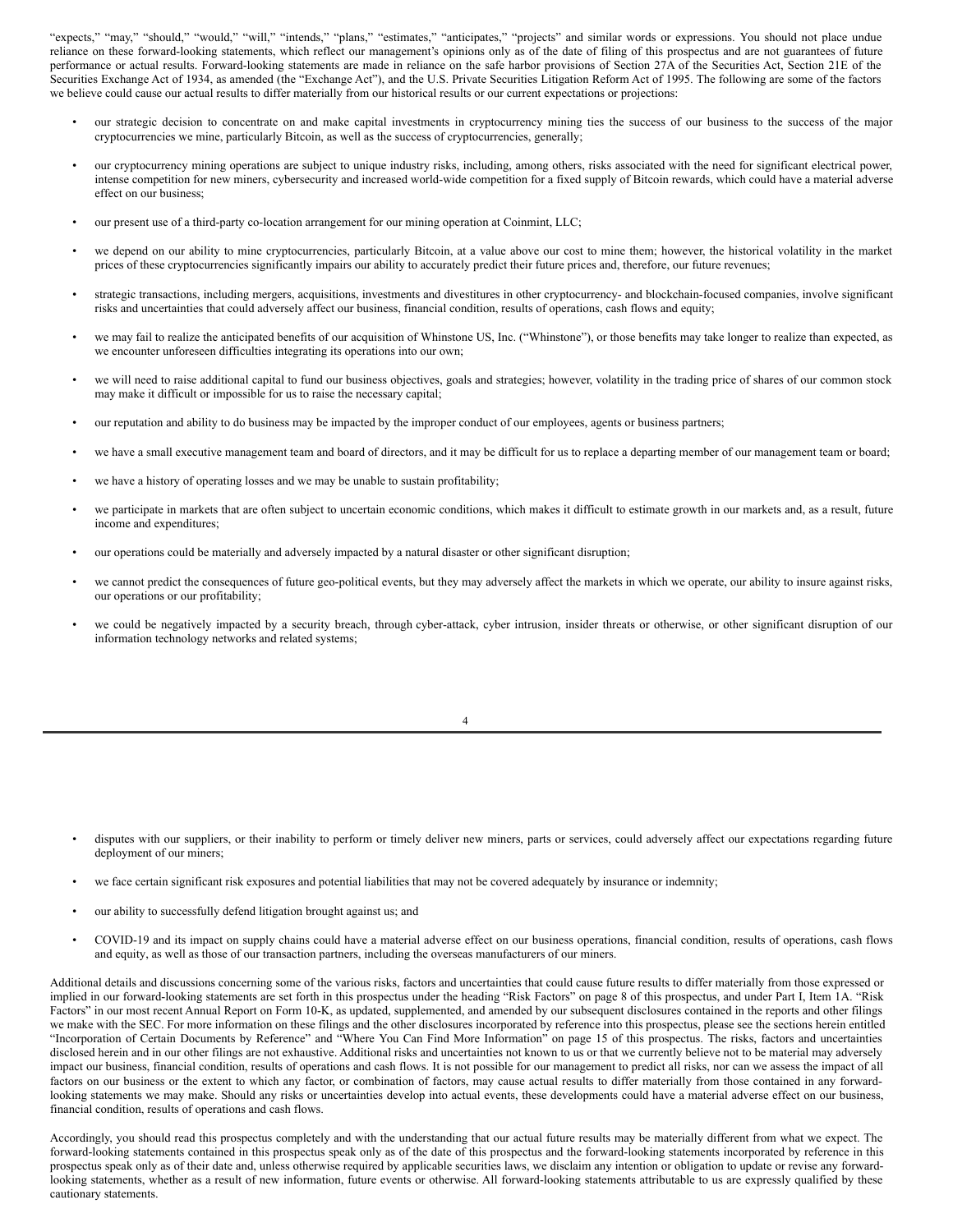"expects," "may," "should," "would," "will," "intends," "plans," "estimates," "anticipates," "projects" and similar words or expressions. You should not place undue reliance on these forward-looking statements, which reflect our management's opinions only as of the date of filing of this prospectus and are not guarantees of future performance or actual results. Forward-looking statements are made in reliance on the safe harbor provisions of Section 27A of the Securities Act, Section 21E of the Securities Exchange Act of 1934, as amended (the "Exchange Act"), and the U.S. Private Securities Litigation Reform Act of 1995. The following are some of the factors we believe could cause our actual results to differ materially from our historical results or our current expectations or projections:

- our strategic decision to concentrate on and make capital investments in cryptocurrency mining ties the success of our business to the success of the major cryptocurrencies we mine, particularly Bitcoin, as well as the success of cryptocurrencies, generally;
- our cryptocurrency mining operations are subject to unique industry risks, including, among others, risks associated with the need for significant electrical power, intense competition for new miners, cybersecurity and increased world-wide competition for a fixed supply of Bitcoin rewards, which could have a material adverse effect on our business;
- our present use of a third-party co-location arrangement for our mining operation at Coinmint, LLC;
- we depend on our ability to mine cryptocurrencies, particularly Bitcoin, at a value above our cost to mine them; however, the historical volatility in the market prices of these cryptocurrencies significantly impairs our ability to accurately predict their future prices and, therefore, our future revenues;
- strategic transactions, including mergers, acquisitions, investments and divestitures in other cryptocurrency- and blockchain-focused companies, involve significant risks and uncertainties that could adversely affect our business, financial condition, results of operations, cash flows and equity;
- we may fail to realize the anticipated benefits of our acquisition of Whinstone US, Inc. ("Whinstone"), or those benefits may take longer to realize than expected, as we encounter unforeseen difficulties integrating its operations into our own;
- we will need to raise additional capital to fund our business objectives, goals and strategies; however, volatility in the trading price of shares of our common stock may make it difficult or impossible for us to raise the necessary capital;
- our reputation and ability to do business may be impacted by the improper conduct of our employees, agents or business partners;
- we have a small executive management team and board of directors, and it may be difficult for us to replace a departing member of our management team or board;
- we have a history of operating losses and we may be unable to sustain profitability;
- we participate in markets that are often subject to uncertain economic conditions, which makes it difficult to estimate growth in our markets and, as a result, future income and expenditures;
- our operations could be materially and adversely impacted by a natural disaster or other significant disruption;
- we cannot predict the consequences of future geo-political events, but they may adversely affect the markets in which we operate, our ability to insure against risks, our operations or our profitability;
- we could be negatively impacted by a security breach, through cyber-attack, cyber intrusion, insider threats or otherwise, or other significant disruption of our information technology networks and related systems;

4

- disputes with our suppliers, or their inability to perform or timely deliver new miners, parts or services, could adversely affect our expectations regarding future deployment of our miners;
- we face certain significant risk exposures and potential liabilities that may not be covered adequately by insurance or indemnity;
- our ability to successfully defend litigation brought against us; and
- COVID-19 and its impact on supply chains could have a material adverse effect on our business operations, financial condition, results of operations, cash flows and equity, as well as those of our transaction partners, including the overseas manufacturers of our miners.

Additional details and discussions concerning some of the various risks, factors and uncertainties that could cause future results to differ materially from those expressed or implied in our forward-looking statements are set forth in this prospectus under the heading "Risk Factors" on page 8 of this prospectus, and under Part I, Item 1A. "Risk Factors" in our most recent Annual Report on Form 10-K, as updated, supplemented, and amended by our subsequent disclosures contained in the reports and other filings we make with the SEC. For more information on these filings and the other disclosures incorporated by reference into this prospectus, please see the sections herein entitled "Incorporation of Certain Documents by Reference" and "Where You Can Find More Information" on page 15 of this prospectus. The risks, factors and uncertainties disclosed herein and in our other filings are not exhaustive. Additional risks and uncertainties not known to us or that we currently believe not to be material may adversely impact our business, financial condition, results of operations and cash flows. It is not possible for our management to predict all risks, nor can we assess the impact of all factors on our business or the extent to which any factor, or combination of factors, may cause actual results to differ materially from those contained in any forwardlooking statements we may make. Should any risks or uncertainties develop into actual events, these developments could have a material adverse effect on our business, financial condition, results of operations and cash flows.

Accordingly, you should read this prospectus completely and with the understanding that our actual future results may be materially different from what we expect. The forward-looking statements contained in this prospectus speak only as of the date of this prospectus and the forward-looking statements incorporated by reference in this prospectus speak only as of their date and, unless otherwise required by applicable securities laws, we disclaim any intention or obligation to update or revise any forwardlooking statements, whether as a result of new information, future events or otherwise. All forward-looking statements attributable to us are expressly qualified by these cautionary statements.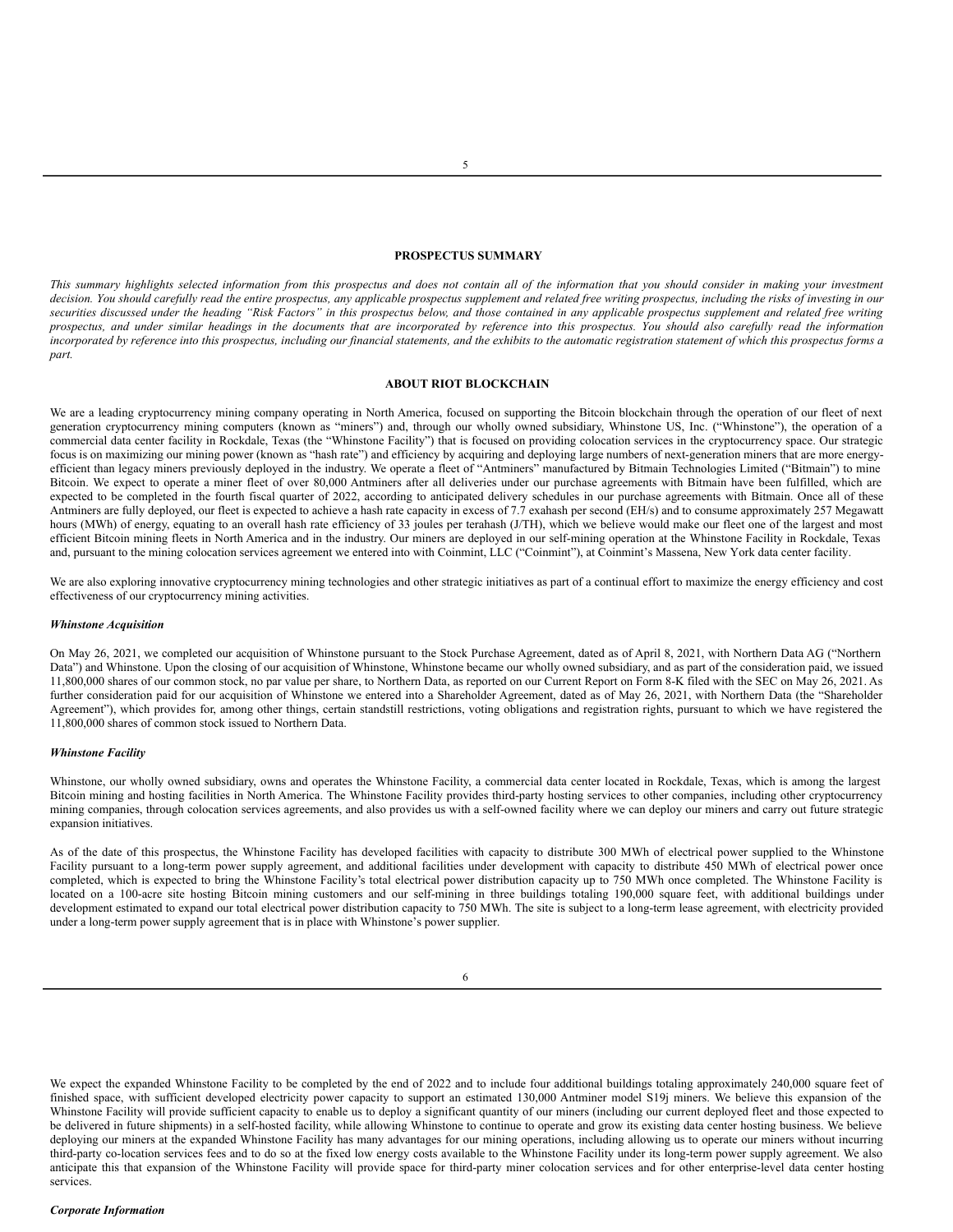#### **PROSPECTUS SUMMARY**

This summary highlights selected information from this prospectus and does not contain all of the information that you should consider in making your investment decision. You should carefully read the entire prospectus, any applicable prospectus supplement and related free writing prospectus, including the risks of investing in our securities discussed under the heading "Risk Factors" in this prospectus below, and those contained in any applicable prospectus supplement and related free writing prospectus, and under similar headings in the documents that are incorporated by reference into this prospectus. You should also carefully read the information incorporated by reference into this prospectus, including our financial statements, and the exhibits to the automatic registration statement of which this prospectus forms a *part.*

#### **ABOUT RIOT BLOCKCHAIN**

We are a leading cryptocurrency mining company operating in North America, focused on supporting the Bitcoin blockchain through the operation of our fleet of next generation cryptocurrency mining computers (known as "miners") and, through our wholly owned subsidiary, Whinstone US, Inc. ("Whinstone"), the operation of a commercial data center facility in Rockdale, Texas (the "Whinstone Facility") that is focused on providing colocation services in the cryptocurrency space. Our strategic focus is on maximizing our mining power (known as "hash rate") and efficiency by acquiring and deploying large numbers of next-generation miners that are more energyefficient than legacy miners previously deployed in the industry. We operate a fleet of "Antminers" manufactured by Bitmain Technologies Limited ("Bitmain") to mine Bitcoin. We expect to operate a miner fleet of over 80,000 Antminers after all deliveries under our purchase agreements with Bitmain have been fulfilled, which are expected to be completed in the fourth fiscal quarter of 2022, according to anticipated delivery schedules in our purchase agreements with Bitmain. Once all of these Antminers are fully deployed, our fleet is expected to achieve a hash rate capacity in excess of 7.7 exahash per second (EH/s) and to consume approximately 257 Megawatt hours (MWh) of energy, equating to an overall hash rate efficiency of 33 joules per terahash (J/TH), which we believe would make our fleet one of the largest and most efficient Bitcoin mining fleets in North America and in the industry. Our miners are deployed in our self-mining operation at the Whinstone Facility in Rockdale, Texas and, pursuant to the mining colocation services agreement we entered into with Coinmint, LLC ("Coinmint"), at Coinmint's Massena, New York data center facility.

We are also exploring innovative cryptocurrency mining technologies and other strategic initiatives as part of a continual effort to maximize the energy efficiency and cost effectiveness of our cryptocurrency mining activities.

#### *Whinstone Acquisition*

On May 26, 2021, we completed our acquisition of Whinstone pursuant to the Stock Purchase Agreement, dated as of April 8, 2021, with Northern Data AG ("Northern Data") and Whinstone. Upon the closing of our acquisition of Whinstone, Whinstone became our wholly owned subsidiary, and as part of the consideration paid, we issued 11,800,000 shares of our common stock, no par value per share, to Northern Data, as reported on our Current Report on Form 8-K filed with the SEC on May 26, 2021. As further consideration paid for our acquisition of Whinstone we entered into a Shareholder Agreement, dated as of May 26, 2021, with Northern Data (the "Shareholder Agreement"), which provides for, among other things, certain standstill restrictions, voting obligations and registration rights, pursuant to which we have registered the 11,800,000 shares of common stock issued to Northern Data.

#### *Whinstone Facility*

Whinstone, our wholly owned subsidiary, owns and operates the Whinstone Facility, a commercial data center located in Rockdale, Texas, which is among the largest Bitcoin mining and hosting facilities in North America. The Whinstone Facility provides third-party hosting services to other companies, including other cryptocurrency mining companies, through colocation services agreements, and also provides us with a self-owned facility where we can deploy our miners and carry out future strategic expansion initiatives.

As of the date of this prospectus, the Whinstone Facility has developed facilities with capacity to distribute 300 MWh of electrical power supplied to the Whinstone Facility pursuant to a long-term power supply agreement, and additional facilities under development with capacity to distribute 450 MWh of electrical power once completed, which is expected to bring the Whinstone Facility's total electrical power distribution capacity up to 750 MWh once completed. The Whinstone Facility is located on a 100-acre site hosting Bitcoin mining customers and our self-mining in three buildings totaling 190,000 square feet, with additional buildings under development estimated to expand our total electrical power distribution capacity to 750 MWh. The site is subject to a long-term lease agreement, with electricity provided under a long-term power supply agreement that is in place with Whinstone's power supplier.

We expect the expanded Whinstone Facility to be completed by the end of 2022 and to include four additional buildings totaling approximately 240,000 square feet of finished space, with sufficient developed electricity power capacity to support an estimated 130,000 Antminer model S19j miners. We believe this expansion of the Whinstone Facility will provide sufficient capacity to enable us to deploy a significant quantity of our miners (including our current deployed fleet and those expected to be delivered in future shipments) in a self-hosted facility, while allowing Whinstone to continue to operate and grow its existing data center hosting business. We believe deploying our miners at the expanded Whinstone Facility has many advantages for our mining operations, including allowing us to operate our miners without incurring third-party co-location services fees and to do so at the fixed low energy costs available to the Whinstone Facility under its long-term power supply agreement. We also anticipate this that expansion of the Whinstone Facility will provide space for third-party miner colocation services and for other enterprise-level data center hosting services.

<sup>6</sup>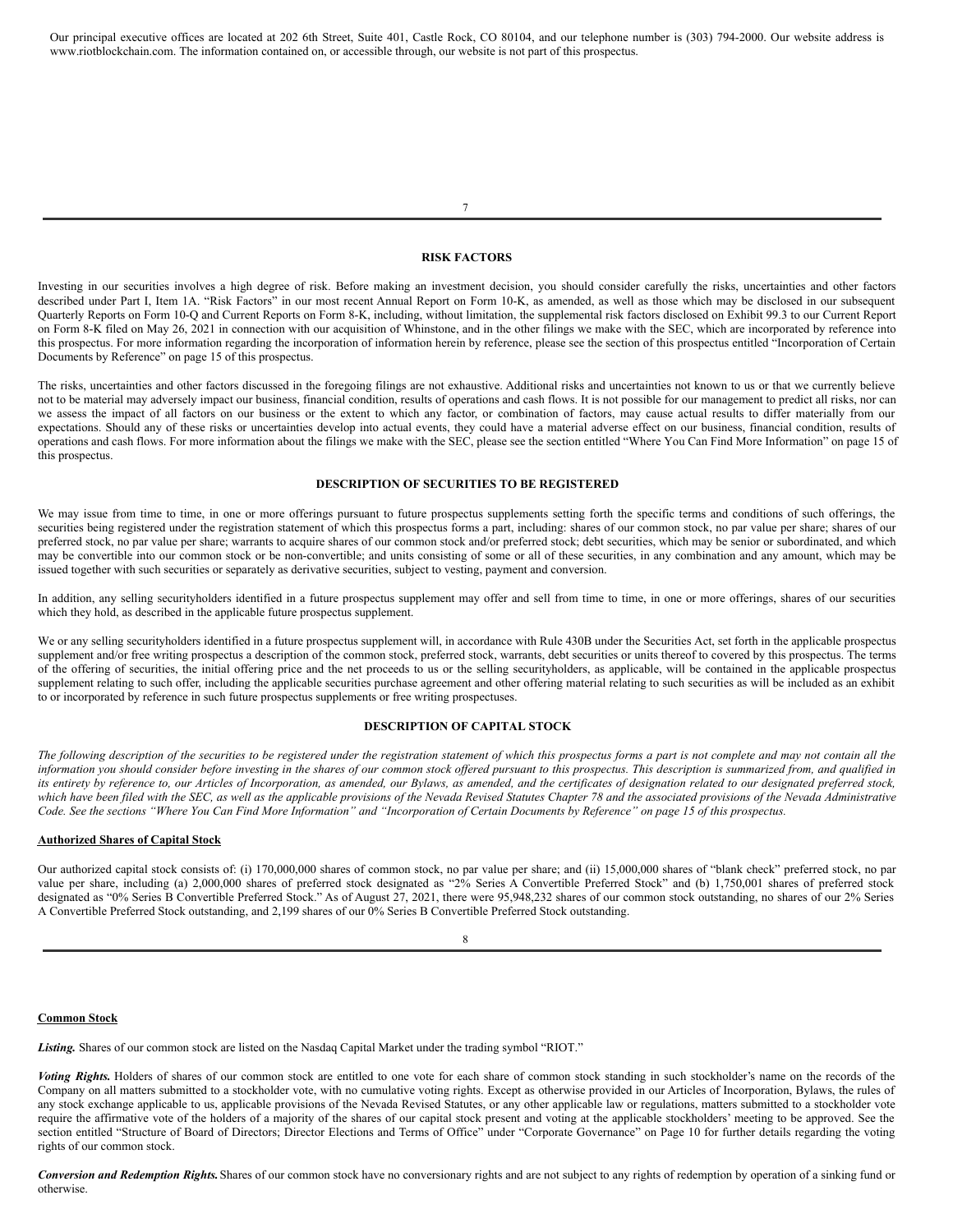Our principal executive offices are located at 202 6th Street, Suite 401, Castle Rock, CO 80104, and our telephone number is (303) 794-2000. Our website address is www.riotblockchain.com. The information contained on, or accessible through, our website is not part of this prospectus.

7

#### **RISK FACTORS**

Investing in our securities involves a high degree of risk. Before making an investment decision, you should consider carefully the risks, uncertainties and other factors described under Part I, Item 1A. "Risk Factors" in our most recent Annual Report on Form 10-K, as amended, as well as those which may be disclosed in our subsequent Quarterly Reports on Form 10-Q and Current Reports on Form 8-K, including, without limitation, the supplemental risk factors disclosed on Exhibit 99.3 to our Current Report on Form 8-K filed on May 26, 2021 in connection with our acquisition of Whinstone, and in the other filings we make with the SEC, which are incorporated by reference into this prospectus. For more information regarding the incorporation of information herein by reference, please see the section of this prospectus entitled "Incorporation of Certain Documents by Reference" on page 15 of this prospectus.

The risks, uncertainties and other factors discussed in the foregoing filings are not exhaustive. Additional risks and uncertainties not known to us or that we currently believe not to be material may adversely impact our business, financial condition, results of operations and cash flows. It is not possible for our management to predict all risks, nor can we assess the impact of all factors on our business or the extent to which any factor, or combination of factors, may cause actual results to differ materially from our expectations. Should any of these risks or uncertainties develop into actual events, they could have a material adverse effect on our business, financial condition, results of operations and cash flows. For more information about the filings we make with the SEC, please see the section entitled "Where You Can Find More Information" on page 15 of this prospectus.

#### **DESCRIPTION OF SECURITIES TO BE REGISTERED**

We may issue from time to time, in one or more offerings pursuant to future prospectus supplements setting forth the specific terms and conditions of such offerings, the securities being registered under the registration statement of which this prospectus forms a part, including: shares of our common stock, no par value per share; shares of our preferred stock, no par value per share; warrants to acquire shares of our common stock and/or preferred stock; debt securities, which may be senior or subordinated, and which may be convertible into our common stock or be non-convertible; and units consisting of some or all of these securities, in any combination and any amount, which may be issued together with such securities or separately as derivative securities, subject to vesting, payment and conversion.

In addition, any selling securityholders identified in a future prospectus supplement may offer and sell from time to time, in one or more offerings, shares of our securities which they hold, as described in the applicable future prospectus supplement.

We or any selling securityholders identified in a future prospectus supplement will, in accordance with Rule 430B under the Securities Act, set forth in the applicable prospectus supplement and/or free writing prospectus a description of the common stock, preferred stock, warrants, debt securities or units thereof to covered by this prospectus. The terms of the offering of securities, the initial offering price and the net proceeds to us or the selling securityholders, as applicable, will be contained in the applicable prospectus supplement relating to such offer, including the applicable securities purchase agreement and other offering material relating to such securities as will be included as an exhibit to or incorporated by reference in such future prospectus supplements or free writing prospectuses.

#### **DESCRIPTION OF CAPITAL STOCK**

The following description of the securities to be registered under the registration statement of which this prospectus forms a part is not complete and may not contain all the information you should consider before investing in the shares of our common stock offered pursuant to this prospectus. This description is summarized from, and qualified in its entirety by reference to, our Articles of Incorporation, as amended, our Bylaws, as amended, and the certificates of designation related to our designated preferred stock, which have been filed with the SEC, as well as the applicable provisions of the Nevada Revised Statutes Chapter 78 and the associated provisions of the Nevada Administrative Code. See the sections "Where You Can Find More Information" and "Incorporation of Certain Documents by Reference" on page 15 of this prospectus.

#### **Authorized Shares of Capital Stock**

Our authorized capital stock consists of: (i) 170,000,000 shares of common stock, no par value per share; and (ii) 15,000,000 shares of "blank check" preferred stock, no par value per share, including (a) 2,000,000 shares of preferred stock designated as "2% Series A Convertible Preferred Stock" and (b) 1,750,001 shares of preferred stock designated as "0% Series B Convertible Preferred Stock." As of August 27, 2021, there were 95,948,232 shares of our common stock outstanding, no shares of our 2% Series A Convertible Preferred Stock outstanding, and 2,199 shares of our 0% Series B Convertible Preferred Stock outstanding.

 $\mathbf{Q}$ 

#### **Common Stock**

*Listing.* Shares of our common stock are listed on the Nasdaq Capital Market under the trading symbol "RIOT."

*Voting Rights.* Holders of shares of our common stock are entitled to one vote for each share of common stock standing in such stockholder's name on the records of the Company on all matters submitted to a stockholder vote, with no cumulative voting rights. Except as otherwise provided in our Articles of Incorporation, Bylaws, the rules of any stock exchange applicable to us, applicable provisions of the Nevada Revised Statutes, or any other applicable law or regulations, matters submitted to a stockholder vote require the affirmative vote of the holders of a majority of the shares of our capital stock present and voting at the applicable stockholders' meeting to be approved. See the section entitled "Structure of Board of Directors; Director Elections and Terms of Office" under "Corporate Governance" on Page 10 for further details regarding the voting rights of our common stock.

*Conversion and Redemption Rights.*Shares of our common stock have no conversionary rights and are not subject to any rights of redemption by operation of a sinking fund or otherwise.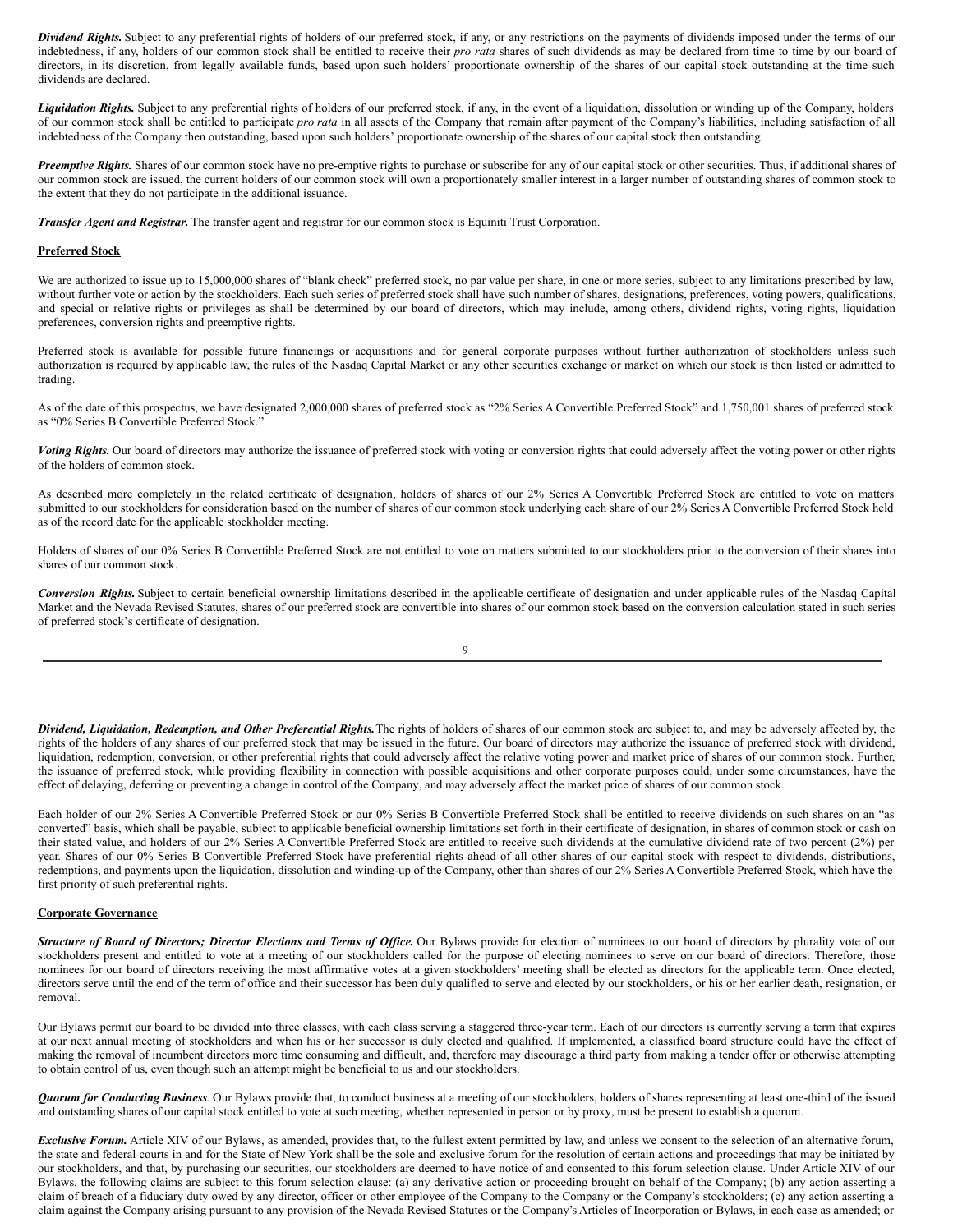*Dividend Rights.* Subject to any preferential rights of holders of our preferred stock, if any, or any restrictions on the payments of dividends imposed under the terms of our indebtedness, if any, holders of our common stock shall be entitled to receive their *pro rata* shares of such dividends as may be declared from time to time by our board of directors, in its discretion, from legally available funds, based upon such holders' proportionate ownership of the shares of our capital stock outstanding at the time such dividends are declared.

Liquidation Rights. Subject to any preferential rights of holders of our preferred stock, if any, in the event of a liquidation, dissolution or winding up of the Company, holders of our common stock shall be entitled to participate *pro rata* in all assets of the Company that remain after payment of the Company's liabilities, including satisfaction of all indebtedness of the Company then outstanding, based upon such holders' proportionate ownership of the shares of our capital stock then outstanding.

*Preemptive Rights.* Shares of our common stock have no pre-emptive rights to purchase or subscribe for any of our capital stock or other securities. Thus, if additional shares of our common stock are issued, the current holders of our common stock will own a proportionately smaller interest in a larger number of outstanding shares of common stock to the extent that they do not participate in the additional issuance.

*Transfer Agent and Registrar.* The transfer agent and registrar for our common stock is Equiniti Trust Corporation.

#### **Preferred Stock**

We are authorized to issue up to 15,000,000 shares of "blank check" preferred stock, no par value per share, in one or more series, subject to any limitations prescribed by law, without further vote or action by the stockholders. Each such series of preferred stock shall have such number of shares, designations, preferences, voting powers, qualifications, and special or relative rights or privileges as shall be determined by our board of directors, which may include, among others, dividend rights, voting rights, liquidation preferences, conversion rights and preemptive rights.

Preferred stock is available for possible future financings or acquisitions and for general corporate purposes without further authorization of stockholders unless such authorization is required by applicable law, the rules of the Nasdaq Capital Market or any other securities exchange or market on which our stock is then listed or admitted to trading.

As of the date of this prospectus, we have designated 2,000,000 shares of preferred stock as "2% Series A Convertible Preferred Stock" and 1,750,001 shares of preferred stock as "0% Series B Convertible Preferred Stock."

*Voting Rights.* Our board of directors may authorize the issuance of preferred stock with voting or conversion rights that could adversely affect the voting power or other rights of the holders of common stock.

As described more completely in the related certificate of designation, holders of shares of our 2% Series A Convertible Preferred Stock are entitled to vote on matters submitted to our stockholders for consideration based on the number of shares of our common stock underlying each share of our 2% Series A Convertible Preferred Stock held as of the record date for the applicable stockholder meeting.

Holders of shares of our 0% Series B Convertible Preferred Stock are not entitled to vote on matters submitted to our stockholders prior to the conversion of their shares into shares of our common stock.

*Conversion Rights.* Subject to certain beneficial ownership limitations described in the applicable certificate of designation and under applicable rules of the Nasdaq Capital Market and the Nevada Revised Statutes, shares of our preferred stock are convertible into shares of our common stock based on the conversion calculation stated in such series of preferred stock's certificate of designation.

| I           |  |
|-------------|--|
| I<br>i<br>I |  |

*Dividend, Liquidation, Redemption, and Other Preferential Rights.*The rights of holders of shares of our common stock are subject to, and may be adversely affected by, the rights of the holders of any shares of our preferred stock that may be issued in the future. Our board of directors may authorize the issuance of preferred stock with dividend, liquidation, redemption, conversion, or other preferential rights that could adversely affect the relative voting power and market price of shares of our common stock. Further, the issuance of preferred stock, while providing flexibility in connection with possible acquisitions and other corporate purposes could, under some circumstances, have the effect of delaying, deferring or preventing a change in control of the Company, and may adversely affect the market price of shares of our common stock.

Each holder of our 2% Series A Convertible Preferred Stock or our 0% Series B Convertible Preferred Stock shall be entitled to receive dividends on such shares on an "as converted" basis, which shall be payable, subject to applicable beneficial ownership limitations set forth in their certificate of designation, in shares of common stock or cash on their stated value, and holders of our 2% Series A Convertible Preferred Stock are entitled to receive such dividends at the cumulative dividend rate of two percent (2%) per year. Shares of our 0% Series B Convertible Preferred Stock have preferential rights ahead of all other shares of our capital stock with respect to dividends, distributions, redemptions, and payments upon the liquidation, dissolution and winding-up of the Company, other than shares of our 2% Series A Convertible Preferred Stock, which have the first priority of such preferential rights.

#### **Corporate Governance**

Structure of Board of Directors; Director Elections and Terms of Office. Our Bylaws provide for election of nominees to our board of directors by plurality vote of our stockholders present and entitled to vote at a meeting of our stockholders called for the purpose of electing nominees to serve on our board of directors. Therefore, those nominees for our board of directors receiving the most affirmative votes at a given stockholders' meeting shall be elected as directors for the applicable term. Once elected, directors serve until the end of the term of office and their successor has been duly qualified to serve and elected by our stockholders, or his or her earlier death, resignation, or removal.

Our Bylaws permit our board to be divided into three classes, with each class serving a staggered three-year term. Each of our directors is currently serving a term that expires at our next annual meeting of stockholders and when his or her successor is duly elected and qualified. If implemented, a classified board structure could have the effect of making the removal of incumbent directors more time consuming and difficult, and, therefore may discourage a third party from making a tender offer or otherwise attempting to obtain control of us, even though such an attempt might be beneficial to us and our stockholders.

*Quorum for Conducting Business*. Our Bylaws provide that, to conduct business at a meeting of our stockholders, holders of shares representing at least one-third of the issued and outstanding shares of our capital stock entitled to vote at such meeting, whether represented in person or by proxy, must be present to establish a quorum.

*Exclusive Forum.* Article XIV of our Bylaws, as amended, provides that, to the fullest extent permitted by law, and unless we consent to the selection of an alternative forum, the state and federal courts in and for the State of New York shall be the sole and exclusive forum for the resolution of certain actions and proceedings that may be initiated by our stockholders, and that, by purchasing our securities, our stockholders are deemed to have notice of and consented to this forum selection clause. Under Article XIV of our Bylaws, the following claims are subject to this forum selection clause: (a) any derivative action or proceeding brought on behalf of the Company; (b) any action asserting a claim of breach of a fiduciary duty owed by any director, officer or other employee of the Company to the Company or the Company's stockholders; (c) any action asserting a claim against the Company arising pursuant to any provision of the Nevada Revised Statutes or the Company's Articles of Incorporation or Bylaws, in each case as amended; or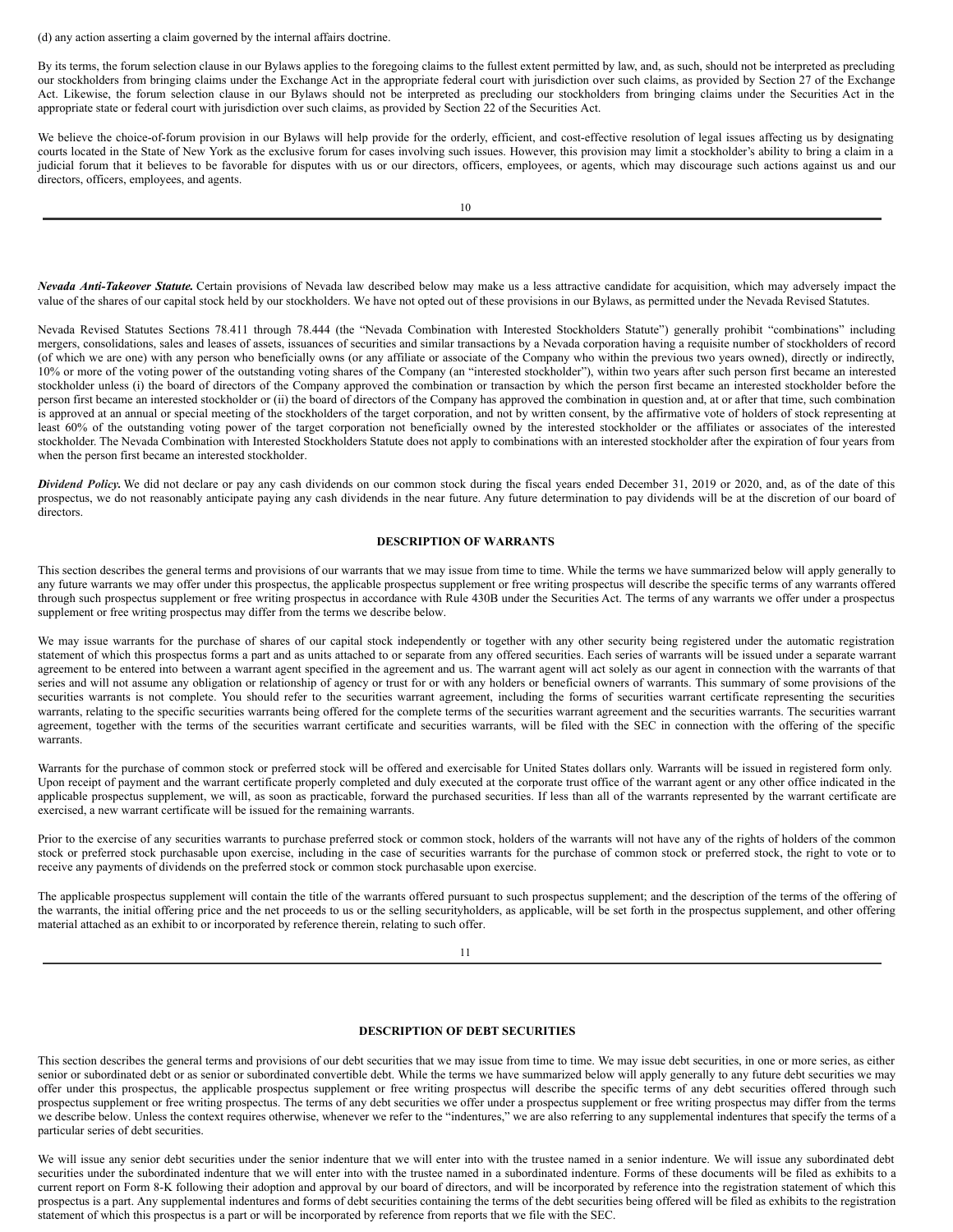(d) any action asserting a claim governed by the internal affairs doctrine.

By its terms, the forum selection clause in our Bylaws applies to the foregoing claims to the fullest extent permitted by law, and, as such, should not be interpreted as precluding our stockholders from bringing claims under the Exchange Act in the appropriate federal court with jurisdiction over such claims, as provided by Section 27 of the Exchange Act. Likewise, the forum selection clause in our Bylaws should not be interpreted as precluding our stockholders from bringing claims under the Securities Act in the appropriate state or federal court with jurisdiction over such claims, as provided by Section 22 of the Securities Act.

We believe the choice-of-forum provision in our Bylaws will help provide for the orderly, efficient, and cost-effective resolution of legal issues affecting us by designating courts located in the State of New York as the exclusive forum for cases involving such issues. However, this provision may limit a stockholder's ability to bring a claim in a judicial forum that it believes to be favorable for disputes with us or our directors, officers, employees, or agents, which may discourage such actions against us and our directors, officers, employees, and agents.

*Nevada Anti-Takeover Statute.* Certain provisions of Nevada law described below may make us a less attractive candidate for acquisition, which may adversely impact the value of the shares of our capital stock held by our stockholders. We have not opted out of these provisions in our Bylaws, as permitted under the Nevada Revised Statutes.

Nevada Revised Statutes Sections 78.411 through 78.444 (the "Nevada Combination with Interested Stockholders Statute") generally prohibit "combinations" including mergers, consolidations, sales and leases of assets, issuances of securities and similar transactions by a Nevada corporation having a requisite number of stockholders of record (of which we are one) with any person who beneficially owns (or any affiliate or associate of the Company who within the previous two years owned), directly or indirectly, 10% or more of the voting power of the outstanding voting shares of the Company (an "interested stockholder"), within two years after such person first became an interested stockholder unless (i) the board of directors of the Company approved the combination or transaction by which the person first became an interested stockholder before the person first became an interested stockholder or (ii) the board of directors of the Company has approved the combination in question and, at or after that time, such combination is approved at an annual or special meeting of the stockholders of the target corporation, and not by written consent, by the affirmative vote of holders of stock representing at least 60% of the outstanding voting power of the target corporation not beneficially owned by the interested stockholder or the affiliates or associates of the interested stockholder. The Nevada Combination with Interested Stockholders Statute does not apply to combinations with an interested stockholder after the expiration of four years from when the person first became an interested stockholder.

*Dividend Policy*. We did not declare or pay any cash dividends on our common stock during the fiscal years ended December 31, 2019 or 2020, and, as of the date of this prospectus, we do not reasonably anticipate paying any cash dividends in the near future. Any future determination to pay dividends will be at the discretion of our board of directors.

#### **DESCRIPTION OF WARRANTS**

This section describes the general terms and provisions of our warrants that we may issue from time to time. While the terms we have summarized below will apply generally to any future warrants we may offer under this prospectus, the applicable prospectus supplement or free writing prospectus will describe the specific terms of any warrants offered through such prospectus supplement or free writing prospectus in accordance with Rule 430B under the Securities Act. The terms of any warrants we offer under a prospectus supplement or free writing prospectus may differ from the terms we describe below.

We may issue warrants for the purchase of shares of our capital stock independently or together with any other security being registered under the automatic registration statement of which this prospectus forms a part and as units attached to or separate from any offered securities. Each series of warrants will be issued under a separate warrant agreement to be entered into between a warrant agent specified in the agreement and us. The warrant agent will act solely as our agent in connection with the warrants of that series and will not assume any obligation or relationship of agency or trust for or with any holders or beneficial owners of warrants. This summary of some provisions of the securities warrants is not complete. You should refer to the securities warrant agreement, including the forms of securities warrant certificate representing the securities warrants, relating to the specific securities warrants being offered for the complete terms of the securities warrant agreement and the securities warrants. The securities warrant agreement, together with the terms of the securities warrant certificate and securities warrants, will be filed with the SEC in connection with the offering of the specific warrants.

Warrants for the purchase of common stock or preferred stock will be offered and exercisable for United States dollars only. Warrants will be issued in registered form only. Upon receipt of payment and the warrant certificate properly completed and duly executed at the corporate trust office of the warrant agent or any other office indicated in the applicable prospectus supplement, we will, as soon as practicable, forward the purchased securities. If less than all of the warrants represented by the warrant certificate are exercised, a new warrant certificate will be issued for the remaining warrants.

Prior to the exercise of any securities warrants to purchase preferred stock or common stock, holders of the warrants will not have any of the rights of holders of the common stock or preferred stock purchasable upon exercise, including in the case of securities warrants for the purchase of common stock or preferred stock, the right to vote or to receive any payments of dividends on the preferred stock or common stock purchasable upon exercise.

The applicable prospectus supplement will contain the title of the warrants offered pursuant to such prospectus supplement; and the description of the terms of the offering of the warrants, the initial offering price and the net proceeds to us or the selling securityholders, as applicable, will be set forth in the prospectus supplement, and other offering material attached as an exhibit to or incorporated by reference therein, relating to such offer.

11

#### **DESCRIPTION OF DEBT SECURITIES**

This section describes the general terms and provisions of our debt securities that we may issue from time to time. We may issue debt securities, in one or more series, as either senior or subordinated debt or as senior or subordinated convertible debt. While the terms we have summarized below will apply generally to any future debt securities we may offer under this prospectus, the applicable prospectus supplement or free writing prospectus will describe the specific terms of any debt securities offered through such prospectus supplement or free writing prospectus. The terms of any debt securities we offer under a prospectus supplement or free writing prospectus may differ from the terms we describe below. Unless the context requires otherwise, whenever we refer to the "indentures," we are also referring to any supplemental indentures that specify the terms of a particular series of debt securities.

We will issue any senior debt securities under the senior indenture that we will enter into with the trustee named in a senior indenture. We will issue any subordinated debt securities under the subordinated indenture that we will enter into with the trustee named in a subordinated indenture. Forms of these documents will be filed as exhibits to a current report on Form 8-K following their adoption and approval by our board of directors, and will be incorporated by reference into the registration statement of which this prospectus is a part. Any supplemental indentures and forms of debt securities containing the terms of the debt securities being offered will be filed as exhibits to the registration statement of which this prospectus is a part or will be incorporated by reference from reports that we file with the SEC.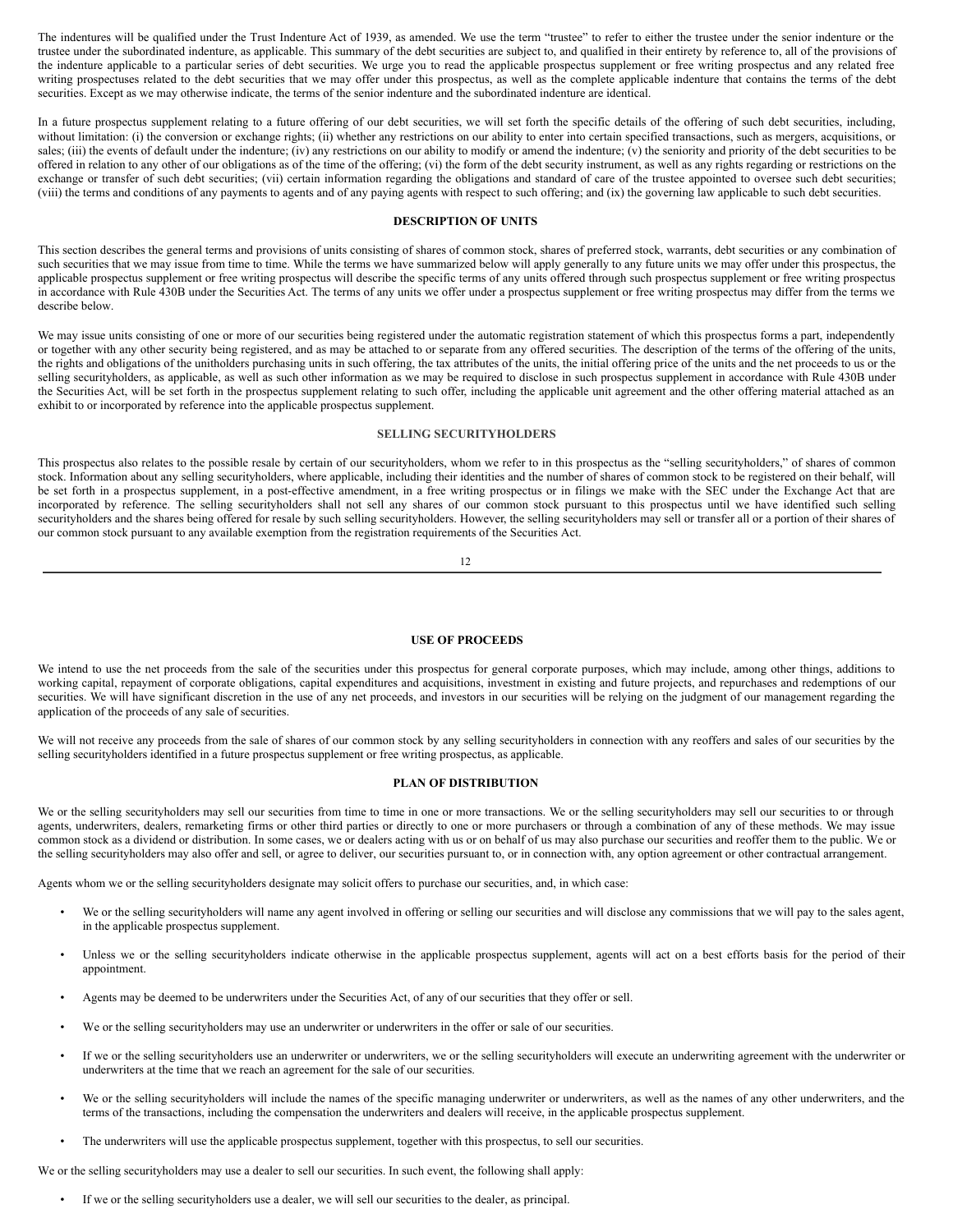The indentures will be qualified under the Trust Indenture Act of 1939, as amended. We use the term "trustee" to refer to either the trustee under the senior indenture or the trustee under the subordinated indenture, as applicable. This summary of the debt securities are subject to, and qualified in their entirety by reference to, all of the provisions of the indenture applicable to a particular series of debt securities. We urge you to read the applicable prospectus supplement or free writing prospectus and any related free writing prospectuses related to the debt securities that we may offer under this prospectus, as well as the complete applicable indenture that contains the terms of the debt securities. Except as we may otherwise indicate, the terms of the senior indenture and the subordinated indenture are identical.

In a future prospectus supplement relating to a future offering of our debt securities, we will set forth the specific details of the offering of such debt securities, including, without limitation: (i) the conversion or exchange rights; (ii) whether any restrictions on our ability to enter into certain specified transactions, such as mergers, acquisitions, or sales; (iii) the events of default under the indenture; (iv) any restrictions on our ability to modify or amend the indenture; (v) the seniority and priority of the debt securities to be offered in relation to any other of our obligations as of the time of the offering; (vi) the form of the debt security instrument, as well as any rights regarding or restrictions on the exchange or transfer of such debt securities; (vii) certain information regarding the obligations and standard of care of the trustee appointed to oversee such debt securities; (viii) the terms and conditions of any payments to agents and of any paying agents with respect to such offering; and (ix) the governing law applicable to such debt securities.

#### **DESCRIPTION OF UNITS**

This section describes the general terms and provisions of units consisting of shares of common stock, shares of preferred stock, warrants, debt securities or any combination of such securities that we may issue from time to time. While the terms we have summarized below will apply generally to any future units we may offer under this prospectus, the applicable prospectus supplement or free writing prospectus will describe the specific terms of any units offered through such prospectus supplement or free writing prospectus in accordance with Rule 430B under the Securities Act. The terms of any units we offer under a prospectus supplement or free writing prospectus may differ from the terms we describe below.

We may issue units consisting of one or more of our securities being registered under the automatic registration statement of which this prospectus forms a part, independently or together with any other security being registered, and as may be attached to or separate from any offered securities. The description of the terms of the offering of the units, the rights and obligations of the unitholders purchasing units in such offering, the tax attributes of the units, the initial offering price of the units and the net proceeds to us or the selling securityholders, as applicable, as well as such other information as we may be required to disclose in such prospectus supplement in accordance with Rule 430B under the Securities Act, will be set forth in the prospectus supplement relating to such offer, including the applicable unit agreement and the other offering material attached as an exhibit to or incorporated by reference into the applicable prospectus supplement.

#### **SELLING SECURITYHOLDERS**

This prospectus also relates to the possible resale by certain of our securityholders, whom we refer to in this prospectus as the "selling securityholders," of shares of common stock. Information about any selling securityholders, where applicable, including their identities and the number of shares of common stock to be registered on their behalf, will be set forth in a prospectus supplement, in a post-effective amendment, in a free writing prospectus or in filings we make with the SEC under the Exchange Act that are incorporated by reference. The selling securityholders shall not sell any shares of our common stock pursuant to this prospectus until we have identified such selling securityholders and the shares being offered for resale by such selling securityholders. However, the selling securityholders may sell or transfer all or a portion of their shares of our common stock pursuant to any available exemption from the registration requirements of the Securities Act.

12

#### **USE OF PROCEEDS**

We intend to use the net proceeds from the sale of the securities under this prospectus for general corporate purposes, which may include, among other things, additions to working capital, repayment of corporate obligations, capital expenditures and acquisitions, investment in existing and future projects, and repurchases and redemptions of our securities. We will have significant discretion in the use of any net proceeds, and investors in our securities will be relying on the judgment of our management regarding the application of the proceeds of any sale of securities.

We will not receive any proceeds from the sale of shares of our common stock by any selling securityholders in connection with any reoffers and sales of our securities by the selling securityholders identified in a future prospectus supplement or free writing prospectus, as applicable.

#### **PLAN OF DISTRIBUTION**

We or the selling securityholders may sell our securities from time to time in one or more transactions. We or the selling securityholders may sell our securities to or through agents, underwriters, dealers, remarketing firms or other third parties or directly to one or more purchasers or through a combination of any of these methods. We may issue common stock as a dividend or distribution. In some cases, we or dealers acting with us or on behalf of us may also purchase our securities and reoffer them to the public. We or the selling securityholders may also offer and sell, or agree to deliver, our securities pursuant to, or in connection with, any option agreement or other contractual arrangement.

Agents whom we or the selling securityholders designate may solicit offers to purchase our securities, and, in which case:

- We or the selling securityholders will name any agent involved in offering or selling our securities and will disclose any commissions that we will pay to the sales agent, in the applicable prospectus supplement.
- Unless we or the selling securityholders indicate otherwise in the applicable prospectus supplement, agents will act on a best efforts basis for the period of their appointment.
- Agents may be deemed to be underwriters under the Securities Act, of any of our securities that they offer or sell.
- We or the selling securityholders may use an underwriter or underwriters in the offer or sale of our securities.
- If we or the selling securityholders use an underwriter or underwriters, we or the selling securityholders will execute an underwriting agreement with the underwriter or underwriters at the time that we reach an agreement for the sale of our securities.
- We or the selling securityholders will include the names of the specific managing underwriter or underwriters, as well as the names of any other underwriters, and the terms of the transactions, including the compensation the underwriters and dealers will receive, in the applicable prospectus supplement.
- The underwriters will use the applicable prospectus supplement, together with this prospectus, to sell our securities.

We or the selling securityholders may use a dealer to sell our securities. In such event, the following shall apply:

• If we or the selling securityholders use a dealer, we will sell our securities to the dealer, as principal.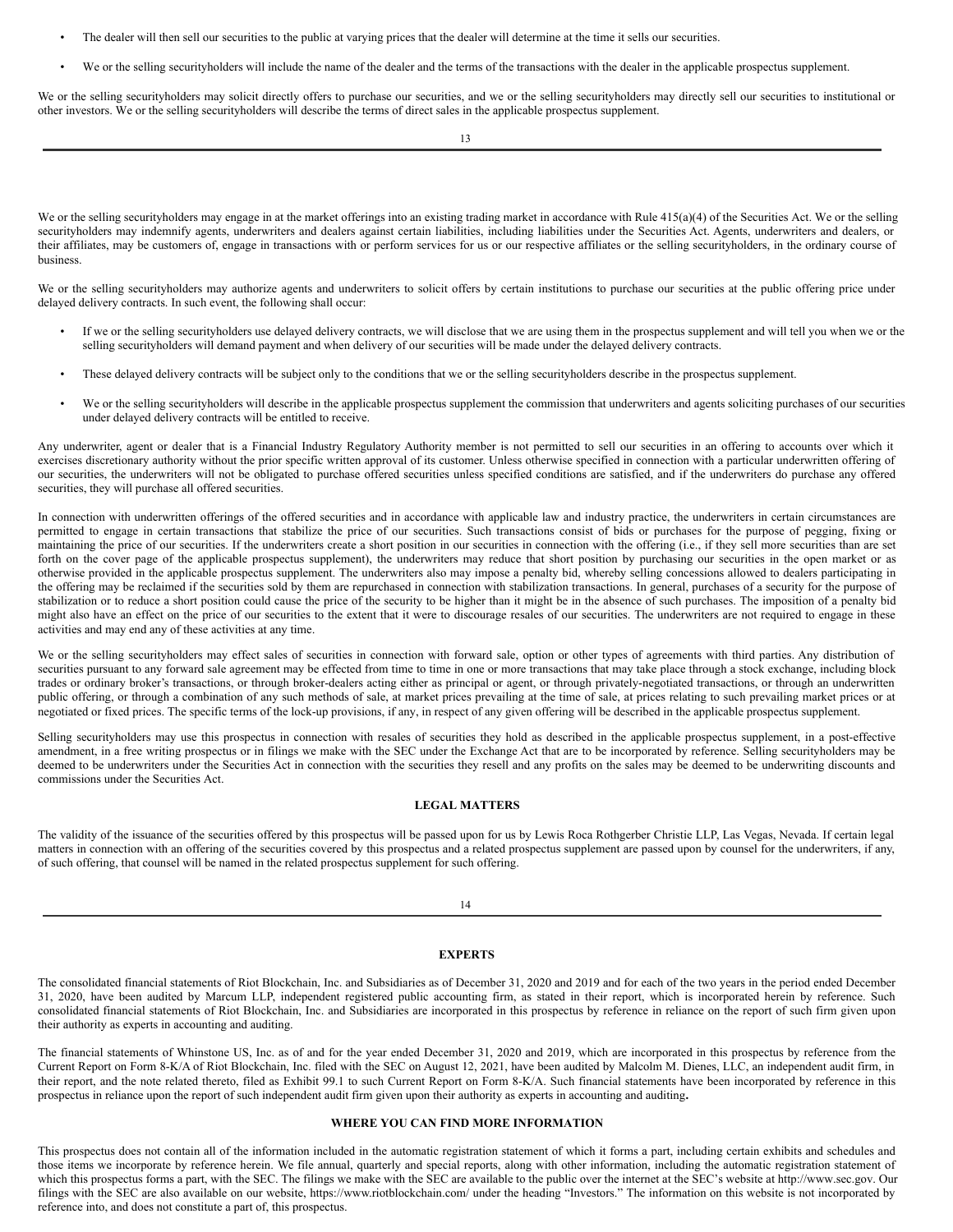- The dealer will then sell our securities to the public at varying prices that the dealer will determine at the time it sells our securities.
- We or the selling securityholders will include the name of the dealer and the terms of the transactions with the dealer in the applicable prospectus supplement.

We or the selling securityholders may solicit directly offers to purchase our securities, and we or the selling securityholders may directly sell our securities to institutional or other investors. We or the selling securityholders will describe the terms of direct sales in the applicable prospectus supplement.

13

We or the selling securityholders may engage in at the market offerings into an existing trading market in accordance with Rule  $415(a)(4)$  of the Securities Act. We or the selling securityholders may indemnify agents, underwriters and dealers against certain liabilities, including liabilities under the Securities Act. Agents, underwriters and dealers, or their affiliates, may be customers of, engage in transactions with or perform services for us or our respective affiliates or the selling securityholders, in the ordinary course of business.

We or the selling securityholders may authorize agents and underwriters to solicit offers by certain institutions to purchase our securities at the public offering price under delayed delivery contracts. In such event, the following shall occur:

- If we or the selling securityholders use delayed delivery contracts, we will disclose that we are using them in the prospectus supplement and will tell you when we or the selling securityholders will demand payment and when delivery of our securities will be made under the delayed delivery contracts.
- These delayed delivery contracts will be subject only to the conditions that we or the selling securityholders describe in the prospectus supplement.
- We or the selling securityholders will describe in the applicable prospectus supplement the commission that underwriters and agents soliciting purchases of our securities under delayed delivery contracts will be entitled to receive.

Any underwriter, agent or dealer that is a Financial Industry Regulatory Authority member is not permitted to sell our securities in an offering to accounts over which it exercises discretionary authority without the prior specific written approval of its customer. Unless otherwise specified in connection with a particular underwritten offering of our securities, the underwriters will not be obligated to purchase offered securities unless specified conditions are satisfied, and if the underwriters do purchase any offered securities, they will purchase all offered securities.

In connection with underwritten offerings of the offered securities and in accordance with applicable law and industry practice, the underwriters in certain circumstances are permitted to engage in certain transactions that stabilize the price of our securities. Such transactions consist of bids or purchases for the purpose of pegging, fixing or maintaining the price of our securities. If the underwriters create a short position in our securities in connection with the offering (i.e., if they sell more securities than are set forth on the cover page of the applicable prospectus supplement), the underwriters may reduce that short position by purchasing our securities in the open market or as otherwise provided in the applicable prospectus supplement. The underwriters also may impose a penalty bid, whereby selling concessions allowed to dealers participating in the offering may be reclaimed if the securities sold by them are repurchased in connection with stabilization transactions. In general, purchases of a security for the purpose of stabilization or to reduce a short position could cause the price of the security to be higher than it might be in the absence of such purchases. The imposition of a penalty bid might also have an effect on the price of our securities to the extent that it were to discourage resales of our securities. The underwriters are not required to engage in these activities and may end any of these activities at any time.

We or the selling securityholders may effect sales of securities in connection with forward sale, option or other types of agreements with third parties. Any distribution of securities pursuant to any forward sale agreement may be effected from time to time in one or more transactions that may take place through a stock exchange, including block trades or ordinary broker's transactions, or through broker-dealers acting either as principal or agent, or through privately-negotiated transactions, or through an underwritten public offering, or through a combination of any such methods of sale, at market prices prevailing at the time of sale, at prices relating to such prevailing market prices or at negotiated or fixed prices. The specific terms of the lock-up provisions, if any, in respect of any given offering will be described in the applicable prospectus supplement.

Selling securityholders may use this prospectus in connection with resales of securities they hold as described in the applicable prospectus supplement, in a post-effective amendment, in a free writing prospectus or in filings we make with the SEC under the Exchange Act that are to be incorporated by reference. Selling securityholders may be deemed to be underwriters under the Securities Act in connection with the securities they resell and any profits on the sales may be deemed to be underwriting discounts and commissions under the Securities Act.

#### **LEGAL MATTERS**

The validity of the issuance of the securities offered by this prospectus will be passed upon for us by Lewis Roca Rothgerber Christie LLP, Las Vegas, Nevada. If certain legal matters in connection with an offering of the securities covered by this prospectus and a related prospectus supplement are passed upon by counsel for the underwriters, if any, of such offering, that counsel will be named in the related prospectus supplement for such offering.

14

#### **EXPERTS**

The consolidated financial statements of Riot Blockchain, Inc. and Subsidiaries as of December 31, 2020 and 2019 and for each of the two years in the period ended December 31, 2020, have been audited by Marcum LLP, independent registered public accounting firm, as stated in their report, which is incorporated herein by reference. Such consolidated financial statements of Riot Blockchain, Inc. and Subsidiaries are incorporated in this prospectus by reference in reliance on the report of such firm given upon their authority as experts in accounting and auditing.

The financial statements of Whinstone US, Inc. as of and for the year ended December 31, 2020 and 2019, which are incorporated in this prospectus by reference from the Current Report on Form 8-K/A of Riot Blockchain, Inc. filed with the SEC on August 12, 2021, have been audited by Malcolm M. Dienes, LLC, an independent audit firm, in their report, and the note related thereto, filed as Exhibit 99.1 to such Current Report on Form 8-K/A. Such financial statements have been incorporated by reference in this prospectus in reliance upon the report of such independent audit firm given upon their authority as experts in accounting and auditing**.**

#### **WHERE YOU CAN FIND MORE INFORMATION**

This prospectus does not contain all of the information included in the automatic registration statement of which it forms a part, including certain exhibits and schedules and those items we incorporate by reference herein. We file annual, quarterly and special reports, along with other information, including the automatic registration statement of which this prospectus forms a part, with the SEC. The filings we make with the SEC are available to the public over the internet at the SEC's website at http://www.sec.gov. Our filings with the SEC are also available on our website, https://www.riotblockchain.com/ under the heading "Investors." The information on this website is not incorporated by reference into, and does not constitute a part of, this prospectus.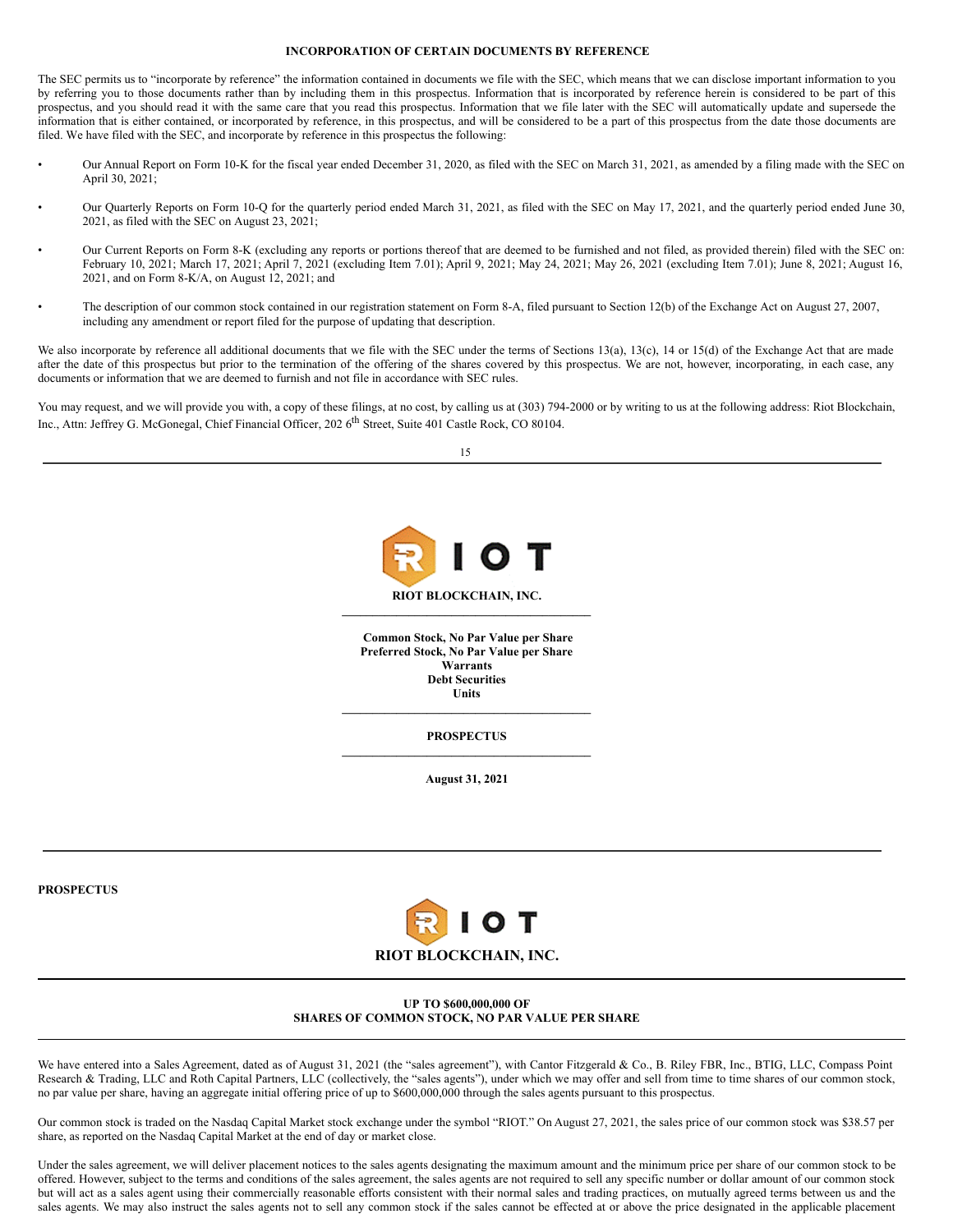#### **INCORPORATION OF CERTAIN DOCUMENTS BY REFERENCE**

The SEC permits us to "incorporate by reference" the information contained in documents we file with the SEC, which means that we can disclose important information to you by referring you to those documents rather than by including them in this prospectus. Information that is incorporated by reference herein is considered to be part of this prospectus, and you should read it with the same care that you read this prospectus. Information that we file later with the SEC will automatically update and supersede the information that is either contained, or incorporated by reference, in this prospectus, and will be considered to be a part of this prospectus from the date those documents are filed. We have filed with the SEC, and incorporate by reference in this prospectus the following:

- Our Annual Report on Form 10-K for the fiscal year ended December 31, 2020, as filed with the SEC on March 31, 2021, as amended by a filing made with the SEC on April 30,  $2021$ ;
- Our Quarterly Reports on Form 10-Q for the quarterly period ended March 31, 2021, as filed with the SEC on May 17, 2021, and the quarterly period ended June 30, 2021, as filed with the SEC on August 23, 2021;
- Our Current Reports on Form 8-K (excluding any reports or portions thereof that are deemed to be furnished and not filed, as provided therein) filed with the SEC on: February 10, 2021; March 17, 2021; April 7, 2021 (excluding Item 7.01); April 9, 2021; May 24, 2021; May 26, 2021 (excluding Item 7.01); June 8, 2021; August 16, 2021, and on Form 8-K/A, on August 12, 2021; and
- The description of our common stock contained in our registration statement on Form 8-A, filed pursuant to Section 12(b) of the Exchange Act on August 27, 2007, including any amendment or report filed for the purpose of updating that description.

We also incorporate by reference all additional documents that we file with the SEC under the terms of Sections 13(a), 13(c), 14 or 15(d) of the Exchange Act that are made after the date of this prospectus but prior to the termination of the offering of the shares covered by this prospectus. We are not, however, incorporating, in each case, any documents or information that we are deemed to furnish and not file in accordance with SEC rules.

You may request, and we will provide you with, a copy of these filings, at no cost, by calling us at (303) 794-2000 or by writing to us at the following address: Riot Blockchain, Inc., Attn: Jeffrey G. McGonegal, Chief Financial Officer, 202 6<sup>th</sup> Street, Suite 401 Castle Rock, CO 80104.





**Units \_\_\_\_\_\_\_\_\_\_\_\_\_\_\_\_\_\_\_\_\_\_\_\_\_\_\_\_\_\_\_\_\_\_\_\_\_\_\_\_\_**

**PROSPECTUS**  $\mathcal{L} = \{ \mathcal{L} \}$ 

**August 31, 2021**

**PROSPECTUS**



#### **UP TO \$600,000,000 OF SHARES OF COMMON STOCK, NO PAR VALUE PER SHARE**

We have entered into a Sales Agreement, dated as of August 31, 2021 (the "sales agreement"), with Cantor Fitzgerald & Co., B. Riley FBR, Inc., BTIG, LLC, Compass Point Research & Trading, LLC and Roth Capital Partners, LLC (collectively, the "sales agents"), under which we may offer and sell from time to time shares of our common stock, no par value per share, having an aggregate initial offering price of up to \$600,000,000 through the sales agents pursuant to this prospectus.

Our common stock is traded on the Nasdaq Capital Market stock exchange under the symbol "RIOT." On August 27, 2021, the sales price of our common stock was \$38.57 per share, as reported on the Nasdaq Capital Market at the end of day or market close.

Under the sales agreement, we will deliver placement notices to the sales agents designating the maximum amount and the minimum price per share of our common stock to be offered. However, subject to the terms and conditions of the sales agreement, the sales agents are not required to sell any specific number or dollar amount of our common stock but will act as a sales agent using their commercially reasonable efforts consistent with their normal sales and trading practices, on mutually agreed terms between us and the sales agents. We may also instruct the sales agents not to sell any common stock if the sales cannot be effected at or above the price designated in the applicable placement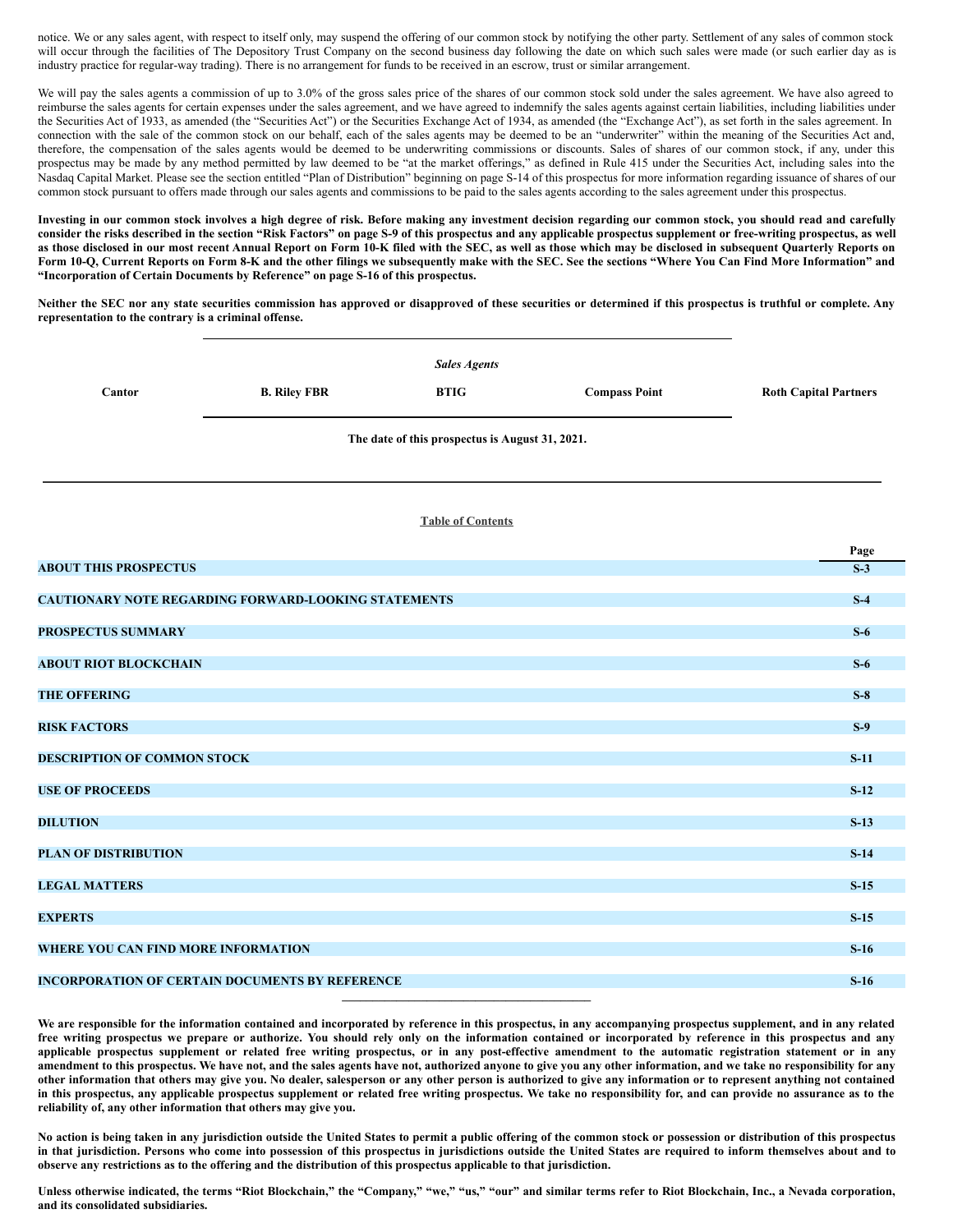notice. We or any sales agent, with respect to itself only, may suspend the offering of our common stock by notifying the other party. Settlement of any sales of common stock will occur through the facilities of The Depository Trust Company on the second business day following the date on which such sales were made (or such earlier day as is industry practice for regular-way trading). There is no arrangement for funds to be received in an escrow, trust or similar arrangement.

We will pay the sales agents a commission of up to 3.0% of the gross sales price of the shares of our common stock sold under the sales agreement. We have also agreed to reimburse the sales agents for certain expenses under the sales agreement, and we have agreed to indemnify the sales agents against certain liabilities, including liabilities under the Securities Act of 1933, as amended (the "Securities Act") or the Securities Exchange Act of 1934, as amended (the "Exchange Act"), as set forth in the sales agreement. In connection with the sale of the common stock on our behalf, each of the sales agents may be deemed to be an "underwriter" within the meaning of the Securities Act and, therefore, the compensation of the sales agents would be deemed to be underwriting commissions or discounts. Sales of shares of our common stock, if any, under this prospectus may be made by any method permitted by law deemed to be "at the market offerings," as defined in Rule 415 under the Securities Act, including sales into the Nasdaq Capital Market. Please see the section entitled "Plan of Distribution" beginning on page S-14 of this prospectus for more information regarding issuance of shares of our common stock pursuant to offers made through our sales agents and commissions to be paid to the sales agents according to the sales agreement under this prospectus.

Investing in our common stock involves a high degree of risk. Before making any investment decision regarding our common stock, you should read and carefully consider the risks described in the section "Risk Factors" on page S-9 of this prospectus and any applicable prospectus supplement or free-writing prospectus, as well as those disclosed in our most recent Annual Report on Form 10-K filed with the SEC, as well as those which may be disclosed in subsequent Quarterly Reports on Form 10-Q, Current Reports on Form 8-K and the other filings we subsequently make with the SEC. See the sections "Where You Can Find More Information" and **"Incorporation of Certain Documents by Reference" on page S-16 of this prospectus.**

Neither the SEC nor any state securities commission has approved or disapproved of these securities or determined if this prospectus is truthful or complete. Any **representation to the contrary is a criminal offense.**

|                                                        |                     | <b>Sales Agents</b>                             |                      |                              |
|--------------------------------------------------------|---------------------|-------------------------------------------------|----------------------|------------------------------|
| Cantor                                                 | <b>B.</b> Riley FBR | <b>BTIG</b>                                     | <b>Compass Point</b> | <b>Roth Capital Partners</b> |
|                                                        |                     | The date of this prospectus is August 31, 2021. |                      |                              |
|                                                        |                     | <b>Table of Contents</b>                        |                      |                              |
| <b>ABOUT THIS PROSPECTUS</b>                           |                     |                                                 |                      | Page<br>$S-3$                |
|                                                        |                     |                                                 |                      |                              |
| CAUTIONARY NOTE REGARDING FORWARD-LOOKING STATEMENTS   |                     |                                                 |                      | $S-4$                        |
| <b>PROSPECTUS SUMMARY</b>                              |                     |                                                 |                      | $S-6$                        |
| <b>ABOUT RIOT BLOCKCHAIN</b>                           |                     |                                                 |                      | $S-6$                        |
| <b>THE OFFERING</b>                                    |                     |                                                 |                      | $S-8$                        |
| <b>RISK FACTORS</b>                                    |                     |                                                 |                      | $S-9$                        |
| <b>DESCRIPTION OF COMMON STOCK</b>                     |                     |                                                 |                      | $S-11$                       |
| <b>USE OF PROCEEDS</b>                                 |                     |                                                 |                      | $S-12$                       |
| <b>DILUTION</b>                                        |                     |                                                 |                      | $S-13$                       |
| <b>PLAN OF DISTRIBUTION</b>                            |                     |                                                 |                      | $S-14$                       |
| <b>LEGAL MATTERS</b>                                   |                     |                                                 |                      | $S-15$                       |
| <b>EXPERTS</b>                                         |                     |                                                 |                      | $S-15$                       |
| WHERE YOU CAN FIND MORE INFORMATION                    |                     |                                                 |                      | $S-16$                       |
| <b>INCORPORATION OF CERTAIN DOCUMENTS BY REFERENCE</b> |                     |                                                 |                      | $S-16$                       |

We are responsible for the information contained and incorporated by reference in this prospectus, in any accompanying prospectus supplement, and in any related free writing prospectus we prepare or authorize. You should rely only on the information contained or incorporated by reference in this prospectus and any applicable prospectus supplement or related free writing prospectus, or in any post-effective amendment to the automatic registration statement or in any amendment to this prospectus. We have not, and the sales agents have not, authorized anyone to give you any other information, and we take no responsibility for any other information that others may give you. No dealer, salesperson or any other person is authorized to give any information or to represent anything not contained in this prospectus, any applicable prospectus supplement or related free writing prospectus. We take no responsibility for, and can provide no assurance as to the **reliability of, any other information that others may give you.**

No action is being taken in any jurisdiction outside the United States to permit a public offering of the common stock or possession or distribution of this prospectus in that jurisdiction. Persons who come into possession of this prospectus in jurisdictions outside the United States are required to inform themselves about and to observe any restrictions as to the offering and the distribution of this prospectus applicable to that jurisdiction.

Unless otherwise indicated, the terms "Riot Blockchain," the "Company," "we," "us," "our" and similar terms refer to Riot Blockchain, Inc., a Nevada corporation, **and its consolidated subsidiaries.**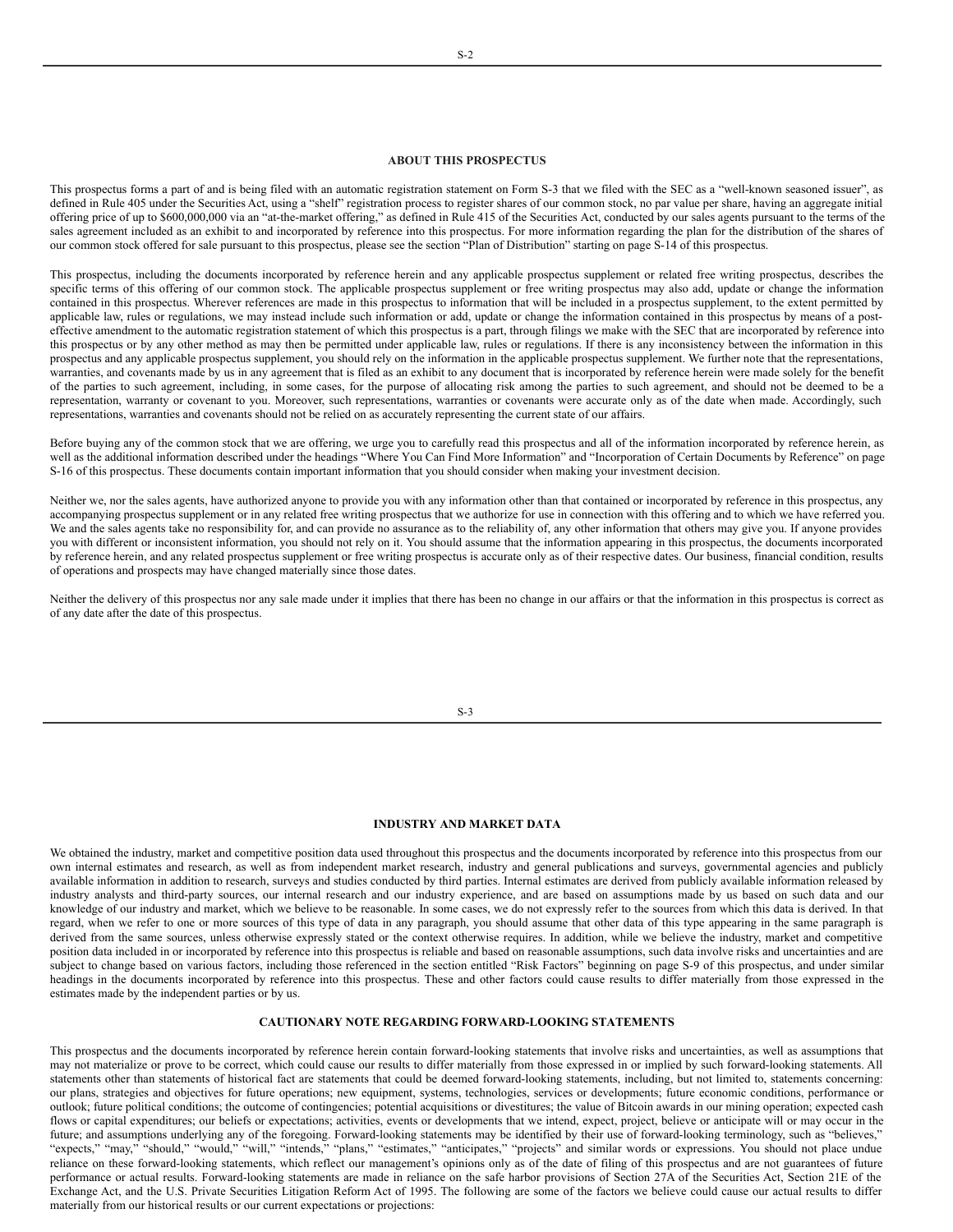#### **ABOUT THIS PROSPECTUS**

This prospectus forms a part of and is being filed with an automatic registration statement on Form S-3 that we filed with the SEC as a "well-known seasoned issuer", as defined in Rule 405 under the Securities Act, using a "shelf" registration process to register shares of our common stock, no par value per share, having an aggregate initial offering price of up to \$600,000,000 via an "at-the-market offering," as defined in Rule 415 of the Securities Act, conducted by our sales agents pursuant to the terms of the sales agreement included as an exhibit to and incorporated by reference into this prospectus. For more information regarding the plan for the distribution of the shares of our common stock offered for sale pursuant to this prospectus, please see the section "Plan of Distribution" starting on page S-14 of this prospectus.

This prospectus, including the documents incorporated by reference herein and any applicable prospectus supplement or related free writing prospectus, describes the specific terms of this offering of our common stock. The applicable prospectus supplement or free writing prospectus may also add, update or change the information contained in this prospectus. Wherever references are made in this prospectus to information that will be included in a prospectus supplement, to the extent permitted by applicable law, rules or regulations, we may instead include such information or add, update or change the information contained in this prospectus by means of a posteffective amendment to the automatic registration statement of which this prospectus is a part, through filings we make with the SEC that are incorporated by reference into this prospectus or by any other method as may then be permitted under applicable law, rules or regulations. If there is any inconsistency between the information in this prospectus and any applicable prospectus supplement, you should rely on the information in the applicable prospectus supplement. We further note that the representations, warranties, and covenants made by us in any agreement that is filed as an exhibit to any document that is incorporated by reference herein were made solely for the benefit of the parties to such agreement, including, in some cases, for the purpose of allocating risk among the parties to such agreement, and should not be deemed to be a representation, warranty or covenant to you. Moreover, such representations, warranties or covenants were accurate only as of the date when made. Accordingly, such representations, warranties and covenants should not be relied on as accurately representing the current state of our affairs.

Before buying any of the common stock that we are offering, we urge you to carefully read this prospectus and all of the information incorporated by reference herein, as well as the additional information described under the headings "Where You Can Find More Information" and "Incorporation of Certain Documents by Reference" on page S-16 of this prospectus. These documents contain important information that you should consider when making your investment decision.

Neither we, nor the sales agents, have authorized anyone to provide you with any information other than that contained or incorporated by reference in this prospectus, any accompanying prospectus supplement or in any related free writing prospectus that we authorize for use in connection with this offering and to which we have referred you. We and the sales agents take no responsibility for, and can provide no assurance as to the reliability of, any other information that others may give you. If anyone provides you with different or inconsistent information, you should not rely on it. You should assume that the information appearing in this prospectus, the documents incorporated by reference herein, and any related prospectus supplement or free writing prospectus is accurate only as of their respective dates. Our business, financial condition, results of operations and prospects may have changed materially since those dates.

Neither the delivery of this prospectus nor any sale made under it implies that there has been no change in our affairs or that the information in this prospectus is correct as of any date after the date of this prospectus.

#### S-3

#### **INDUSTRY AND MARKET DATA**

We obtained the industry, market and competitive position data used throughout this prospectus and the documents incorporated by reference into this prospectus from our own internal estimates and research, as well as from independent market research, industry and general publications and surveys, governmental agencies and publicly available information in addition to research, surveys and studies conducted by third parties. Internal estimates are derived from publicly available information released by industry analysts and third-party sources, our internal research and our industry experience, and are based on assumptions made by us based on such data and our knowledge of our industry and market, which we believe to be reasonable. In some cases, we do not expressly refer to the sources from which this data is derived. In that regard, when we refer to one or more sources of this type of data in any paragraph, you should assume that other data of this type appearing in the same paragraph is derived from the same sources, unless otherwise expressly stated or the context otherwise requires. In addition, while we believe the industry, market and competitive position data included in or incorporated by reference into this prospectus is reliable and based on reasonable assumptions, such data involve risks and uncertainties and are subject to change based on various factors, including those referenced in the section entitled "Risk Factors" beginning on page S-9 of this prospectus, and under similar headings in the documents incorporated by reference into this prospectus. These and other factors could cause results to differ materially from those expressed in the estimates made by the independent parties or by us.

#### **CAUTIONARY NOTE REGARDING FORWARD-LOOKING STATEMENTS**

This prospectus and the documents incorporated by reference herein contain forward-looking statements that involve risks and uncertainties, as well as assumptions that may not materialize or prove to be correct, which could cause our results to differ materially from those expressed in or implied by such forward-looking statements. All statements other than statements of historical fact are statements that could be deemed forward-looking statements, including, but not limited to, statements concerning: our plans, strategies and objectives for future operations; new equipment, systems, technologies, services or developments; future economic conditions, performance or outlook; future political conditions; the outcome of contingencies; potential acquisitions or divestitures; the value of Bitcoin awards in our mining operation; expected cash flows or capital expenditures; our beliefs or expectations; activities, events or developments that we intend, expect, project, believe or anticipate will or may occur in the future; and assumptions underlying any of the foregoing. Forward-looking statements may be identified by their use of forward-looking terminology, such as "believes," "expects," "may," "should," "would," "will," "intends," "plans," "estimates," "anticipates," "projects" and similar words or expressions. You should not place undue reliance on these forward-looking statements, which reflect our management's opinions only as of the date of filing of this prospectus and are not guarantees of future performance or actual results. Forward-looking statements are made in reliance on the safe harbor provisions of Section 27A of the Securities Act, Section 21E of the Exchange Act, and the U.S. Private Securities Litigation Reform Act of 1995. The following are some of the factors we believe could cause our actual results to differ materially from our historical results or our current expectations or projections: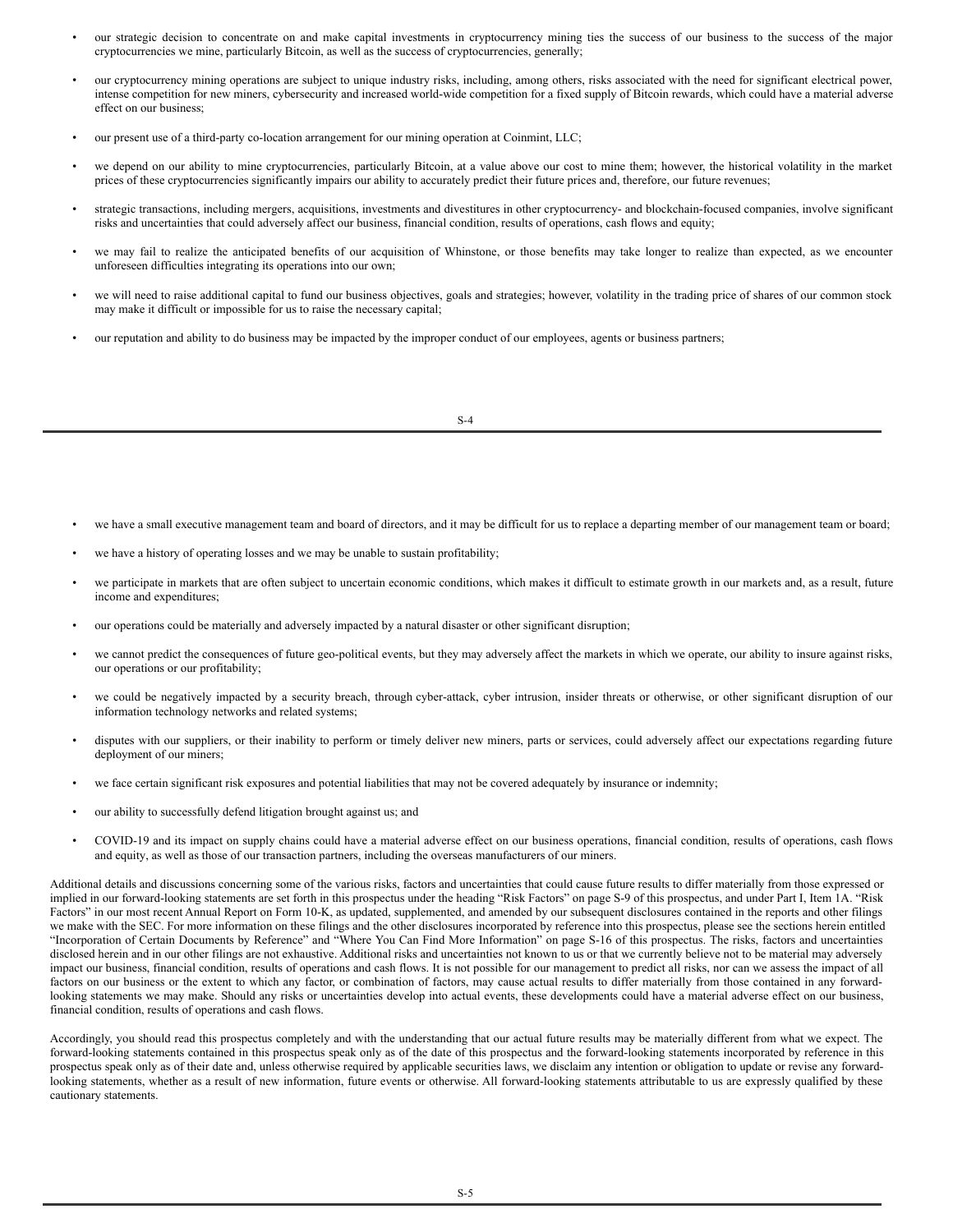- our strategic decision to concentrate on and make capital investments in cryptocurrency mining ties the success of our business to the success of the major cryptocurrencies we mine, particularly Bitcoin, as well as the success of cryptocurrencies, generally;
- our cryptocurrency mining operations are subject to unique industry risks, including, among others, risks associated with the need for significant electrical power, intense competition for new miners, cybersecurity and increased world-wide competition for a fixed supply of Bitcoin rewards, which could have a material adverse effect on our business;
- our present use of a third-party co-location arrangement for our mining operation at Coinmint, LLC;
- we depend on our ability to mine cryptocurrencies, particularly Bitcoin, at a value above our cost to mine them; however, the historical volatility in the market prices of these cryptocurrencies significantly impairs our ability to accurately predict their future prices and, therefore, our future revenues;
- strategic transactions, including mergers, acquisitions, investments and divestitures in other cryptocurrency- and blockchain-focused companies, involve significant risks and uncertainties that could adversely affect our business, financial condition, results of operations, cash flows and equity;
- we may fail to realize the anticipated benefits of our acquisition of Whinstone, or those benefits may take longer to realize than expected, as we encounter unforeseen difficulties integrating its operations into our own;
- we will need to raise additional capital to fund our business objectives, goals and strategies; however, volatility in the trading price of shares of our common stock may make it difficult or impossible for us to raise the necessary capital;
- our reputation and ability to do business may be impacted by the improper conduct of our employees, agents or business partners;

S-4

- we have a small executive management team and board of directors, and it may be difficult for us to replace a departing member of our management team or board;
- we have a history of operating losses and we may be unable to sustain profitability;
- we participate in markets that are often subject to uncertain economic conditions, which makes it difficult to estimate growth in our markets and, as a result, future income and expenditures;
- our operations could be materially and adversely impacted by a natural disaster or other significant disruption;
- we cannot predict the consequences of future geo-political events, but they may adversely affect the markets in which we operate, our ability to insure against risks, our operations or our profitability;
- we could be negatively impacted by a security breach, through cyber-attack, cyber intrusion, insider threats or otherwise, or other significant disruption of our information technology networks and related systems;
- disputes with our suppliers, or their inability to perform or timely deliver new miners, parts or services, could adversely affect our expectations regarding future deployment of our miners;
- we face certain significant risk exposures and potential liabilities that may not be covered adequately by insurance or indemnity;
- our ability to successfully defend litigation brought against us; and
- COVID-19 and its impact on supply chains could have a material adverse effect on our business operations, financial condition, results of operations, cash flows and equity, as well as those of our transaction partners, including the overseas manufacturers of our miners.

Additional details and discussions concerning some of the various risks, factors and uncertainties that could cause future results to differ materially from those expressed or implied in our forward-looking statements are set forth in this prospectus under the heading "Risk Factors" on page S-9 of this prospectus, and under Part I, Item 1A. "Risk Factors" in our most recent Annual Report on Form 10-K, as updated, supplemented, and amended by our subsequent disclosures contained in the reports and other filings we make with the SEC. For more information on these filings and the other disclosures incorporated by reference into this prospectus, please see the sections herein entitled "Incorporation of Certain Documents by Reference" and "Where You Can Find More Information" on page S-16 of this prospectus. The risks, factors and uncertainties disclosed herein and in our other filings are not exhaustive. Additional risks and uncertainties not known to us or that we currently believe not to be material may adversely impact our business, financial condition, results of operations and cash flows. It is not possible for our management to predict all risks, nor can we assess the impact of all factors on our business or the extent to which any factor, or combination of factors, may cause actual results to differ materially from those contained in any forwardlooking statements we may make. Should any risks or uncertainties develop into actual events, these developments could have a material adverse effect on our business, financial condition, results of operations and cash flows.

Accordingly, you should read this prospectus completely and with the understanding that our actual future results may be materially different from what we expect. The forward-looking statements contained in this prospectus speak only as of the date of this prospectus and the forward-looking statements incorporated by reference in this prospectus speak only as of their date and, unless otherwise required by applicable securities laws, we disclaim any intention or obligation to update or revise any forwardlooking statements, whether as a result of new information, future events or otherwise. All forward-looking statements attributable to us are expressly qualified by these cautionary statements.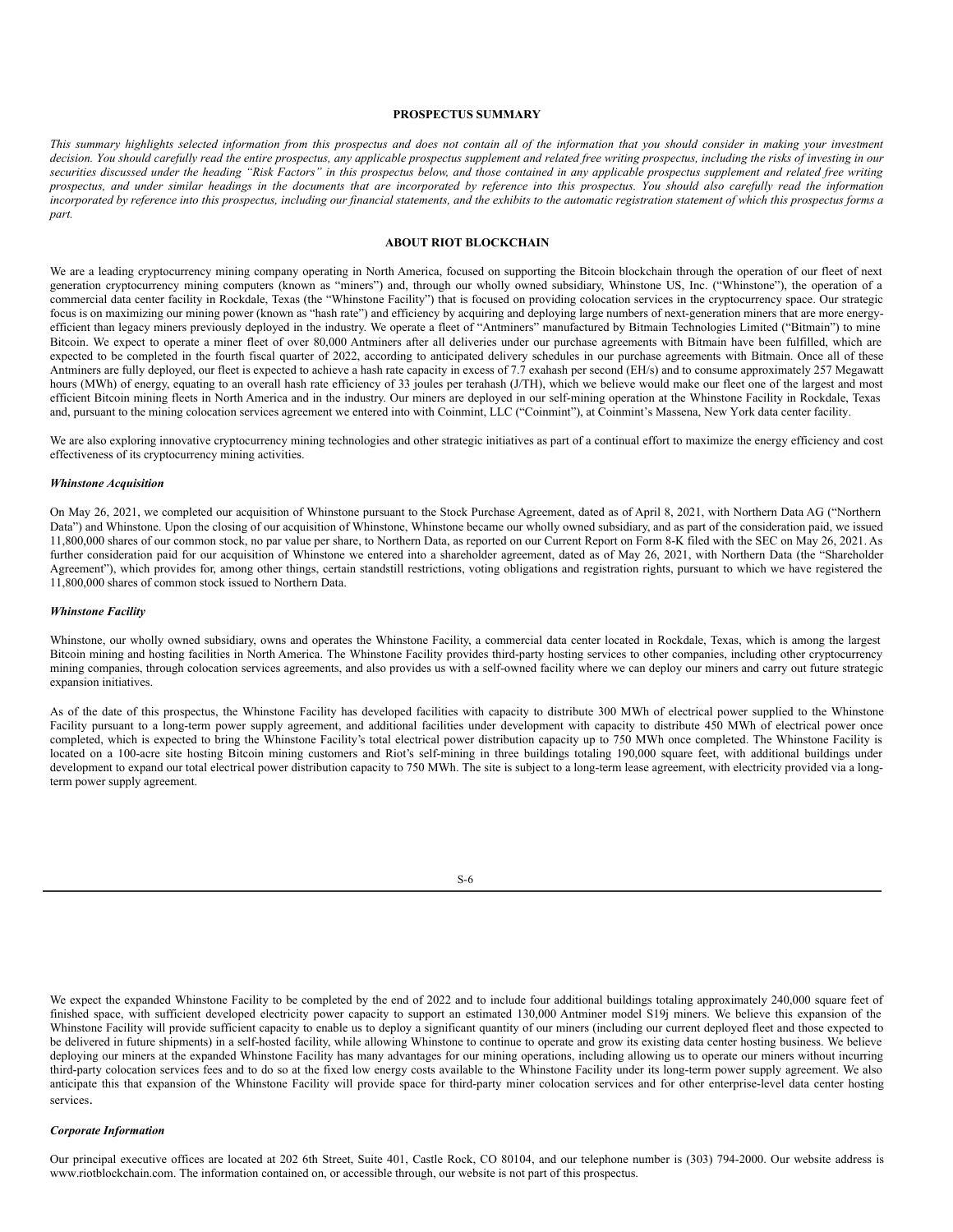#### **PROSPECTUS SUMMARY**

This summary highlights selected information from this prospectus and does not contain all of the information that you should consider in making your investment decision. You should carefully read the entire prospectus, any applicable prospectus supplement and related free writing prospectus, including the risks of investing in our securities discussed under the heading "Risk Factors" in this prospectus below, and those contained in any applicable prospectus supplement and related free writing prospectus, and under similar headings in the documents that are incorporated by reference into this prospectus. You should also carefully read the information incorporated by reference into this prospectus, including our financial statements, and the exhibits to the automatic registration statement of which this prospectus forms a *part.*

#### **ABOUT RIOT BLOCKCHAIN**

We are a leading cryptocurrency mining company operating in North America, focused on supporting the Bitcoin blockchain through the operation of our fleet of next generation cryptocurrency mining computers (known as "miners") and, through our wholly owned subsidiary, Whinstone US, Inc. ("Whinstone"), the operation of a commercial data center facility in Rockdale, Texas (the "Whinstone Facility") that is focused on providing colocation services in the cryptocurrency space. Our strategic focus is on maximizing our mining power (known as "hash rate") and efficiency by acquiring and deploying large numbers of next-generation miners that are more energyefficient than legacy miners previously deployed in the industry. We operate a fleet of "Antminers" manufactured by Bitmain Technologies Limited ("Bitmain") to mine Bitcoin. We expect to operate a miner fleet of over 80,000 Antminers after all deliveries under our purchase agreements with Bitmain have been fulfilled, which are expected to be completed in the fourth fiscal quarter of 2022, according to anticipated delivery schedules in our purchase agreements with Bitmain. Once all of these Antminers are fully deployed, our fleet is expected to achieve a hash rate capacity in excess of 7.7 exahash per second (EH/s) and to consume approximately 257 Megawatt hours (MWh) of energy, equating to an overall hash rate efficiency of 33 joules per terahash (J/TH), which we believe would make our fleet one of the largest and most efficient Bitcoin mining fleets in North America and in the industry. Our miners are deployed in our self-mining operation at the Whinstone Facility in Rockdale, Texas and, pursuant to the mining colocation services agreement we entered into with Coinmint, LLC ("Coinmint"), at Coinmint's Massena, New York data center facility.

We are also exploring innovative cryptocurrency mining technologies and other strategic initiatives as part of a continual effort to maximize the energy efficiency and cost effectiveness of its cryptocurrency mining activities.

#### *Whinstone Acquisition*

On May 26, 2021, we completed our acquisition of Whinstone pursuant to the Stock Purchase Agreement, dated as of April 8, 2021, with Northern Data AG ("Northern Data") and Whinstone. Upon the closing of our acquisition of Whinstone, Whinstone became our wholly owned subsidiary, and as part of the consideration paid, we issued 11,800,000 shares of our common stock, no par value per share, to Northern Data, as reported on our Current Report on Form 8-K filed with the SEC on May 26, 2021. As further consideration paid for our acquisition of Whinstone we entered into a shareholder agreement, dated as of May 26, 2021, with Northern Data (the "Shareholder Agreement"), which provides for, among other things, certain standstill restrictions, voting obligations and registration rights, pursuant to which we have registered the 11,800,000 shares of common stock issued to Northern Data.

#### *Whinstone Facility*

Whinstone, our wholly owned subsidiary, owns and operates the Whinstone Facility, a commercial data center located in Rockdale, Texas, which is among the largest Bitcoin mining and hosting facilities in North America. The Whinstone Facility provides third-party hosting services to other companies, including other cryptocurrency mining companies, through colocation services agreements, and also provides us with a self-owned facility where we can deploy our miners and carry out future strategic expansion initiatives.

As of the date of this prospectus, the Whinstone Facility has developed facilities with capacity to distribute 300 MWh of electrical power supplied to the Whinstone Facility pursuant to a long-term power supply agreement, and additional facilities under development with capacity to distribute 450 MWh of electrical power once completed, which is expected to bring the Whinstone Facility's total electrical power distribution capacity up to 750 MWh once completed. The Whinstone Facility is located on a 100-acre site hosting Bitcoin mining customers and Riot's self-mining in three buildings totaling 190,000 square feet, with additional buildings under development to expand our total electrical power distribution capacity to 750 MWh. The site is subject to a long-term lease agreement, with electricity provided via a longterm power supply agreement.

S-6

We expect the expanded Whinstone Facility to be completed by the end of 2022 and to include four additional buildings totaling approximately 240,000 square feet of finished space, with sufficient developed electricity power capacity to support an estimated 130,000 Antminer model S19j miners. We believe this expansion of the Whinstone Facility will provide sufficient capacity to enable us to deploy a significant quantity of our miners (including our current deployed fleet and those expected to be delivered in future shipments) in a self-hosted facility, while allowing Whinstone to continue to operate and grow its existing data center hosting business. We believe deploying our miners at the expanded Whinstone Facility has many advantages for our mining operations, including allowing us to operate our miners without incurring third-party colocation services fees and to do so at the fixed low energy costs available to the Whinstone Facility under its long-term power supply agreement. We also anticipate this that expansion of the Whinstone Facility will provide space for third-party miner colocation services and for other enterprise-level data center hosting services.

#### *Corporate Information*

Our principal executive offices are located at 202 6th Street, Suite 401, Castle Rock, CO 80104, and our telephone number is (303) 794-2000. Our website address is www.riotblockchain.com. The information contained on, or accessible through, our website is not part of this prospectus.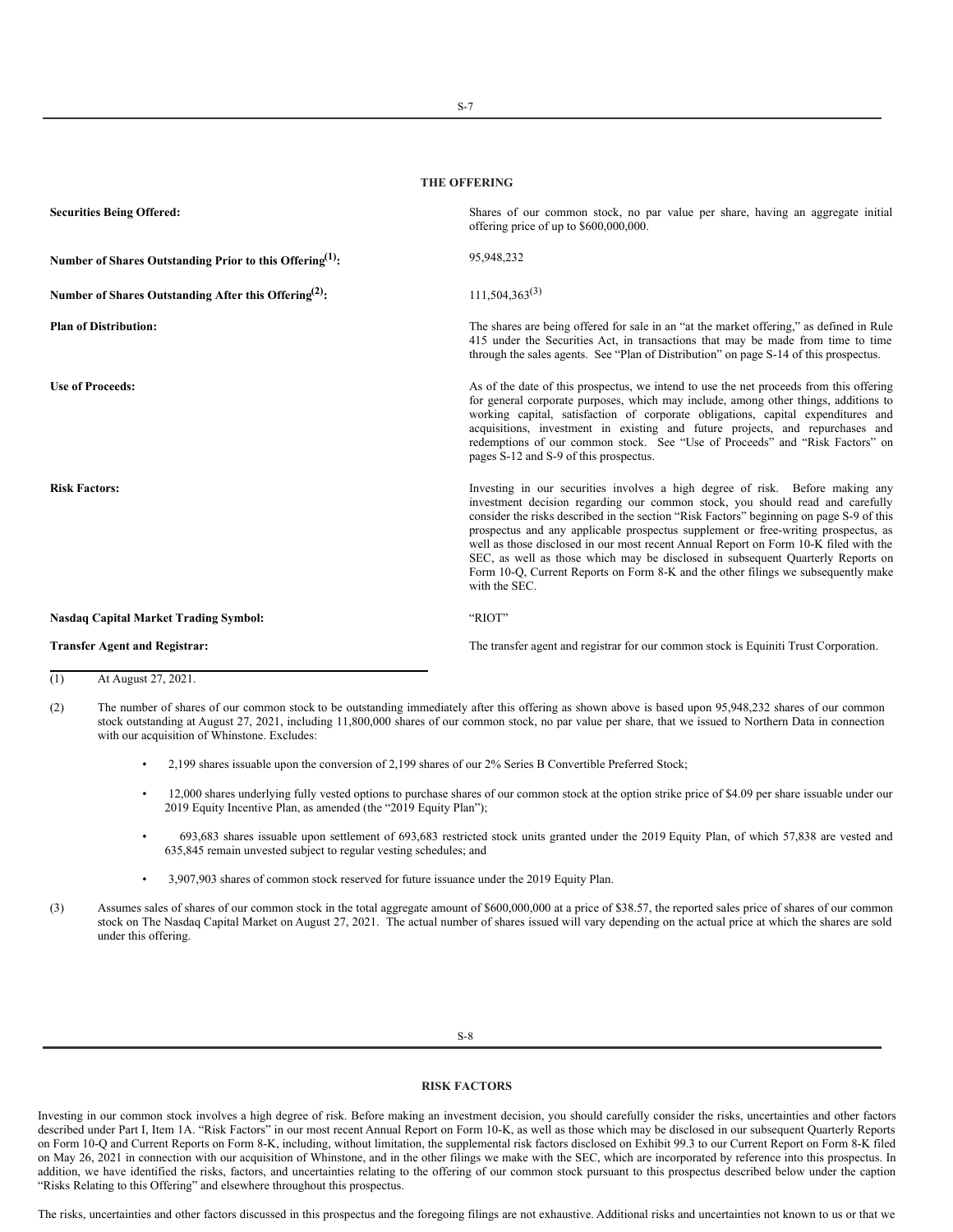**Securities Being Offered:** Shares of our common stock, no par value per share, having an aggregate initial offering price of up to \$600,000,000. **Number of Shares Outstanding Prior to this Offering (1):** 95,948,232 **Number of Shares Outstanding After this Offering**  $(2)$ **:** 111,504,363<sup>(3)</sup> **Plan of Distribution:** The shares are being offered for sale in an "at the market offering," as defined in Rule 415 under the Securities Act, in transactions that may be made from time to time through the sales agents. See "Plan of Distribution" on page S-14 of this prospectus. Use of **Proceeds:** As of the date of this prospectus, we intend to use the net proceeds from this offering for general corporate purposes, which may include, among other things, additions to working capital, satisfaction of corporate obligations, capital expenditures and acquisitions, investment in existing and future projects, and repurchases and redemptions of our common stock. See "Use of Proceeds" and "Risk Factors" on pages S-12 and S-9 of this prospectus. **Risk Factors: Investing in our securities involves a high degree of risk. Before making any** investment decision regarding our common stock, you should read and carefully consider the risks described in the section "Risk Factors" beginning on page S-9 of this prospectus and any applicable prospectus supplement or free-writing prospectus, as well as those disclosed in our most recent Annual Report on Form 10-K filed with the SEC, as well as those which may be disclosed in subsequent Quarterly Reports on Form 10-Q, Current Reports on Form 8-K and the other filings we subsequently make with the SEC. **Nasdaq Capital Market Trading Symbol:** "RIOT" **Transfer Agent and Registrar:** The transfer agent and registrar for our common stock is Equiniti Trust Corporation.

(1) At August 27, 2021.

- (2) The number of shares of our common stock to be outstanding immediately after this offering as shown above is based upon 95,948,232 shares of our common stock outstanding at August 27, 2021, including 11,800,000 shares of our common stock, no par value per share, that we issued to Northern Data in connection with our acquisition of Whinstone. Excludes:
	- 2,199 shares issuable upon the conversion of 2,199 shares of our 2% Series B Convertible Preferred Stock;
	- 12,000 shares underlying fully vested options to purchase shares of our common stock at the option strike price of \$4.09 per share issuable under our 2019 Equity Incentive Plan, as amended (the "2019 Equity Plan");
	- 693,683 shares issuable upon settlement of 693,683 restricted stock units granted under the 2019 Equity Plan, of which 57,838 are vested and 635,845 remain unvested subject to regular vesting schedules; and
	- 3,907,903 shares of common stock reserved for future issuance under the 2019 Equity Plan.
- (3) Assumes sales of shares of our common stock in the total aggregate amount of \$600,000,000 at a price of \$38.57, the reported sales price of shares of our common stock on The Nasdaq Capital Market on August 27, 2021. The actual number of shares issued will vary depending on the actual price at which the shares are sold under this offering.

#### **RISK FACTORS**

Investing in our common stock involves a high degree of risk. Before making an investment decision, you should carefully consider the risks, uncertainties and other factors described under Part I, Item 1A. "Risk Factors" in our most recent Annual Report on Form 10-K, as well as those which may be disclosed in our subsequent Quarterly Reports on Form 10-Q and Current Reports on Form 8-K, including, without limitation, the supplemental risk factors disclosed on Exhibit 99.3 to our Current Report on Form 8-K filed on May 26, 2021 in connection with our acquisition of Whinstone, and in the other filings we make with the SEC, which are incorporated by reference into this prospectus. In addition, we have identified the risks, factors, and uncertainties relating to the offering of our common stock pursuant to this prospectus described below under the caption "Risks Relating to this Offering" and elsewhere throughout this prospectus.

The risks, uncertainties and other factors discussed in this prospectus and the foregoing filings are not exhaustive. Additional risks and uncertainties not known to us or that we

**THE OFFERING**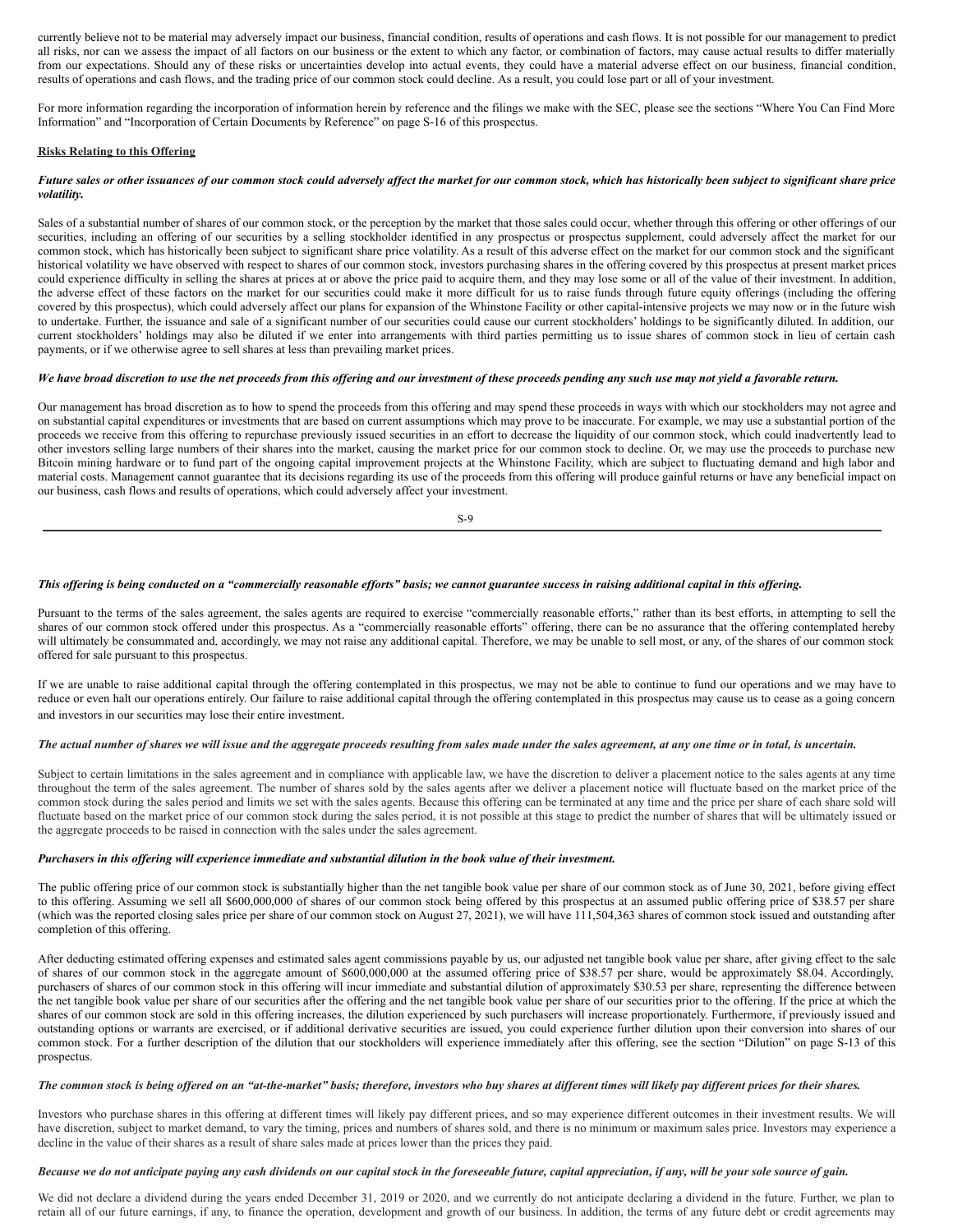currently believe not to be material may adversely impact our business, financial condition, results of operations and cash flows. It is not possible for our management to predict all risks, nor can we assess the impact of all factors on our business or the extent to which any factor, or combination of factors, may cause actual results to differ materially from our expectations. Should any of these risks or uncertainties develop into actual events, they could have a material adverse effect on our business, financial condition, results of operations and cash flows, and the trading price of our common stock could decline. As a result, you could lose part or all of your investment.

For more information regarding the incorporation of information herein by reference and the filings we make with the SEC, please see the sections "Where You Can Find More Information" and "Incorporation of Certain Documents by Reference" on page S-16 of this prospectus.

#### **Risks Relating to this Offering**

#### Future sales or other issuances of our common stock could adversely affect the market for our common stock, which has historically been subject to significant share price *volatility.*

Sales of a substantial number of shares of our common stock, or the perception by the market that those sales could occur, whether through this offering or other offerings of our securities, including an offering of our securities by a selling stockholder identified in any prospectus or prospectus supplement, could adversely affect the market for our common stock, which has historically been subject to significant share price volatility. As a result of this adverse effect on the market for our common stock and the significant historical volatility we have observed with respect to shares of our common stock, investors purchasing shares in the offering covered by this prospectus at present market prices could experience difficulty in selling the shares at prices at or above the price paid to acquire them, and they may lose some or all of the value of their investment. In addition, the adverse effect of these factors on the market for our securities could make it more difficult for us to raise funds through future equity offerings (including the offering covered by this prospectus), which could adversely affect our plans for expansion of the Whinstone Facility or other capital-intensive projects we may now or in the future wish to undertake. Further, the issuance and sale of a significant number of our securities could cause our current stockholders' holdings to be significantly diluted. In addition, our current stockholders' holdings may also be diluted if we enter into arrangements with third parties permitting us to issue shares of common stock in lieu of certain cash payments, or if we otherwise agree to sell shares at less than prevailing market prices.

#### We have broad discretion to use the net proceeds from this offering and our investment of these proceeds pending any such use may not yield a favorable return.

Our management has broad discretion as to how to spend the proceeds from this offering and may spend these proceeds in ways with which our stockholders may not agree and on substantial capital expenditures or investments that are based on current assumptions which may prove to be inaccurate. For example, we may use a substantial portion of the proceeds we receive from this offering to repurchase previously issued securities in an effort to decrease the liquidity of our common stock, which could inadvertently lead to other investors selling large numbers of their shares into the market, causing the market price for our common stock to decline. Or, we may use the proceeds to purchase new Bitcoin mining hardware or to fund part of the ongoing capital improvement projects at the Whinstone Facility, which are subject to fluctuating demand and high labor and material costs. Management cannot guarantee that its decisions regarding its use of the proceeds from this offering will produce gainful returns or have any beneficial impact on our business, cash flows and results of operations, which could adversely affect your investment.

S-9

#### This offering is being conducted on a "commercially reasonable efforts" basis; we cannot guarantee success in raising additional capital in this offering.

Pursuant to the terms of the sales agreement, the sales agents are required to exercise "commercially reasonable efforts," rather than its best efforts, in attempting to sell the shares of our common stock offered under this prospectus. As a "commercially reasonable efforts" offering, there can be no assurance that the offering contemplated hereby will ultimately be consummated and, accordingly, we may not raise any additional capital. Therefore, we may be unable to sell most, or any, of the shares of our common stock offered for sale pursuant to this prospectus.

If we are unable to raise additional capital through the offering contemplated in this prospectus, we may not be able to continue to fund our operations and we may have to reduce or even halt our operations entirely. Our failure to raise additional capital through the offering contemplated in this prospectus may cause us to cease as a going concern and investors in our securities may lose their entire investment.

#### The actual number of shares we will issue and the aggregate proceeds resulting from sales made under the sales agreement, at any one time or in total, is uncertain.

Subject to certain limitations in the sales agreement and in compliance with applicable law, we have the discretion to deliver a placement notice to the sales agents at any time throughout the term of the sales agreement. The number of shares sold by the sales agents after we deliver a placement notice will fluctuate based on the market price of the common stock during the sales period and limits we set with the sales agents. Because this offering can be terminated at any time and the price per share of each share sold will fluctuate based on the market price of our common stock during the sales period, it is not possible at this stage to predict the number of shares that will be ultimately issued or the aggregate proceeds to be raised in connection with the sales under the sales agreement.

#### Purchasers in this offering will experience immediate and substantial dilution in the book value of their investment.

The public offering price of our common stock is substantially higher than the net tangible book value per share of our common stock as of June 30, 2021, before giving effect to this offering. Assuming we sell all \$600,000,000 of shares of our common stock being offered by this prospectus at an assumed public offering price of \$38.57 per share (which was the reported closing sales price per share of our common stock on August 27, 2021), we will have 111,504,363 shares of common stock issued and outstanding after completion of this offering.

After deducting estimated offering expenses and estimated sales agent commissions payable by us, our adjusted net tangible book value per share, after giving effect to the sale of shares of our common stock in the aggregate amount of \$600,000,000 at the assumed offering price of \$38.57 per share, would be approximately \$8.04. Accordingly, purchasers of shares of our common stock in this offering will incur immediate and substantial dilution of approximately \$30.53 per share, representing the difference between the net tangible book value per share of our securities after the offering and the net tangible book value per share of our securities prior to the offering. If the price at which the shares of our common stock are sold in this offering increases, the dilution experienced by such purchasers will increase proportionately. Furthermore, if previously issued and outstanding options or warrants are exercised, or if additional derivative securities are issued, you could experience further dilution upon their conversion into shares of our common stock. For a further description of the dilution that our stockholders will experience immediately after this offering, see the section "Dilution" on page S-13 of this prospectus.

#### The common stock is being offered on an "at-the-market" basis; therefore, investors who buy shares at different times will likely pay different prices for their shares.

Investors who purchase shares in this offering at different times will likely pay different prices, and so may experience different outcomes in their investment results. We will have discretion, subject to market demand, to vary the timing, prices and numbers of shares sold, and there is no minimum or maximum sales price. Investors may experience a decline in the value of their shares as a result of share sales made at prices lower than the prices they paid.

#### Because we do not anticipate paying any cash dividends on our capital stock in the foreseeable future, capital appreciation, if any, will be your sole source of gain.

We did not declare a dividend during the years ended December 31, 2019 or 2020, and we currently do not anticipate declaring a dividend in the future. Further, we plan to retain all of our future earnings, if any, to finance the operation, development and growth of our business. In addition, the terms of any future debt or credit agreements may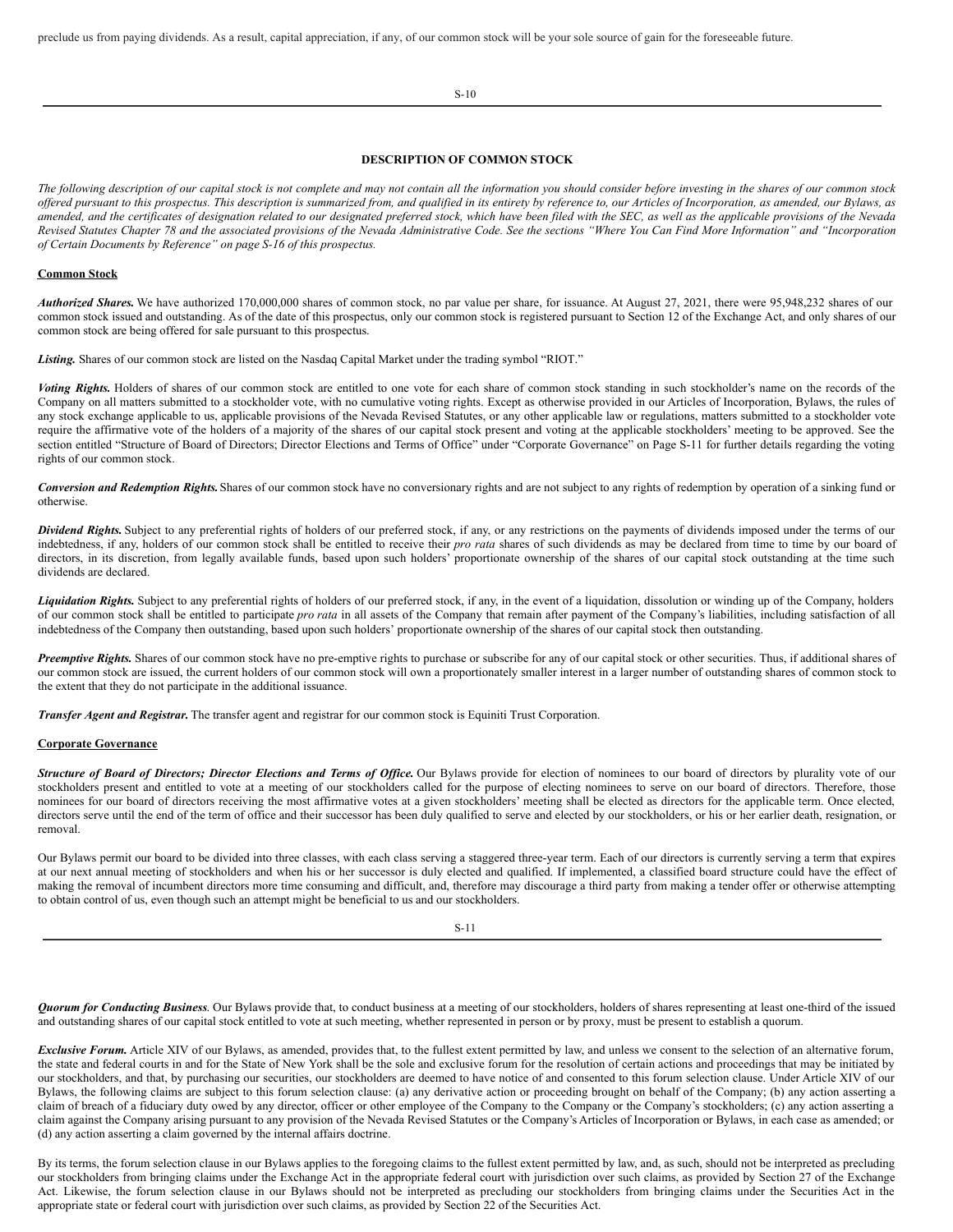preclude us from paying dividends. As a result, capital appreciation, if any, of our common stock will be your sole source of gain for the foreseeable future.

S-10

#### **DESCRIPTION OF COMMON STOCK**

The following description of our capital stock is not complete and may not contain all the information you should consider before investing in the shares of our common stock offered pursuant to this prospectus. This description is summarized from, and qualified in its entirety by reference to, our Articles of Incorporation, as amended, our Bylaws, as amended, and the certificates of designation related to our designated preferred stock, which have been filed with the SEC, as well as the applicable provisions of the Nevada Revised Statutes Chapter 78 and the associated provisions of the Nevada Administrative Code. See the sections "Where You Can Find More Information" and "Incorporation *of Certain Documents by Reference" on page S-16 of this prospectus.*

#### **Common Stock**

*Authorized Shares.* We have authorized 170,000,000 shares of common stock, no par value per share, for issuance. At August 27, 2021, there were 95,948,232 shares of our common stock issued and outstanding. As of the date of this prospectus, only our common stock is registered pursuant to Section 12 of the Exchange Act, and only shares of our common stock are being offered for sale pursuant to this prospectus.

*Listing.* Shares of our common stock are listed on the Nasdaq Capital Market under the trading symbol "RIOT."

*Voting Rights.* Holders of shares of our common stock are entitled to one vote for each share of common stock standing in such stockholder's name on the records of the Company on all matters submitted to a stockholder vote, with no cumulative voting rights. Except as otherwise provided in our Articles of Incorporation, Bylaws, the rules of any stock exchange applicable to us, applicable provisions of the Nevada Revised Statutes, or any other applicable law or regulations, matters submitted to a stockholder vote require the affirmative vote of the holders of a majority of the shares of our capital stock present and voting at the applicable stockholders' meeting to be approved. See the section entitled "Structure of Board of Directors; Director Elections and Terms of Office" under "Corporate Governance" on Page S-11 for further details regarding the voting rights of our common stock.

*Conversion and Redemption Rights.*Shares of our common stock have no conversionary rights and are not subject to any rights of redemption by operation of a sinking fund or otherwise.

*Dividend Rights.* Subject to any preferential rights of holders of our preferred stock, if any, or any restrictions on the payments of dividends imposed under the terms of our indebtedness, if any, holders of our common stock shall be entitled to receive their *pro rata* shares of such dividends as may be declared from time to time by our board of directors, in its discretion, from legally available funds, based upon such holders' proportionate ownership of the shares of our capital stock outstanding at the time such dividends are declared.

Liquidation Rights. Subject to any preferential rights of holders of our preferred stock, if any, in the event of a liquidation, dissolution or winding up of the Company, holders of our common stock shall be entitled to participate *pro rata* in all assets of the Company that remain after payment of the Company's liabilities, including satisfaction of all indebtedness of the Company then outstanding, based upon such holders' proportionate ownership of the shares of our capital stock then outstanding.

*Preemptive Rights.* Shares of our common stock have no pre-emptive rights to purchase or subscribe for any of our capital stock or other securities. Thus, if additional shares of our common stock are issued, the current holders of our common stock will own a proportionately smaller interest in a larger number of outstanding shares of common stock to the extent that they do not participate in the additional issuance.

*Transfer Agent and Registrar.* The transfer agent and registrar for our common stock is Equiniti Trust Corporation.

#### **Corporate Governance**

Structure of Board of Directors; Director Elections and Terms of Office. Our Bylaws provide for election of nominees to our board of directors by plurality vote of our stockholders present and entitled to vote at a meeting of our stockholders called for the purpose of electing nominees to serve on our board of directors. Therefore, those nominees for our board of directors receiving the most affirmative votes at a given stockholders' meeting shall be elected as directors for the applicable term. Once elected, directors serve until the end of the term of office and their successor has been duly qualified to serve and elected by our stockholders, or his or her earlier death, resignation, or removal.

Our Bylaws permit our board to be divided into three classes, with each class serving a staggered three-year term. Each of our directors is currently serving a term that expires at our next annual meeting of stockholders and when his or her successor is duly elected and qualified. If implemented, a classified board structure could have the effect of making the removal of incumbent directors more time consuming and difficult, and, therefore may discourage a third party from making a tender offer or otherwise attempting to obtain control of us, even though such an attempt might be beneficial to us and our stockholders.

S-11

*Quorum for Conducting Business*. Our Bylaws provide that, to conduct business at a meeting of our stockholders, holders of shares representing at least one-third of the issued and outstanding shares of our capital stock entitled to vote at such meeting, whether represented in person or by proxy, must be present to establish a quorum.

*Exclusive Forum.* Article XIV of our Bylaws, as amended, provides that, to the fullest extent permitted by law, and unless we consent to the selection of an alternative forum, the state and federal courts in and for the State of New York shall be the sole and exclusive forum for the resolution of certain actions and proceedings that may be initiated by our stockholders, and that, by purchasing our securities, our stockholders are deemed to have notice of and consented to this forum selection clause. Under Article XIV of our Bylaws, the following claims are subject to this forum selection clause: (a) any derivative action or proceeding brought on behalf of the Company; (b) any action asserting a claim of breach of a fiduciary duty owed by any director, officer or other employee of the Company to the Company or the Company's stockholders; (c) any action asserting a claim against the Company arising pursuant to any provision of the Nevada Revised Statutes or the Company's Articles of Incorporation or Bylaws, in each case as amended; or (d) any action asserting a claim governed by the internal affairs doctrine.

By its terms, the forum selection clause in our Bylaws applies to the foregoing claims to the fullest extent permitted by law, and, as such, should not be interpreted as precluding our stockholders from bringing claims under the Exchange Act in the appropriate federal court with jurisdiction over such claims, as provided by Section 27 of the Exchange Act. Likewise, the forum selection clause in our Bylaws should not be interpreted as precluding our stockholders from bringing claims under the Securities Act in the appropriate state or federal court with jurisdiction over such claims, as provided by Section 22 of the Securities Act.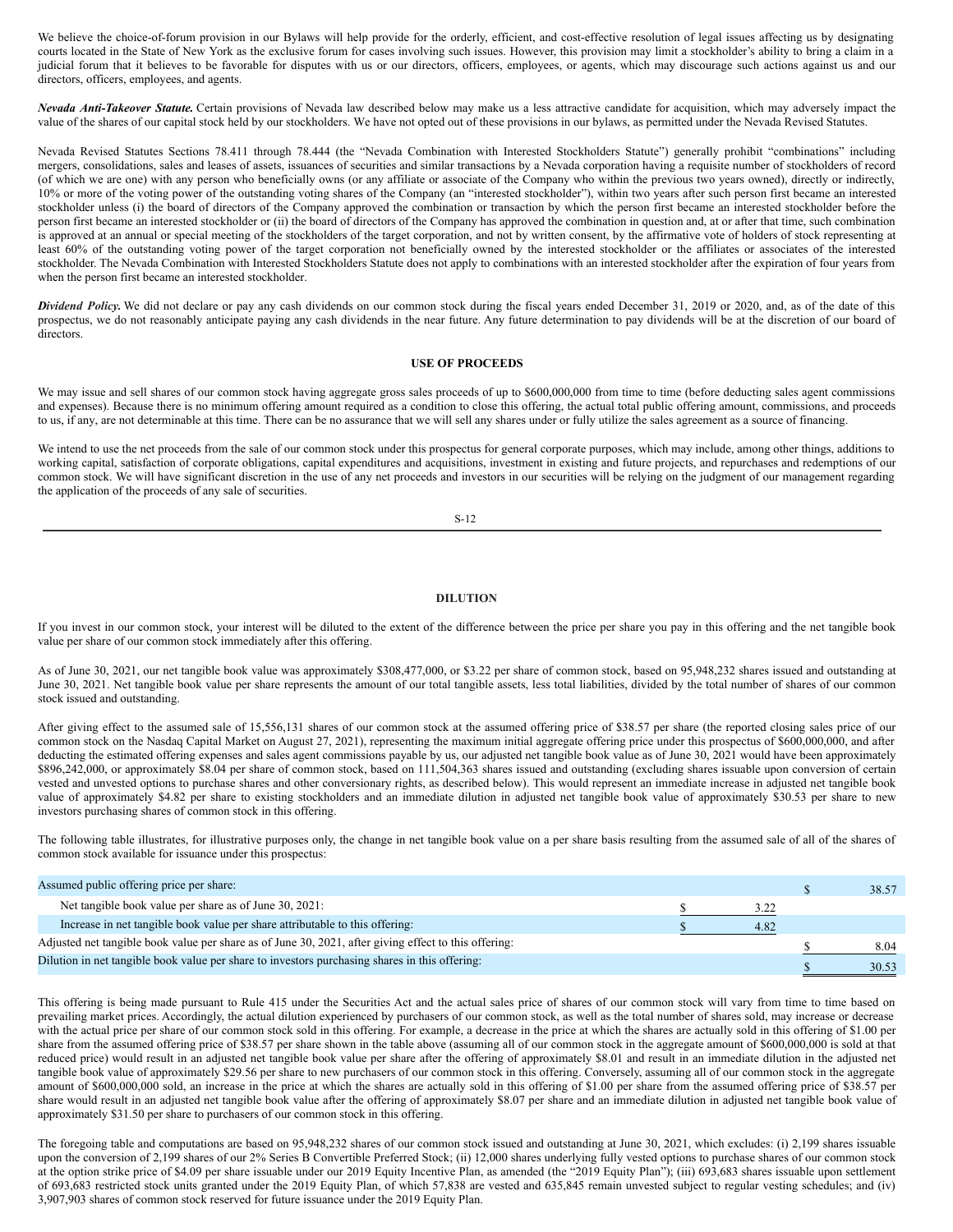We believe the choice-of-forum provision in our Bylaws will help provide for the orderly, efficient, and cost-effective resolution of legal issues affecting us by designating courts located in the State of New York as the exclusive forum for cases involving such issues. However, this provision may limit a stockholder's ability to bring a claim in a judicial forum that it believes to be favorable for disputes with us or our directors, officers, employees, or agents, which may discourage such actions against us and our directors, officers, employees, and agents.

*Nevada Anti-Takeover Statute.* Certain provisions of Nevada law described below may make us a less attractive candidate for acquisition, which may adversely impact the value of the shares of our capital stock held by our stockholders. We have not opted out of these provisions in our bylaws, as permitted under the Nevada Revised Statutes.

Nevada Revised Statutes Sections 78.411 through 78.444 (the "Nevada Combination with Interested Stockholders Statute") generally prohibit "combinations" including mergers, consolidations, sales and leases of assets, issuances of securities and similar transactions by a Nevada corporation having a requisite number of stockholders of record (of which we are one) with any person who beneficially owns (or any affiliate or associate of the Company who within the previous two years owned), directly or indirectly, 10% or more of the voting power of the outstanding voting shares of the Company (an "interested stockholder"), within two years after such person first became an interested stockholder unless (i) the board of directors of the Company approved the combination or transaction by which the person first became an interested stockholder before the person first became an interested stockholder or (ii) the board of directors of the Company has approved the combination in question and, at or after that time, such combination is approved at an annual or special meeting of the stockholders of the target corporation, and not by written consent, by the affirmative vote of holders of stock representing at least 60% of the outstanding voting power of the target corporation not beneficially owned by the interested stockholder or the affiliates or associates of the interested stockholder. The Nevada Combination with Interested Stockholders Statute does not apply to combinations with an interested stockholder after the expiration of four years from when the person first became an interested stockholder.

*Dividend Policy.* We did not declare or pay any cash dividends on our common stock during the fiscal years ended December 31, 2019 or 2020, and, as of the date of this prospectus, we do not reasonably anticipate paying any cash dividends in the near future. Any future determination to pay dividends will be at the discretion of our board of directors.

#### **USE OF PROCEEDS**

We may issue and sell shares of our common stock having aggregate gross sales proceeds of up to \$600,000,000 from time to time (before deducting sales agent commissions and expenses). Because there is no minimum offering amount required as a condition to close this offering, the actual total public offering amount, commissions, and proceeds to us, if any, are not determinable at this time. There can be no assurance that we will sell any shares under or fully utilize the sales agreement as a source of financing.

We intend to use the net proceeds from the sale of our common stock under this prospectus for general corporate purposes, which may include, among other things, additions to working capital, satisfaction of corporate obligations, capital expenditures and acquisitions, investment in existing and future projects, and repurchases and redemptions of our common stock. We will have significant discretion in the use of any net proceeds and investors in our securities will be relying on the judgment of our management regarding the application of the proceeds of any sale of securities.

S-12

#### **DILUTION**

If you invest in our common stock, your interest will be diluted to the extent of the difference between the price per share you pay in this offering and the net tangible book value per share of our common stock immediately after this offering.

As of June 30, 2021, our net tangible book value was approximately \$308,477,000, or \$3.22 per share of common stock, based on 95,948,232 shares issued and outstanding at June 30, 2021. Net tangible book value per share represents the amount of our total tangible assets, less total liabilities, divided by the total number of shares of our common stock issued and outstanding.

After giving effect to the assumed sale of 15,556,131 shares of our common stock at the assumed offering price of \$38.57 per share (the reported closing sales price of our common stock on the Nasdaq Capital Market on August 27, 2021), representing the maximum initial aggregate offering price under this prospectus of \$600,000,000, and after deducting the estimated offering expenses and sales agent commissions payable by us, our adjusted net tangible book value as of June 30, 2021 would have been approximately \$896,242,000, or approximately \$8.04 per share of common stock, based on 111,504,363 shares issued and outstanding (excluding shares issuable upon conversion of certain vested and unvested options to purchase shares and other conversionary rights, as described below). This would represent an immediate increase in adjusted net tangible book value of approximately \$4.82 per share to existing stockholders and an immediate dilution in adjusted net tangible book value of approximately \$30.53 per share to new investors purchasing shares of common stock in this offering.

The following table illustrates, for illustrative purposes only, the change in net tangible book value on a per share basis resulting from the assumed sale of all of the shares of common stock available for issuance under this prospectus:

| Assumed public offering price per share:                                                              |  |      |  | 38.57 |
|-------------------------------------------------------------------------------------------------------|--|------|--|-------|
| Net tangible book value per share as of June 30, 2021:                                                |  |      |  |       |
| Increase in net tangible book value per share attributable to this offering:                          |  | 4.82 |  |       |
| Adjusted net tangible book value per share as of June 30, 2021, after giving effect to this offering: |  |      |  | 8.04  |
| Dilution in net tangible book value per share to investors purchasing shares in this offering:        |  |      |  | 30.53 |

This offering is being made pursuant to Rule 415 under the Securities Act and the actual sales price of shares of our common stock will vary from time to time based on prevailing market prices. Accordingly, the actual dilution experienced by purchasers of our common stock, as well as the total number of shares sold, may increase or decrease with the actual price per share of our common stock sold in this offering. For example, a decrease in the price at which the shares are actually sold in this offering of \$1.00 per share from the assumed offering price of \$38.57 per share shown in the table above (assuming all of our common stock in the aggregate amount of \$600,000,000 is sold at that reduced price) would result in an adjusted net tangible book value per share after the offering of approximately \$8.01 and result in an immediate dilution in the adjusted net tangible book value of approximately \$29.56 per share to new purchasers of our common stock in this offering. Conversely, assuming all of our common stock in the aggregate amount of \$600,000,000 sold, an increase in the price at which the shares are actually sold in this offering of \$1.00 per share from the assumed offering price of \$38.57 per share would result in an adjusted net tangible book value after the offering of approximately \$8.07 per share and an immediate dilution in adjusted net tangible book value of approximately \$31.50 per share to purchasers of our common stock in this offering.

The foregoing table and computations are based on 95,948,232 shares of our common stock issued and outstanding at June 30, 2021, which excludes: (i) 2,199 shares issuable upon the conversion of 2,199 shares of our 2% Series B Convertible Preferred Stock; (ii) 12,000 shares underlying fully vested options to purchase shares of our common stock at the option strike price of \$4.09 per share issuable under our 2019 Equity Incentive Plan, as amended (the "2019 Equity Plan"); (iii) 693,683 shares issuable upon settlement of 693,683 restricted stock units granted under the 2019 Equity Plan, of which 57,838 are vested and 635,845 remain unvested subject to regular vesting schedules; and (iv) 3,907,903 shares of common stock reserved for future issuance under the 2019 Equity Plan.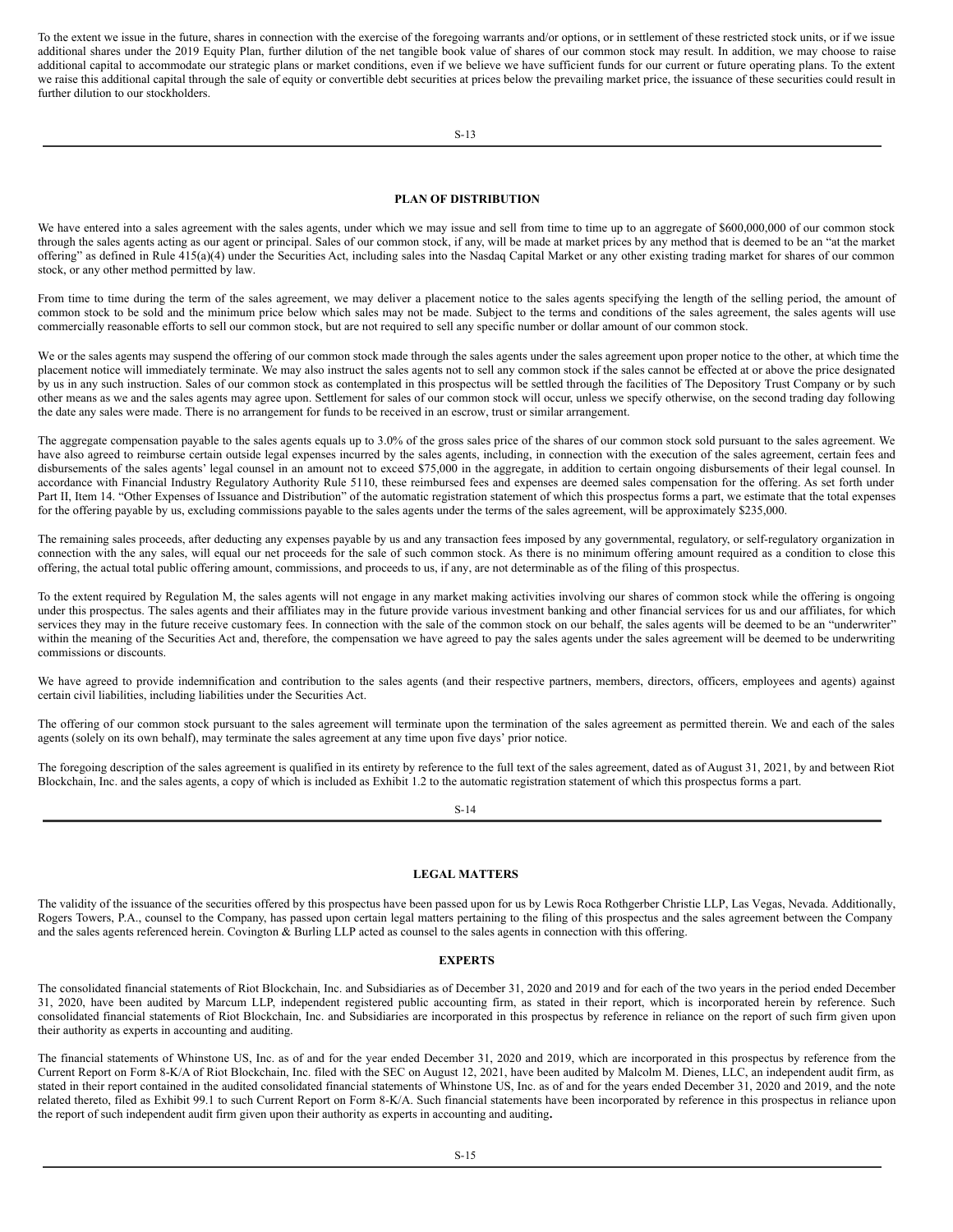To the extent we issue in the future, shares in connection with the exercise of the foregoing warrants and/or options, or in settlement of these restricted stock units, or if we issue additional shares under the 2019 Equity Plan, further dilution of the net tangible book value of shares of our common stock may result. In addition, we may choose to raise additional capital to accommodate our strategic plans or market conditions, even if we believe we have sufficient funds for our current or future operating plans. To the extent we raise this additional capital through the sale of equity or convertible debt securities at prices below the prevailing market price, the issuance of these securities could result in further dilution to our stockholders.

#### **PLAN OF DISTRIBUTION**

We have entered into a sales agreement with the sales agents, under which we may issue and sell from time to time up to an aggregate of \$600,000,000 of our common stock through the sales agents acting as our agent or principal. Sales of our common stock, if any, will be made at market prices by any method that is deemed to be an "at the market offering" as defined in Rule 415(a)(4) under the Securities Act, including sales into the Nasdaq Capital Market or any other existing trading market for shares of our common stock, or any other method permitted by law.

From time to time during the term of the sales agreement, we may deliver a placement notice to the sales agents specifying the length of the selling period, the amount of common stock to be sold and the minimum price below which sales may not be made. Subject to the terms and conditions of the sales agreement, the sales agents will use commercially reasonable efforts to sell our common stock, but are not required to sell any specific number or dollar amount of our common stock.

We or the sales agents may suspend the offering of our common stock made through the sales agents under the sales agreement upon proper notice to the other, at which time the placement notice will immediately terminate. We may also instruct the sales agents not to sell any common stock if the sales cannot be effected at or above the price designated by us in any such instruction. Sales of our common stock as contemplated in this prospectus will be settled through the facilities of The Depository Trust Company or by such other means as we and the sales agents may agree upon. Settlement for sales of our common stock will occur, unless we specify otherwise, on the second trading day following the date any sales were made. There is no arrangement for funds to be received in an escrow, trust or similar arrangement.

The aggregate compensation payable to the sales agents equals up to 3.0% of the gross sales price of the shares of our common stock sold pursuant to the sales agreement. We have also agreed to reimburse certain outside legal expenses incurred by the sales agents, including, in connection with the execution of the sales agreement, certain fees and disbursements of the sales agents' legal counsel in an amount not to exceed \$75,000 in the aggregate, in addition to certain ongoing disbursements of their legal counsel. In accordance with Financial Industry Regulatory Authority Rule 5110, these reimbursed fees and expenses are deemed sales compensation for the offering. As set forth under Part II, Item 14. "Other Expenses of Issuance and Distribution" of the automatic registration statement of which this prospectus forms a part, we estimate that the total expenses for the offering payable by us, excluding commissions payable to the sales agents under the terms of the sales agreement, will be approximately \$235,000.

The remaining sales proceeds, after deducting any expenses payable by us and any transaction fees imposed by any governmental, regulatory, or self-regulatory organization in connection with the any sales, will equal our net proceeds for the sale of such common stock. As there is no minimum offering amount required as a condition to close this offering, the actual total public offering amount, commissions, and proceeds to us, if any, are not determinable as of the filing of this prospectus.

To the extent required by Regulation M, the sales agents will not engage in any market making activities involving our shares of common stock while the offering is ongoing under this prospectus. The sales agents and their affiliates may in the future provide various investment banking and other financial services for us and our affiliates, for which services they may in the future receive customary fees. In connection with the sale of the common stock on our behalf, the sales agents will be deemed to be an "underwriter" within the meaning of the Securities Act and, therefore, the compensation we have agreed to pay the sales agents under the sales agreement will be deemed to be underwriting commissions or discounts.

We have agreed to provide indemnification and contribution to the sales agents (and their respective partners, members, directors, officers, employees and agents) against certain civil liabilities, including liabilities under the Securities Act.

The offering of our common stock pursuant to the sales agreement will terminate upon the termination of the sales agreement as permitted therein. We and each of the sales agents (solely on its own behalf), may terminate the sales agreement at any time upon five days' prior notice.

The foregoing description of the sales agreement is qualified in its entirety by reference to the full text of the sales agreement, dated as of August 31, 2021, by and between Riot Blockchain, Inc. and the sales agents, a copy of which is included as Exhibit 1.2 to the automatic registration statement of which this prospectus forms a part.

S-14

#### **LEGAL MATTERS**

The validity of the issuance of the securities offered by this prospectus have been passed upon for us by Lewis Roca Rothgerber Christie LLP, Las Vegas, Nevada. Additionally, Rogers Towers, P.A., counsel to the Company, has passed upon certain legal matters pertaining to the filing of this prospectus and the sales agreement between the Company and the sales agents referenced herein. Covington & Burling LLP acted as counsel to the sales agents in connection with this offering.

#### **EXPERTS**

The consolidated financial statements of Riot Blockchain, Inc. and Subsidiaries as of December 31, 2020 and 2019 and for each of the two years in the period ended December 31, 2020, have been audited by Marcum LLP, independent registered public accounting firm, as stated in their report, which is incorporated herein by reference. Such consolidated financial statements of Riot Blockchain, Inc. and Subsidiaries are incorporated in this prospectus by reference in reliance on the report of such firm given upon their authority as experts in accounting and auditing.

The financial statements of Whinstone US, Inc. as of and for the year ended December 31, 2020 and 2019, which are incorporated in this prospectus by reference from the Current Report on Form 8-K/A of Riot Blockchain, Inc. filed with the SEC on August 12, 2021, have been audited by Malcolm M. Dienes, LLC, an independent audit firm, as stated in their report contained in the audited consolidated financial statements of Whinstone US, Inc. as of and for the years ended December 31, 2020 and 2019, and the note related thereto, filed as Exhibit 99.1 to such Current Report on Form 8-K/A. Such financial statements have been incorporated by reference in this prospectus in reliance upon the report of such independent audit firm given upon their authority as experts in accounting and auditing**.**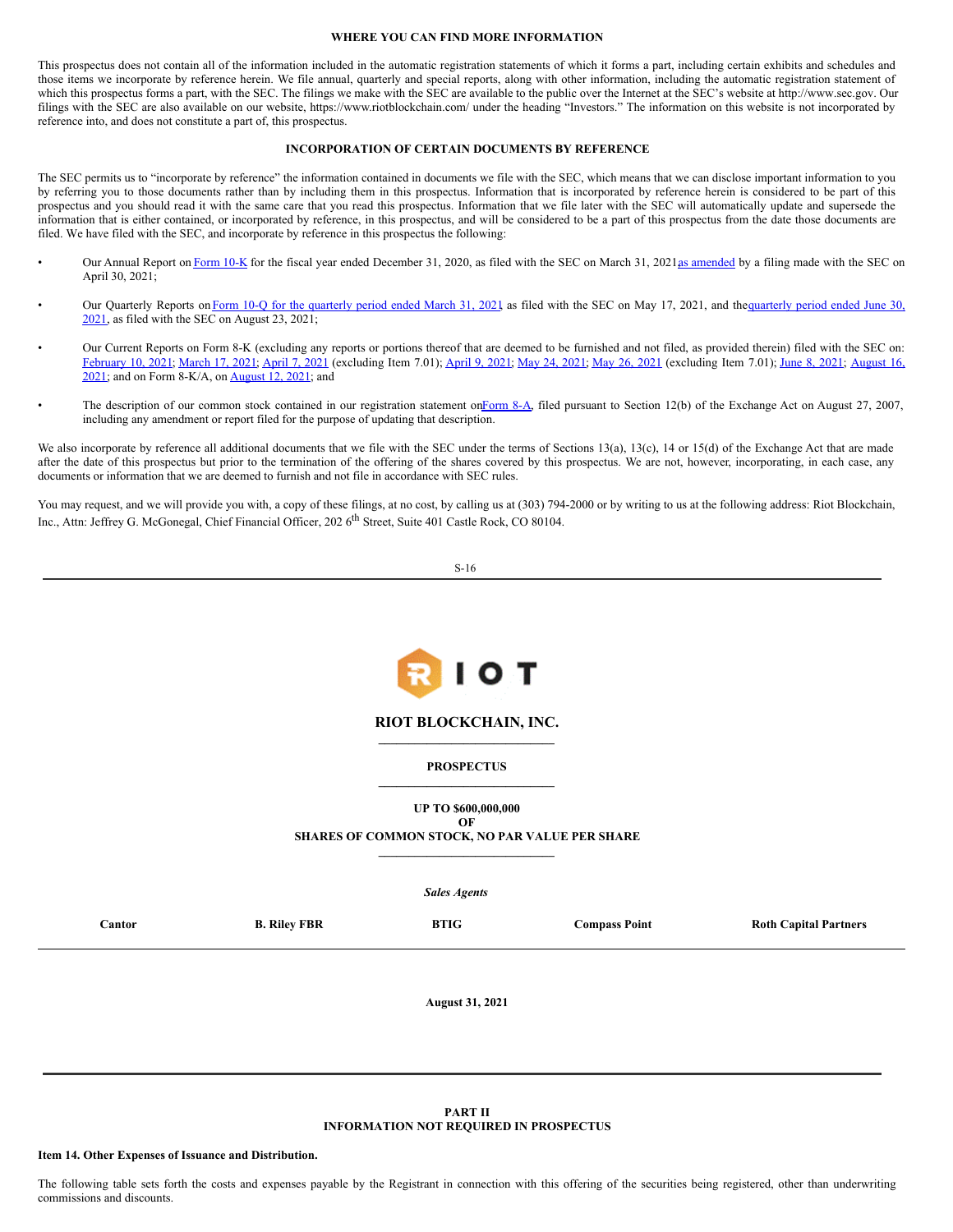#### **WHERE YOU CAN FIND MORE INFORMATION**

This prospectus does not contain all of the information included in the automatic registration statements of which it forms a part, including certain exhibits and schedules and those items we incorporate by reference herein. We file annual, quarterly and special reports, along with other information, including the automatic registration statement of which this prospectus forms a part, with the SEC. The filings we make with the SEC are available to the public over the Internet at the SEC's website at http://www.sec.gov. Our filings with the SEC are also available on our website, https://www.riotblockchain.com/ under the heading "Investors." The information on this website is not incorporated by reference into, and does not constitute a part of, this prospectus.

#### **INCORPORATION OF CERTAIN DOCUMENTS BY REFERENCE**

The SEC permits us to "incorporate by reference" the information contained in documents we file with the SEC, which means that we can disclose important information to you by referring you to those documents rather than by including them in this prospectus. Information that is incorporated by reference herein is considered to be part of this prospectus and you should read it with the same care that you read this prospectus. Information that we file later with the SEC will automatically update and supersede the information that is either contained, or incorporated by reference, in this prospectus, and will be considered to be a part of this prospectus from the date those documents are filed. We have filed with the SEC, and incorporate by reference in this prospectus the following:

- Our Annual Report on [Form](http://www.sec.gov/Archives/edgar/data/1167419/000107997321000221/riot10k1220.htm) 10-K for the fiscal year ended December 31, 2020, as filed with the SEC on March 31, 2021 as [amended](http://www.sec.gov/Archives/edgar/data/1167419/000107997321000326/riot_10kaixb-123120.htm) by a filing made with the SEC on April 30, 2021;
- Our Quarterly Reports on Form 10-Q for the [quarterly](http://www.sec.gov/Archives/edgar/data/1167419/000107997321000383/riot10qq1-0321.htm) period ended March 31, 2021 as filed with the SEC on May 17, 2021, and [thequarterly](http://www.sec.gov/Archives/edgar/data/1167419/000107997321000828/riot10qq2-0621.htm) period ended June 30, 2021, as filed with the SEC on August 23, 2021;
- Our Current Reports on Form 8-K (excluding any reports or portions thereof that are deemed to be furnished and not filed, as provided therein) filed with the SEC on: [February](http://www.sec.gov/Archives/edgar/data/1167419/000107997321000074/riot_8k-pilot.htm) 10, 2021; [March](http://www.sec.gov/Archives/edgar/data/1167419/000107997321000184/riot_8k-0321.htm) 17, 2021; [April](http://www.sec.gov/Archives/edgar/data/1167419/000107997321000264/riot_8k-040821v2.htm) 7, 2021 [\(excluding](http://www.sec.gov/Archives/edgar/data/1167419/000107997321000537/riot_8k.htm) Item 7.01); April 9, [2021](http://www.sec.gov/Archives/edgar/data/1167419/000107997321000481/riot_8k-060721.htm); [May](http://www.sec.gov/Archives/edgar/data/1167419/000107997321000426/riot_8k-052621.htm) 24, 2021; May 26, 2021 (excluding Item 7.01); June 8, 2021; August 16, 2021; and on Form 8-K/A, on **[August](http://www.sec.gov/Archives/edgar/data/1167419/000107997321000745/riot_8ka-v3.htm) 12**, 2021; and
- The description of our common stock contained in our registration statement o[nForm](http://www.sec.gov/Archives/edgar/data/1167419/000107997307000759/apnb_form8a-082207.htm) 8-A, filed pursuant to Section 12(b) of the Exchange Act on August 27, 2007, including any amendment or report filed for the purpose of updating that description.

We also incorporate by reference all additional documents that we file with the SEC under the terms of Sections 13(a), 13(c), 14 or 15(d) of the Exchange Act that are made after the date of this prospectus but prior to the termination of the offering of the shares covered by this prospectus. We are not, however, incorporating, in each case, any documents or information that we are deemed to furnish and not file in accordance with SEC rules.

You may request, and we will provide you with, a copy of these filings, at no cost, by calling us at (303) 794-2000 or by writing to us at the following address: Riot Blockchain, Inc., Attn: Jeffrey G. McGonegal, Chief Financial Officer, 202 6<sup>th</sup> Street, Suite 401 Castle Rock, CO 80104.



#### **RIOT BLOCKCHAIN, INC. \_\_\_\_\_\_\_\_\_\_\_\_\_\_\_\_\_\_\_\_\_\_\_\_\_\_\_\_\_**

#### **PROSPECTUS \_\_\_\_\_\_\_\_\_\_\_\_\_\_\_\_\_\_\_\_\_\_\_\_\_\_\_\_\_**

**UP TO \$600,000,000 OF SHARES OF COMMON STOCK, NO PAR VALUE PER SHARE \_\_\_\_\_\_\_\_\_\_\_\_\_\_\_\_\_\_\_\_\_\_\_\_\_\_\_\_\_**

*Sales Agents*

**Cantor B. Riley FBR BTIG Compass Point Roth Capital Partners**

**August 31, 2021**

#### **PART II INFORMATION NOT REQUIRED IN PROSPECTUS**

#### **Item 14. Other Expenses of Issuance and Distribution.**

The following table sets forth the costs and expenses payable by the Registrant in connection with this offering of the securities being registered, other than underwriting commissions and discounts.

S-16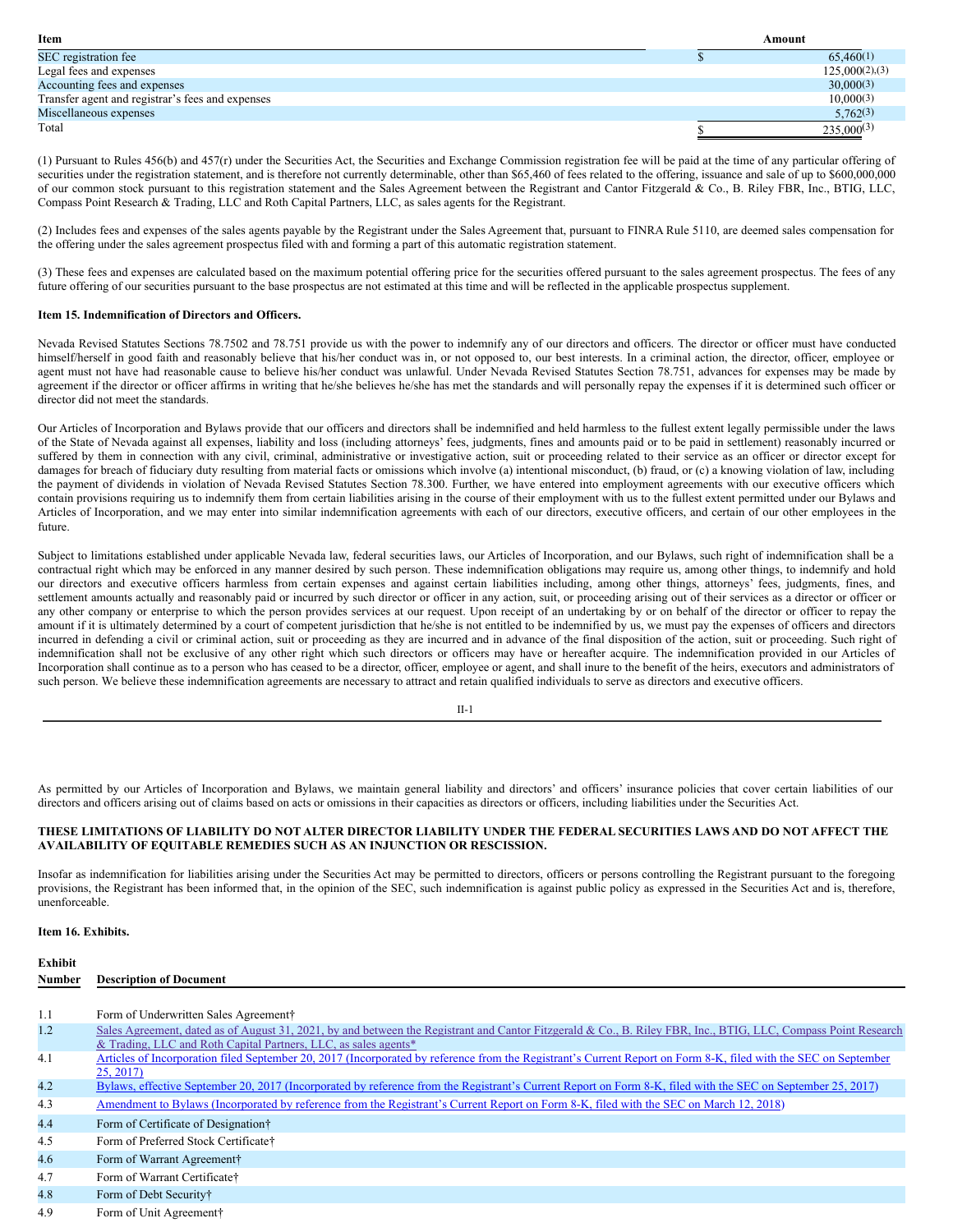| Item                                             | Amount          |
|--------------------------------------------------|-----------------|
| SEC registration fee                             | 65,460(1)       |
| Legal fees and expenses                          | 125,000(2), (3) |
| Accounting fees and expenses                     | 30,000(3)       |
| Transfer agent and registrar's fees and expenses | 10,000(3)       |
| Miscellaneous expenses                           | 5,762(3)        |
| Total                                            | $235,000^{(3)}$ |

(1) Pursuant to Rules 456(b) and 457(r) under the Securities Act, the Securities and Exchange Commission registration fee will be paid at the time of any particular offering of securities under the registration statement, and is therefore not currently determinable, other than \$65,460 of fees related to the offering, issuance and sale of up to \$600,000,000 of our common stock pursuant to this registration statement and the Sales Agreement between the Registrant and Cantor Fitzgerald & Co., B. Riley FBR, Inc., BTIG, LLC, Compass Point Research & Trading, LLC and Roth Capital Partners, LLC, as sales agents for the Registrant.

(2) Includes fees and expenses of the sales agents payable by the Registrant under the Sales Agreement that, pursuant to FINRA Rule 5110, are deemed sales compensation for the offering under the sales agreement prospectus filed with and forming a part of this automatic registration statement.

(3) These fees and expenses are calculated based on the maximum potential offering price for the securities offered pursuant to the sales agreement prospectus. The fees of any future offering of our securities pursuant to the base prospectus are not estimated at this time and will be reflected in the applicable prospectus supplement.

#### **Item 15. Indemnification of Directors and Officers.**

Nevada Revised Statutes Sections 78.7502 and 78.751 provide us with the power to indemnify any of our directors and officers. The director or officer must have conducted himself/herself in good faith and reasonably believe that his/her conduct was in, or not opposed to, our best interests. In a criminal action, the director, officer, employee or agent must not have had reasonable cause to believe his/her conduct was unlawful. Under Nevada Revised Statutes Section 78.751, advances for expenses may be made by agreement if the director or officer affirms in writing that he/she believes he/she has met the standards and will personally repay the expenses if it is determined such officer or director did not meet the standards.

Our Articles of Incorporation and Bylaws provide that our officers and directors shall be indemnified and held harmless to the fullest extent legally permissible under the laws of the State of Nevada against all expenses, liability and loss (including attorneys' fees, judgments, fines and amounts paid or to be paid in settlement) reasonably incurred or suffered by them in connection with any civil, criminal, administrative or investigative action, suit or proceeding related to their service as an officer or director except for damages for breach of fiduciary duty resulting from material facts or omissions which involve (a) intentional misconduct, (b) fraud, or (c) a knowing violation of law, including the payment of dividends in violation of Nevada Revised Statutes Section 78.300. Further, we have entered into employment agreements with our executive officers which contain provisions requiring us to indemnify them from certain liabilities arising in the course of their employment with us to the fullest extent permitted under our Bylaws and Articles of Incorporation, and we may enter into similar indemnification agreements with each of our directors, executive officers, and certain of our other employees in the future.

Subject to limitations established under applicable Nevada law, federal securities laws, our Articles of Incorporation, and our Bylaws, such right of indemnification shall be a contractual right which may be enforced in any manner desired by such person. These indemnification obligations may require us, among other things, to indemnify and hold our directors and executive officers harmless from certain expenses and against certain liabilities including, among other things, attorneys' fees, judgments, fines, and settlement amounts actually and reasonably paid or incurred by such director or officer in any action, suit, or proceeding arising out of their services as a director or officer or any other company or enterprise to which the person provides services at our request. Upon receipt of an undertaking by or on behalf of the director or officer to repay the amount if it is ultimately determined by a court of competent jurisdiction that he/she is not entitled to be indemnified by us, we must pay the expenses of officers and directors incurred in defending a civil or criminal action, suit or proceeding as they are incurred and in advance of the final disposition of the action, suit or proceeding. Such right of indemnification shall not be exclusive of any other right which such directors or officers may have or hereafter acquire. The indemnification provided in our Articles of Incorporation shall continue as to a person who has ceased to be a director, officer, employee or agent, and shall inure to the benefit of the heirs, executors and administrators of such person. We believe these indemnification agreements are necessary to attract and retain qualified individuals to serve as directors and executive officers.

II-1

As permitted by our Articles of Incorporation and Bylaws, we maintain general liability and directors' and officers' insurance policies that cover certain liabilities of our directors and officers arising out of claims based on acts or omissions in their capacities as directors or officers, including liabilities under the Securities Act.

#### THESE LIMITATIONS OF LIABILITY DO NOT ALTER DIRECTOR LIABILITY UNDER THE FEDERAL SECURITIES LAWS AND DO NOT AFFECT THE **AVAILABILITY OF EQUITABLE REMEDIES SUCH AS AN INJUNCTION OR RESCISSION.**

Insofar as indemnification for liabilities arising under the Securities Act may be permitted to directors, officers or persons controlling the Registrant pursuant to the foregoing provisions, the Registrant has been informed that, in the opinion of the SEC, such indemnification is against public policy as expressed in the Securities Act and is, therefore, unenforceable.

#### **Item 16. Exhibits.**

| Exhibit       |                                                                                                                                                                 |
|---------------|-----------------------------------------------------------------------------------------------------------------------------------------------------------------|
| <b>Number</b> | <b>Description of Document</b>                                                                                                                                  |
|               |                                                                                                                                                                 |
| 1.1           | Form of Underwritten Sales Agreement†                                                                                                                           |
| 1.2           | Sales Agreement, dated as of August 31, 2021, by and between the Registrant and Cantor Fitzgerald & Co., B. Riley FBR, Inc., BTIG, LLC, Compass Point Research  |
|               | & Trading, LLC and Roth Capital Partners, LLC, as sales agents*                                                                                                 |
| 4.1           | Articles of Incorporation filed September 20, 2017 (Incorporated by reference from the Registrant's Current Report on Form 8-K, filed with the SEC on September |
|               | 25, 2017                                                                                                                                                        |
| 4.2           | Bylaws, effective September 20, 2017 (Incorporated by reference from the Registrant's Current Report on Form 8-K, filed with the SEC on September 25, 2017)     |
| 4.3           | Amendment to Bylaws (Incorporated by reference from the Registrant's Current Report on Form 8-K, filed with the SEC on March 12, 2018)                          |
| 4.4           | Form of Certificate of Designation†                                                                                                                             |
| 4.5           | Form of Preferred Stock Certificate†                                                                                                                            |
| 4.6           | Form of Warrant Agreement†                                                                                                                                      |
| 4.7           | Form of Warrant Certificate†                                                                                                                                    |
| 4.8           | Form of Debt Security†                                                                                                                                          |
| 4.9           | Form of Unit Agreement†                                                                                                                                         |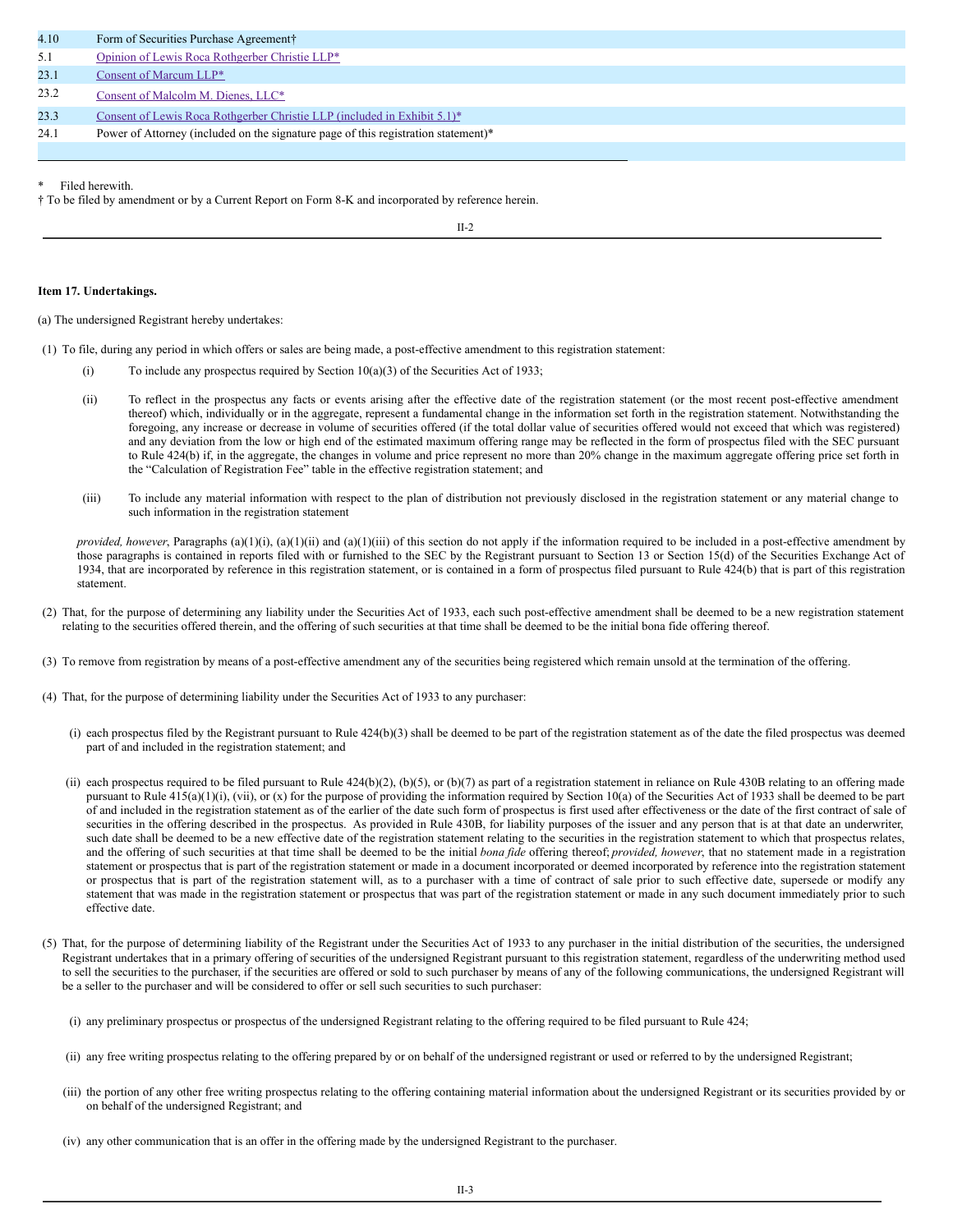| Form of Securities Purchase Agreement†                                             |
|------------------------------------------------------------------------------------|
| Opinion of Lewis Roca Rothgerber Christie LLP*                                     |
| Consent of Marcum LLP*                                                             |
| Consent of Malcolm M. Dienes, LLC*                                                 |
| Consent of Lewis Roca Rothgerber Christie LLP (included in Exhibit $5.1$ )*        |
| Power of Attorney (included on the signature page of this registration statement)* |
|                                                                                    |

Filed herewith.

† To be filed by amendment or by a Current Report on Form 8-K and incorporated by reference herein.

 $II-2$ 

#### **Item 17. Undertakings.**

(a) The undersigned Registrant hereby undertakes:

(1) To file, during any period in which offers or sales are being made, a post-effective amendment to this registration statement:

- (i) To include any prospectus required by Section  $10(a)(3)$  of the Securities Act of 1933;
- (ii) To reflect in the prospectus any facts or events arising after the effective date of the registration statement (or the most recent post-effective amendment thereof) which, individually or in the aggregate, represent a fundamental change in the information set forth in the registration statement. Notwithstanding the foregoing, any increase or decrease in volume of securities offered (if the total dollar value of securities offered would not exceed that which was registered) and any deviation from the low or high end of the estimated maximum offering range may be reflected in the form of prospectus filed with the SEC pursuant to Rule 424(b) if, in the aggregate, the changes in volume and price represent no more than 20% change in the maximum aggregate offering price set forth in the "Calculation of Registration Fee" table in the effective registration statement; and
- (iii) To include any material information with respect to the plan of distribution not previously disclosed in the registration statement or any material change to such information in the registration statement

*provided, however*, Paragraphs (a)(1)(i), (a)(1)(ii) and (a)(1)(iii) of this section do not apply if the information required to be included in a post-effective amendment by those paragraphs is contained in reports filed with or furnished to the SEC by the Registrant pursuant to Section 13 or Section 15(d) of the Securities Exchange Act of 1934, that are incorporated by reference in this registration statement, or is contained in a form of prospectus filed pursuant to Rule 424(b) that is part of this registration statement.

- (2) That, for the purpose of determining any liability under the Securities Act of 1933, each such post-effective amendment shall be deemed to be a new registration statement relating to the securities offered therein, and the offering of such securities at that time shall be deemed to be the initial bona fide offering thereof.
- (3) To remove from registration by means of a post-effective amendment any of the securities being registered which remain unsold at the termination of the offering.
- (4) That, for the purpose of determining liability under the Securities Act of 1933 to any purchaser:
	- (i) each prospectus filed by the Registrant pursuant to Rule 424(b)(3) shall be deemed to be part of the registration statement as of the date the filed prospectus was deemed part of and included in the registration statement; and
	- (ii) each prospectus required to be filed pursuant to Rule  $424(b)(2)$ ,  $(b)(5)$ , or  $(b)(7)$  as part of a registration statement in reliance on Rule  $430B$  relating to an offering made pursuant to Rule 415(a)(1)(i), (vii), or (x) for the purpose of providing the information required by Section 10(a) of the Securities Act of 1933 shall be deemed to be part of and included in the registration statement as of the earlier of the date such form of prospectus is first used after effectiveness or the date of the first contract of sale of securities in the offering described in the prospectus. As provided in Rule 430B, for liability purposes of the issuer and any person that is at that date an underwriter, such date shall be deemed to be a new effective date of the registration statement relating to the securities in the registration statement to which that prospectus relates, and the offering of such securities at that time shall be deemed to be the initial *bona fide* offering thereof; *provided, however*, that no statement made in a registration statement or prospectus that is part of the registration statement or made in a document incorporated or deemed incorporated by reference into the registration statement or prospectus that is part of the registration statement will, as to a purchaser with a time of contract of sale prior to such effective date, supersede or modify any statement that was made in the registration statement or prospectus that was part of the registration statement or made in any such document immediately prior to such effective date.
- (5) That, for the purpose of determining liability of the Registrant under the Securities Act of 1933 to any purchaser in the initial distribution of the securities, the undersigned Registrant undertakes that in a primary offering of securities of the undersigned Registrant pursuant to this registration statement, regardless of the underwriting method used to sell the securities to the purchaser, if the securities are offered or sold to such purchaser by means of any of the following communications, the undersigned Registrant will be a seller to the purchaser and will be considered to offer or sell such securities to such purchaser:
	- (i) any preliminary prospectus or prospectus of the undersigned Registrant relating to the offering required to be filed pursuant to Rule 424;

- (iii) the portion of any other free writing prospectus relating to the offering containing material information about the undersigned Registrant or its securities provided by or on behalf of the undersigned Registrant; and
- (iv) any other communication that is an offer in the offering made by the undersigned Registrant to the purchaser.

<sup>(</sup>ii) any free writing prospectus relating to the offering prepared by or on behalf of the undersigned registrant or used or referred to by the undersigned Registrant;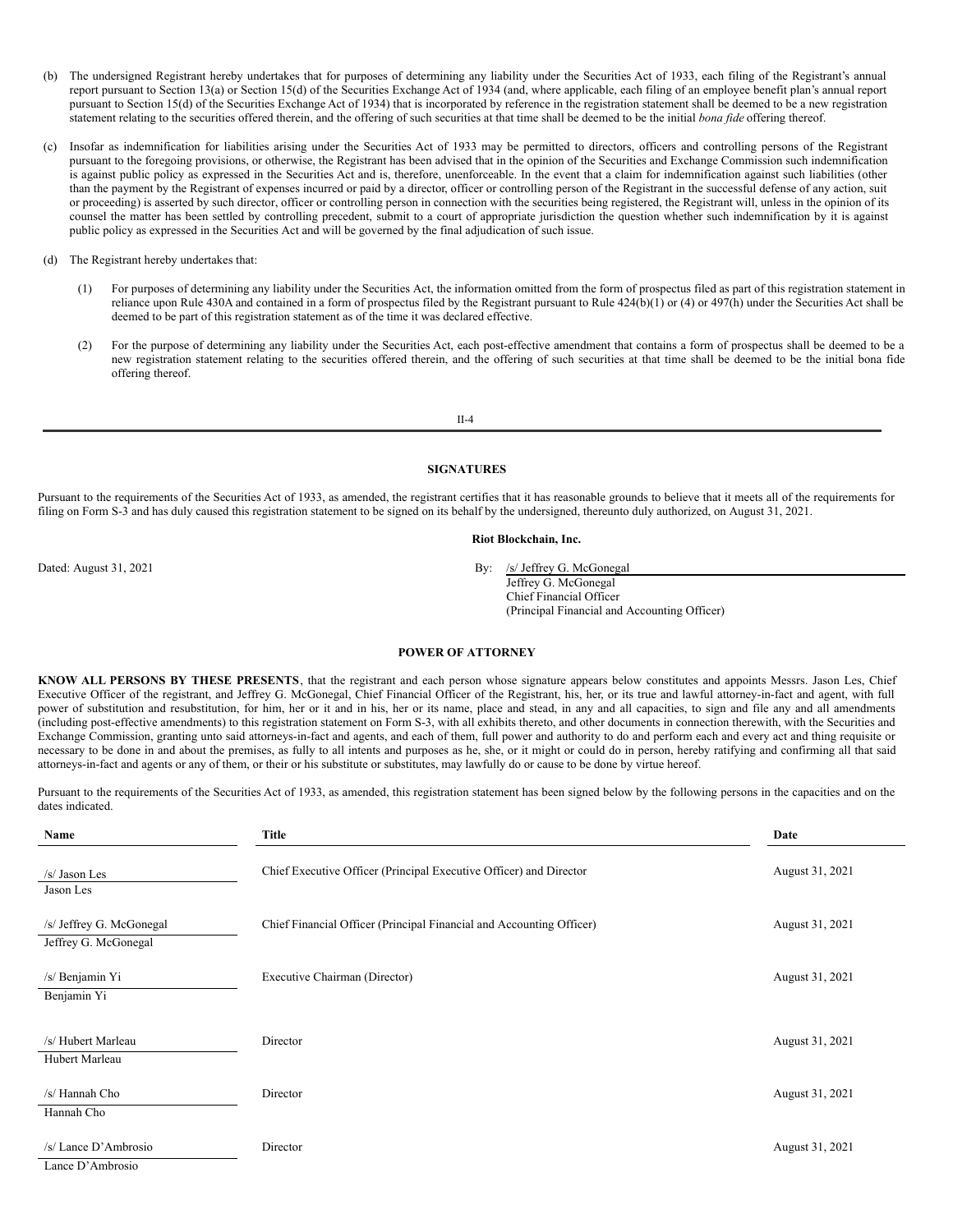- (b) The undersigned Registrant hereby undertakes that for purposes of determining any liability under the Securities Act of 1933, each filing of the Registrant's annual report pursuant to Section 13(a) or Section 15(d) of the Securities Exchange Act of 1934 (and, where applicable, each filing of an employee benefit plan's annual report pursuant to Section 15(d) of the Securities Exchange Act of 1934) that is incorporated by reference in the registration statement shall be deemed to be a new registration statement relating to the securities offered therein, and the offering of such securities at that time shall be deemed to be the initial *bona fide* offering thereof.
- (c) Insofar as indemnification for liabilities arising under the Securities Act of 1933 may be permitted to directors, officers and controlling persons of the Registrant pursuant to the foregoing provisions, or otherwise, the Registrant has been advised that in the opinion of the Securities and Exchange Commission such indemnification is against public policy as expressed in the Securities Act and is, therefore, unenforceable. In the event that a claim for indemnification against such liabilities (other than the payment by the Registrant of expenses incurred or paid by a director, officer or controlling person of the Registrant in the successful defense of any action, suit or proceeding) is asserted by such director, officer or controlling person in connection with the securities being registered, the Registrant will, unless in the opinion of its counsel the matter has been settled by controlling precedent, submit to a court of appropriate jurisdiction the question whether such indemnification by it is against public policy as expressed in the Securities Act and will be governed by the final adjudication of such issue.
- (d) The Registrant hereby undertakes that:
	- (1) For purposes of determining any liability under the Securities Act, the information omitted from the form of prospectus filed as part of this registration statement in reliance upon Rule 430A and contained in a form of prospectus filed by the Registrant pursuant to Rule 424(b)(1) or (4) or 497(h) under the Securities Act shall be deemed to be part of this registration statement as of the time it was declared effective.
	- (2) For the purpose of determining any liability under the Securities Act, each post-effective amendment that contains a form of prospectus shall be deemed to be a new registration statement relating to the securities offered therein, and the offering of such securities at that time shall be deemed to be the initial bona fide offering thereof.

II-4

#### **SIGNATURES**

Pursuant to the requirements of the Securities Act of 1933, as amended, the registrant certifies that it has reasonable grounds to believe that it meets all of the requirements for filing on Form S-3 and has duly caused this registration statement to be signed on its behalf by the undersigned, thereunto duly authorized, on August 31, 2021.

#### **Riot Blockchain, Inc.**

Dated: August 31, 2021 By: /s/ Jeffrey G. McGonegal

Jeffrey G. McGonegal Chief Financial Officer

(Principal Financial and Accounting Officer)

#### **POWER OF ATTORNEY**

**KNOW ALL PERSONS BY THESE PRESENTS**, that the registrant and each person whose signature appears below constitutes and appoints Messrs. Jason Les, Chief Executive Officer of the registrant, and Jeffrey G. McGonegal, Chief Financial Officer of the Registrant, his, her, or its true and lawful attorney-in-fact and agent, with full power of substitution and resubstitution, for him, her or it and in his, her or its name, place and stead, in any and all capacities, to sign and file any and all amendments (including post-effective amendments) to this registration statement on Form S-3, with all exhibits thereto, and other documents in connection therewith, with the Securities and Exchange Commission, granting unto said attorneys-in-fact and agents, and each of them, full power and authority to do and perform each and every act and thing requisite or necessary to be done in and about the premises, as fully to all intents and purposes as he, she, or it might or could do in person, hereby ratifying and confirming all that said attorneys-in-fact and agents or any of them, or their or his substitute or substitutes, may lawfully do or cause to be done by virtue hereof.

Pursuant to the requirements of the Securities Act of 1933, as amended, this registration statement has been signed below by the following persons in the capacities and on the dates indicated.

| Name                                             | <b>Title</b>                                                         | Date            |
|--------------------------------------------------|----------------------------------------------------------------------|-----------------|
| $/s/$ Jason Les<br>Jason Les                     | Chief Executive Officer (Principal Executive Officer) and Director   | August 31, 2021 |
| /s/ Jeffrey G. McGonegal<br>Jeffrey G. McGonegal | Chief Financial Officer (Principal Financial and Accounting Officer) | August 31, 2021 |
| /s/ Benjamin Yi<br>Benjamin Yi                   | Executive Chairman (Director)                                        | August 31, 2021 |
| /s/ Hubert Marleau<br>Hubert Marleau             | Director                                                             | August 31, 2021 |
| /s/ Hannah Cho<br>Hannah Cho                     | Director                                                             | August 31, 2021 |
| /s/ Lance D'Ambrosio<br>Lance D'Ambrosio         | Director                                                             | August 31, 2021 |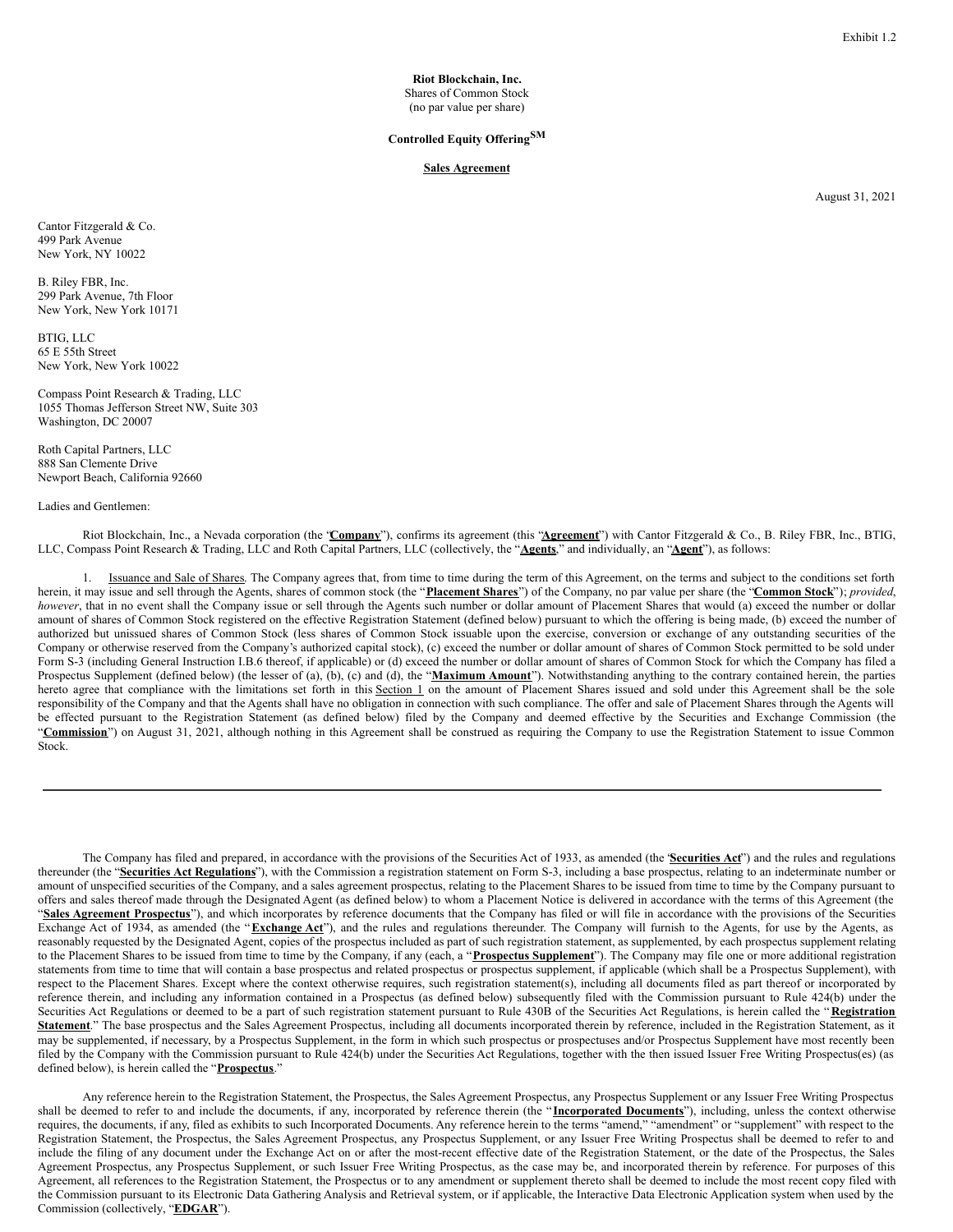**Riot Blockchain, Inc.** Shares of Common Stock (no par value per share)

#### **Controlled Equity Offering SM**

#### **Sales Agreement**

August 31, 2021

Cantor Fitzgerald & Co. 499 Park Avenue New York, NY 10022

B. Riley FBR, Inc. 299 Park Avenue, 7th Floor New York, New York 10171

BTIG, LLC 65 E 55th Street New York, New York 10022

Compass Point Research & Trading, LLC 1055 Thomas Jefferson Street NW, Suite 303 Washington, DC 20007

Roth Capital Partners, LLC 888 San Clemente Drive Newport Beach, California 92660

Ladies and Gentlemen:

Riot Blockchain, Inc., a Nevada corporation (the "**Company**"), confirms its agreement (this "**Agreement**") with Cantor Fitzgerald & Co., B. Riley FBR, Inc., BTIG, LLC, Compass Point Research & Trading, LLC and Roth Capital Partners, LLC (collectively, the "**Agents**," and individually, an "**Agent**"), as follows:

1. Issuance and Sale of Shares. The Company agrees that, from time to time during the term of this Agreement, on the terms and subject to the conditions set forth herein, it may issue and sell through the Agents, shares of common stock (the "**Placement Shares**") of the Company, no par value per share (the "**Common Stock**"); *provided*, *however*, that in no event shall the Company issue or sell through the Agents such number or dollar amount of Placement Shares that would (a) exceed the number or dollar amount of shares of Common Stock registered on the effective Registration Statement (defined below) pursuant to which the offering is being made, (b) exceed the number of authorized but unissued shares of Common Stock (less shares of Common Stock issuable upon the exercise, conversion or exchange of any outstanding securities of the Company or otherwise reserved from the Company's authorized capital stock), (c) exceed the number or dollar amount of shares of Common Stock permitted to be sold under Form S-3 (including General Instruction I.B.6 thereof, if applicable) or (d) exceed the number or dollar amount of shares of Common Stock for which the Company has filed a Prospectus Supplement (defined below) (the lesser of (a), (b), (c) and (d), the "**Maximum Amount**"). Notwithstanding anything to the contrary contained herein, the parties hereto agree that compliance with the limitations set forth in this Section 1 on the amount of Placement Shares issued and sold under this Agreement shall be the sole responsibility of the Company and that the Agents shall have no obligation in connection with such compliance. The offer and sale of Placement Shares through the Agents will be effected pursuant to the Registration Statement (as defined below) filed by the Company and deemed effective by the Securities and Exchange Commission (the "Commission") on August 31, 2021, although nothing in this Agreement shall be construed as requiring the Company to use the Registration Statement to issue Common Stock.

The Company has filed and prepared, in accordance with the provisions of the Securities Act of 1933, as amended (the "**Securities Act**") and the rules and regulations thereunder (the "**Securities Act Regulations**"), with the Commission a registration statement on Form S-3, including a base prospectus, relating to an indeterminate number or amount of unspecified securities of the Company, and a sales agreement prospectus, relating to the Placement Shares to be issued from time to time by the Company pursuant to offers and sales thereof made through the Designated Agent (as defined below) to whom a Placement Notice is delivered in accordance with the terms of this Agreement (the "**Sales Agreement Prospectus**"), and which incorporates by reference documents that the Company has filed or will file in accordance with the provisions of the Securities Exchange Act of 1934, as amended (the "**Exchange Act**"), and the rules and regulations thereunder. The Company will furnish to the Agents, for use by the Agents, as reasonably requested by the Designated Agent, copies of the prospectus included as part of such registration statement, as supplemented, by each prospectus supplement relating to the Placement Shares to be issued from time to time by the Company, if any (each, a "**Prospectus Supplement**"). The Company may file one or more additional registration statements from time to time that will contain a base prospectus and related prospectus or prospectus supplement, if applicable (which shall be a Prospectus Supplement), with respect to the Placement Shares. Except where the context otherwise requires, such registration statement(s), including all documents filed as part thereof or incorporated by reference therein, and including any information contained in a Prospectus (as defined below) subsequently filed with the Commission pursuant to Rule 424(b) under the Securities Act Regulations or deemed to be a part of such registration statement pursuant to Rule 430B of the Securities Act Regulations, is herein called the "Registration **Statement**." The base prospectus and the Sales Agreement Prospectus, including all documents incorporated therein by reference, included in the Registration Statement, as it may be supplemented, if necessary, by a Prospectus Supplement, in the form in which such prospectus or prospectuses and/or Prospectus Supplement have most recently been filed by the Company with the Commission pursuant to Rule 424(b) under the Securities Act Regulations, together with the then issued Issuer Free Writing Prospectus(es) (as defined below), is herein called the "**Prospectus**."

Any reference herein to the Registration Statement, the Prospectus, the Sales Agreement Prospectus, any Prospectus Supplement or any Issuer Free Writing Prospectus shall be deemed to refer to and include the documents, if any, incorporated by reference therein (the " **Incorporated Documents**"), including, unless the context otherwise requires, the documents, if any, filed as exhibits to such Incorporated Documents. Any reference herein to the terms "amend," "amendment" or "supplement" with respect to the Registration Statement, the Prospectus, the Sales Agreement Prospectus, any Prospectus Supplement, or any Issuer Free Writing Prospectus shall be deemed to refer to and include the filing of any document under the Exchange Act on or after the most-recent effective date of the Registration Statement, or the date of the Prospectus, the Sales Agreement Prospectus, any Prospectus Supplement, or such Issuer Free Writing Prospectus, as the case may be, and incorporated therein by reference. For purposes of this Agreement, all references to the Registration Statement, the Prospectus or to any amendment or supplement thereto shall be deemed to include the most recent copy filed with the Commission pursuant to its Electronic Data Gathering Analysis and Retrieval system, or if applicable, the Interactive Data Electronic Application system when used by the Commission (collectively, "**EDGAR**").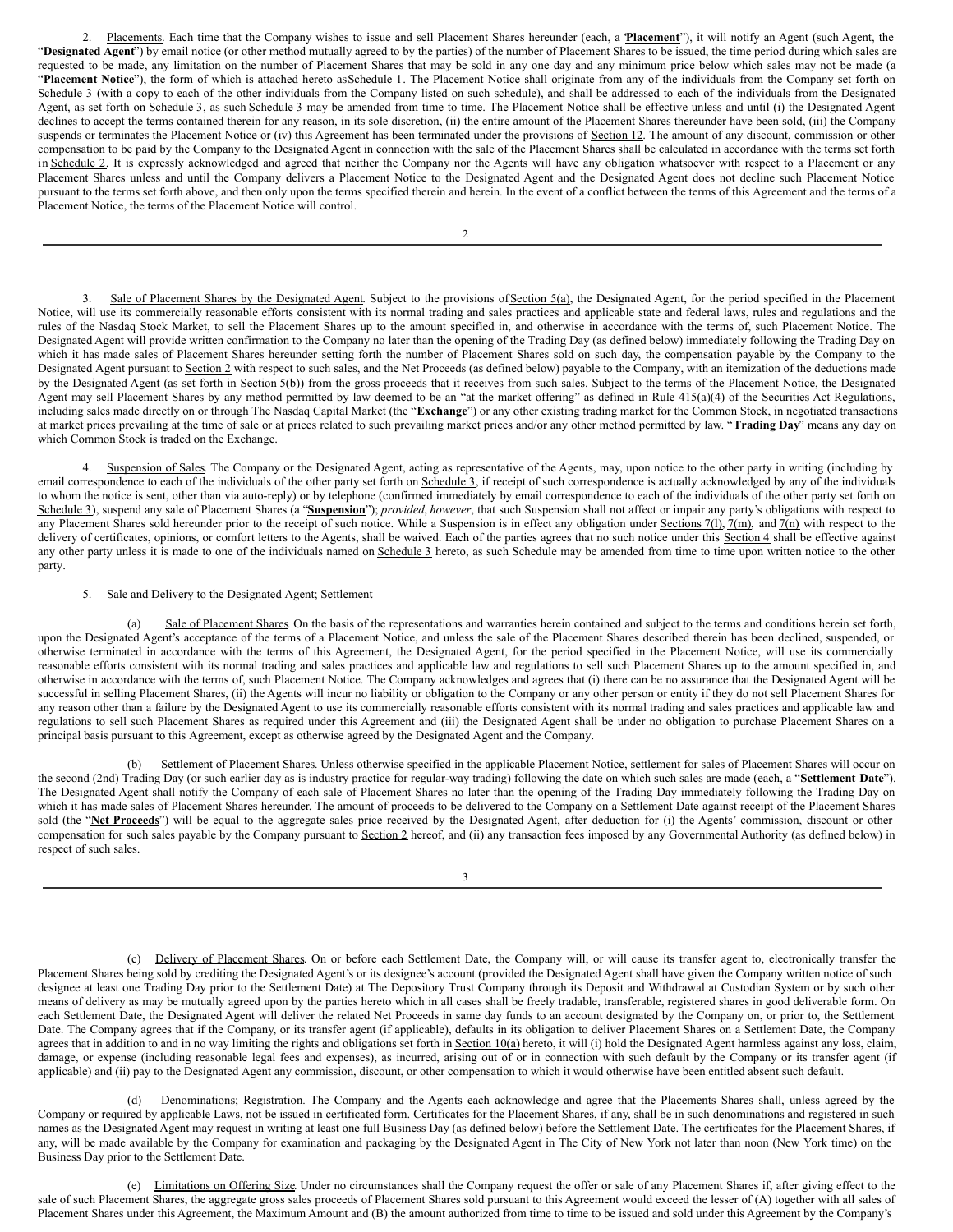2. Placements. Each time that the Company wishes to issue and sell Placement Shares hereunder (each, a **Placement**"), it will notify an Agent (such Agent, the "Designated Agent") by email notice (or other method mutually agreed to by the parties) of the number of Placement Shares to be issued, the time period during which sales are requested to be made, any limitation on the number of Placement Shares that may be sold in any one day and any minimum price below which sales may not be made (a "Placement Notice"), the form of which is attached hereto as Schedule 1. The Placement Notice shall originate from any of the individuals from the Company set forth on Schedule 3 (with a copy to each of the other individuals from the Company listed on such schedule), and shall be addressed to each of the individuals from the Designated Agent, as set forth on Schedule 3, as such Schedule 3 may be amended from time to time. The Placement Notice shall be effective unless and until (i) the Designated Agent declines to accept the terms contained therein for any reason, in its sole discretion, (ii) the entire amount of the Placement Shares thereunder have been sold, (iii) the Company suspends or terminates the Placement Notice or (iv) this Agreement has been terminated under the provisions of Section 12. The amount of any discount, commission or other compensation to be paid by the Company to the Designated Agent in connection with the sale of the Placement Shares shall be calculated in accordance with the terms set forth in Schedule 2. It is expressly acknowledged and agreed that neither the Company nor the Agents will have any obligation whatsoever with respect to a Placement or any Placement Shares unless and until the Company delivers a Placement Notice to the Designated Agent and the Designated Agent does not decline such Placement Notice pursuant to the terms set forth above, and then only upon the terms specified therein and herein. In the event of a conflict between the terms of this Agreement and the terms of a Placement Notice, the terms of the Placement Notice will control.

Sale of Placement Shares by the Designated Agent. Subject to the provisions of Section 5(a), the Designated Agent, for the period specified in the Placement Notice, will use its commercially reasonable efforts consistent with its normal trading and sales practices and applicable state and federal laws, rules and regulations and the rules of the Nasdaq Stock Market, to sell the Placement Shares up to the amount specified in, and otherwise in accordance with the terms of, such Placement Notice. The Designated Agent will provide written confirmation to the Company no later than the opening of the Trading Day (as defined below) immediately following the Trading Day on which it has made sales of Placement Shares hereunder setting forth the number of Placement Shares sold on such day, the compensation payable by the Company to the Designated Agent pursuant to Section 2 with respect to such sales, and the Net Proceeds (as defined below) payable to the Company, with an itemization of the deductions made by the Designated Agent (as set forth in Section 5(b)) from the gross proceeds that it receives from such sales. Subject to the terms of the Placement Notice, the Designated Agent may sell Placement Shares by any method permitted by law deemed to be an "at the market offering" as defined in Rule 415(a)(4) of the Securities Act Regulations, including sales made directly on or through The Nasdaq Capital Market (the "**Exchange**") or any other existing trading market for the Common Stock, in negotiated transactions at market prices prevailing at the time of sale or at prices related to such prevailing market prices and/or any other method permitted by law. "**Trading Day**" means any day on which Common Stock is traded on the Exchange.

4. Suspension of Sales. The Company or the Designated Agent, acting as representative of the Agents, may, upon notice to the other party in writing (including by email correspondence to each of the individuals of the other party set forth on Schedule 3, if receipt of such correspondence is actually acknowledged by any of the individuals to whom the notice is sent, other than via auto-reply) or by telephone (confirmed immediately by email correspondence to each of the individuals of the other party set forth on Schedule 3), suspend any sale of Placement Shares (a "**Suspension**"); *provided*, *however*, that such Suspension shall not affect or impair any party's obligations with respect to any Placement Shares sold hereunder prior to the receipt of such notice. While a Suspension is in effect any obligation under Sections 7(1), 7(m), and  $\frac{7(n)}{n}$  with respect to the delivery of certificates, opinions, or comfort letters to the Agents, shall be waived. Each of the parties agrees that no such notice under this Section 4 shall be effective against any other party unless it is made to one of the individuals named on Schedule 3 hereto, as such Schedule may be amended from time to time upon written notice to the other party.

#### 5. Sale and Delivery to the Designated Agent; Settlement

Sale of Placement Shares<sup>*.*</sup> On the basis of the representations and warranties herein contained and subject to the terms and conditions herein set forth, upon the Designated Agent's acceptance of the terms of a Placement Notice, and unless the sale of the Placement Shares described therein has been declined, suspended, or otherwise terminated in accordance with the terms of this Agreement, the Designated Agent, for the period specified in the Placement Notice, will use its commercially reasonable efforts consistent with its normal trading and sales practices and applicable law and regulations to sell such Placement Shares up to the amount specified in, and otherwise in accordance with the terms of, such Placement Notice. The Company acknowledges and agrees that (i) there can be no assurance that the Designated Agent will be successful in selling Placement Shares, (ii) the Agents will incur no liability or obligation to the Company or any other person or entity if they do not sell Placement Shares for any reason other than a failure by the Designated Agent to use its commercially reasonable efforts consistent with its normal trading and sales practices and applicable law and regulations to sell such Placement Shares as required under this Agreement and (iii) the Designated Agent shall be under no obligation to purchase Placement Shares on a principal basis pursuant to this Agreement, except as otherwise agreed by the Designated Agent and the Company.

(b) Settlement of Placement Shares*.* Unless otherwise specified in the applicable Placement Notice, settlement for sales of Placement Shares will occur on the second (2nd) Trading Day (or such earlier day as is industry practice for regular-way trading) following the date on which such sales are made (each, a "**Settlement Date**"). The Designated Agent shall notify the Company of each sale of Placement Shares no later than the opening of the Trading Day immediately following the Trading Day on which it has made sales of Placement Shares hereunder. The amount of proceeds to be delivered to the Company on a Settlement Date against receipt of the Placement Shares sold (the "Net Proceeds") will be equal to the aggregate sales price received by the Designated Agent, after deduction for (i) the Agents' commission, discount or other compensation for such sales payable by the Company pursuant to Section 2 hereof, and (ii) any transaction fees imposed by any Governmental Authority (as defined below) in respect of such sales.

(c) Delivery of Placement Shares. On or before each Settlement Date, the Company will, or will cause its transfer agent to, electronically transfer the Placement Shares being sold by crediting the Designated Agent's or its designee's account (provided the Designated Agent shall have given the Company written notice of such designee at least one Trading Day prior to the Settlement Date) at The Depository Trust Company through its Deposit and Withdrawal at Custodian System or by such other means of delivery as may be mutually agreed upon by the parties hereto which in all cases shall be freely tradable, transferable, registered shares in good deliverable form. On each Settlement Date, the Designated Agent will deliver the related Net Proceeds in same day funds to an account designated by the Company on, or prior to, the Settlement Date. The Company agrees that if the Company, or its transfer agent (if applicable), defaults in its obligation to deliver Placement Shares on a Settlement Date, the Company agrees that in addition to and in no way limiting the rights and obligations set forth in Section 10(a) hereto, it will (i) hold the Designated Agent harmless against any loss, claim, damage, or expense (including reasonable legal fees and expenses), as incurred, arising out of or in connection with such default by the Company or its transfer agent (if applicable) and (ii) pay to the Designated Agent any commission, discount, or other compensation to which it would otherwise have been entitled absent such default.

Denominations; Registration. The Company and the Agents each acknowledge and agree that the Placements Shares shall, unless agreed by the Company or required by applicable Laws, not be issued in certificated form. Certificates for the Placement Shares, if any, shall be in such denominations and registered in such names as the Designated Agent may request in writing at least one full Business Day (as defined below) before the Settlement Date. The certificates for the Placement Shares, if any, will be made available by the Company for examination and packaging by the Designated Agent in The City of New York not later than noon (New York time) on the Business Day prior to the Settlement Date.

(e) Limitations on Offering Size*.* Under no circumstances shall the Company request the offer or sale of any Placement Shares if, after giving effect to the sale of such Placement Shares, the aggregate gross sales proceeds of Placement Shares sold pursuant to this Agreement would exceed the lesser of (A) together with all sales of Placement Shares under this Agreement, the Maximum Amount and (B) the amount authorized from time to time to be issued and sold under this Agreement by the Company's

<sup>3</sup>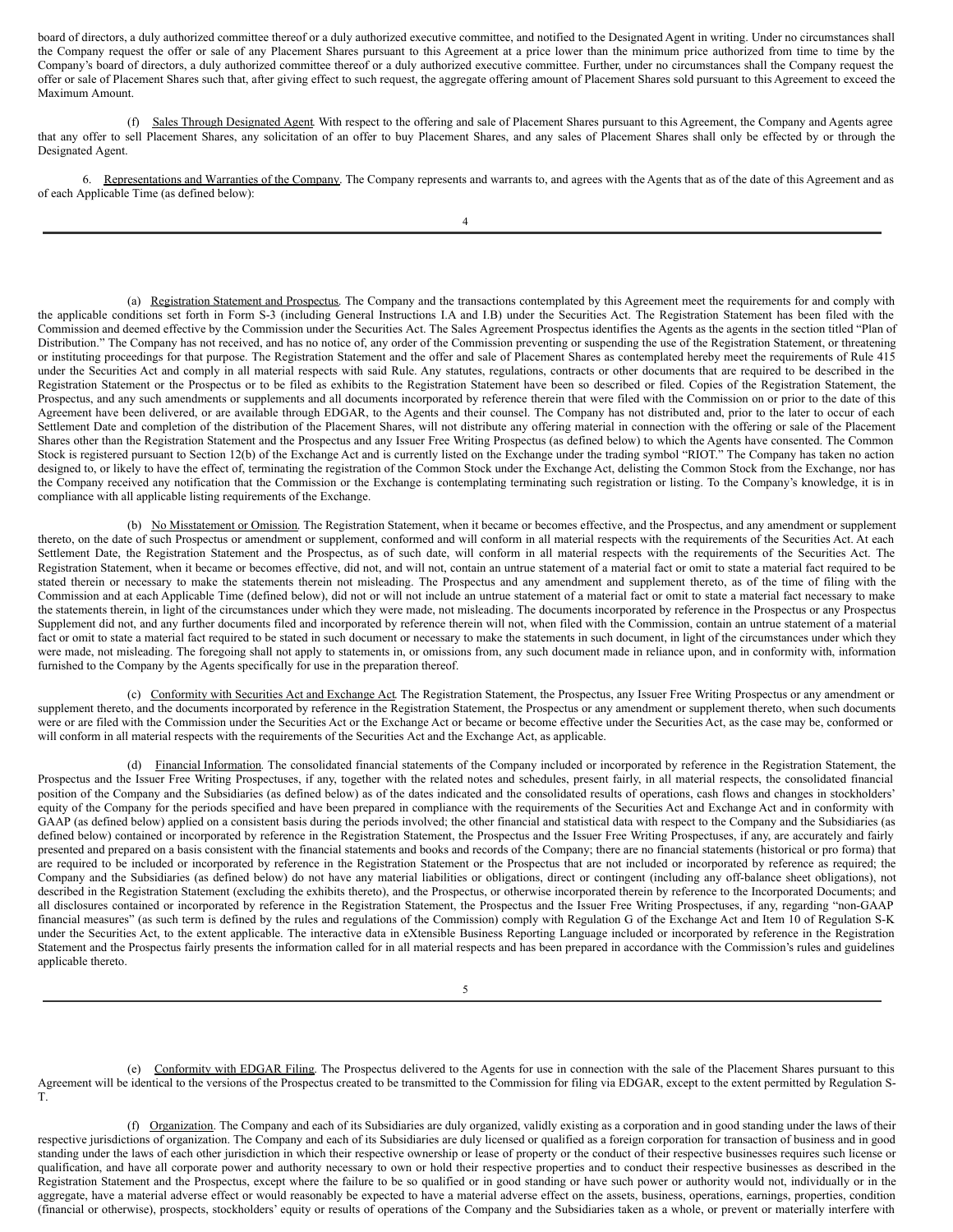board of directors, a duly authorized committee thereof or a duly authorized executive committee, and notified to the Designated Agent in writing. Under no circumstances shall the Company request the offer or sale of any Placement Shares pursuant to this Agreement at a price lower than the minimum price authorized from time to time by the Company's board of directors, a duly authorized committee thereof or a duly authorized executive committee. Further, under no circumstances shall the Company request the offer or sale of Placement Shares such that, after giving effect to such request, the aggregate offering amount of Placement Shares sold pursuant to this Agreement to exceed the Maximum Amount.

(f) Sales Through Designated Agent. With respect to the offering and sale of Placement Shares pursuant to this Agreement, the Company and Agents agree that any offer to sell Placement Shares, any solicitation of an offer to buy Placement Shares, and any sales of Placement Shares shall only be effected by or through the Designated Agent.

6. Representations and Warranties of the Company. The Company represents and warrants to, and agrees with the Agents that as of the date of this Agreement and as of each Applicable Time (as defined below):

(a) Registration Statement and Prospectus. The Company and the transactions contemplated by this Agreement meet the requirements for and comply with the applicable conditions set forth in Form S-3 (including General Instructions I.A and I.B) under the Securities Act. The Registration Statement has been filed with the Commission and deemed effective by the Commission under the Securities Act. The Sales Agreement Prospectus identifies the Agents as the agents in the section titled "Plan of Distribution." The Company has not received, and has no notice of, any order of the Commission preventing or suspending the use of the Registration Statement, or threatening or instituting proceedings for that purpose. The Registration Statement and the offer and sale of Placement Shares as contemplated hereby meet the requirements of Rule 415 under the Securities Act and comply in all material respects with said Rule. Any statutes, regulations, contracts or other documents that are required to be described in the Registration Statement or the Prospectus or to be filed as exhibits to the Registration Statement have been so described or filed. Copies of the Registration Statement, the Prospectus, and any such amendments or supplements and all documents incorporated by reference therein that were filed with the Commission on or prior to the date of this Agreement have been delivered, or are available through EDGAR, to the Agents and their counsel. The Company has not distributed and, prior to the later to occur of each Settlement Date and completion of the distribution of the Placement Shares, will not distribute any offering material in connection with the offering or sale of the Placement Shares other than the Registration Statement and the Prospectus and any Issuer Free Writing Prospectus (as defined below) to which the Agents have consented. The Common Stock is registered pursuant to Section 12(b) of the Exchange Act and is currently listed on the Exchange under the trading symbol "RIOT." The Company has taken no action designed to, or likely to have the effect of, terminating the registration of the Common Stock under the Exchange Act, delisting the Common Stock from the Exchange, nor has the Company received any notification that the Commission or the Exchange is contemplating terminating such registration or listing. To the Company's knowledge, it is in compliance with all applicable listing requirements of the Exchange.

(b) No Misstatement or Omission. The Registration Statement, when it became or becomes effective, and the Prospectus, and any amendment or supplement thereto, on the date of such Prospectus or amendment or supplement, conformed and will conform in all material respects with the requirements of the Securities Act. At each Settlement Date, the Registration Statement and the Prospectus, as of such date, will conform in all material respects with the requirements of the Securities Act. The Registration Statement, when it became or becomes effective, did not, and will not, contain an untrue statement of a material fact or omit to state a material fact required to be stated therein or necessary to make the statements therein not misleading. The Prospectus and any amendment and supplement thereto, as of the time of filing with the Commission and at each Applicable Time (defined below), did not or will not include an untrue statement of a material fact or omit to state a material fact necessary to make the statements therein, in light of the circumstances under which they were made, not misleading. The documents incorporated by reference in the Prospectus or any Prospectus Supplement did not, and any further documents filed and incorporated by reference therein will not, when filed with the Commission, contain an untrue statement of a material fact or omit to state a material fact required to be stated in such document or necessary to make the statements in such document, in light of the circumstances under which they were made, not misleading. The foregoing shall not apply to statements in, or omissions from, any such document made in reliance upon, and in conformity with, information furnished to the Company by the Agents specifically for use in the preparation thereof.

(c) Conformity with Securities Act and Exchange Act. The Registration Statement, the Prospectus, any Issuer Free Writing Prospectus or any amendment or supplement thereto, and the documents incorporated by reference in the Registration Statement, the Prospectus or any amendment or supplement thereto, when such documents were or are filed with the Commission under the Securities Act or the Exchange Act or became or become effective under the Securities Act, as the case may be, conformed or will conform in all material respects with the requirements of the Securities Act and the Exchange Act, as applicable.

(d) Financial Information. The consolidated financial statements of the Company included or incorporated by reference in the Registration Statement, the Prospectus and the Issuer Free Writing Prospectuses, if any, together with the related notes and schedules, present fairly, in all material respects, the consolidated financial position of the Company and the Subsidiaries (as defined below) as of the dates indicated and the consolidated results of operations, cash flows and changes in stockholders' equity of the Company for the periods specified and have been prepared in compliance with the requirements of the Securities Act and Exchange Act and in conformity with GAAP (as defined below) applied on a consistent basis during the periods involved; the other financial and statistical data with respect to the Company and the Subsidiaries (as defined below) contained or incorporated by reference in the Registration Statement, the Prospectus and the Issuer Free Writing Prospectuses, if any, are accurately and fairly presented and prepared on a basis consistent with the financial statements and books and records of the Company; there are no financial statements (historical or pro forma) that are required to be included or incorporated by reference in the Registration Statement or the Prospectus that are not included or incorporated by reference as required; the Company and the Subsidiaries (as defined below) do not have any material liabilities or obligations, direct or contingent (including any off-balance sheet obligations), not described in the Registration Statement (excluding the exhibits thereto), and the Prospectus, or otherwise incorporated therein by reference to the Incorporated Documents; and all disclosures contained or incorporated by reference in the Registration Statement, the Prospectus and the Issuer Free Writing Prospectuses, if any, regarding "non-GAAP financial measures" (as such term is defined by the rules and regulations of the Commission) comply with Regulation G of the Exchange Act and Item 10 of Regulation S-K under the Securities Act, to the extent applicable. The interactive data in eXtensible Business Reporting Language included or incorporated by reference in the Registration Statement and the Prospectus fairly presents the information called for in all material respects and has been prepared in accordance with the Commission's rules and guidelines applicable thereto.

(e) Conformity with EDGAR Filing. The Prospectus delivered to the Agents for use in connection with the sale of the Placement Shares pursuant to this Agreement will be identical to the versions of the Prospectus created to be transmitted to the Commission for filing via EDGAR, except to the extent permitted by Regulation S-T.

(f) Organization. The Company and each of its Subsidiaries are duly organized, validly existing as a corporation and in good standing under the laws of their respective jurisdictions of organization. The Company and each of its Subsidiaries are duly licensed or qualified as a foreign corporation for transaction of business and in good standing under the laws of each other jurisdiction in which their respective ownership or lease of property or the conduct of their respective businesses requires such license or qualification, and have all corporate power and authority necessary to own or hold their respective properties and to conduct their respective businesses as described in the Registration Statement and the Prospectus, except where the failure to be so qualified or in good standing or have such power or authority would not, individually or in the aggregate, have a material adverse effect or would reasonably be expected to have a material adverse effect on the assets, business, operations, earnings, properties, condition (financial or otherwise), prospects, stockholders' equity or results of operations of the Company and the Subsidiaries taken as a whole, or prevent or materially interfere with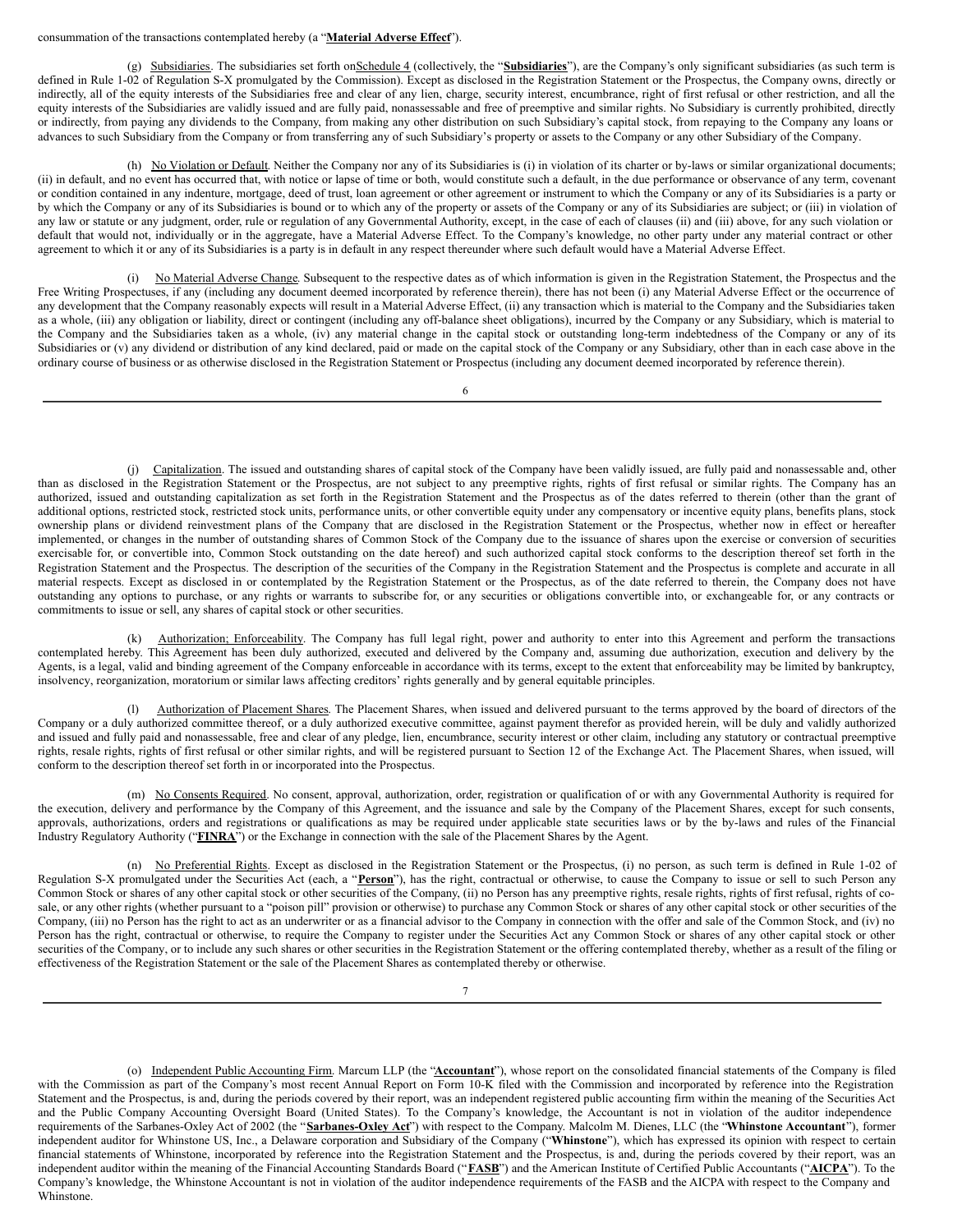#### consummation of the transactions contemplated hereby (a "**Material Adverse Effect**").

(g) Subsidiaries. The subsidiaries set forth onSchedule 4 (collectively, the "**Subsidiaries**"), are the Company's only significant subsidiaries (as such term is defined in Rule 1-02 of Regulation S-X promulgated by the Commission). Except as disclosed in the Registration Statement or the Prospectus, the Company owns, directly or indirectly, all of the equity interests of the Subsidiaries free and clear of any lien, charge, security interest, encumbrance, right of first refusal or other restriction, and all the equity interests of the Subsidiaries are validly issued and are fully paid, nonassessable and free of preemptive and similar rights. No Subsidiary is currently prohibited, directly or indirectly, from paying any dividends to the Company, from making any other distribution on such Subsidiary's capital stock, from repaying to the Company any loans or advances to such Subsidiary from the Company or from transferring any of such Subsidiary's property or assets to the Company or any other Subsidiary of the Company.

(h) No Violation or Default. Neither the Company nor any of its Subsidiaries is (i) in violation of its charter or by-laws or similar organizational documents; (ii) in default, and no event has occurred that, with notice or lapse of time or both, would constitute such a default, in the due performance or observance of any term, covenant or condition contained in any indenture, mortgage, deed of trust, loan agreement or other agreement or instrument to which the Company or any of its Subsidiaries is a party or by which the Company or any of its Subsidiaries is bound or to which any of the property or assets of the Company or any of its Subsidiaries are subject; or (iii) in violation of any law or statute or any judgment, order, rule or regulation of any Governmental Authority, except, in the case of each of clauses (ii) and (iii) above, for any such violation or default that would not, individually or in the aggregate, have a Material Adverse Effect. To the Company's knowledge, no other party under any material contract or other agreement to which it or any of its Subsidiaries is a party is in default in any respect thereunder where such default would have a Material Adverse Effect.

(i) No Material Adverse Change. Subsequent to the respective dates as of which information is given in the Registration Statement, the Prospectus and the Free Writing Prospectuses, if any (including any document deemed incorporated by reference therein), there has not been (i) any Material Adverse Effect or the occurrence of any development that the Company reasonably expects will result in a Material Adverse Effect, (ii) any transaction which is material to the Company and the Subsidiaries taken as a whole, (iii) any obligation or liability, direct or contingent (including any off-balance sheet obligations), incurred by the Company or any Subsidiary, which is material to the Company and the Subsidiaries taken as a whole, (iv) any material change in the capital stock or outstanding long-term indebtedness of the Company or any of its Subsidiaries or (v) any dividend or distribution of any kind declared, paid or made on the capital stock of the Company or any Subsidiary, other than in each case above in the ordinary course of business or as otherwise disclosed in the Registration Statement or Prospectus (including any document deemed incorporated by reference therein).

| ۰,<br>ł<br>I<br>٩ |  |
|-------------------|--|
|                   |  |

(j) Capitalization. The issued and outstanding shares of capital stock of the Company have been validly issued, are fully paid and nonassessable and, other than as disclosed in the Registration Statement or the Prospectus, are not subject to any preemptive rights, rights of first refusal or similar rights. The Company has an authorized, issued and outstanding capitalization as set forth in the Registration Statement and the Prospectus as of the dates referred to therein (other than the grant of additional options, restricted stock, restricted stock units, performance units, or other convertible equity under any compensatory or incentive equity plans, benefits plans, stock ownership plans or dividend reinvestment plans of the Company that are disclosed in the Registration Statement or the Prospectus, whether now in effect or hereafter implemented, or changes in the number of outstanding shares of Common Stock of the Company due to the issuance of shares upon the exercise or conversion of securities exercisable for, or convertible into, Common Stock outstanding on the date hereof) and such authorized capital stock conforms to the description thereof set forth in the Registration Statement and the Prospectus. The description of the securities of the Company in the Registration Statement and the Prospectus is complete and accurate in all material respects. Except as disclosed in or contemplated by the Registration Statement or the Prospectus, as of the date referred to therein, the Company does not have outstanding any options to purchase, or any rights or warrants to subscribe for, or any securities or obligations convertible into, or exchangeable for, or any contracts or commitments to issue or sell, any shares of capital stock or other securities.

(k) Authorization; Enforceability. The Company has full legal right, power and authority to enter into this Agreement and perform the transactions contemplated hereby. This Agreement has been duly authorized, executed and delivered by the Company and, assuming due authorization, execution and delivery by the Agents, is a legal, valid and binding agreement of the Company enforceable in accordance with its terms, except to the extent that enforceability may be limited by bankruptcy, insolvency, reorganization, moratorium or similar laws affecting creditors' rights generally and by general equitable principles.

(l) Authorization of Placement Shares. The Placement Shares, when issued and delivered pursuant to the terms approved by the board of directors of the Company or a duly authorized committee thereof, or a duly authorized executive committee, against payment therefor as provided herein, will be duly and validly authorized and issued and fully paid and nonassessable, free and clear of any pledge, lien, encumbrance, security interest or other claim, including any statutory or contractual preemptive rights, resale rights, rights of first refusal or other similar rights, and will be registered pursuant to Section 12 of the Exchange Act. The Placement Shares, when issued, will conform to the description thereof set forth in or incorporated into the Prospectus.

(m) No Consents Required. No consent, approval, authorization, order, registration or qualification of or with any Governmental Authority is required for the execution, delivery and performance by the Company of this Agreement, and the issuance and sale by the Company of the Placement Shares, except for such consents, approvals, authorizations, orders and registrations or qualifications as may be required under applicable state securities laws or by the by-laws and rules of the Financial Industry Regulatory Authority ("**FINRA**") or the Exchange in connection with the sale of the Placement Shares by the Agent.

(n) No Preferential Rights. Except as disclosed in the Registration Statement or the Prospectus, (i) no person, as such term is defined in Rule 1-02 of Regulation S-X promulgated under the Securities Act (each, a "Person"), has the right, contractual or otherwise, to cause the Company to issue or sell to such Person any Common Stock or shares of any other capital stock or other securities of the Company, (ii) no Person has any preemptive rights, resale rights, rights of first refusal, rights of cosale, or any other rights (whether pursuant to a "poison pill" provision or otherwise) to purchase any Common Stock or shares of any other capital stock or other securities of the Company, (iii) no Person has the right to act as an underwriter or as a financial advisor to the Company in connection with the offer and sale of the Common Stock, and (iv) no Person has the right, contractual or otherwise, to require the Company to register under the Securities Act any Common Stock or shares of any other capital stock or other securities of the Company, or to include any such shares or other securities in the Registration Statement or the offering contemplated thereby, whether as a result of the filing or effectiveness of the Registration Statement or the sale of the Placement Shares as contemplated thereby or otherwise.

(o) Independent Public Accounting Firm. Marcum LLP (the "**Accountant**"), whose report on the consolidated financial statements of the Company is filed with the Commission as part of the Company's most recent Annual Report on Form 10-K filed with the Commission and incorporated by reference into the Registration Statement and the Prospectus, is and, during the periods covered by their report, was an independent registered public accounting firm within the meaning of the Securities Act and the Public Company Accounting Oversight Board (United States). To the Company's knowledge, the Accountant is not in violation of the auditor independence requirements of the Sarbanes-Oxley Act of 2002 (the "**Sarbanes-Oxley Act**") with respect to the Company. Malcolm M. Dienes, LLC (the "**Whinstone Accountant**"), former independent auditor for Whinstone US, Inc., a Delaware corporation and Subsidiary of the Company ("**Whinstone**"), which has expressed its opinion with respect to certain financial statements of Whinstone, incorporated by reference into the Registration Statement and the Prospectus, is and, during the periods covered by their report, was an independent auditor within the meaning of the Financial Accounting Standards Board ("**FASB**") and the American Institute of Certified Public Accountants ("**AICPA**"). To the Company's knowledge, the Whinstone Accountant is not in violation of the auditor independence requirements of the FASB and the AICPA with respect to the Company and Whinstone.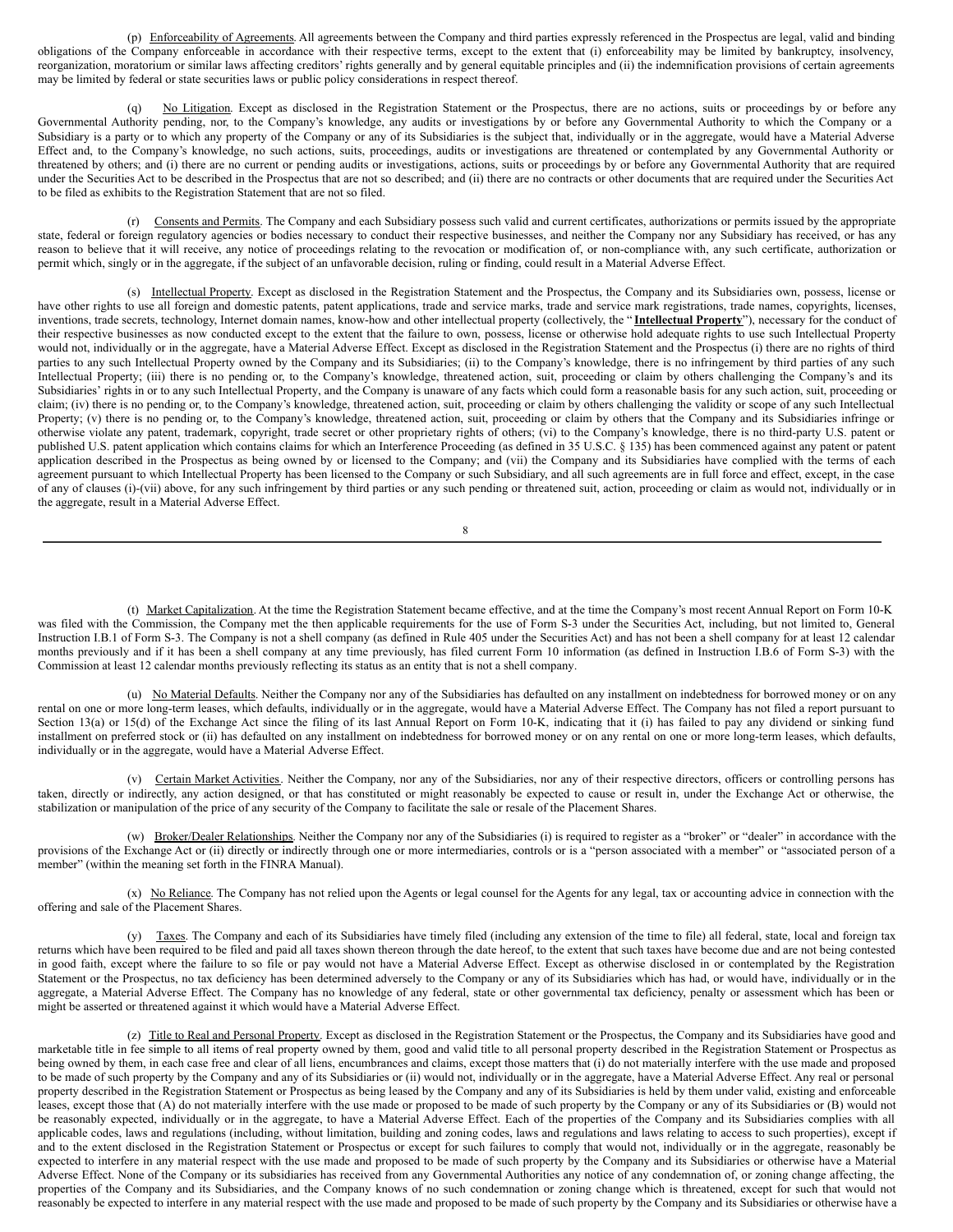(p) Enforceability of Agreements. All agreements between the Company and third parties expressly referenced in the Prospectus are legal, valid and binding obligations of the Company enforceable in accordance with their respective terms, except to the extent that (i) enforceability may be limited by bankruptcy, insolvency, reorganization, moratorium or similar laws affecting creditors' rights generally and by general equitable principles and (ii) the indemnification provisions of certain agreements may be limited by federal or state securities laws or public policy considerations in respect thereof.

(q) No Litigation. Except as disclosed in the Registration Statement or the Prospectus, there are no actions, suits or proceedings by or before any Governmental Authority pending, nor, to the Company's knowledge, any audits or investigations by or before any Governmental Authority to which the Company or a Subsidiary is a party or to which any property of the Company or any of its Subsidiaries is the subject that, individually or in the aggregate, would have a Material Adverse Effect and, to the Company's knowledge, no such actions, suits, proceedings, audits or investigations are threatened or contemplated by any Governmental Authority or threatened by others; and (i) there are no current or pending audits or investigations, actions, suits or proceedings by or before any Governmental Authority that are required under the Securities Act to be described in the Prospectus that are not so described; and (ii) there are no contracts or other documents that are required under the Securities Act to be filed as exhibits to the Registration Statement that are not so filed.

(r) Consents and Permits. The Company and each Subsidiary possess such valid and current certificates, authorizations or permits issued by the appropriate state, federal or foreign regulatory agencies or bodies necessary to conduct their respective businesses, and neither the Company nor any Subsidiary has received, or has any reason to believe that it will receive, any notice of proceedings relating to the revocation or modification of, or non-compliance with, any such certificate, authorization or permit which, singly or in the aggregate, if the subject of an unfavorable decision, ruling or finding, could result in a Material Adverse Effect.

(s) Intellectual Property. Except as disclosed in the Registration Statement and the Prospectus, the Company and its Subsidiaries own, possess, license or have other rights to use all foreign and domestic patents, patent applications, trade and service marks, trade and service mark registrations, trade names, copyrights, licenses, inventions, trade secrets, technology, Internet domain names, know-how and other intellectual property (collectively, the " **Intellectual Property**"), necessary for the conduct of their respective businesses as now conducted except to the extent that the failure to own, possess, license or otherwise hold adequate rights to use such Intellectual Property would not, individually or in the aggregate, have a Material Adverse Effect. Except as disclosed in the Registration Statement and the Prospectus (i) there are no rights of third parties to any such Intellectual Property owned by the Company and its Subsidiaries; (ii) to the Company's knowledge, there is no infringement by third parties of any such Intellectual Property; (iii) there is no pending or, to the Company's knowledge, threatened action, suit, proceeding or claim by others challenging the Company's and its Subsidiaries' rights in or to any such Intellectual Property, and the Company is unaware of any facts which could form a reasonable basis for any such action, suit, proceeding or claim; (iv) there is no pending or, to the Company's knowledge, threatened action, suit, proceeding or claim by others challenging the validity or scope of any such Intellectual Property; (v) there is no pending or, to the Company's knowledge, threatened action, suit, proceeding or claim by others that the Company and its Subsidiaries infringe or otherwise violate any patent, trademark, copyright, trade secret or other proprietary rights of others; (vi) to the Company's knowledge, there is no third-party U.S. patent or published U.S. patent application which contains claims for which an Interference Proceeding (as defined in 35 U.S.C. § 135) has been commenced against any patent or patent application described in the Prospectus as being owned by or licensed to the Company; and (vii) the Company and its Subsidiaries have complied with the terms of each agreement pursuant to which Intellectual Property has been licensed to the Company or such Subsidiary, and all such agreements are in full force and effect, except, in the case of any of clauses (i)-(vii) above, for any such infringement by third parties or any such pending or threatened suit, action, proceeding or claim as would not, individually or in the aggregate, result in a Material Adverse Effect.

8

(t) Market Capitalization. At the time the Registration Statement became effective, and at the time the Company's most recent Annual Report on Form 10-K was filed with the Commission, the Company met the then applicable requirements for the use of Form S-3 under the Securities Act, including, but not limited to, General Instruction I.B.1 of Form S-3. The Company is not a shell company (as defined in Rule 405 under the Securities Act) and has not been a shell company for at least 12 calendar months previously and if it has been a shell company at any time previously, has filed current Form 10 information (as defined in Instruction I.B.6 of Form S-3) with the Commission at least 12 calendar months previously reflecting its status as an entity that is not a shell company.

(u) No Material Defaults. Neither the Company nor any of the Subsidiaries has defaulted on any installment on indebtedness for borrowed money or on any rental on one or more long-term leases, which defaults, individually or in the aggregate, would have a Material Adverse Effect. The Company has not filed a report pursuant to Section 13(a) or 15(d) of the Exchange Act since the filing of its last Annual Report on Form 10-K, indicating that it (i) has failed to pay any dividend or sinking fund installment on preferred stock or (ii) has defaulted on any installment on indebtedness for borrowed money or on any rental on one or more long-term leases, which defaults, individually or in the aggregate, would have a Material Adverse Effect.

(v) Certain Market Activities. Neither the Company, nor any of the Subsidiaries, nor any of their respective directors, officers or controlling persons has taken, directly or indirectly, any action designed, or that has constituted or might reasonably be expected to cause or result in, under the Exchange Act or otherwise, the stabilization or manipulation of the price of any security of the Company to facilitate the sale or resale of the Placement Shares.

(w) Broker/Dealer Relationships. Neither the Company nor any of the Subsidiaries (i) is required to register as a "broker" or "dealer" in accordance with the provisions of the Exchange Act or (ii) directly or indirectly through one or more intermediaries, controls or is a "person associated with a member" or "associated person of a member" (within the meaning set forth in the FINRA Manual).

 $(x)$  No Reliance. The Company has not relied upon the Agents or legal counsel for the Agents for any legal, tax or accounting advice in connection with the offering and sale of the Placement Shares.

(y) Taxes. The Company and each of its Subsidiaries have timely filed (including any extension of the time to file) all federal, state, local and foreign tax returns which have been required to be filed and paid all taxes shown thereon through the date hereof, to the extent that such taxes have become due and are not being contested in good faith, except where the failure to so file or pay would not have a Material Adverse Effect. Except as otherwise disclosed in or contemplated by the Registration Statement or the Prospectus, no tax deficiency has been determined adversely to the Company or any of its Subsidiaries which has had, or would have, individually or in the aggregate, a Material Adverse Effect. The Company has no knowledge of any federal, state or other governmental tax deficiency, penalty or assessment which has been or might be asserted or threatened against it which would have a Material Adverse Effect.

(z) Title to Real and Personal Property. Except as disclosed in the Registration Statement or the Prospectus, the Company and its Subsidiaries have good and marketable title in fee simple to all items of real property owned by them, good and valid title to all personal property described in the Registration Statement or Prospectus as being owned by them, in each case free and clear of all liens, encumbrances and claims, except those matters that (i) do not materially interfere with the use made and proposed to be made of such property by the Company and any of its Subsidiaries or (ii) would not, individually or in the aggregate, have a Material Adverse Effect. Any real or personal property described in the Registration Statement or Prospectus as being leased by the Company and any of its Subsidiaries is held by them under valid, existing and enforceable leases, except those that (A) do not materially interfere with the use made or proposed to be made of such property by the Company or any of its Subsidiaries or (B) would not be reasonably expected, individually or in the aggregate, to have a Material Adverse Effect. Each of the properties of the Company and its Subsidiaries complies with all applicable codes, laws and regulations (including, without limitation, building and zoning codes, laws and regulations and laws relating to access to such properties), except if and to the extent disclosed in the Registration Statement or Prospectus or except for such failures to comply that would not, individually or in the aggregate, reasonably be expected to interfere in any material respect with the use made and proposed to be made of such property by the Company and its Subsidiaries or otherwise have a Material Adverse Effect. None of the Company or its subsidiaries has received from any Governmental Authorities any notice of any condemnation of, or zoning change affecting, the properties of the Company and its Subsidiaries, and the Company knows of no such condemnation or zoning change which is threatened, except for such that would not reasonably be expected to interfere in any material respect with the use made and proposed to be made of such property by the Company and its Subsidiaries or otherwise have a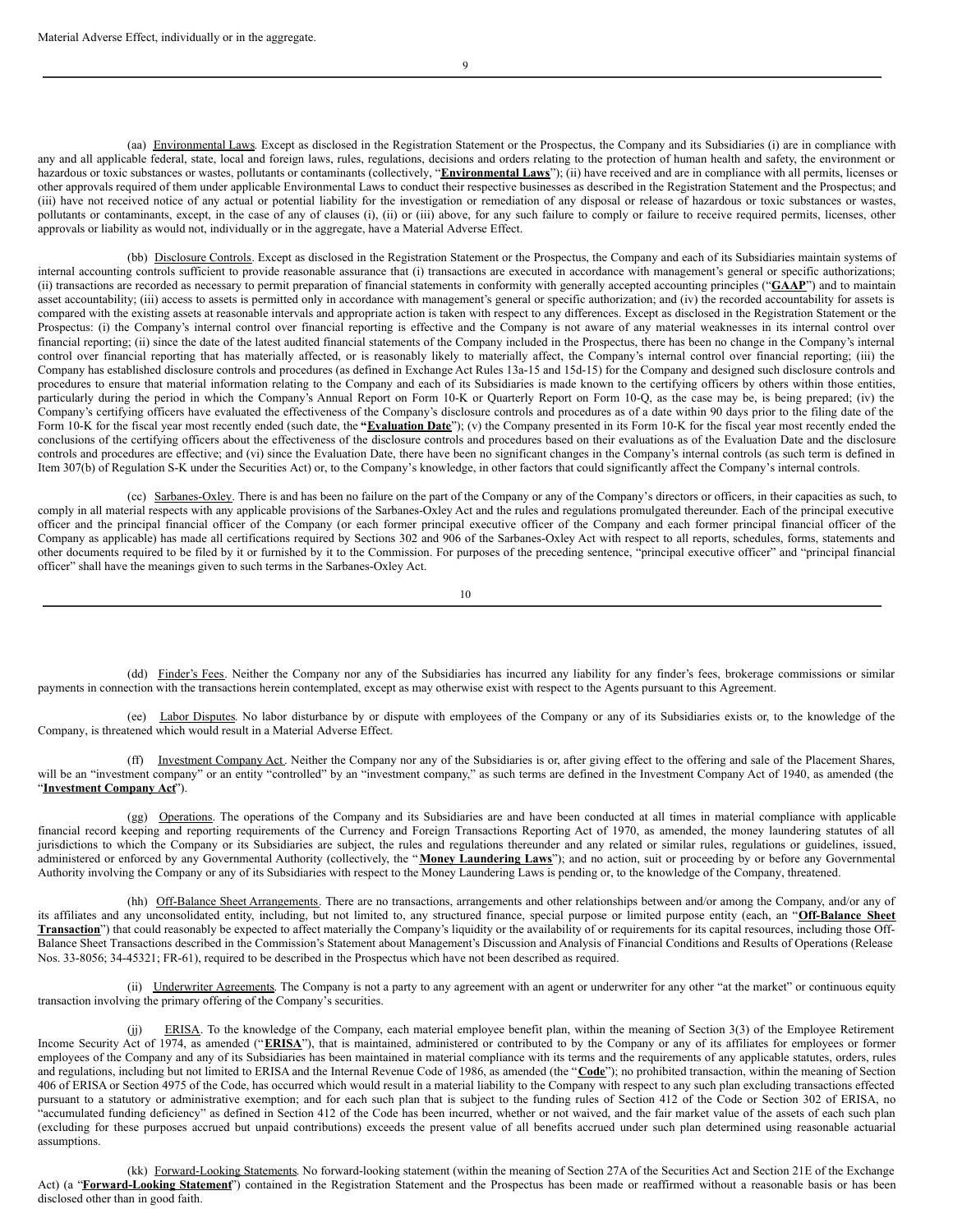(aa) Environmental Laws. Except as disclosed in the Registration Statement or the Prospectus, the Company and its Subsidiaries (i) are in compliance with any and all applicable federal, state, local and foreign laws, rules, regulations, decisions and orders relating to the protection of human health and safety, the environment or hazardous or toxic substances or wastes, pollutants or contaminants (collectively, "**Environmental Laws**"); (ii) have received and are in compliance with all permits, licenses or other approvals required of them under applicable Environmental Laws to conduct their respective businesses as described in the Registration Statement and the Prospectus; and (iii) have not received notice of any actual or potential liability for the investigation or remediation of any disposal or release of hazardous or toxic substances or wastes, pollutants or contaminants, except, in the case of any of clauses (i), (ii) or (iii) above, for any such failure to comply or failure to receive required permits, licenses, other approvals or liability as would not, individually or in the aggregate, have a Material Adverse Effect.

(bb) Disclosure Controls. Except as disclosed in the Registration Statement or the Prospectus, the Company and each of its Subsidiaries maintain systems of internal accounting controls sufficient to provide reasonable assurance that (i) transactions are executed in accordance with management's general or specific authorizations; (ii) transactions are recorded as necessary to permit preparation of financial statements in conformity with generally accepted accounting principles ("**GAAP**") and to maintain asset accountability; (iii) access to assets is permitted only in accordance with management's general or specific authorization; and (iv) the recorded accountability for assets is compared with the existing assets at reasonable intervals and appropriate action is taken with respect to any differences. Except as disclosed in the Registration Statement or the Prospectus: (i) the Company's internal control over financial reporting is effective and the Company is not aware of any material weaknesses in its internal control over financial reporting; (ii) since the date of the latest audited financial statements of the Company included in the Prospectus, there has been no change in the Company's internal control over financial reporting that has materially affected, or is reasonably likely to materially affect, the Company's internal control over financial reporting; (iii) the Company has established disclosure controls and procedures (as defined in Exchange Act Rules 13a-15 and 15d-15) for the Company and designed such disclosure controls and procedures to ensure that material information relating to the Company and each of its Subsidiaries is made known to the certifying officers by others within those entities, particularly during the period in which the Company's Annual Report on Form 10-K or Quarterly Report on Form 10-Q, as the case may be, is being prepared; (iv) the Company's certifying officers have evaluated the effectiveness of the Company's disclosure controls and procedures as of a date within 90 days prior to the filing date of the Form 10-K for the fiscal year most recently ended (such date, the "**Evaluation Date**"); (v) the Company presented in its Form 10-K for the fiscal year most recently ended the conclusions of the certifying officers about the effectiveness of the disclosure controls and procedures based on their evaluations as of the Evaluation Date and the disclosure controls and procedures are effective; and (vi) since the Evaluation Date, there have been no significant changes in the Company's internal controls (as such term is defined in Item 307(b) of Regulation S-K under the Securities Act) or, to the Company's knowledge, in other factors that could significantly affect the Company's internal controls.

(cc) Sarbanes-Oxley. There is and has been no failure on the part of the Company or any of the Company's directors or officers, in their capacities as such, to comply in all material respects with any applicable provisions of the Sarbanes-Oxley Act and the rules and regulations promulgated thereunder. Each of the principal executive officer and the principal financial officer of the Company (or each former principal executive officer of the Company and each former principal financial officer of the Company as applicable) has made all certifications required by Sections 302 and 906 of the Sarbanes-Oxley Act with respect to all reports, schedules, forms, statements and other documents required to be filed by it or furnished by it to the Commission. For purposes of the preceding sentence, "principal executive officer" and "principal financial officer" shall have the meanings given to such terms in the Sarbanes-Oxley Act.

$$
10\quad
$$

(dd) Finder's Fees. Neither the Company nor any of the Subsidiaries has incurred any liability for any finder's fees, brokerage commissions or similar payments in connection with the transactions herein contemplated, except as may otherwise exist with respect to the Agents pursuant to this Agreement.

(ee) Labor Disputes. No labor disturbance by or dispute with employees of the Company or any of its Subsidiaries exists or, to the knowledge of the Company, is threatened which would result in a Material Adverse Effect.

(ff) Investment Company Act. Neither the Company nor any of the Subsidiaries is or, after giving effect to the offering and sale of the Placement Shares, will be an "investment company" or an entity "controlled" by an "investment company," as such terms are defined in the Investment Company Act of 1940, as amended (the "**Investment Company Act**").

(gg) Operations. The operations of the Company and its Subsidiaries are and have been conducted at all times in material compliance with applicable financial record keeping and reporting requirements of the Currency and Foreign Transactions Reporting Act of 1970, as amended, the money laundering statutes of all jurisdictions to which the Company or its Subsidiaries are subject, the rules and regulations thereunder and any related or similar rules, regulations or guidelines, issued, administered or enforced by any Governmental Authority (collectively, the "**Money Laundering Laws**"); and no action, suit or proceeding by or before any Governmental Authority involving the Company or any of its Subsidiaries with respect to the Money Laundering Laws is pending or, to the knowledge of the Company, threatened.

(hh) Off-Balance Sheet Arrangements. There are no transactions, arrangements and other relationships between and/or among the Company, and/or any of its affiliates and any unconsolidated entity, including, but not limited to, any structured finance, special purpose or limited purpose entity (each, an "**Off-Balance Sheet Transaction**") that could reasonably be expected to affect materially the Company's liquidity or the availability of or requirements for its capital resources, including those Off-Balance Sheet Transactions described in the Commission's Statement about Management's Discussion and Analysis of Financial Conditions and Results of Operations (Release Nos. 33-8056; 34-45321; FR-61), required to be described in the Prospectus which have not been described as required.

(ii) Underwriter Agreements. The Company is not a party to any agreement with an agent or underwriter for any other "at the market" or continuous equity transaction involving the primary offering of the Company's securities.

ERISA. To the knowledge of the Company, each material employee benefit plan, within the meaning of Section 3(3) of the Employee Retirement Income Security Act of 1974, as amended ("ERISA"), that is maintained, administered or contributed to by the Company or any of its affiliates for employees or former employees of the Company and any of its Subsidiaries has been maintained in material compliance with its terms and the requirements of any applicable statutes, orders, rules and regulations, including but not limited to ERISA and the Internal Revenue Code of 1986, as amended (the "**Code**"); no prohibited transaction, within the meaning of Section 406 of ERISA or Section 4975 of the Code, has occurred which would result in a material liability to the Company with respect to any such plan excluding transactions effected pursuant to a statutory or administrative exemption; and for each such plan that is subject to the funding rules of Section 412 of the Code or Section 302 of ERISA, no "accumulated funding deficiency" as defined in Section 412 of the Code has been incurred, whether or not waived, and the fair market value of the assets of each such plan (excluding for these purposes accrued but unpaid contributions) exceeds the present value of all benefits accrued under such plan determined using reasonable actuarial assumptions.

(kk) Forward-Looking Statements. No forward-looking statement (within the meaning of Section 27A of the Securities Act and Section 21E of the Exchange Act) (a "**Forward-Looking Statement**") contained in the Registration Statement and the Prospectus has been made or reaffirmed without a reasonable basis or has been disclosed other than in good faith.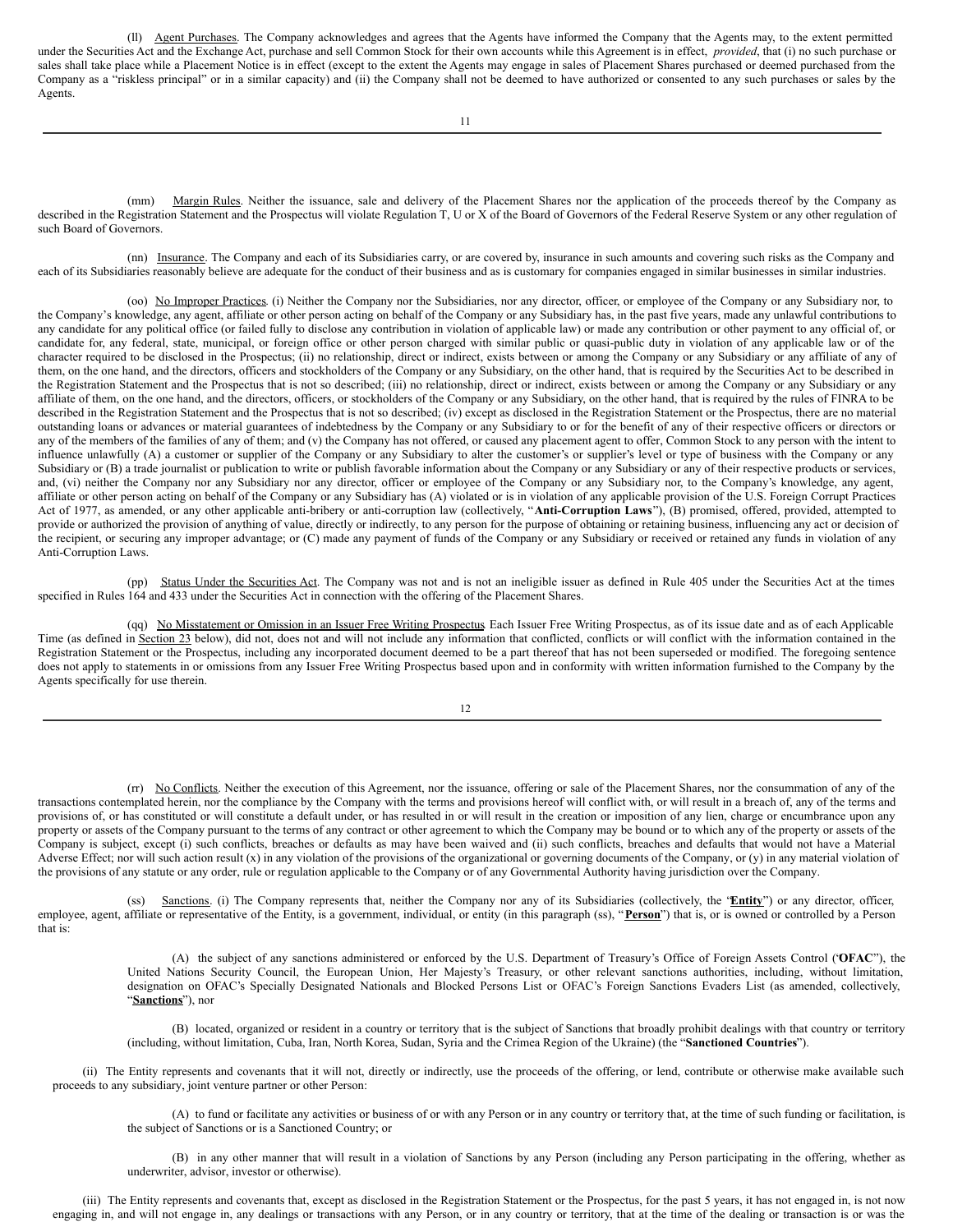(II) Agent Purchases. The Company acknowledges and agrees that the Agents have informed the Company that the Agents may, to the extent permitted under the Securities Act and the Exchange Act, purchase and sell Common Stock for their own accounts while this Agreement is in effect, *provided*, that (i) no such purchase or sales shall take place while a Placement Notice is in effect (except to the extent the Agents may engage in sales of Placement Shares purchased or deemed purchased from the Company as a "riskless principal" or in a similar capacity) and (ii) the Company shall not be deemed to have authorized or consented to any such purchases or sales by the Agents.

(mm) Margin Rules. Neither the issuance, sale and delivery of the Placement Shares nor the application of the proceeds thereof by the Company as described in the Registration Statement and the Prospectus will violate Regulation T, U or X of the Board of Governors of the Federal Reserve System or any other regulation of such Board of Governors.

(nn) Insurance. The Company and each of its Subsidiaries carry, or are covered by, insurance in such amounts and covering such risks as the Company and each of its Subsidiaries reasonably believe are adequate for the conduct of their business and as is customary for companies engaged in similar businesses in similar industries.

(oo) No Improper Practices. (i) Neither the Company nor the Subsidiaries, nor any director, officer, or employee of the Company or any Subsidiary nor, to the Company's knowledge, any agent, affiliate or other person acting on behalf of the Company or any Subsidiary has, in the past five years, made any unlawful contributions to any candidate for any political office (or failed fully to disclose any contribution in violation of applicable law) or made any contribution or other payment to any official of, or candidate for, any federal, state, municipal, or foreign office or other person charged with similar public or quasi-public duty in violation of any applicable law or of the character required to be disclosed in the Prospectus; (ii) no relationship, direct or indirect, exists between or among the Company or any Subsidiary or any affiliate of any of them, on the one hand, and the directors, officers and stockholders of the Company or any Subsidiary, on the other hand, that is required by the Securities Act to be described in the Registration Statement and the Prospectus that is not so described; (iii) no relationship, direct or indirect, exists between or among the Company or any Subsidiary or any affiliate of them, on the one hand, and the directors, officers, or stockholders of the Company or any Subsidiary, on the other hand, that is required by the rules of FINRA to be described in the Registration Statement and the Prospectus that is not so described; (iv) except as disclosed in the Registration Statement or the Prospectus, there are no material outstanding loans or advances or material guarantees of indebtedness by the Company or any Subsidiary to or for the benefit of any of their respective officers or directors or any of the members of the families of any of them; and (v) the Company has not offered, or caused any placement agent to offer, Common Stock to any person with the intent to influence unlawfully (A) a customer or supplier of the Company or any Subsidiary to alter the customer's or supplier's level or type of business with the Company or any Subsidiary or (B) a trade journalist or publication to write or publish favorable information about the Company or any Subsidiary or any of their respective products or services, and, (vi) neither the Company nor any Subsidiary nor any director, officer or employee of the Company or any Subsidiary nor, to the Company's knowledge, any agent, affiliate or other person acting on behalf of the Company or any Subsidiary has (A) violated or is in violation of any applicable provision of the U.S. Foreign Corrupt Practices Act of 1977, as amended, or any other applicable anti-bribery or anti-corruption law (collectively, "**Anti-Corruption Laws**"), (B) promised, offered, provided, attempted to provide or authorized the provision of anything of value, directly or indirectly, to any person for the purpose of obtaining or retaining business, influencing any act or decision of the recipient, or securing any improper advantage; or (C) made any payment of funds of the Company or any Subsidiary or received or retained any funds in violation of any Anti-Corruption Laws.

(pp) Status Under the Securities Act. The Company was not and is not an ineligible issuer as defined in Rule 405 under the Securities Act at the times specified in Rules 164 and 433 under the Securities Act in connection with the offering of the Placement Shares.

(qq) No Misstatement or Omission in an Issuer Free Writing Prospectus. Each Issuer Free Writing Prospectus, as of its issue date and as of each Applicable Time (as defined in Section 23 below), did not, does not and will not include any information that conflicted, conflicts or will conflict with the information contained in the Registration Statement or the Prospectus, including any incorporated document deemed to be a part thereof that has not been superseded or modified. The foregoing sentence does not apply to statements in or omissions from any Issuer Free Writing Prospectus based upon and in conformity with written information furnished to the Company by the Agents specifically for use therein.

12

(rr) No Conflicts. Neither the execution of this Agreement, nor the issuance, offering or sale of the Placement Shares, nor the consummation of any of the transactions contemplated herein, nor the compliance by the Company with the terms and provisions hereof will conflict with, or will result in a breach of, any of the terms and provisions of, or has constituted or will constitute a default under, or has resulted in or will result in the creation or imposition of any lien, charge or encumbrance upon any property or assets of the Company pursuant to the terms of any contract or other agreement to which the Company may be bound or to which any of the property or assets of the Company is subject, except (i) such conflicts, breaches or defaults as may have been waived and (ii) such conflicts, breaches and defaults that would not have a Material Adverse Effect; nor will such action result  $(x)$  in any violation of the provisions of the organizational or governing documents of the Company, or  $(y)$  in any material violation of the provisions of any statute or any order, rule or regulation applicable to the Company or of any Governmental Authority having jurisdiction over the Company.

(ss) Sanctions. (i) The Company represents that, neither the Company nor any of its Subsidiaries (collectively, the "**Entity**") or any director, officer, employee, agent, affiliate or representative of the Entity, is a government, individual, or entity (in this paragraph (ss), "Person") that is, or is owned or controlled by a Person that is:

> (A) the subject of any sanctions administered or enforced by the U.S. Department of Treasury's Office of Foreign Assets Control ("**OFAC**"), the United Nations Security Council, the European Union, Her Majesty's Treasury, or other relevant sanctions authorities, including, without limitation, designation on OFAC's Specially Designated Nationals and Blocked Persons List or OFAC's Foreign Sanctions Evaders List (as amended, collectively, "**Sanctions**"), nor

> (B) located, organized or resident in a country or territory that is the subject of Sanctions that broadly prohibit dealings with that country or territory (including, without limitation, Cuba, Iran, North Korea, Sudan, Syria and the Crimea Region of the Ukraine) (the "**Sanctioned Countries**").

(ii) The Entity represents and covenants that it will not, directly or indirectly, use the proceeds of the offering, or lend, contribute or otherwise make available such proceeds to any subsidiary, joint venture partner or other Person:

(A) to fund or facilitate any activities or business of or with any Person or in any country or territory that, at the time of such funding or facilitation, is the subject of Sanctions or is a Sanctioned Country; or

(B) in any other manner that will result in a violation of Sanctions by any Person (including any Person participating in the offering, whether as underwriter, advisor, investor or otherwise).

(iii) The Entity represents and covenants that, except as disclosed in the Registration Statement or the Prospectus, for the past 5 years, it has not engaged in, is not now engaging in, and will not engage in, any dealings or transactions with any Person, or in any country or territory, that at the time of the dealing or transaction is or was the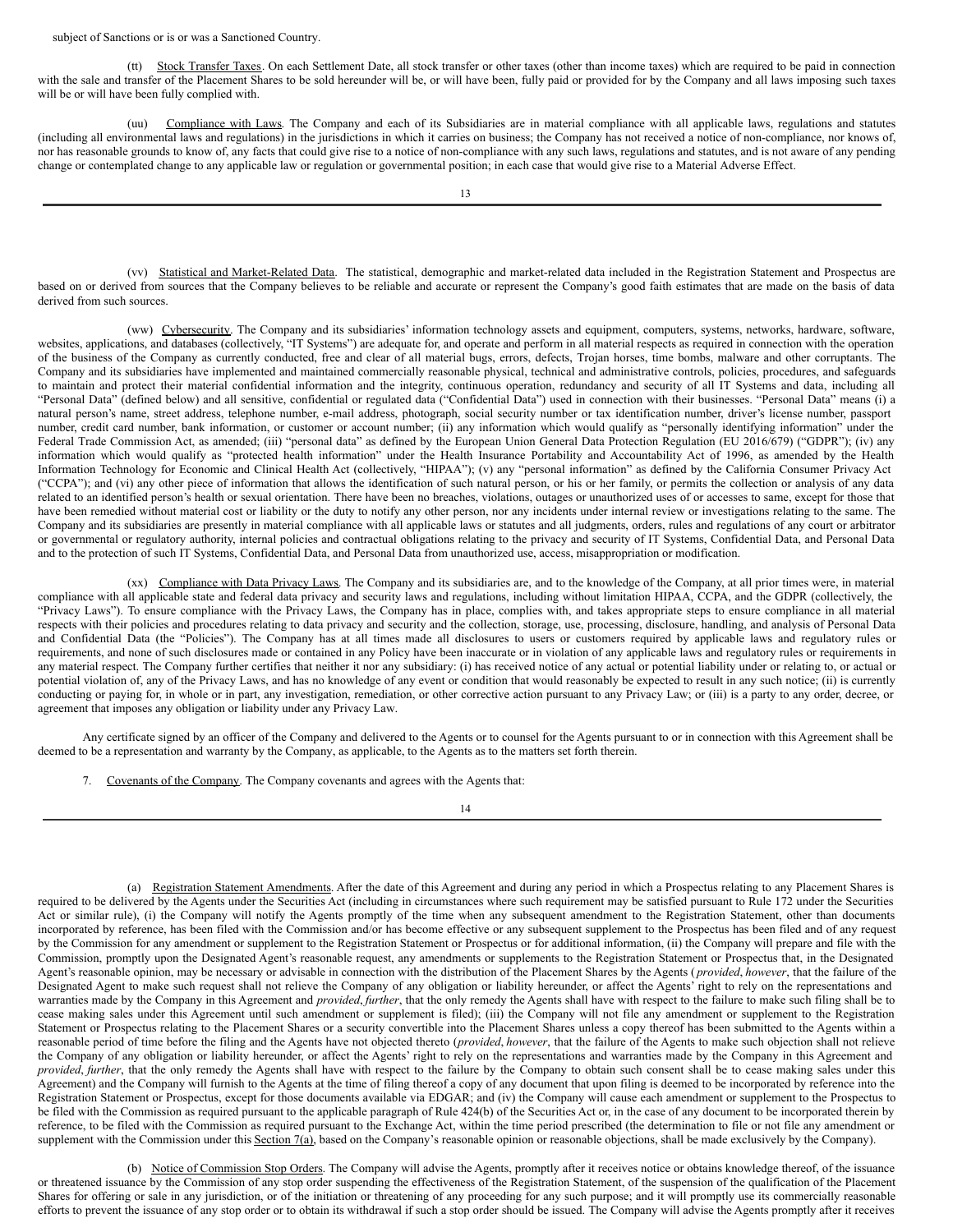#### subject of Sanctions or is or was a Sanctioned Country.

(tt) Stock Transfer Taxes. On each Settlement Date, all stock transfer or other taxes (other than income taxes) which are required to be paid in connection with the sale and transfer of the Placement Shares to be sold hereunder will be, or will have been, fully paid or provided for by the Company and all laws imposing such taxes will be or will have been fully complied with.

(uu) Compliance with Laws. The Company and each of its Subsidiaries are in material compliance with all applicable laws, regulations and statutes (including all environmental laws and regulations) in the jurisdictions in which it carries on business; the Company has not received a notice of non-compliance, nor knows of, nor has reasonable grounds to know of, any facts that could give rise to a notice of non-compliance with any such laws, regulations and statutes, and is not aware of any pending change or contemplated change to any applicable law or regulation or governmental position; in each case that would give rise to a Material Adverse Effect.

(vv) Statistical and Market-Related Data. The statistical, demographic and market-related data included in the Registration Statement and Prospectus are based on or derived from sources that the Company believes to be reliable and accurate or represent the Company's good faith estimates that are made on the basis of data derived from such sources.

(ww) Cybersecurity. The Company and its subsidiaries' information technology assets and equipment, computers, systems, networks, hardware, software, websites, applications, and databases (collectively, "IT Systems") are adequate for, and operate and perform in all material respects as required in connection with the operation of the business of the Company as currently conducted, free and clear of all material bugs, errors, defects, Trojan horses, time bombs, malware and other corruptants. The Company and its subsidiaries have implemented and maintained commercially reasonable physical, technical and administrative controls, policies, procedures, and safeguards to maintain and protect their material confidential information and the integrity, continuous operation, redundancy and security of all IT Systems and data, including all "Personal Data" (defined below) and all sensitive, confidential or regulated data ("Confidential Data") used in connection with their businesses. "Personal Data" means (i) a natural person's name, street address, telephone number, e-mail address, photograph, social security number or tax identification number, driver's license number, passport number, credit card number, bank information, or customer or account number; (ii) any information which would qualify as "personally identifying information" under the Federal Trade Commission Act, as amended; (iii) "personal data" as defined by the European Union General Data Protection Regulation (EU 2016/679) ("GDPR"); (iv) any information which would qualify as "protected health information" under the Health Insurance Portability and Accountability Act of 1996, as amended by the Health Information Technology for Economic and Clinical Health Act (collectively, "HIPAA"); (v) any "personal information" as defined by the California Consumer Privacy Act ("CCPA"); and (vi) any other piece of information that allows the identification of such natural person, or his or her family, or permits the collection or analysis of any data related to an identified person's health or sexual orientation. There have been no breaches, violations, outages or unauthorized uses of or accesses to same, except for those that have been remedied without material cost or liability or the duty to notify any other person, nor any incidents under internal review or investigations relating to the same. The Company and its subsidiaries are presently in material compliance with all applicable laws or statutes and all judgments, orders, rules and regulations of any court or arbitrator or governmental or regulatory authority, internal policies and contractual obligations relating to the privacy and security of IT Systems, Confidential Data, and Personal Data and to the protection of such IT Systems, Confidential Data, and Personal Data from unauthorized use, access, misappropriation or modification.

(xx) Compliance with Data Privacy Laws. The Company and its subsidiaries are, and to the knowledge of the Company, at all prior times were, in material compliance with all applicable state and federal data privacy and security laws and regulations, including without limitation HIPAA, CCPA, and the GDPR (collectively, the "Privacy Laws"). To ensure compliance with the Privacy Laws, the Company has in place, complies with, and takes appropriate steps to ensure compliance in all material respects with their policies and procedures relating to data privacy and security and the collection, storage, use, processing, disclosure, handling, and analysis of Personal Data and Confidential Data (the "Policies"). The Company has at all times made all disclosures to users or customers required by applicable laws and regulatory rules or requirements, and none of such disclosures made or contained in any Policy have been inaccurate or in violation of any applicable laws and regulatory rules or requirements in any material respect. The Company further certifies that neither it nor any subsidiary: (i) has received notice of any actual or potential liability under or relating to, or actual or potential violation of, any of the Privacy Laws, and has no knowledge of any event or condition that would reasonably be expected to result in any such notice; (ii) is currently conducting or paying for, in whole or in part, any investigation, remediation, or other corrective action pursuant to any Privacy Law; or (iii) is a party to any order, decree, or agreement that imposes any obligation or liability under any Privacy Law.

Any certificate signed by an officer of the Company and delivered to the Agents or to counsel for the Agents pursuant to or in connection with this Agreement shall be deemed to be a representation and warranty by the Company, as applicable, to the Agents as to the matters set forth therein.

- 7. Covenants of the Company. The Company covenants and agrees with the Agents that:
	- 14

(a) Registration Statement Amendments. After the date of this Agreement and during any period in which a Prospectus relating to any Placement Shares is required to be delivered by the Agents under the Securities Act (including in circumstances where such requirement may be satisfied pursuant to Rule 172 under the Securities Act or similar rule), (i) the Company will notify the Agents promptly of the time when any subsequent amendment to the Registration Statement, other than documents incorporated by reference, has been filed with the Commission and/or has become effective or any subsequent supplement to the Prospectus has been filed and of any request by the Commission for any amendment or supplement to the Registration Statement or Prospectus or for additional information, (ii) the Company will prepare and file with the Commission, promptly upon the Designated Agent's reasonable request, any amendments or supplements to the Registration Statement or Prospectus that, in the Designated Agent's reasonable opinion, may be necessary or advisable in connection with the distribution of the Placement Shares by the Agents ( *provided*, *however*, that the failure of the Designated Agent to make such request shall not relieve the Company of any obligation or liability hereunder, or affect the Agents' right to rely on the representations and warranties made by the Company in this Agreement and *provided*, *further*, that the only remedy the Agents shall have with respect to the failure to make such filing shall be to cease making sales under this Agreement until such amendment or supplement is filed); (iii) the Company will not file any amendment or supplement to the Registration Statement or Prospectus relating to the Placement Shares or a security convertible into the Placement Shares unless a copy thereof has been submitted to the Agents within a reasonable period of time before the filing and the Agents have not objected thereto (*provided*, *however*, that the failure of the Agents to make such objection shall not relieve the Company of any obligation or liability hereunder, or affect the Agents' right to rely on the representations and warranties made by the Company in this Agreement and *provided*, *further*, that the only remedy the Agents shall have with respect to the failure by the Company to obtain such consent shall be to cease making sales under this Agreement) and the Company will furnish to the Agents at the time of filing thereof a copy of any document that upon filing is deemed to be incorporated by reference into the Registration Statement or Prospectus, except for those documents available via EDGAR; and (iv) the Company will cause each amendment or supplement to the Prospectus to be filed with the Commission as required pursuant to the applicable paragraph of Rule 424(b) of the Securities Act or, in the case of any document to be incorporated therein by reference, to be filed with the Commission as required pursuant to the Exchange Act, within the time period prescribed (the determination to file or not file any amendment or supplement with the Commission under this Section 7(a), based on the Company's reasonable opinion or reasonable objections, shall be made exclusively by the Company).

(b) Notice of Commission Stop Orders. The Company will advise the Agents, promptly after it receives notice or obtains knowledge thereof, of the issuance or threatened issuance by the Commission of any stop order suspending the effectiveness of the Registration Statement, of the suspension of the qualification of the Placement Shares for offering or sale in any jurisdiction, or of the initiation or threatening of any proceeding for any such purpose; and it will promptly use its commercially reasonable efforts to prevent the issuance of any stop order or to obtain its withdrawal if such a stop order should be issued. The Company will advise the Agents promptly after it receives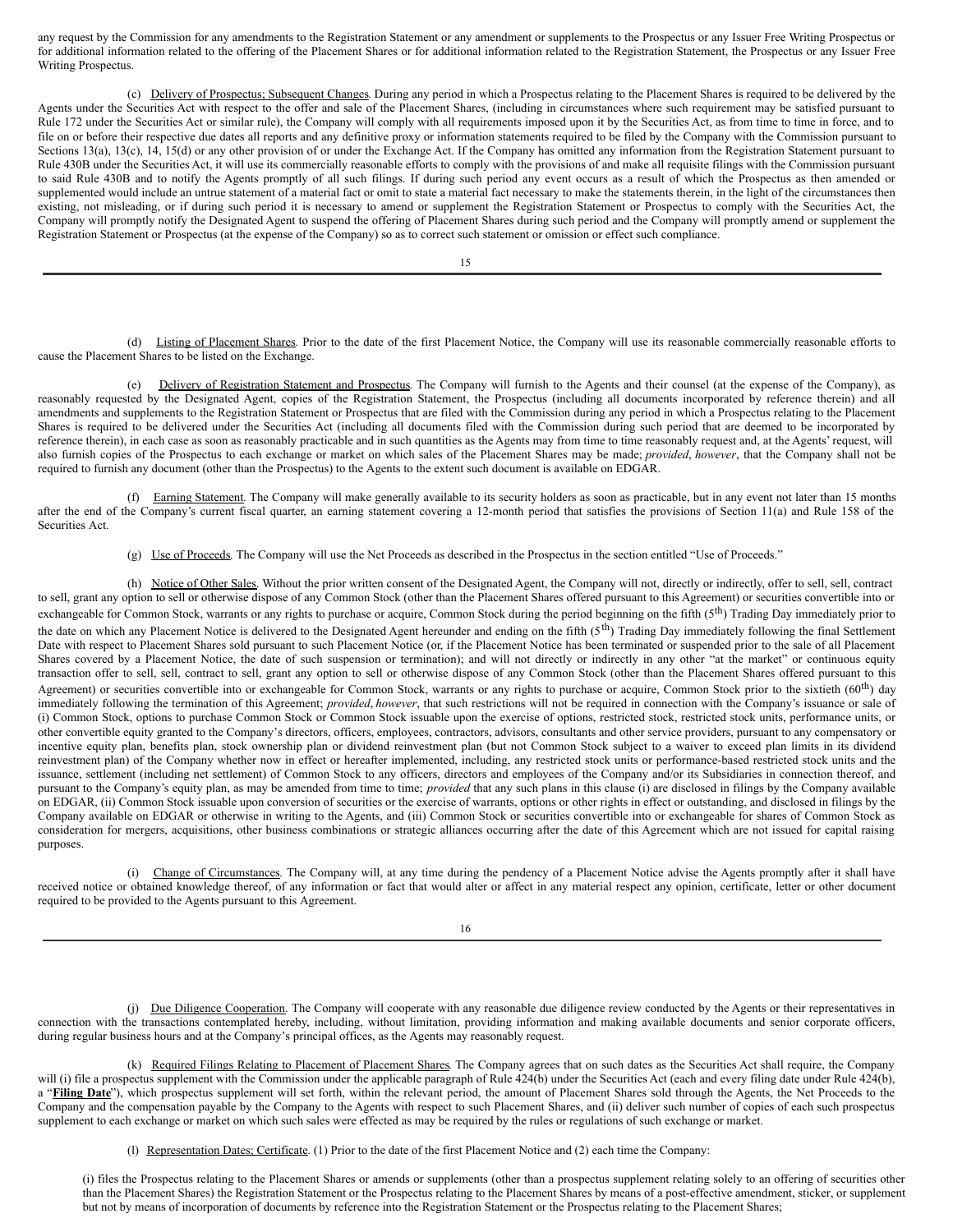any request by the Commission for any amendments to the Registration Statement or any amendment or supplements to the Prospectus or any Issuer Free Writing Prospectus or for additional information related to the offering of the Placement Shares or for additional information related to the Registration Statement, the Prospectus or any Issuer Free Writing Prospectus.

(c) Delivery of Prospectus; Subsequent Changes. During any period in which a Prospectus relating to the Placement Shares is required to be delivered by the Agents under the Securities Act with respect to the offer and sale of the Placement Shares, (including in circumstances where such requirement may be satisfied pursuant to Rule 172 under the Securities Act or similar rule), the Company will comply with all requirements imposed upon it by the Securities Act, as from time to time in force, and to file on or before their respective due dates all reports and any definitive proxy or information statements required to be filed by the Company with the Commission pursuant to Sections 13(a), 13(c), 14, 15(d) or any other provision of or under the Exchange Act. If the Company has omitted any information from the Registration Statement pursuant to Rule 430B under the Securities Act, it will use its commercially reasonable efforts to comply with the provisions of and make all requisite filings with the Commission pursuant to said Rule 430B and to notify the Agents promptly of all such filings. If during such period any event occurs as a result of which the Prospectus as then amended or supplemented would include an untrue statement of a material fact or omit to state a material fact necessary to make the statements therein, in the light of the circumstances then existing, not misleading, or if during such period it is necessary to amend or supplement the Registration Statement or Prospectus to comply with the Securities Act, the Company will promptly notify the Designated Agent to suspend the offering of Placement Shares during such period and the Company will promptly amend or supplement the Registration Statement or Prospectus (at the expense of the Company) so as to correct such statement or omission or effect such compliance.

15

(d) Listing of Placement Shares. Prior to the date of the first Placement Notice, the Company will use its reasonable commercially reasonable efforts to cause the Placement Shares to be listed on the Exchange.

(e) Delivery of Registration Statement and Prospectus. The Company will furnish to the Agents and their counsel (at the expense of the Company), as reasonably requested by the Designated Agent, copies of the Registration Statement, the Prospectus (including all documents incorporated by reference therein) and all amendments and supplements to the Registration Statement or Prospectus that are filed with the Commission during any period in which a Prospectus relating to the Placement Shares is required to be delivered under the Securities Act (including all documents filed with the Commission during such period that are deemed to be incorporated by reference therein), in each case as soon as reasonably practicable and in such quantities as the Agents may from time to time reasonably request and, at the Agents' request, will also furnish copies of the Prospectus to each exchange or market on which sales of the Placement Shares may be made; *provided*, *however*, that the Company shall not be required to furnish any document (other than the Prospectus) to the Agents to the extent such document is available on EDGAR.

(f) Earning Statement. The Company will make generally available to its security holders as soon as practicable, but in any event not later than 15 months after the end of the Company's current fiscal quarter, an earning statement covering a 12-month period that satisfies the provisions of Section 11(a) and Rule 158 of the Securities Act.

(g) Use of Proceeds. The Company will use the Net Proceeds as described in the Prospectus in the section entitled "Use of Proceeds."

(h) Notice of Other Sales. Without the prior written consent of the Designated Agent, the Company will not, directly or indirectly, offer to sell, sell, contract to sell, grant any option to sell or otherwise dispose of any Common Stock (other than the Placement Shares offered pursuant to this Agreement) or securities convertible into or exchangeable for Common Stock, warrants or any rights to purchase or acquire, Common Stock during the period beginning on the fifth (5<sup>th</sup>) Trading Day immediately prior to the date on which any Placement Notice is delivered to the Designated Agent hereunder and ending on the fifth  $(5<sup>th</sup>)$  Trading Day immediately following the final Settlement Date with respect to Placement Shares sold pursuant to such Placement Notice (or, if the Placement Notice has been terminated or suspended prior to the sale of all Placement Shares covered by a Placement Notice, the date of such suspension or termination); and will not directly or indirectly in any other "at the market" or continuous equity transaction offer to sell, sell, contract to sell, grant any option to sell or otherwise dispose of any Common Stock (other than the Placement Shares offered pursuant to this Agreement) or securities convertible into or exchangeable for Common Stock, warrants or any rights to purchase or acquire, Common Stock prior to the sixtieth (60<sup>th</sup>) day immediately following the termination of this Agreement; *provided*, *however*, that such restrictions will not be required in connection with the Company's issuance or sale of (i) Common Stock, options to purchase Common Stock or Common Stock issuable upon the exercise of options, restricted stock, restricted stock units, performance units, or other convertible equity granted to the Company's directors, officers, employees, contractors, advisors, consultants and other service providers, pursuant to any compensatory or incentive equity plan, benefits plan, stock ownership plan or dividend reinvestment plan (but not Common Stock subject to a waiver to exceed plan limits in its dividend reinvestment plan) of the Company whether now in effect or hereafter implemented, including, any restricted stock units or performance-based restricted stock units and the issuance, settlement (including net settlement) of Common Stock to any officers, directors and employees of the Company and/or its Subsidiaries in connection thereof, and pursuant to the Company's equity plan, as may be amended from time to time; *provided* that any such plans in this clause (i) are disclosed in filings by the Company available on EDGAR, (ii) Common Stock issuable upon conversion of securities or the exercise of warrants, options or other rights in effect or outstanding, and disclosed in filings by the Company available on EDGAR or otherwise in writing to the Agents, and (iii) Common Stock or securities convertible into or exchangeable for shares of Common Stock as consideration for mergers, acquisitions, other business combinations or strategic alliances occurring after the date of this Agreement which are not issued for capital raising purposes.

(i) Change of Circumstances. The Company will, at any time during the pendency of a Placement Notice advise the Agents promptly after it shall have received notice or obtained knowledge thereof, of any information or fact that would alter or affect in any material respect any opinion, certificate, letter or other document required to be provided to the Agents pursuant to this Agreement.

16

(j) Due Diligence Cooperation. The Company will cooperate with any reasonable due diligence review conducted by the Agents or their representatives in connection with the transactions contemplated hereby, including, without limitation, providing information and making available documents and senior corporate officers, during regular business hours and at the Company's principal offices, as the Agents may reasonably request.

(k) Required Filings Relating to Placement of Placement Shares. The Company agrees that on such dates as the Securities Act shall require, the Company will (i) file a prospectus supplement with the Commission under the applicable paragraph of Rule 424(b) under the Securities Act (each and every filing date under Rule 424(b), a "**Filing Date**"), which prospectus supplement will set forth, within the relevant period, the amount of Placement Shares sold through the Agents, the Net Proceeds to the Company and the compensation payable by the Company to the Agents with respect to such Placement Shares, and (ii) deliver such number of copies of each such prospectus supplement to each exchange or market on which such sales were effected as may be required by the rules or regulations of such exchange or market.

(l) Representation Dates; Certificate. (1) Prior to the date of the first Placement Notice and (2) each time the Company:

(i) files the Prospectus relating to the Placement Shares or amends or supplements (other than a prospectus supplement relating solely to an offering of securities other than the Placement Shares) the Registration Statement or the Prospectus relating to the Placement Shares by means of a post-effective amendment, sticker, or supplement but not by means of incorporation of documents by reference into the Registration Statement or the Prospectus relating to the Placement Shares;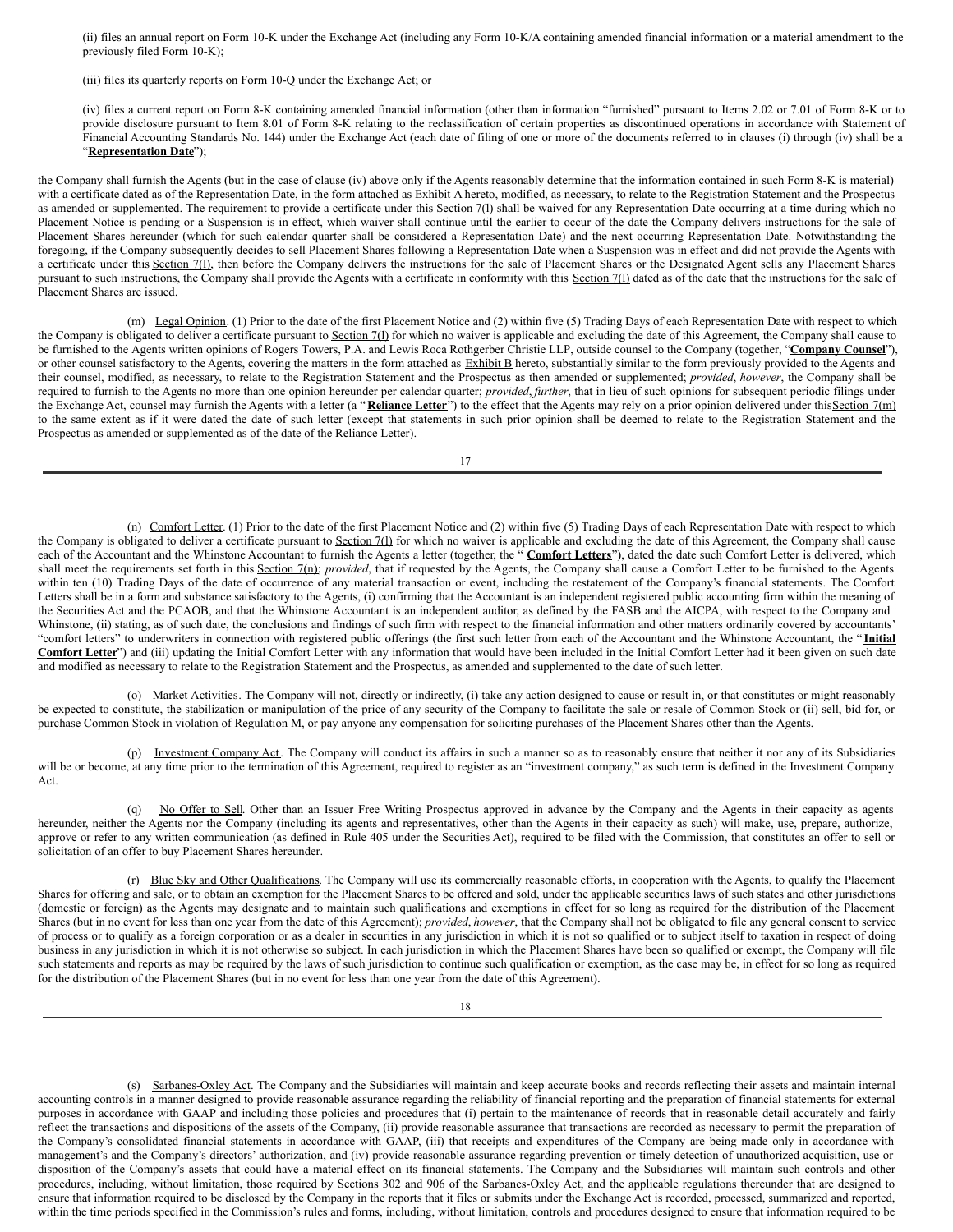<span id="page-35-0"></span>(ii) files an annual report on Form 10-K under the Exchange Act (including any Form 10-K/A containing amended financial information or a material amendment to the previously filed Form 10-K);

(iii) files its quarterly reports on Form 10-Q under the Exchange Act; or

(iv) files a current report on Form 8-K containing amended financial information (other than information "furnished" pursuant to Items 2.02 or 7.01 of Form 8-K or to provide disclosure pursuant to Item 8.01 of Form 8-K relating to the reclassification of certain properties as discontinued operations in accordance with Statement of Financial Accounting Standards No. 144) under the Exchange Act (each date of filing of one or more of the documents referred to in clauses (i) through (iv) shall be a "**Representation Date**");

the Company shall furnish the Agents (but in the case of clause (iv) above only if the Agents reasonably determine that the information contained in such Form 8-K is material) with a certificate dated as of the Representation Date, in the form attached as Exhibit A hereto, modified, as necessary, to relate to the Registration Statement and the Prospectus as amended or supplemented. The requirement to provide a certificate under this Section 7(1) shall be waived for any Representation Date occurring at a time during which no Placement Notice is pending or a Suspension is in effect, which waiver shall continue until the earlier to occur of the date the Company delivers instructions for the sale of Placement Shares hereunder (which for such calendar quarter shall be considered a Representation Date) and the next occurring Representation Date. Notwithstanding the foregoing, if the Company subsequently decides to sell Placement Shares following a Representation Date when a Suspension was in effect and did not provide the Agents with a certificate under this Section 7(l), then before the Company delivers the instructions for the sale of Placement Shares or the Designated Agent sells any Placement Shares pursuant to such instructions, the Company shall provide the Agents with a certificate in conformity with this Section 7(1) dated as of the date that the instructions for the sale of Placement Shares are issued.

(m) Legal Opinion. (1) Prior to the date of the first Placement Notice and (2) within five (5) Trading Days of each Representation Date with respect to which the Company is obligated to deliver a certificate pursuant to Section 7(1) for which no waiver is applicable and excluding the date of this Agreement, the Company shall cause to be furnished to the Agents written opinions of Rogers Towers, P.A. and Lewis Roca Rothgerber Christie LLP, outside counsel to the Company (together, "**Company Counsel**"), or other counsel satisfactory to the Agents, covering the matters in the form attached as Exhibit B hereto, substantially similar to the form previously provided to the Agents and their counsel, modified, as necessary, to relate to the Registration Statement and the Prospectus as then amended or supplemented; *provided*, *however*, the Company shall be required to furnish to the Agents no more than one opinion hereunder per calendar quarter; *provided*, *further*, that in lieu of such opinions for subsequent periodic filings under the Exchange Act, counsel may furnish the Agents with a letter (a "Reliance Letter") to the effect that the Agents may rely on a prior opinion delivered under thisSection 7(m) to the same extent as if it were dated the date of such letter (except that statements in such prior opinion shall be deemed to relate to the Registration Statement and the Prospectus as amended or supplemented as of the date of the Reliance Letter).

17

(n) Comfort Letter. (1) Prior to the date of the first Placement Notice and (2) within five (5) Trading Days of each Representation Date with respect to which the Company is obligated to deliver a certificate pursuant to Section 7(1) for which no waiver is applicable and excluding the date of this Agreement, the Company shall cause each of the Accountant and the Whinstone Accountant to furnish the Agents a letter (together, the "Comfort Letters"), dated the date such Comfort Letter is delivered, which shall meet the requirements set forth in this Section 7(n); *provided*, that if requested by the Agents, the Company shall cause a Comfort Letter to be furnished to the Agents within ten (10) Trading Days of the date of occurrence of any material transaction or event, including the restatement of the Company's financial statements. The Comfort Letters shall be in a form and substance satisfactory to the Agents, (i) confirming that the Accountant is an independent registered public accounting firm within the meaning of the Securities Act and the PCAOB, and that the Whinstone Accountant is an independent auditor, as defined by the FASB and the AICPA, with respect to the Company and Whinstone, (ii) stating, as of such date, the conclusions and findings of such firm with respect to the financial information and other matters ordinarily covered by accountants' "comfort letters" to underwriters in connection with registered public offerings (the first such letter from each of the Accountant and the Whinstone Accountant, the " **Initial Comfort Letter**") and (iii) updating the Initial Comfort Letter with any information that would have been included in the Initial Comfort Letter had it been given on such date and modified as necessary to relate to the Registration Statement and the Prospectus, as amended and supplemented to the date of such letter.

(o) Market Activities. The Company will not, directly or indirectly, (i) take any action designed to cause or result in, or that constitutes or might reasonably be expected to constitute, the stabilization or manipulation of the price of any security of the Company to facilitate the sale or resale of Common Stock or (ii) sell, bid for, or purchase Common Stock in violation of Regulation M, or pay anyone any compensation for soliciting purchases of the Placement Shares other than the Agents.

(p) Investment Company Act. The Company will conduct its affairs in such a manner so as to reasonably ensure that neither it nor any of its Subsidiaries will be or become, at any time prior to the termination of this Agreement, required to register as an "investment company," as such term is defined in the Investment Company Act.

(q) No Offer to Sell. Other than an Issuer Free Writing Prospectus approved in advance by the Company and the Agents in their capacity as agents hereunder, neither the Agents nor the Company (including its agents and representatives, other than the Agents in their capacity as such) will make, use, prepare, authorize, approve or refer to any written communication (as defined in Rule 405 under the Securities Act), required to be filed with the Commission, that constitutes an offer to sell or solicitation of an offer to buy Placement Shares hereunder.

(r) Blue Sky and Other Qualifications*.* The Company will use its commercially reasonable efforts, in cooperation with the Agents, to qualify the Placement Shares for offering and sale, or to obtain an exemption for the Placement Shares to be offered and sold, under the applicable securities laws of such states and other jurisdictions (domestic or foreign) as the Agents may designate and to maintain such qualifications and exemptions in effect for so long as required for the distribution of the Placement Shares (but in no event for less than one year from the date of this Agreement); *provided*, *however*, that the Company shall not be obligated to file any general consent to service of process or to qualify as a foreign corporation or as a dealer in securities in any jurisdiction in which it is not so qualified or to subject itself to taxation in respect of doing business in any jurisdiction in which it is not otherwise so subject. In each jurisdiction in which the Placement Shares have been so qualified or exempt, the Company will file such statements and reports as may be required by the laws of such jurisdiction to continue such qualification or exemption, as the case may be, in effect for so long as required for the distribution of the Placement Shares (but in no event for less than one year from the date of this Agreement).

(s) Sarbanes-Oxley Act. The Company and the Subsidiaries will maintain and keep accurate books and records reflecting their assets and maintain internal accounting controls in a manner designed to provide reasonable assurance regarding the reliability of financial reporting and the preparation of financial statements for external purposes in accordance with GAAP and including those policies and procedures that (i) pertain to the maintenance of records that in reasonable detail accurately and fairly reflect the transactions and dispositions of the assets of the Company, (ii) provide reasonable assurance that transactions are recorded as necessary to permit the preparation of the Company's consolidated financial statements in accordance with GAAP, (iii) that receipts and expenditures of the Company are being made only in accordance with management's and the Company's directors' authorization, and (iv) provide reasonable assurance regarding prevention or timely detection of unauthorized acquisition, use or disposition of the Company's assets that could have a material effect on its financial statements. The Company and the Subsidiaries will maintain such controls and other procedures, including, without limitation, those required by Sections 302 and 906 of the Sarbanes-Oxley Act, and the applicable regulations thereunder that are designed to ensure that information required to be disclosed by the Company in the reports that it files or submits under the Exchange Act is recorded, processed, summarized and reported, within the time periods specified in the Commission's rules and forms, including, without limitation, controls and procedures designed to ensure that information required to be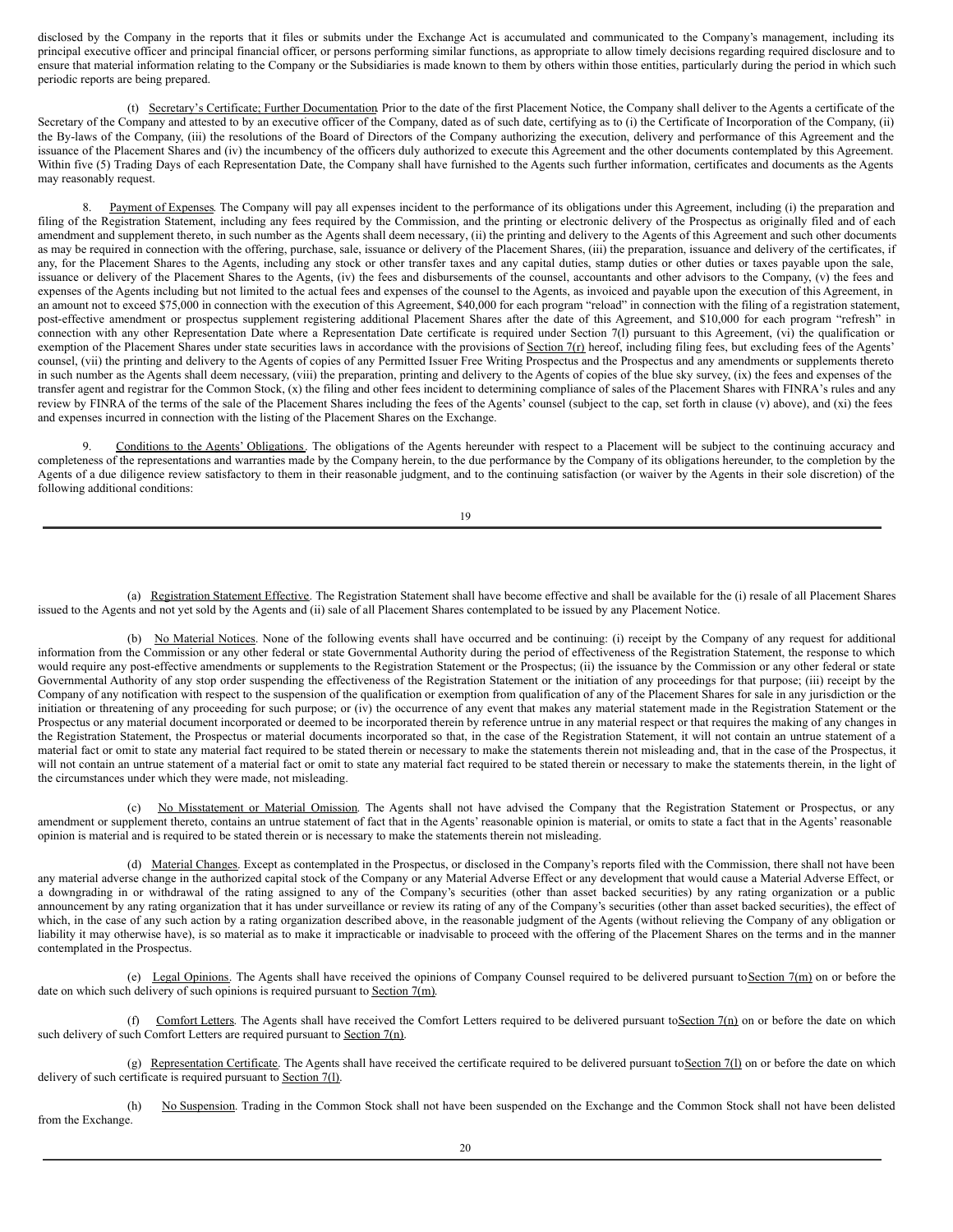disclosed by the Company in the reports that it files or submits under the Exchange Act is accumulated and communicated to the Company's management, including its principal executive officer and principal financial officer, or persons performing similar functions, as appropriate to allow timely decisions regarding required disclosure and to ensure that material information relating to the Company or the Subsidiaries is made known to them by others within those entities, particularly during the period in which such periodic reports are being prepared.

(t) Secretary's Certificate; Further Documentation. Prior to the date of the first Placement Notice, the Company shall deliver to the Agents a certificate of the Secretary of the Company and attested to by an executive officer of the Company, dated as of such date, certifying as to (i) the Certificate of Incorporation of the Company, (ii) the By-laws of the Company, (iii) the resolutions of the Board of Directors of the Company authorizing the execution, delivery and performance of this Agreement and the issuance of the Placement Shares and (iv) the incumbency of the officers duly authorized to execute this Agreement and the other documents contemplated by this Agreement. Within five (5) Trading Days of each Representation Date, the Company shall have furnished to the Agents such further information, certificates and documents as the Agents may reasonably request.

8. Payment of Expenses. The Company will pay all expenses incident to the performance of its obligations under this Agreement, including (i) the preparation and filing of the Registration Statement, including any fees required by the Commission, and the printing or electronic delivery of the Prospectus as originally filed and of each amendment and supplement thereto, in such number as the Agents shall deem necessary, (ii) the printing and delivery to the Agents of this Agreement and such other documents as may be required in connection with the offering, purchase, sale, issuance or delivery of the Placement Shares, (iii) the preparation, issuance and delivery of the certificates, if any, for the Placement Shares to the Agents, including any stock or other transfer taxes and any capital duties, stamp duties or other duties or taxes payable upon the sale, issuance or delivery of the Placement Shares to the Agents, (iv) the fees and disbursements of the counsel, accountants and other advisors to the Company, (v) the fees and expenses of the Agents including but not limited to the actual fees and expenses of the counsel to the Agents, as invoiced and payable upon the execution of this Agreement, in an amount not to exceed \$75,000 in connection with the execution of this Agreement, \$40,000 for each program "reload" in connection with the filing of a registration statement, post-effective amendment or prospectus supplement registering additional Placement Shares after the date of this Agreement, and \$10,000 for each program "refresh" in connection with any other Representation Date where a Representation Date certificate is required under Section 7(l) pursuant to this Agreement, (vi) the qualification or exemption of the Placement Shares under state securities laws in accordance with the provisions of Section 7(r) hereof, including filing fees, but excluding fees of the Agents' counsel, (vii) the printing and delivery to the Agents of copies of any Permitted Issuer Free Writing Prospectus and the Prospectus and any amendments or supplements thereto in such number as the Agents shall deem necessary, (viii) the preparation, printing and delivery to the Agents of copies of the blue sky survey, (ix) the fees and expenses of the transfer agent and registrar for the Common Stock, (x) the filing and other fees incident to determining compliance of sales of the Placement Shares with FINRA's rules and any review by FINRA of the terms of the sale of the Placement Shares including the fees of the Agents' counsel (subject to the cap, set forth in clause (v) above), and (xi) the fees and expenses incurred in connection with the listing of the Placement Shares on the Exchange.

9. Conditions to the Agents' Obligations. The obligations of the Agents hereunder with respect to a Placement will be subject to the continuing accuracy and completeness of the representations and warranties made by the Company herein, to the due performance by the Company of its obligations hereunder, to the completion by the Agents of a due diligence review satisfactory to them in their reasonable judgment, and to the continuing satisfaction (or waiver by the Agents in their sole discretion) of the following additional conditions:

19

(a) Registration Statement Effective. The Registration Statement shall have become effective and shall be available for the (i) resale of all Placement Shares issued to the Agents and not yet sold by the Agents and (ii) sale of all Placement Shares contemplated to be issued by any Placement Notice.

(b) No Material Notices. None of the following events shall have occurred and be continuing: (i) receipt by the Company of any request for additional information from the Commission or any other federal or state Governmental Authority during the period of effectiveness of the Registration Statement, the response to which would require any post-effective amendments or supplements to the Registration Statement or the Prospectus; (ii) the issuance by the Commission or any other federal or state Governmental Authority of any stop order suspending the effectiveness of the Registration Statement or the initiation of any proceedings for that purpose; (iii) receipt by the Company of any notification with respect to the suspension of the qualification or exemption from qualification of any of the Placement Shares for sale in any jurisdiction or the initiation or threatening of any proceeding for such purpose; or (iv) the occurrence of any event that makes any material statement made in the Registration Statement or the Prospectus or any material document incorporated or deemed to be incorporated therein by reference untrue in any material respect or that requires the making of any changes in the Registration Statement, the Prospectus or material documents incorporated so that, in the case of the Registration Statement, it will not contain an untrue statement of a material fact or omit to state any material fact required to be stated therein or necessary to make the statements therein not misleading and, that in the case of the Prospectus, it will not contain an untrue statement of a material fact or omit to state any material fact required to be stated therein or necessary to make the statements therein, in the light of the circumstances under which they were made, not misleading.

(c) No Misstatement or Material Omission. The Agents shall not have advised the Company that the Registration Statement or Prospectus, or any amendment or supplement thereto, contains an untrue statement of fact that in the Agents' reasonable opinion is material, or omits to state a fact that in the Agents' reasonable opinion is material and is required to be stated therein or is necessary to make the statements therein not misleading.

(d) Material Changes. Except as contemplated in the Prospectus, or disclosed in the Company's reports filed with the Commission, there shall not have been any material adverse change in the authorized capital stock of the Company or any Material Adverse Effect or any development that would cause a Material Adverse Effect, or a downgrading in or withdrawal of the rating assigned to any of the Company's securities (other than asset backed securities) by any rating organization or a public announcement by any rating organization that it has under surveillance or review its rating of any of the Company's securities (other than asset backed securities), the effect of which, in the case of any such action by a rating organization described above, in the reasonable judgment of the Agents (without relieving the Company of any obligation or liability it may otherwise have), is so material as to make it impracticable or inadvisable to proceed with the offering of the Placement Shares on the terms and in the manner contemplated in the Prospectus.

(e) Legal Opinions. The Agents shall have received the opinions of Company Counsel required to be delivered pursuant to Section  $7(m)$  on or before the date on which such delivery of such opinions is required pursuant to Section  $7(m)$ .

(f) Comfort Letters. The Agents shall have received the Comfort Letters required to be delivered pursuant to Section  $7(n)$  on or before the date on which such delivery of such Comfort Letters are required pursuant to Section 7(n).

(g) Representation Certificate. The Agents shall have received the certificate required to be delivered pursuant to Section 7(1) on or before the date on which delivery of such certificate is required pursuant to Section 7(l).

(h) No Suspension. Trading in the Common Stock shall not have been suspended on the Exchange and the Common Stock shall not have been delisted from the Exchange.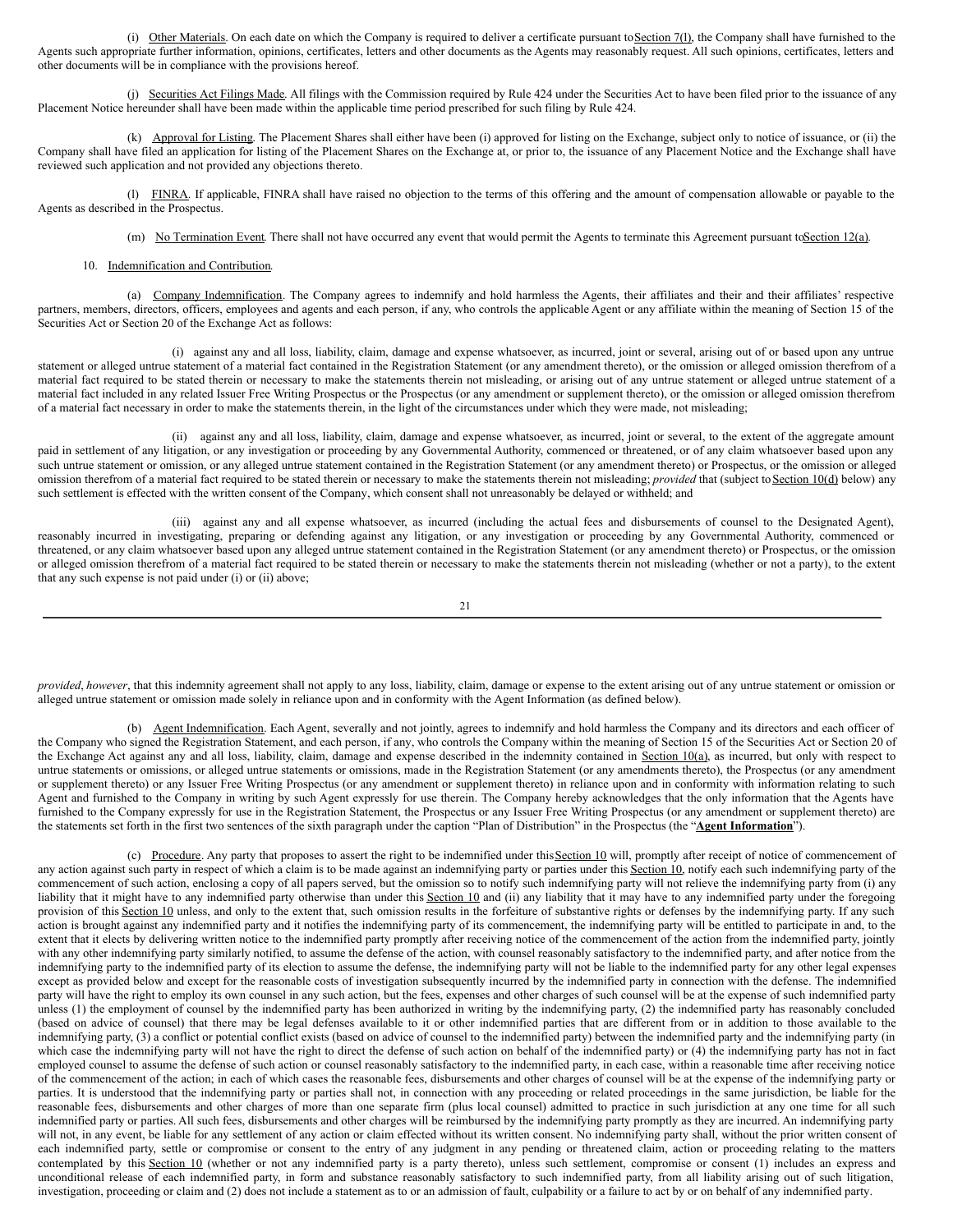(i) Other Materials. On each date on which the Company is required to deliver a certificate pursuant to Section 7(1), the Company shall have furnished to the Agents such appropriate further information, opinions, certificates, letters and other documents as the Agents may reasonably request. All such opinions, certificates, letters and other documents will be in compliance with the provisions hereof.

(j) Securities Act Filings Made. All filings with the Commission required by Rule 424 under the Securities Act to have been filed prior to the issuance of any Placement Notice hereunder shall have been made within the applicable time period prescribed for such filing by Rule 424.

(k) Approval for Listing. The Placement Shares shall either have been (i) approved for listing on the Exchange, subject only to notice of issuance, or (ii) the Company shall have filed an application for listing of the Placement Shares on the Exchange at, or prior to, the issuance of any Placement Notice and the Exchange shall have reviewed such application and not provided any objections thereto.

(l) FINRA. If applicable, FINRA shall have raised no objection to the terms of this offering and the amount of compensation allowable or payable to the Agents as described in the Prospectus.

(m) No Termination Event. There shall not have occurred any event that would permit the Agents to terminate this Agreement pursuant toSection 12(a).

#### 10. Indemnification and Contribution.

(a) Company Indemnification. The Company agrees to indemnify and hold harmless the Agents, their affiliates and their and their affiliates' respective partners, members, directors, officers, employees and agents and each person, if any, who controls the applicable Agent or any affiliate within the meaning of Section 15 of the Securities Act or Section 20 of the Exchange Act as follows:

(i) against any and all loss, liability, claim, damage and expense whatsoever, as incurred, joint or several, arising out of or based upon any untrue statement or alleged untrue statement of a material fact contained in the Registration Statement (or any amendment thereto), or the omission or alleged omission therefrom of a material fact required to be stated therein or necessary to make the statements therein not misleading, or arising out of any untrue statement or alleged untrue statement of a material fact included in any related Issuer Free Writing Prospectus or the Prospectus (or any amendment or supplement thereto), or the omission or alleged omission therefrom of a material fact necessary in order to make the statements therein, in the light of the circumstances under which they were made, not misleading;

(ii) against any and all loss, liability, claim, damage and expense whatsoever, as incurred, joint or several, to the extent of the aggregate amount paid in settlement of any litigation, or any investigation or proceeding by any Governmental Authority, commenced or threatened, or of any claim whatsoever based upon any such untrue statement or omission, or any alleged untrue statement contained in the Registration Statement (or any amendment thereto) or Prospectus, or the omission or alleged omission therefrom of a material fact required to be stated therein or necessary to make the statements therein not misleading; *provided* that (subject to Section 10(d) below) any such settlement is effected with the written consent of the Company, which consent shall not unreasonably be delayed or withheld; and

(iii) against any and all expense whatsoever, as incurred (including the actual fees and disbursements of counsel to the Designated Agent), reasonably incurred in investigating, preparing or defending against any litigation, or any investigation or proceeding by any Governmental Authority, commenced or threatened, or any claim whatsoever based upon any alleged untrue statement contained in the Registration Statement (or any amendment thereto) or Prospectus, or the omission or alleged omission therefrom of a material fact required to be stated therein or necessary to make the statements therein not misleading (whether or not a party), to the extent that any such expense is not paid under (i) or (ii) above;

21

*provided*, *however*, that this indemnity agreement shall not apply to any loss, liability, claim, damage or expense to the extent arising out of any untrue statement or omission or alleged untrue statement or omission made solely in reliance upon and in conformity with the Agent Information (as defined below).

(b) Agent Indemnification. Each Agent, severally and not jointly, agrees to indemnify and hold harmless the Company and its directors and each officer of the Company who signed the Registration Statement, and each person, if any, who controls the Company within the meaning of Section 15 of the Securities Act or Section 20 of the Exchange Act against any and all loss, liability, claim, damage and expense described in the indemnity contained in Section 10(a), as incurred, but only with respect to untrue statements or omissions, or alleged untrue statements or omissions, made in the Registration Statement (or any amendments thereto), the Prospectus (or any amendment or supplement thereto) or any Issuer Free Writing Prospectus (or any amendment or supplement thereto) in reliance upon and in conformity with information relating to such Agent and furnished to the Company in writing by such Agent expressly for use therein. The Company hereby acknowledges that the only information that the Agents have furnished to the Company expressly for use in the Registration Statement, the Prospectus or any Issuer Free Writing Prospectus (or any amendment or supplement thereto) are the statements set forth in the first two sentences of the sixth paragraph under the caption "Plan of Distribution" in the Prospectus (the "**Agent Information**").

(c) Procedure. Any party that proposes to assert the right to be indemnified under this Section 10 will, promptly after receipt of notice of commencement of any action against such party in respect of which a claim is to be made against an indemnifying party or parties under this Section 10, notify each such indemnifying party of the commencement of such action, enclosing a copy of all papers served, but the omission so to notify such indemnifying party will not relieve the indemnifying party from (i) any liability that it might have to any indemnified party otherwise than under this Section 10 and (ii) any liability that it may have to any indemnified party under the foregoing provision of this Section 10 unless, and only to the extent that, such omission results in the forfeiture of substantive rights or defenses by the indemnifying party. If any such action is brought against any indemnified party and it notifies the indemnifying party of its commencement, the indemnifying party will be entitled to participate in and, to the extent that it elects by delivering written notice to the indemnified party promptly after receiving notice of the commencement of the action from the indemnified party, jointly with any other indemnifying party similarly notified, to assume the defense of the action, with counsel reasonably satisfactory to the indemnified party, and after notice from the indemnifying party to the indemnified party of its election to assume the defense, the indemnifying party will not be liable to the indemnified party for any other legal expenses except as provided below and except for the reasonable costs of investigation subsequently incurred by the indemnified party in connection with the defense. The indemnified party will have the right to employ its own counsel in any such action, but the fees, expenses and other charges of such counsel will be at the expense of such indemnified party unless (1) the employment of counsel by the indemnified party has been authorized in writing by the indemnifying party, (2) the indemnified party has reasonably concluded (based on advice of counsel) that there may be legal defenses available to it or other indemnified parties that are different from or in addition to those available to the indemnifying party, (3) a conflict or potential conflict exists (based on advice of counsel to the indemnified party) between the indemnified party and the indemnifying party (in which case the indemnifying party will not have the right to direct the defense of such action on behalf of the indemnified party) or (4) the indemnifying party has not in fact employed counsel to assume the defense of such action or counsel reasonably satisfactory to the indemnified party, in each case, within a reasonable time after receiving notice of the commencement of the action; in each of which cases the reasonable fees, disbursements and other charges of counsel will be at the expense of the indemnifying party or parties. It is understood that the indemnifying party or parties shall not, in connection with any proceeding or related proceedings in the same jurisdiction, be liable for the reasonable fees, disbursements and other charges of more than one separate firm (plus local counsel) admitted to practice in such jurisdiction at any one time for all such indemnified party or parties. All such fees, disbursements and other charges will be reimbursed by the indemnifying party promptly as they are incurred. An indemnifying party will not, in any event, be liable for any settlement of any action or claim effected without its written consent. No indemnifying party shall, without the prior written consent of each indemnified party, settle or compromise or consent to the entry of any judgment in any pending or threatened claim, action or proceeding relating to the matters contemplated by this Section 10 (whether or not any indemnified party is a party thereto), unless such settlement, compromise or consent (1) includes an express and unconditional release of each indemnified party, in form and substance reasonably satisfactory to such indemnified party, from all liability arising out of such litigation, investigation, proceeding or claim and (2) does not include a statement as to or an admission of fault, culpability or a failure to act by or on behalf of any indemnified party.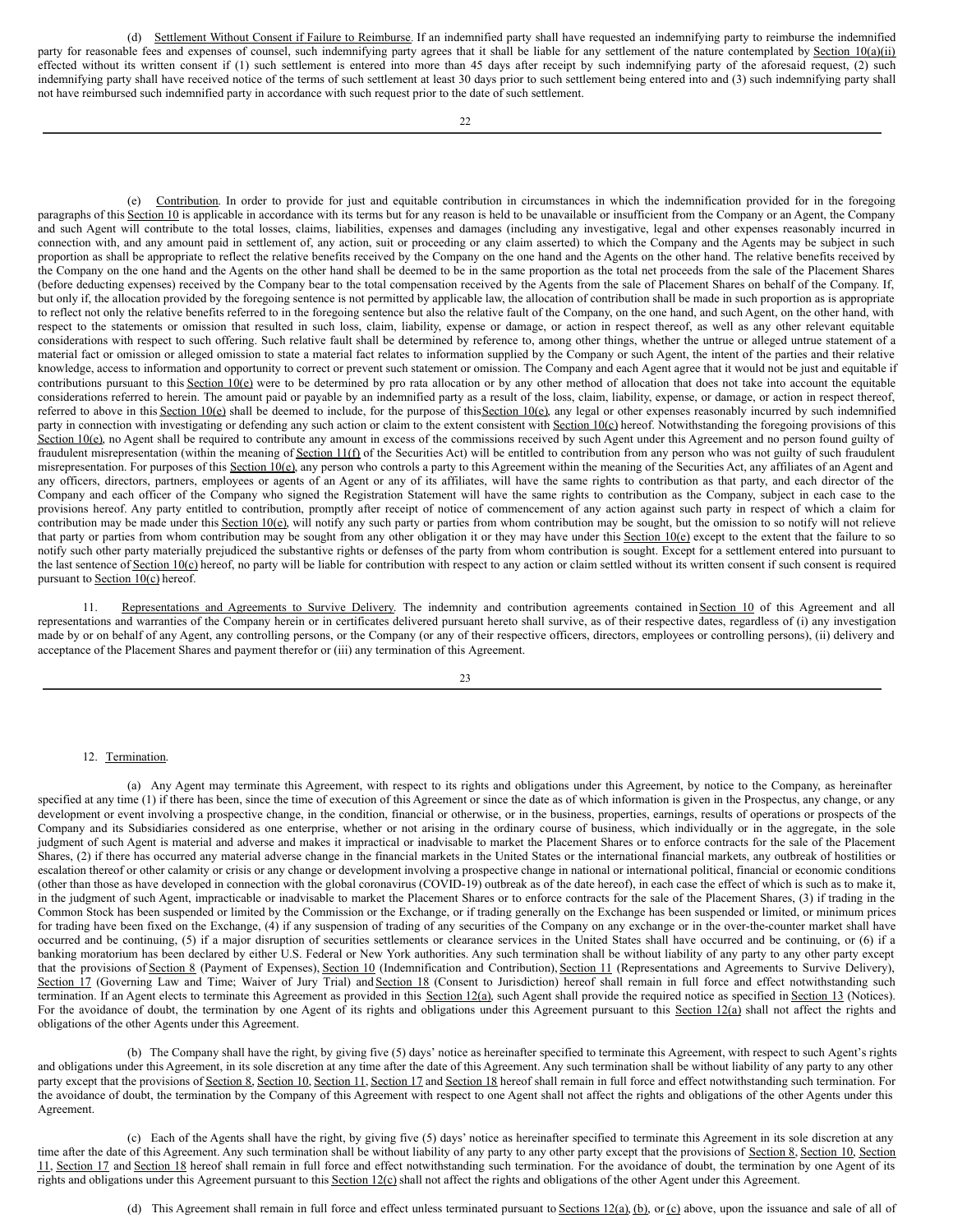(d) Settlement Without Consent if Failure to Reimburse*.* If an indemnified party shall have requested an indemnifying party to reimburse the indemnified party for reasonable fees and expenses of counsel, such indemnifying party agrees that it shall be liable for any settlement of the nature contemplated by Section 10(a)(ii) effected without its written consent if (1) such settlement is entered into more than 45 days after receipt by such indemnifying party of the aforesaid request, (2) such indemnifying party shall have received notice of the terms of such settlement at least 30 days prior to such settlement being entered into and (3) such indemnifying party shall not have reimbursed such indemnified party in accordance with such request prior to the date of such settlement.

(e) Contribution. In order to provide for just and equitable contribution in circumstances in which the indemnification provided for in the foregoing paragraphs of this Section 10 is applicable in accordance with its terms but for any reason is held to be unavailable or insufficient from the Company or an Agent, the Company and such Agent will contribute to the total losses, claims, liabilities, expenses and damages (including any investigative, legal and other expenses reasonably incurred in connection with, and any amount paid in settlement of, any action, suit or proceeding or any claim asserted) to which the Company and the Agents may be subject in such proportion as shall be appropriate to reflect the relative benefits received by the Company on the one hand and the Agents on the other hand. The relative benefits received by the Company on the one hand and the Agents on the other hand shall be deemed to be in the same proportion as the total net proceeds from the sale of the Placement Shares (before deducting expenses) received by the Company bear to the total compensation received by the Agents from the sale of Placement Shares on behalf of the Company. If, but only if, the allocation provided by the foregoing sentence is not permitted by applicable law, the allocation of contribution shall be made in such proportion as is appropriate to reflect not only the relative benefits referred to in the foregoing sentence but also the relative fault of the Company, on the one hand, and such Agent, on the other hand, with respect to the statements or omission that resulted in such loss, claim, liability, expense or damage, or action in respect thereof, as well as any other relevant equitable considerations with respect to such offering. Such relative fault shall be determined by reference to, among other things, whether the untrue or alleged untrue statement of a material fact or omission or alleged omission to state a material fact relates to information supplied by the Company or such Agent, the intent of the parties and their relative knowledge, access to information and opportunity to correct or prevent such statement or omission. The Company and each Agent agree that it would not be just and equitable if contributions pursuant to this Section 10(e) were to be determined by pro rata allocation or by any other method of allocation that does not take into account the equitable considerations referred to herein. The amount paid or payable by an indemnified party as a result of the loss, claim, liability, expense, or damage, or action in respect thereof, referred to above in this Section 10(e) shall be deemed to include, for the purpose of this Section 10(e), any legal or other expenses reasonably incurred by such indemnified party in connection with investigating or defending any such action or claim to the extent consistent with Section 10(c) hereof. Notwithstanding the foregoing provisions of this Section  $10(e)$ , no Agent shall be required to contribute any amount in excess of the commissions received by such Agent under this Agreement and no person found guilty of fraudulent misrepresentation (within the meaning of Section 11(f) of the Securities Act) will be entitled to contribution from any person who was not guilty of such fraudulent misrepresentation. For purposes of this Section 10(e), any person who controls a party to this Agreement within the meaning of the Securities Act, any affiliates of an Agent and any officers, directors, partners, employees or agents of an Agent or any of its affiliates, will have the same rights to contribution as that party, and each director of the Company and each officer of the Company who signed the Registration Statement will have the same rights to contribution as the Company, subject in each case to the provisions hereof. Any party entitled to contribution, promptly after receipt of notice of commencement of any action against such party in respect of which a claim for contribution may be made under this Section 10(e), will notify any such party or parties from whom contribution may be sought, but the omission to so notify will not relieve that party or parties from whom contribution may be sought from any other obligation it or they may have under this Section 10(e) except to the extent that the failure to so notify such other party materially prejudiced the substantive rights or defenses of the party from whom contribution is sought. Except for a settlement entered into pursuant to the last sentence of Section 10(c) hereof, no party will be liable for contribution with respect to any action or claim settled without its written consent if such consent is required pursuant to Section 10(c) hereof.

11. Representations and Agreements to Survive Delivery. The indemnity and contribution agreements contained in Section 10 of this Agreement and all representations and warranties of the Company herein or in certificates delivered pursuant hereto shall survive, as of their respective dates, regardless of (i) any investigation made by or on behalf of any Agent, any controlling persons, or the Company (or any of their respective officers, directors, employees or controlling persons), (ii) delivery and acceptance of the Placement Shares and payment therefor or (iii) any termination of this Agreement.

23

#### 12. Termination.

(a) Any Agent may terminate this Agreement, with respect to its rights and obligations under this Agreement, by notice to the Company, as hereinafter specified at any time (1) if there has been, since the time of execution of this Agreement or since the date as of which information is given in the Prospectus, any change, or any development or event involving a prospective change, in the condition, financial or otherwise, or in the business, properties, earnings, results of operations or prospects of the Company and its Subsidiaries considered as one enterprise, whether or not arising in the ordinary course of business, which individually or in the aggregate, in the sole judgment of such Agent is material and adverse and makes it impractical or inadvisable to market the Placement Shares or to enforce contracts for the sale of the Placement Shares, (2) if there has occurred any material adverse change in the financial markets in the United States or the international financial markets, any outbreak of hostilities or escalation thereof or other calamity or crisis or any change or development involving a prospective change in national or international political, financial or economic conditions (other than those as have developed in connection with the global coronavirus (COVID-19) outbreak as of the date hereof), in each case the effect of which is such as to make it, in the judgment of such Agent, impracticable or inadvisable to market the Placement Shares or to enforce contracts for the sale of the Placement Shares, (3) if trading in the Common Stock has been suspended or limited by the Commission or the Exchange, or if trading generally on the Exchange has been suspended or limited, or minimum prices for trading have been fixed on the Exchange, (4) if any suspension of trading of any securities of the Company on any exchange or in the over-the-counter market shall have occurred and be continuing, (5) if a major disruption of securities settlements or clearance services in the United States shall have occurred and be continuing, or (6) if a banking moratorium has been declared by either U.S. Federal or New York authorities. Any such termination shall be without liability of any party to any other party except that the provisions of Section 8 (Payment of Expenses), Section 10 (Indemnification and Contribution), Section 11 (Representations and Agreements to Survive Delivery), Section 17 (Governing Law and Time; Waiver of Jury Trial) and Section 18 (Consent to Jurisdiction) hereof shall remain in full force and effect notwithstanding such termination. If an Agent elects to terminate this Agreement as provided in this Section 12(a), such Agent shall provide the required notice as specified in Section 13 (Notices). For the avoidance of doubt, the termination by one Agent of its rights and obligations under this Agreement pursuant to this Section 12(a) shall not affect the rights and obligations of the other Agents under this Agreement.

(b) The Company shall have the right, by giving five (5) days' notice as hereinafter specified to terminate this Agreement, with respect to such Agent's rights and obligations under this Agreement, in its sole discretion at any time after the date of this Agreement. Any such termination shall be without liability of any party to any other party except that the provisions of Section 8, Section 10, Section 11, Section 17 and Section 18 hereof shall remain in full force and effect notwithstanding such termination. For the avoidance of doubt, the termination by the Company of this Agreement with respect to one Agent shall not affect the rights and obligations of the other Agents under this Agreement.

(c) Each of the Agents shall have the right, by giving five (5) days' notice as hereinafter specified to terminate this Agreement in its sole discretion at any time after the date of this Agreement. Any such termination shall be without liability of any party to any other party except that the provisions of Section 8, Section 10, Section 11, Section 17 and Section 18 hereof shall remain in full force and effect notwithstanding such termination. For the avoidance of doubt, the termination by one Agent of its rights and obligations under this Agreement pursuant to this Section 12(c) shall not affect the rights and obligations of the other Agent under this Agreement.

(d) This Agreement shall remain in full force and effect unless terminated pursuant to Sections  $12(a)$ , (b), or  $(c)$  above, upon the issuance and sale of all of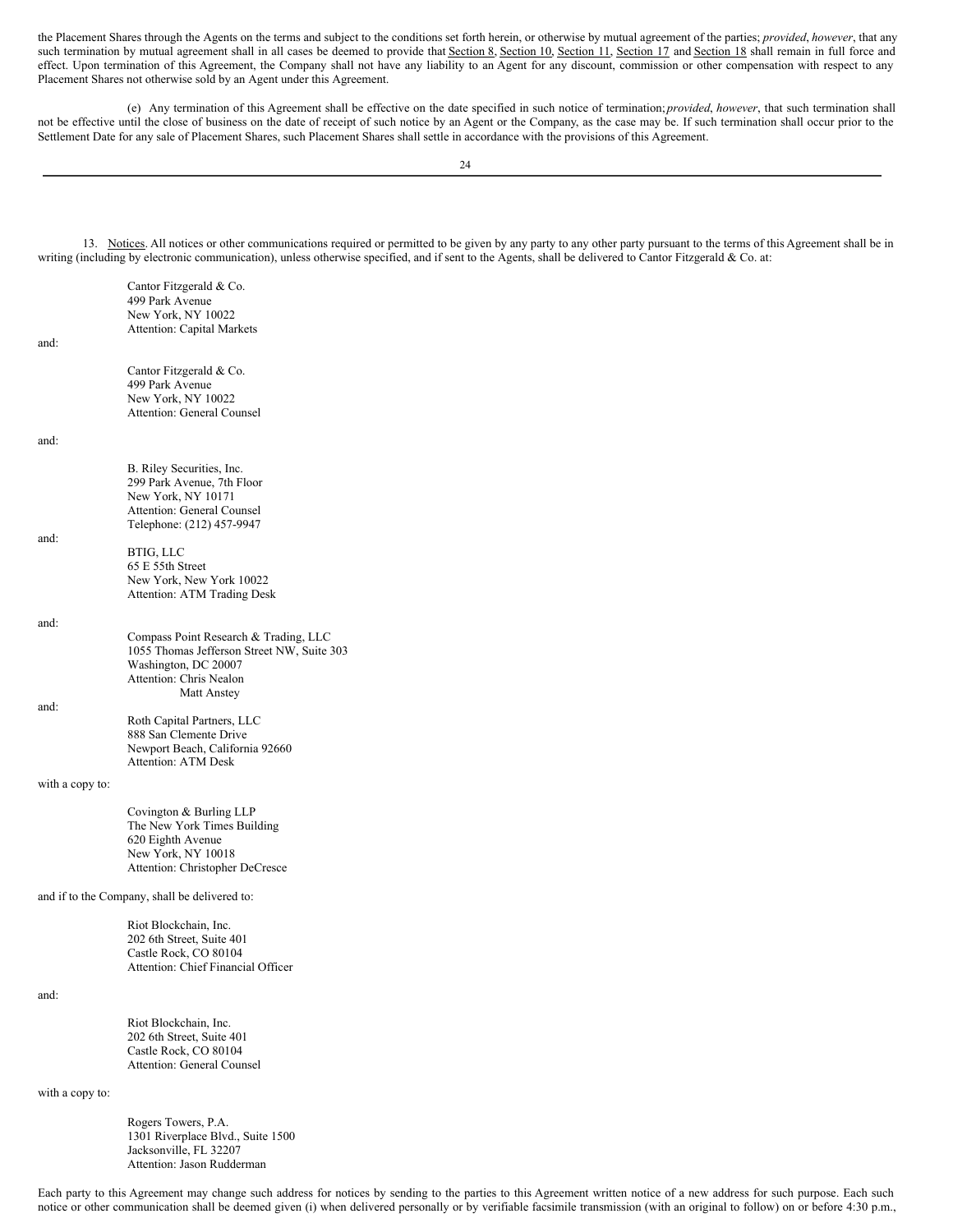the Placement Shares through the Agents on the terms and subject to the conditions set forth herein, or otherwise by mutual agreement of the parties; *provided*, *however*, that any such termination by mutual agreement shall in all cases be deemed to provide that Section 8, Section 10, Section 11, Section 17 and Section 18 shall remain in full force and effect. Upon termination of this Agreement, the Company shall not have any liability to an Agent for any discount, commission or other compensation with respect to any Placement Shares not otherwise sold by an Agent under this Agreement.

(e) Any termination of this Agreement shall be effective on the date specified in such notice of termination; *provided*, *however*, that such termination shall not be effective until the close of business on the date of receipt of such notice by an Agent or the Company, as the case may be. If such termination shall occur prior to the Settlement Date for any sale of Placement Shares, such Placement Shares shall settle in accordance with the provisions of this Agreement.

13. Notices. All notices or other communications required or permitted to be given by any party to any other party pursuant to the terms of this Agreement shall be in writing (including by electronic communication), unless otherwise specified, and if sent to the Agents, shall be delivered to Cantor Fitzgerald & Co. at:

Cantor Fitzgerald & Co. 499 Park Avenue New York, NY 10022 Attention: Capital Markets

Cantor Fitzgerald & Co. 499 Park Avenue New York, NY 10022 Attention: General Counsel

and:

and:

B. Riley Securities, Inc. 299 Park Avenue, 7th Floor New York, NY 10171 Attention: General Counsel Telephone: (212) 457-9947

BTIG, LLC 65 E 55th Street New York, New York 10022 Attention: ATM Trading Desk

and:

and:

and:

| Compass Point Research & Trading, LLC      |
|--------------------------------------------|
| 1055 Thomas Jefferson Street NW, Suite 303 |
| Washington, DC 20007                       |
| Attention: Chris Nealon                    |
| <b>Matt Anstey</b>                         |

Roth Capital Partners, LLC 888 San Clemente Drive Newport Beach, California 92660 Attention: ATM Desk

with a copy to:

Covington & Burling LLP The New York Times Building 620 Eighth Avenue New York, NY 10018 Attention: Christopher DeCresce

and if to the Company, shall be delivered to:

Riot Blockchain, Inc. 202 6th Street, Suite 401 Castle Rock, CO 80104 Attention: Chief Financial Officer

and:

Riot Blockchain, Inc. 202 6th Street, Suite 401 Castle Rock, CO 80104 Attention: General Counsel

with a copy to:

Rogers Towers, P.A. 1301 Riverplace Blvd., Suite 1500 Jacksonville, FL 32207 Attention: Jason Rudderman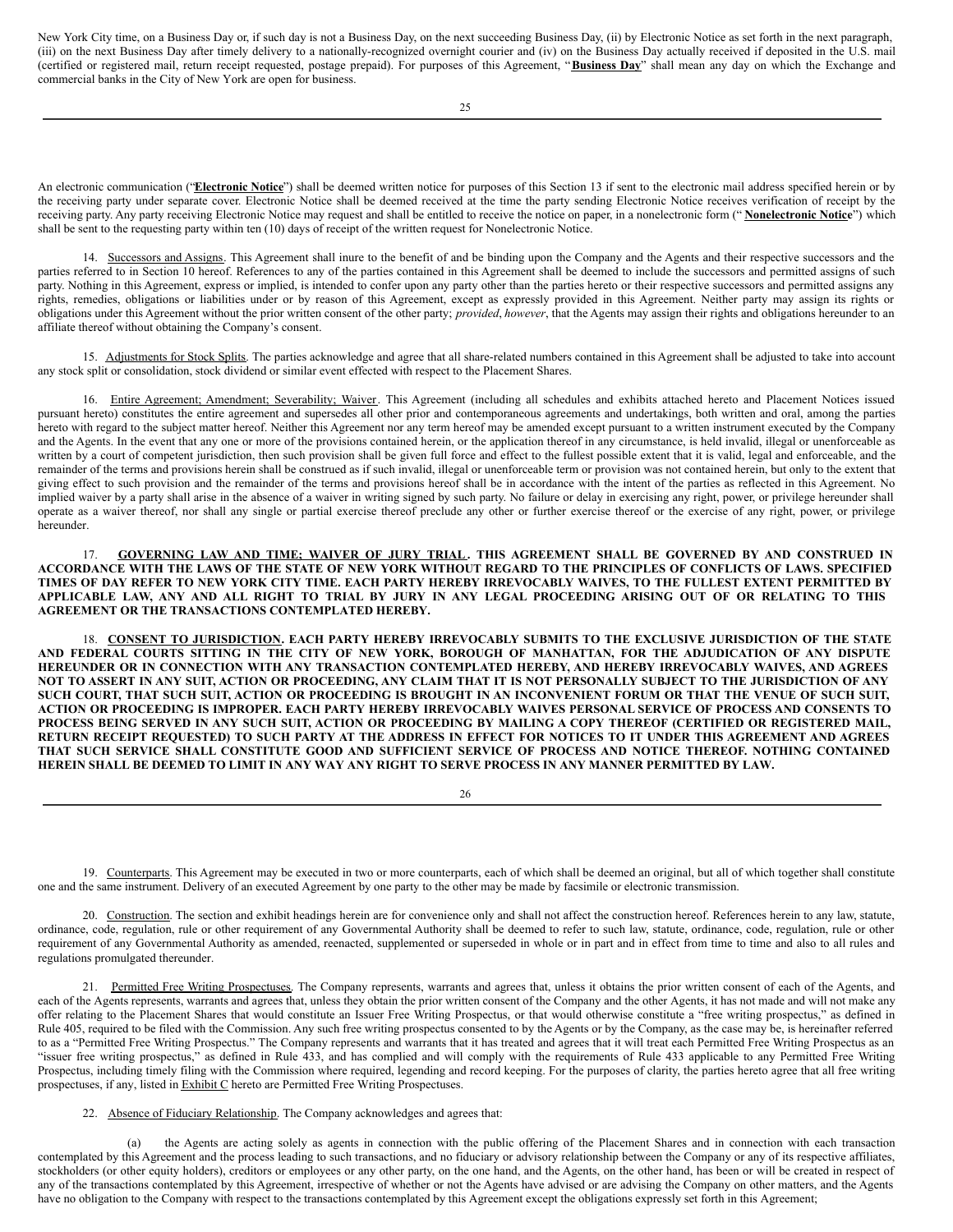New York City time, on a Business Day or, if such day is not a Business Day, on the next succeeding Business Day, (ii) by Electronic Notice as set forth in the next paragraph, (iii) on the next Business Day after timely delivery to a nationally-recognized overnight courier and (iv) on the Business Day actually received if deposited in the U.S. mail (certified or registered mail, return receipt requested, postage prepaid). For purposes of this Agreement, "**Business Day**" shall mean any day on which the Exchange and commercial banks in the City of New York are open for business.

An electronic communication ("Electronic Notice") shall be deemed written notice for purposes of this Section 13 if sent to the electronic mail address specified herein or by the receiving party under separate cover. Electronic Notice shall be deemed received at the time the party sending Electronic Notice receives verification of receipt by the receiving party. Any party receiving Electronic Notice may request and shall be entitled to receive the notice on paper, in a nonelectronic form (" **Nonelectronic Notice**") which shall be sent to the requesting party within ten (10) days of receipt of the written request for Nonelectronic Notice.

14. Successors and Assigns. This Agreement shall inure to the benefit of and be binding upon the Company and the Agents and their respective successors and the parties referred to in Section 10 hereof. References to any of the parties contained in this Agreement shall be deemed to include the successors and permitted assigns of such party. Nothing in this Agreement, express or implied, is intended to confer upon any party other than the parties hereto or their respective successors and permitted assigns any rights, remedies, obligations or liabilities under or by reason of this Agreement, except as expressly provided in this Agreement. Neither party may assign its rights or obligations under this Agreement without the prior written consent of the other party; *provided*, *however*, that the Agents may assign their rights and obligations hereunder to an affiliate thereof without obtaining the Company's consent.

15. Adjustments for Stock Splits. The parties acknowledge and agree that all share-related numbers contained in this Agreement shall be adjusted to take into account any stock split or consolidation, stock dividend or similar event effected with respect to the Placement Shares.

16. Entire Agreement; Amendment; Severability; Waiver. This Agreement (including all schedules and exhibits attached hereto and Placement Notices issued pursuant hereto) constitutes the entire agreement and supersedes all other prior and contemporaneous agreements and undertakings, both written and oral, among the parties hereto with regard to the subject matter hereof. Neither this Agreement nor any term hereof may be amended except pursuant to a written instrument executed by the Company and the Agents. In the event that any one or more of the provisions contained herein, or the application thereof in any circumstance, is held invalid, illegal or unenforceable as written by a court of competent jurisdiction, then such provision shall be given full force and effect to the fullest possible extent that it is valid, legal and enforceable, and the remainder of the terms and provisions herein shall be construed as if such invalid, illegal or unenforceable term or provision was not contained herein, but only to the extent that giving effect to such provision and the remainder of the terms and provisions hereof shall be in accordance with the intent of the parties as reflected in this Agreement. No implied waiver by a party shall arise in the absence of a waiver in writing signed by such party. No failure or delay in exercising any right, power, or privilege hereunder shall operate as a waiver thereof, nor shall any single or partial exercise thereof preclude any other or further exercise thereof or the exercise of any right, power, or privilege hereunder.

17. **GOVERNING LAW AND TIME; WAIVER OF JURY TRIAL. THIS AGREEMENT SHALL BE GOVERNED BY AND CONSTRUED IN** ACCORDANCE WITH THE LAWS OF THE STATE OF NEW YORK WITHOUT REGARD TO THE PRINCIPLES OF CONFLICTS OF LAWS. SPECIFIED TIMES OF DAY REFER TO NEW YORK CITY TIME. EACH PARTY HEREBY IRREVOCABLY WAIVES, TO THE FULLEST EXTENT PERMITTED BY APPLICABLE LAW, ANY AND ALL RIGHT TO TRIAL BY JURY IN ANY LEGAL PROCEEDING ARISING OUT OF OR RELATING TO THIS **AGREEMENT OR THE TRANSACTIONS CONTEMPLATED HEREBY.**

18. **CONSENT TO JURISDICTION. EACH PARTY HEREBY IRREVOCABLY SUBMITS TO THE EXCLUSIVE JURISDICTION OF THE STATE** AND FEDERAL COURTS SITTING IN THE CITY OF NEW YORK, BOROUGH OF MANHATTAN, FOR THE ADJUDICATION OF ANY DISPUTE **HEREUNDER OR IN CONNECTION WITH ANY TRANSACTION CONTEMPLATED HEREBY, AND HEREBY IRREVOCABLY WAIVES, AND AGREES** NOT TO ASSERT IN ANY SUIT, ACTION OR PROCEEDING, ANY CLAIM THAT IT IS NOT PERSONALLY SUBJECT TO THE JURISDICTION OF ANY SUCH COURT, THAT SUCH SUIT, ACTION OR PROCEEDING IS BROUGHT IN AN INCONVENIENT FORUM OR THAT THE VENUE OF SUCH SUIT, ACTION OR PROCEEDING IS IMPROPER. EACH PARTY HEREBY IRREVOCABLY WAIVES PERSONAL SERVICE OF PROCESS AND CONSENTS TO PROCESS BEING SERVED IN ANY SUCH SUIT, ACTION OR PROCEEDING BY MAILING A COPY THEREOF (CERTIFIED OR REGISTERED MAIL, RETURN RECEIPT REQUESTED) TO SUCH PARTY AT THE ADDRESS IN EFFECT FOR NOTICES TO IT UNDER THIS AGREEMENT AND AGREES **THAT SUCH SERVICE SHALL CONSTITUTE GOOD AND SUFFICIENT SERVICE OF PROCESS AND NOTICE THEREOF. NOTHING CONTAINED** HEREIN SHALL BE DEEMED TO LIMIT IN ANY WAY ANY RIGHT TO SERVE PROCESS IN ANY MANNER PERMITTED BY LAW.

26

19. Counterparts. This Agreement may be executed in two or more counterparts, each of which shall be deemed an original, but all of which together shall constitute one and the same instrument. Delivery of an executed Agreement by one party to the other may be made by facsimile or electronic transmission.

20. Construction. The section and exhibit headings herein are for convenience only and shall not affect the construction hereof. References herein to any law, statute, ordinance, code, regulation, rule or other requirement of any Governmental Authority shall be deemed to refer to such law, statute, ordinance, code, regulation, rule or other requirement of any Governmental Authority as amended, reenacted, supplemented or superseded in whole or in part and in effect from time to time and also to all rules and regulations promulgated thereunder.

21. Permitted Free Writing Prospectuses. The Company represents, warrants and agrees that, unless it obtains the prior written consent of each of the Agents, and each of the Agents represents, warrants and agrees that, unless they obtain the prior written consent of the Company and the other Agents, it has not made and will not make any offer relating to the Placement Shares that would constitute an Issuer Free Writing Prospectus, or that would otherwise constitute a "free writing prospectus," as defined in Rule 405, required to be filed with the Commission. Any such free writing prospectus consented to by the Agents or by the Company, as the case may be, is hereinafter referred to as a "Permitted Free Writing Prospectus." The Company represents and warrants that it has treated and agrees that it will treat each Permitted Free Writing Prospectus as an "issuer free writing prospectus," as defined in Rule 433, and has complied and will comply with the requirements of Rule 433 applicable to any Permitted Free Writing Prospectus, including timely filing with the Commission where required, legending and record keeping. For the purposes of clarity, the parties hereto agree that all free writing prospectuses, if any, listed in Exhibit C hereto are Permitted Free Writing Prospectuses.

22. Absence of Fiduciary Relationship. The Company acknowledges and agrees that:

the Agents are acting solely as agents in connection with the public offering of the Placement Shares and in connection with each transaction contemplated by this Agreement and the process leading to such transactions, and no fiduciary or advisory relationship between the Company or any of its respective affiliates, stockholders (or other equity holders), creditors or employees or any other party, on the one hand, and the Agents, on the other hand, has been or will be created in respect of any of the transactions contemplated by this Agreement, irrespective of whether or not the Agents have advised or are advising the Company on other matters, and the Agents have no obligation to the Company with respect to the transactions contemplated by this Agreement except the obligations expressly set forth in this Agreement;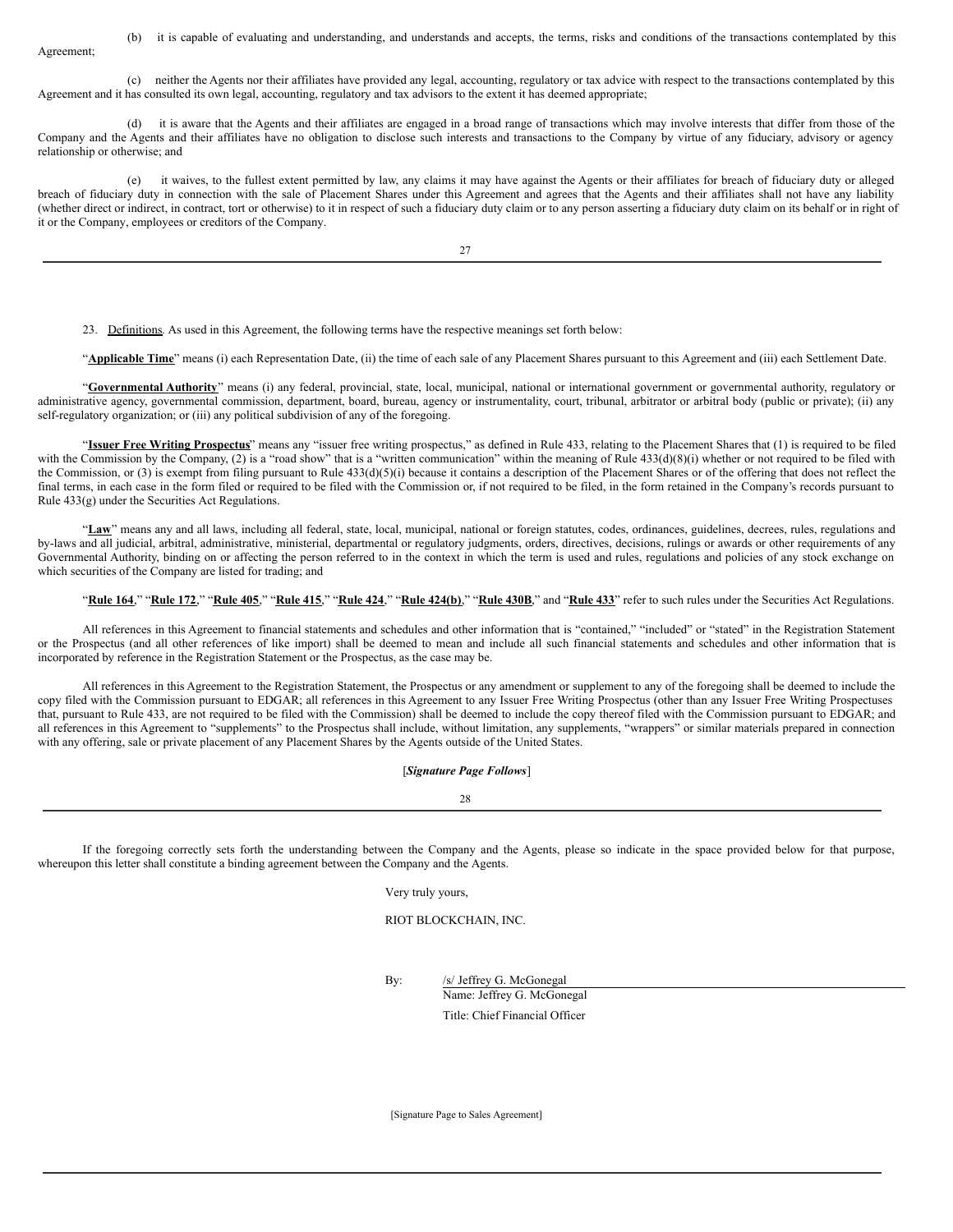(b) it is capable of evaluating and understanding, and understands and accepts, the terms, risks and conditions of the transactions contemplated by this Agreement;

(c) neither the Agents nor their affiliates have provided any legal, accounting, regulatory or tax advice with respect to the transactions contemplated by this Agreement and it has consulted its own legal, accounting, regulatory and tax advisors to the extent it has deemed appropriate;

(d) it is aware that the Agents and their affiliates are engaged in a broad range of transactions which may involve interests that differ from those of the Company and the Agents and their affiliates have no obligation to disclose such interests and transactions to the Company by virtue of any fiduciary, advisory or agency relationship or otherwise; and

(e) it waives, to the fullest extent permitted by law, any claims it may have against the Agents or their affiliates for breach of fiduciary duty or alleged breach of fiduciary duty in connection with the sale of Placement Shares under this Agreement and agrees that the Agents and their affiliates shall not have any liability (whether direct or indirect, in contract, tort or otherwise) to it in respect of such a fiduciary duty claim or to any person asserting a fiduciary duty claim on its behalf or in right of it or the Company, employees or creditors of the Company.

27

23. Definitions. As used in this Agreement, the following terms have the respective meanings set forth below:

"**Applicable Time**" means (i) each Representation Date, (ii) the time of each sale of any Placement Shares pursuant to this Agreement and (iii) each Settlement Date.

"**Governmental Authority**" means (i) any federal, provincial, state, local, municipal, national or international government or governmental authority, regulatory or administrative agency, governmental commission, department, board, bureau, agency or instrumentality, court, tribunal, arbitrator or arbitral body (public or private); (ii) any self-regulatory organization; or (iii) any political subdivision of any of the foregoing.

"**Issuer Free Writing Prospectus**" means any "issuer free writing prospectus," as defined in Rule 433, relating to the Placement Shares that (1) is required to be filed with the Commission by the Company, (2) is a "road show" that is a "written communication" within the meaning of Rule 433(d)(8)(i) whether or not required to be filed with the Commission, or (3) is exempt from filing pursuant to Rule  $433(d)(5)(i)$  because it contains a description of the Placement Shares or of the offering that does not reflect the final terms, in each case in the form filed or required to be filed with the Commission or, if not required to be filed, in the form retained in the Company's records pursuant to Rule 433(g) under the Securities Act Regulations.

"**Law**" means any and all laws, including all federal, state, local, municipal, national or foreign statutes, codes, ordinances, guidelines, decrees, rules, regulations and by-laws and all judicial, arbitral, administrative, ministerial, departmental or regulatory judgments, orders, directives, decisions, rulings or awards or other requirements of any Governmental Authority, binding on or affecting the person referred to in the context in which the term is used and rules, regulations and policies of any stock exchange on which securities of the Company are listed for trading; and

#### "Rule 164." "Rule 172," "Rule 405." "Rule 415." "Rule 424," "Rule 424(b)." "Rule 430B," and "Rule 433" refer to such rules under the Securities Act Regulations.

All references in this Agreement to financial statements and schedules and other information that is "contained," "included" or "stated" in the Registration Statement or the Prospectus (and all other references of like import) shall be deemed to mean and include all such financial statements and schedules and other information that is incorporated by reference in the Registration Statement or the Prospectus, as the case may be.

All references in this Agreement to the Registration Statement, the Prospectus or any amendment or supplement to any of the foregoing shall be deemed to include the copy filed with the Commission pursuant to EDGAR; all references in this Agreement to any Issuer Free Writing Prospectus (other than any Issuer Free Writing Prospectuses that, pursuant to Rule 433, are not required to be filed with the Commission) shall be deemed to include the copy thereof filed with the Commission pursuant to EDGAR; and all references in this Agreement to "supplements" to the Prospectus shall include, without limitation, any supplements, "wrappers" or similar materials prepared in connection with any offering, sale or private placement of any Placement Shares by the Agents outside of the United States.

#### [*Signature Page Follows*]

28

If the foregoing correctly sets forth the understanding between the Company and the Agents, please so indicate in the space provided below for that purpose, whereupon this letter shall constitute a binding agreement between the Company and the Agents.

#### Very truly yours,

#### RIOT BLOCKCHAIN, INC.

By: /s/ Jeffrey G. McGonegal Name: Jeffrey G. McGonegal

Title: Chief Financial Officer

[Signature Page to Sales Agreement]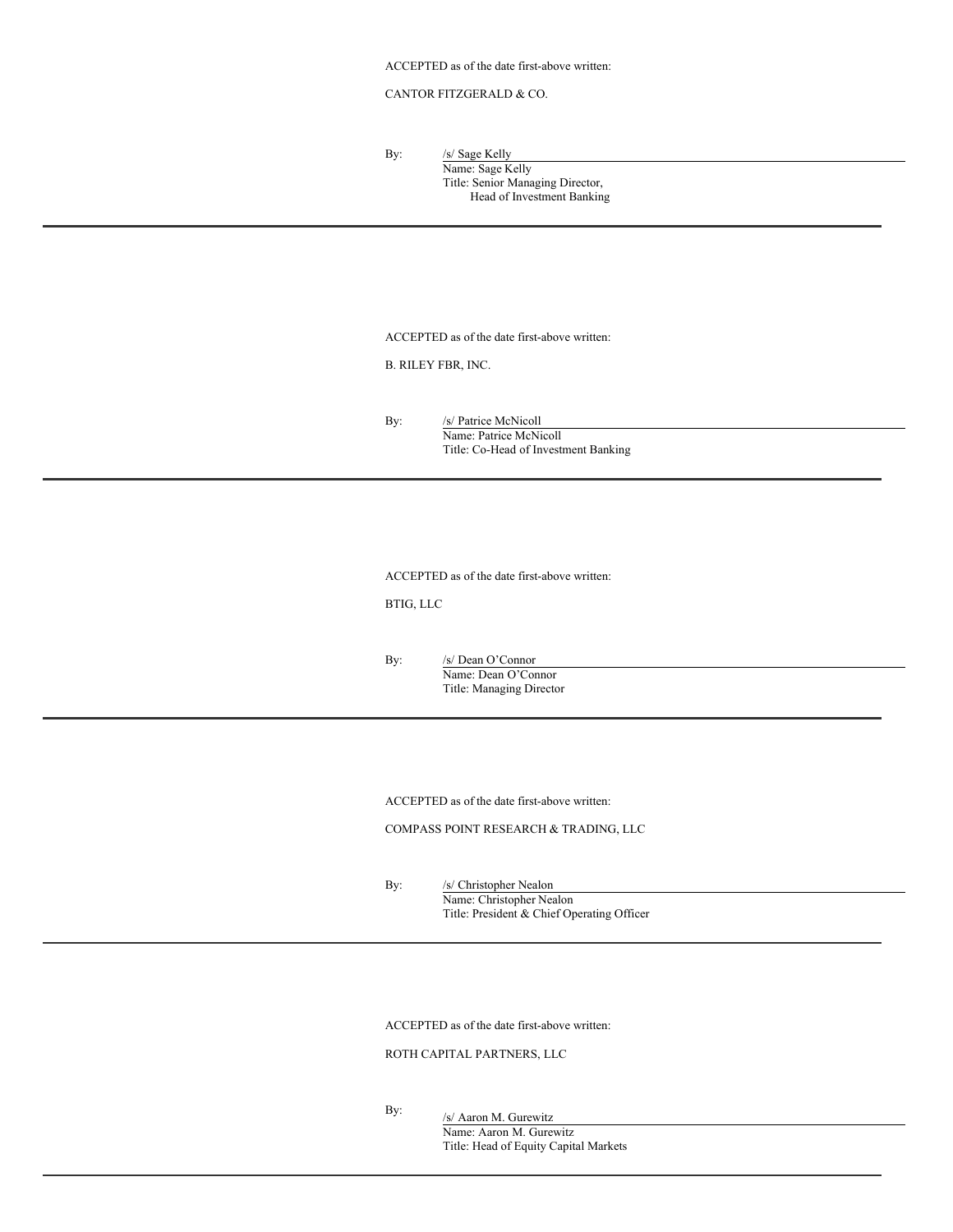#### CANTOR FITZGERALD & CO.

By: /s/ Sage Kelly Name: Sage Kelly Title: Senior Managing Director, Head of Investment Banking

ACCEPTED as of the date first-above written:

B. RILEY FBR, INC.

By: /s/ Patrice McNicoll Name: Patrice McNicoll Title: Co-Head of Investment Banking

#### ACCEPTED as of the date first-above written:

#### BTIG, LLC

By: /s/ Dean O'Connor Name: Dean O'Connor Title: Managing Director

ACCEPTED as of the date first-above written:

COMPASS POINT RESEARCH & TRADING, LLC

By: /s/ Christopher Nealon Name: Christopher Nealon Title: President & Chief Operating Officer

ACCEPTED as of the date first-above written:

ROTH CAPITAL PARTNERS, LLC

By:

/s/ Aaron M. Gurewitz Name: Aaron M. Gurewitz Title: Head of Equity Capital Markets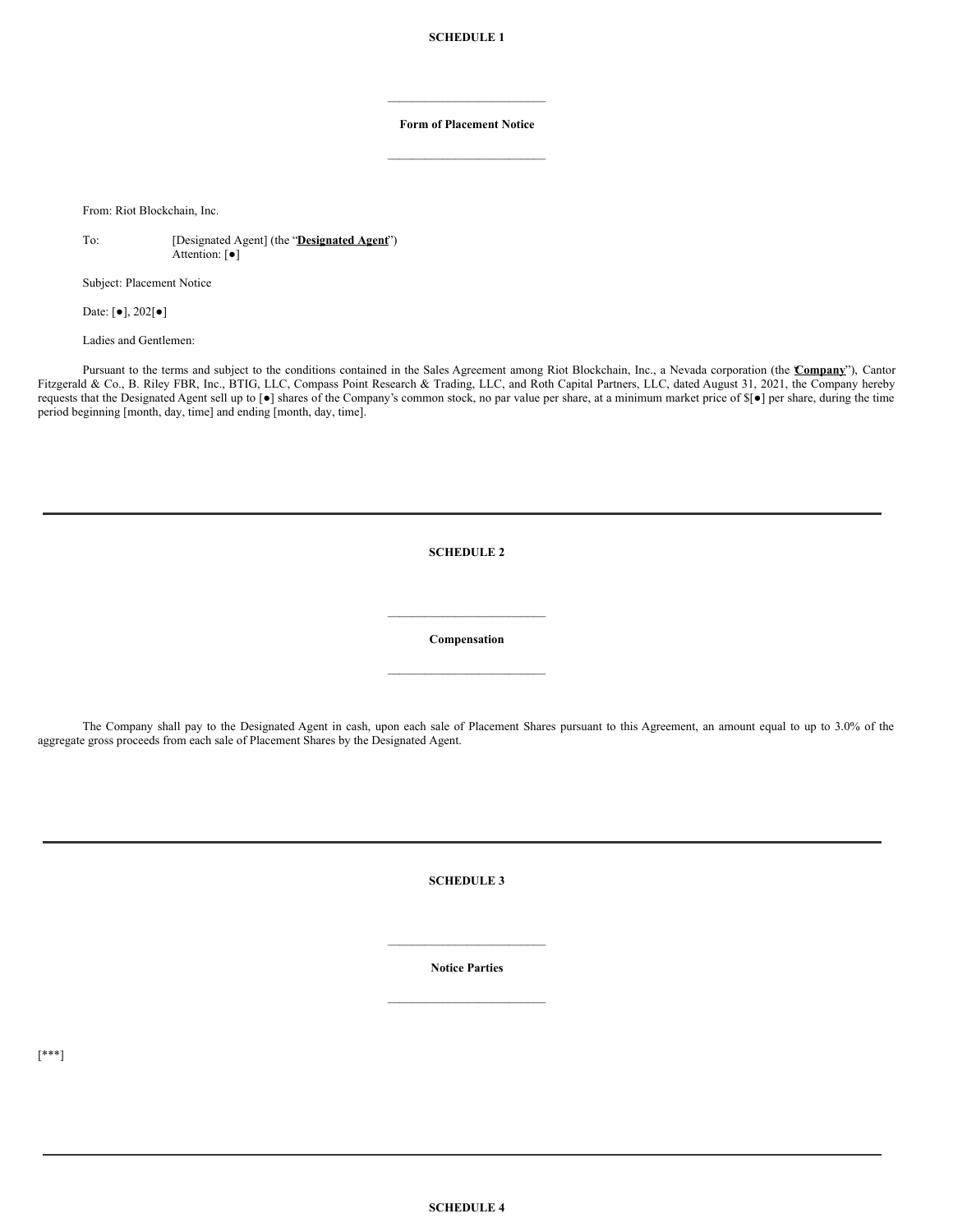# \_\_\_\_\_\_\_\_\_\_\_\_\_\_\_\_\_\_\_\_\_\_\_\_\_\_ **Form of Placement Notice**  $\mathcal{L}_\text{max}$

From: Riot Blockchain, Inc.

To: [Designated Agent] (the "**Designated Agent**") Attention: [●]

Subject: Placement Notice

Date: [●], 202[●]

Ladies and Gentlemen:

Pursuant to the terms and subject to the conditions contained in the Sales Agreement among Riot Blockchain, Inc., a Nevada corporation (the "**Company**"), Cantor Fitzgerald & Co., B. Riley FBR, Inc., BTIG, LLC, Compass Point Research & Trading, LLC, and Roth Capital Partners, LLC, dated August 31, 2021, the Company hereby requests that the Designated Agent sell up to [●] shares of the Company's common stock, no par value per share, at a minimum market price of \$[●] per share, during the time period beginning [month, day, time] and ending [month, day, time].

**SCHEDULE 2**

 $\mathcal{L}_\text{max}$ **Compensation**  $\mathcal{L}_\text{max}$ 

The Company shall pay to the Designated Agent in cash, upon each sale of Placement Shares pursuant to this Agreement, an amount equal to up to 3.0% of the aggregate gross proceeds from each sale of Placement Shares by the Designated Agent.

**SCHEDULE 3**

 $\mathcal{L}_\text{max}$ **Notice Parties**

\_\_\_\_\_\_\_\_\_\_\_\_\_\_\_\_\_\_\_\_\_\_\_\_\_\_

[\*\*\*]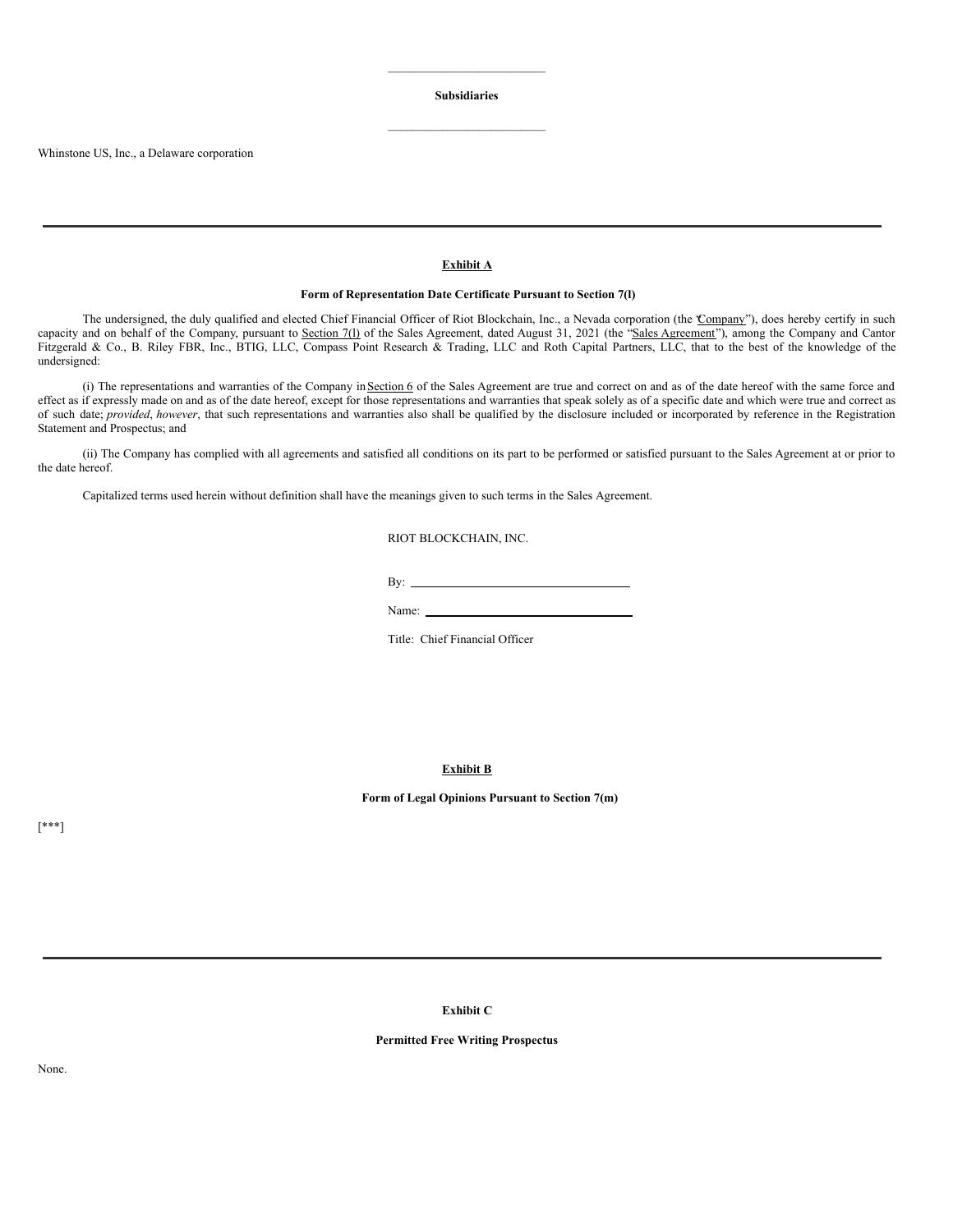$\mathcal{L}_\text{max}$ **Subsidiaries** \_\_\_\_\_\_\_\_\_\_\_\_\_\_\_\_\_\_\_\_\_\_\_\_\_\_

Whinstone US, Inc., a Delaware corporation

#### **Exhibit A**

#### **Form of Representation Date Certificate Pursuant to Section 7(l)**

The undersigned, the duly qualified and elected Chief Financial Officer of Riot Blockchain, Inc., a Nevada corporation (the "Company"), does hereby certify in such capacity and on behalf of the Company, pursuant to Section 7(1) of the Sales Agreement, dated August 31, 2021 (the "Sales Agreement"), among the Company and Cantor Fitzgerald & Co., B. Riley FBR, Inc., BTIG, LLC, Compass Point Research & Trading, LLC and Roth Capital Partners, LLC, that to the best of the knowledge of the undersigned:

(i) The representations and warranties of the Company in Section 6 of the Sales Agreement are true and correct on and as of the date hereof with the same force and effect as if expressly made on and as of the date hereof, except for those representations and warranties that speak solely as of a specific date and which were true and correct as of such date; *provided*, *however*, that such representations and warranties also shall be qualified by the disclosure included or incorporated by reference in the Registration Statement and Prospectus; and

(ii) The Company has complied with all agreements and satisfied all conditions on its part to be performed or satisfied pursuant to the Sales Agreement at or prior to the date hereof.

Capitalized terms used herein without definition shall have the meanings given to such terms in the Sales Agreement.

RIOT BLOCKCHAIN, INC.

By:  $\qquad \qquad$ 

Name:

Title: Chief Financial Officer

#### **Exhibit B**

**Form of Legal Opinions Pursuant to Section 7(m)**

[\*\*\*]

**Exhibit C**

**Permitted Free Writing Prospectus**

None.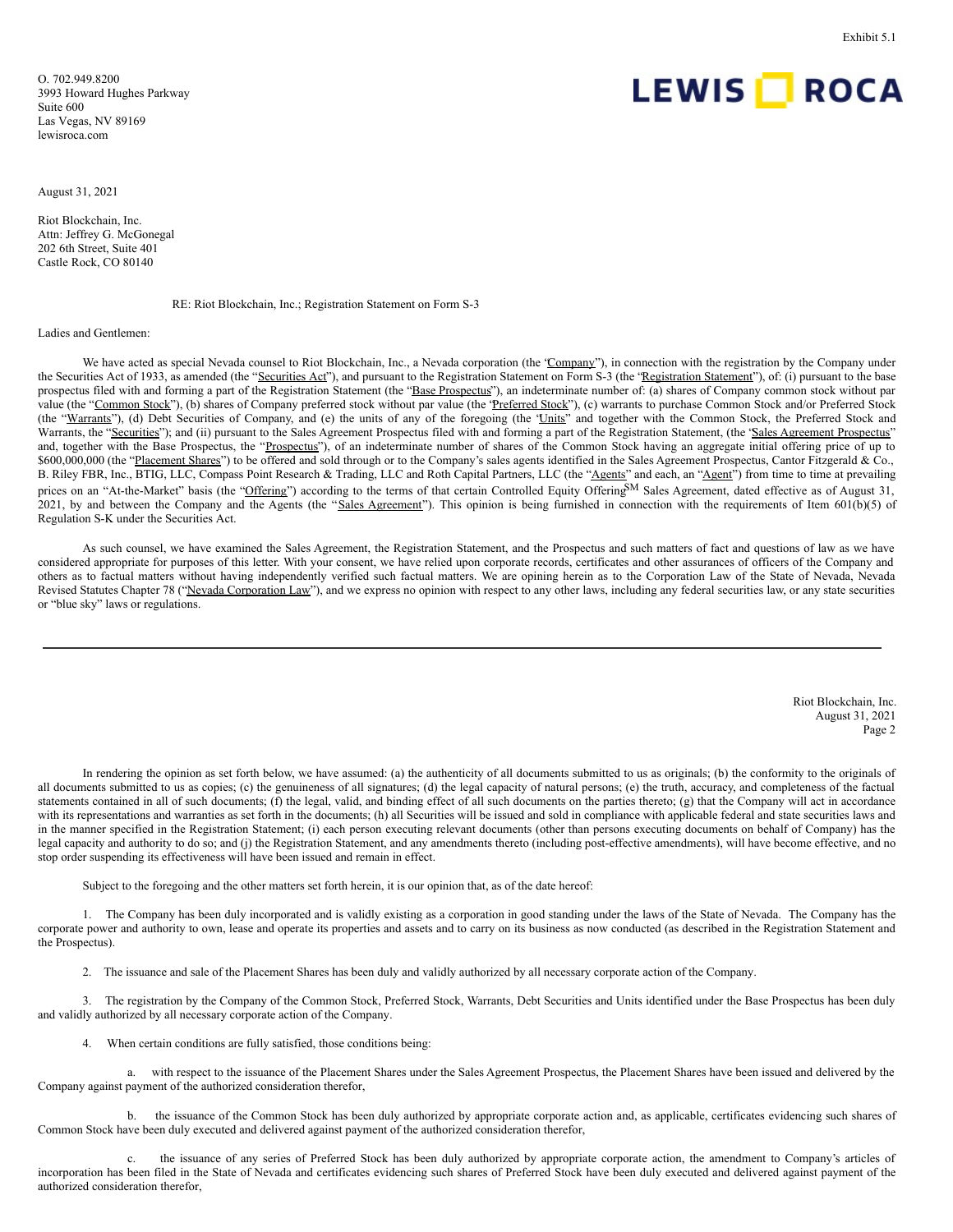<span id="page-45-0"></span>O. 702.949.8200 3993 Howard Hughes Parkway Suite 600 Las Vegas, NV 89169 lewisroca.com

Exhibit 5.1

# **LEWIS ROCA**

August 31, 2021

Riot Blockchain, Inc. Attn: Jeffrey G. McGonegal 202 6th Street, Suite 401 Castle Rock, CO 80140

#### RE: Riot Blockchain, Inc.; Registration Statement on Form S-3

#### Ladies and Gentlemen:

We have acted as special Nevada counsel to Riot Blockchain, Inc., a Nevada corporation (the 'Company''), in connection with the registration by the Company under the Securities Act of 1933, as amended (the "Securities Act"), and pursuant to the Registration Statement on Form S-3 (the "Registration Statement"), of: (i) pursuant to the base prospectus filed with and forming a part of the Registration Statement (the "Base Prospectus"), an indeterminate number of: (a) shares of Company common stock without par value (the "Common Stock"), (b) shares of Company preferred stock without par value (the 'Preferred Stock'), (c) warrants to purchase Common Stock and/or Preferred Stock (the "Warrants"), (d) Debt Securities of Company, and (e) the units of any of the foregoing (the 'Units" and together with the Common Stock, the Preferred Stock and Warrants, the "Securities"); and (ii) pursuant to the Sales Agreement Prospectus filed with and forming a part of the Registration Statement, (the 'Sales Agreement Prospectus") and, together with the Base Prospectus, the "Prospectus"), of an indeterminate number of shares of the Common Stock having an aggregate initial offering price of up to \$600,000,000 (the "Placement Shares") to be offered and sold through or to the Company's sales agents identified in the Sales Agreement Prospectus, Cantor Fitzgerald & Co., B. Riley FBR, Inc., BTIG, LLC, Compass Point Research & Trading, LLC and Roth Capital Partners, LLC (the "Agents" and each, an "Agent") from time to time at prevailing prices on an "At-the-Market" basis (the "Offering") according to the terms of that certain Controlled Equity Offering<sup>SM</sup> Sales Agreement, dated effective as of August 31, 2021, by and between the Company and the Agents (the "Sales Agreement"). This opinion is being furnished in connection with the requirements of Item 601(b)(5) of Regulation S-K under the Securities Act.

As such counsel, we have examined the Sales Agreement, the Registration Statement, and the Prospectus and such matters of fact and questions of law as we have considered appropriate for purposes of this letter. With your consent, we have relied upon corporate records, certificates and other assurances of officers of the Company and others as to factual matters without having independently verified such factual matters. We are opining herein as to the Corporation Law of the State of Nevada, Nevada Revised Statutes Chapter 78 ("Nevada Corporation Law"), and we express no opinion with respect to any other laws, including any federal securities law, or any state securities or "blue sky" laws or regulations.

> Riot Blockchain, Inc. August 31, 2021 Page 2

In rendering the opinion as set forth below, we have assumed: (a) the authenticity of all documents submitted to us as originals; (b) the conformity to the originals of all documents submitted to us as copies; (c) the genuineness of all signatures; (d) the legal capacity of natural persons; (e) the truth, accuracy, and completeness of the factual statements contained in all of such documents; (f) the legal, valid, and binding effect of all such documents on the parties thereto; (g) that the Company will act in accordance with its representations and warranties as set forth in the documents; (h) all Securities will be issued and sold in compliance with applicable federal and state securities laws and in the manner specified in the Registration Statement; (i) each person executing relevant documents (other than persons executing documents on behalf of Company) has the legal capacity and authority to do so; and (j) the Registration Statement, and any amendments thereto (including post-effective amendments), will have become effective, and no stop order suspending its effectiveness will have been issued and remain in effect.

Subject to the foregoing and the other matters set forth herein, it is our opinion that, as of the date hereof:

1. The Company has been duly incorporated and is validly existing as a corporation in good standing under the laws of the State of Nevada. The Company has the corporate power and authority to own, lease and operate its properties and assets and to carry on its business as now conducted (as described in the Registration Statement and the Prospectus).

2. The issuance and sale of the Placement Shares has been duly and validly authorized by all necessary corporate action of the Company.

3. The registration by the Company of the Common Stock, Preferred Stock, Warrants, Debt Securities and Units identified under the Base Prospectus has been duly and validly authorized by all necessary corporate action of the Company.

4. When certain conditions are fully satisfied, those conditions being:

a. with respect to the issuance of the Placement Shares under the Sales Agreement Prospectus, the Placement Shares have been issued and delivered by the Company against payment of the authorized consideration therefor,

b. the issuance of the Common Stock has been duly authorized by appropriate corporate action and, as applicable, certificates evidencing such shares of Common Stock have been duly executed and delivered against payment of the authorized consideration therefor,

c. the issuance of any series of Preferred Stock has been duly authorized by appropriate corporate action, the amendment to Company's articles of incorporation has been filed in the State of Nevada and certificates evidencing such shares of Preferred Stock have been duly executed and delivered against payment of the authorized consideration therefor,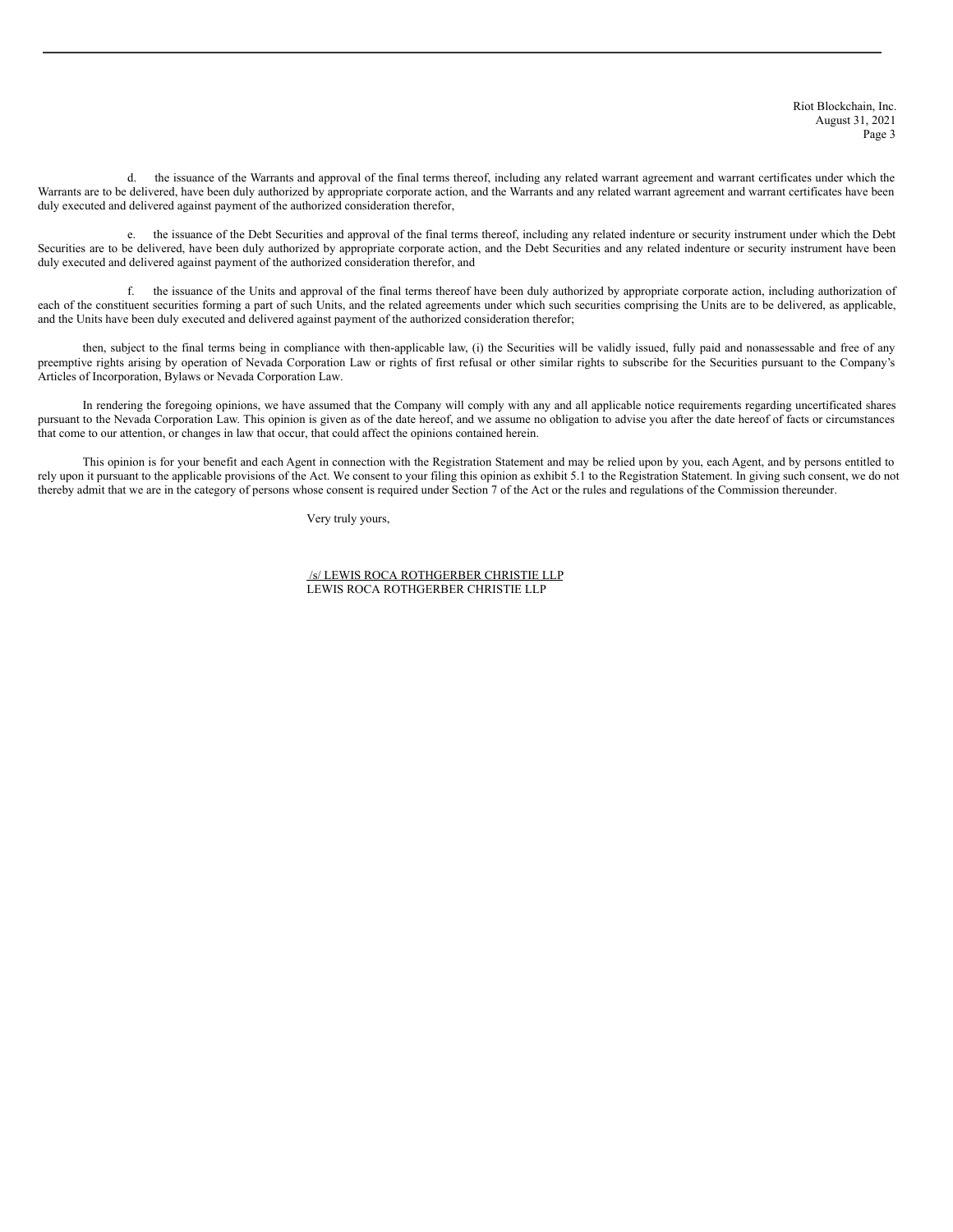Riot Blockchain, Inc. August 31, 2021 Page 3

d. the issuance of the Warrants and approval of the final terms thereof, including any related warrant agreement and warrant certificates under which the Warrants are to be delivered, have been duly authorized by appropriate corporate action, and the Warrants and any related warrant agreement and warrant certificates have been duly executed and delivered against payment of the authorized consideration therefor,

e. the issuance of the Debt Securities and approval of the final terms thereof, including any related indenture or security instrument under which the Debt Securities are to be delivered, have been duly authorized by appropriate corporate action, and the Debt Securities and any related indenture or security instrument have been duly executed and delivered against payment of the authorized consideration therefor, and

the issuance of the Units and approval of the final terms thereof have been duly authorized by appropriate corporate action, including authorization of each of the constituent securities forming a part of such Units, and the related agreements under which such securities comprising the Units are to be delivered, as applicable, and the Units have been duly executed and delivered against payment of the authorized consideration therefor;

then, subject to the final terms being in compliance with then-applicable law, (i) the Securities will be validly issued, fully paid and nonassessable and free of any preemptive rights arising by operation of Nevada Corporation Law or rights of first refusal or other similar rights to subscribe for the Securities pursuant to the Company's Articles of Incorporation, Bylaws or Nevada Corporation Law.

In rendering the foregoing opinions, we have assumed that the Company will comply with any and all applicable notice requirements regarding uncertificated shares pursuant to the Nevada Corporation Law. This opinion is given as of the date hereof, and we assume no obligation to advise you after the date hereof of facts or circumstances that come to our attention, or changes in law that occur, that could affect the opinions contained herein.

This opinion is for your benefit and each Agent in connection with the Registration Statement and may be relied upon by you, each Agent, and by persons entitled to rely upon it pursuant to the applicable provisions of the Act. We consent to your filing this opinion as exhibit 5.1 to the Registration Statement. In giving such consent, we do not thereby admit that we are in the category of persons whose consent is required under Section 7 of the Act or the rules and regulations of the Commission thereunder.

Very truly yours,

/s/ LEWIS ROCA ROTHGERBER CHRISTIE LLP LEWIS ROCA ROTHGERBER CHRISTIE LLP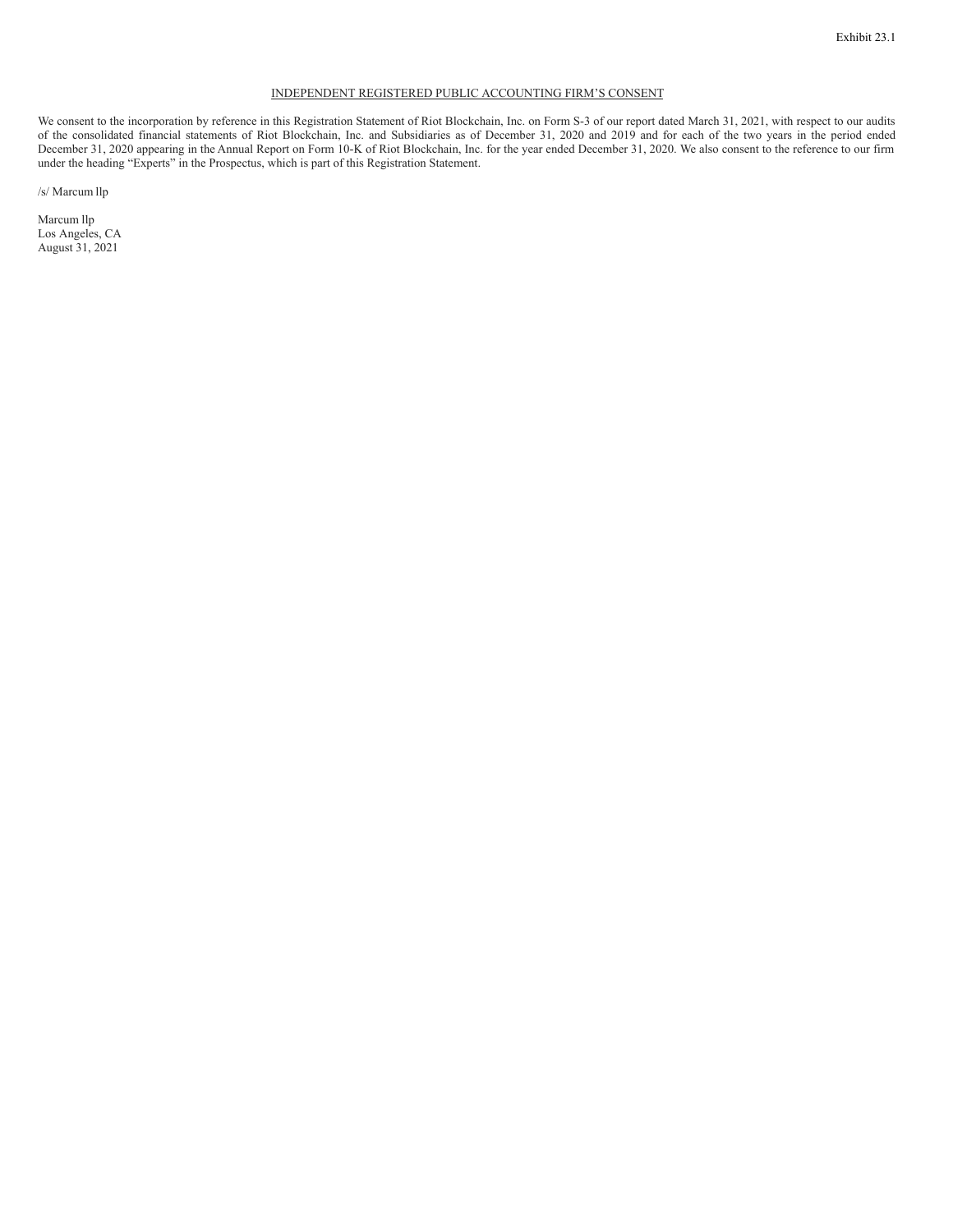#### INDEPENDENT REGISTERED PUBLIC ACCOUNTING FIRM'S CONSENT

<span id="page-47-0"></span>We consent to the incorporation by reference in this Registration Statement of Riot Blockchain, Inc. on Form S-3 of our report dated March 31, 2021, with respect to our audits of the consolidated financial statements of Riot Blockchain, Inc. and Subsidiaries as of December 31, 2020 and 2019 and for each of the two years in the period ended December 31, 2020 appearing in the Annual Report on Form 10-K of Riot Blockchain, Inc. for the year ended December 31, 2020. We also consent to the reference to our firm under the heading "Experts" in the Prospectus, which is part of this Registration Statement.

/s/ Marcum llp

Marcum llp Los Angeles, CA August 31, 2021